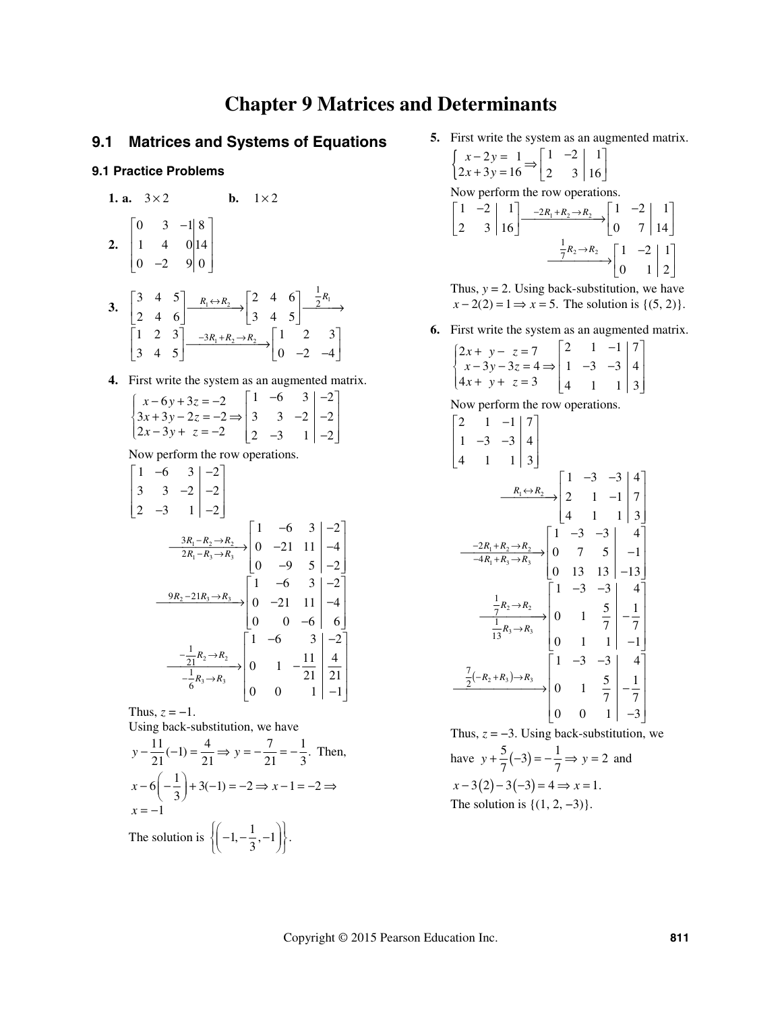# **Chapter 9 Matrices and Determinants**

# **9.1 Matrices and Systems of Equations**

## **9.1 Practice Problems**

**1. a.**  $3 \times 2$  **b.**  $1 \times 2$  $\begin{vmatrix} 0 & 3 & -1 \end{vmatrix}$  8

2. 
$$
\begin{bmatrix} 1 & 4 & 0 & 14 \\ 0 & -2 & 9 & 0 \end{bmatrix}
$$

- 3.  $\begin{bmatrix} 3 & 4 & 3 \ 2 & 1 & 2 \end{bmatrix} \xrightarrow{R_1 \leftrightarrow R_2} \begin{bmatrix} 2 & 4 & 0 \ 2 & 1 & 2 \end{bmatrix} \xrightarrow{2^{R_1}}$  $1 + n_2 \rightarrow n_2$ 1 2 3 3 4 5  $R_1 \leftrightarrow R_2$  2 4 6 2 4 6 3 4 5  $1 \quad 2 \quad 3 \Big| \quad_{-3R_1+R_2 \to R_2} \quad |1 \quad 2 \quad 3$  $3 \t4 \t5$  0 -2 -4  $R_1 \leftrightarrow R_2$  | 2 4 6 |  $\frac{1}{2}R$  $R_1 + R_2 \rightarrow R$  $\leftrightarrow$  $-3R_1 + R_2 \rightarrow$  $\begin{bmatrix} 3 & 4 & 5 \\ 2 & 4 & 6 \end{bmatrix}$   $\xrightarrow{R_1 \leftrightarrow R_2} \begin{bmatrix} 2 & 4 & 6 \\ 3 & 4 & 5 \end{bmatrix}$   $\xrightarrow{R_1}$  $\begin{bmatrix} 1 & 2 & 3 \\ 3 & 4 & 5 \end{bmatrix} \xrightarrow{-3R_1 + R_2 \to R_2} \begin{bmatrix} 1 & 2 & 3 \\ 0 & -2 & -4 \end{bmatrix}$ 
	- **4.** First write the system as an augmented matrix.

$$
\begin{cases}\n x - 6y + 3z = -2 \\
 3x + 3y - 2z = -2 \Rightarrow \begin{bmatrix} 1 & -6 & 3 & -2 \\
 3 & 3 & -2 & -2 \\
 2 & -3 & 1 & -2 \end{bmatrix} \\
 \end{cases}
$$

Now perform the row operations.

$$
\begin{bmatrix} 1 & -6 & 3 & -2 \ 3 & 3 & -2 & -2 \ 2 & -3 & 1 & -2 \ \end{bmatrix}
$$
  

$$
\xrightarrow{3R_1 - R_2 \rightarrow R_2} \begin{bmatrix} 1 & -6 & 3 & -2 \ 0 & -21 & 11 & -4 \ 0 & -9 & 5 & -2 \ \end{bmatrix}
$$
  

$$
\xrightarrow{9R_2 - 21R_3 \rightarrow R_3} \begin{bmatrix} 1 & -6 & 3 & -2 \ 0 & -9 & 5 & -2 \ 0 & 0 & -6 & 6 \ \end{bmatrix}
$$
  

$$
\xrightarrow{-\frac{1}{21}R_2 \rightarrow R_2} \begin{bmatrix} 1 & -6 & 3 & -2 \ 0 & 0 & -6 & 6 \ \end{bmatrix}
$$
  

$$
\xrightarrow{-\frac{1}{6}R_3 \rightarrow R_3} \begin{bmatrix} 1 & -6 & 3 & -2 \ 0 & 1 & -\frac{11}{21} & \frac{4}{21} \\ 0 & 0 & 1 & -\frac{11}{21} & \frac{4}{21} \\ 0 & 0 & 1 & -1 \ \end{bmatrix}
$$

Thus,  $z = -1$ .

Using back-substitution, we have

$$
y - \frac{11}{21}(-1) = \frac{4}{21} \Rightarrow y = -\frac{7}{21} = -\frac{1}{3}. \text{ Then,}
$$
  
\n
$$
x - 6\left(-\frac{1}{3}\right) + 3(-1) = -2 \Rightarrow x - 1 = -2 \Rightarrow
$$
  
\n
$$
x = -1
$$
  
\nThe solution is  $\left\{ \left( -1, -\frac{1}{3}, -1 \right) \right\}.$ 

 **5.** First write the system as an augmented matrix.

$$
\begin{cases}\n x - 2y = 1 \\
 2x + 3y = 16\n\end{cases} \Rightarrow\n\begin{bmatrix}\n 1 & -2 & | & 1 \\
 2 & 3 & | & 16\n\end{bmatrix}
$$
\nNow perform the row operations.

\n
$$
\begin{bmatrix}\n 1 & -2 & | & 1 \\
 2 & 3 & | & 16\n\end{bmatrix}\n\xrightarrow{\text{-}2R_1 + R_2 \rightarrow R_2}\n\begin{bmatrix}\n 1 & -2 & | & 1 \\
 0 & 7 & | & 14\n\end{bmatrix}\n\xrightarrow{\text{-}R_2 \rightarrow R_2}\n\begin{bmatrix}\n 1 & -2 & | & 1 \\
 0 & 1 & | & 2\n\end{bmatrix}
$$

Thus,  $y = 2$ . Using back-substitution, we have  $x - 2(2) = 1 \implies x = 5$ . The solution is  $\{(5, 2)\}.$ 

 **6.** First write the system as an augmented matrix.

$$
\begin{bmatrix}\n2x + y - z = 7 \\
x - 3y - 3z = 4 \Rightarrow \begin{bmatrix}\n2 & 1 & -1 & 7 \\
1 & -3 & -3 & 4 \\
4x + y + z = 3 & 4 & 1 & 1\n\end{bmatrix} \\
\text{Now perform the row operations.} \\
2 \begin{bmatrix}\n2 & 1 & -1 & 7 \\
1 & -3 & -3 & 4 \\
4 & 1 & 1 & 3\n\end{bmatrix} \\
\frac{R_1 \leftrightarrow R_2}{4} \begin{bmatrix}\n1 & -3 & -3 & 4 \\
2 & 1 & -1 & 7 \\
4 & 1 & 1 & 3\n\end{bmatrix} \\
\frac{-2R_1 + R_2 \rightarrow R_2}{-4R_1 + R_3 \rightarrow R_3} \begin{bmatrix}\n1 & -3 & -3 & 4 \\
0 & 7 & 5 & -1 \\
0 & 13 & 13 & -13\n\end{bmatrix} \\
\frac{1}{13}R_3 \rightarrow R_3\n\end{bmatrix} \begin{bmatrix}\n1 & -3 & -3 & 4 \\
0 & 1 & 1 & -1 \\
0 & 1 & 1 & -1 \\
0 & 1 & 1 & -1\n\end{bmatrix} \\
\frac{7}{13}R_3 \rightarrow R_3\n\end{bmatrix} \begin{bmatrix}\n1 & -3 & -3 & 4 \\
0 & 1 & 1 & -1 \\
0 & 1 & 1 & -1 \\
0 & 0 & 1 & -3\n\end{bmatrix}
$$

Thus,  $z = -3$ . Using back-substitution, we have  $y + \frac{5}{7}(-3) = -\frac{1}{7} \Rightarrow y = 2$  and  $x-3(2)-3(-3)=4 \Rightarrow x=1.$ The solution is  $\{(1, 2, -3)\}.$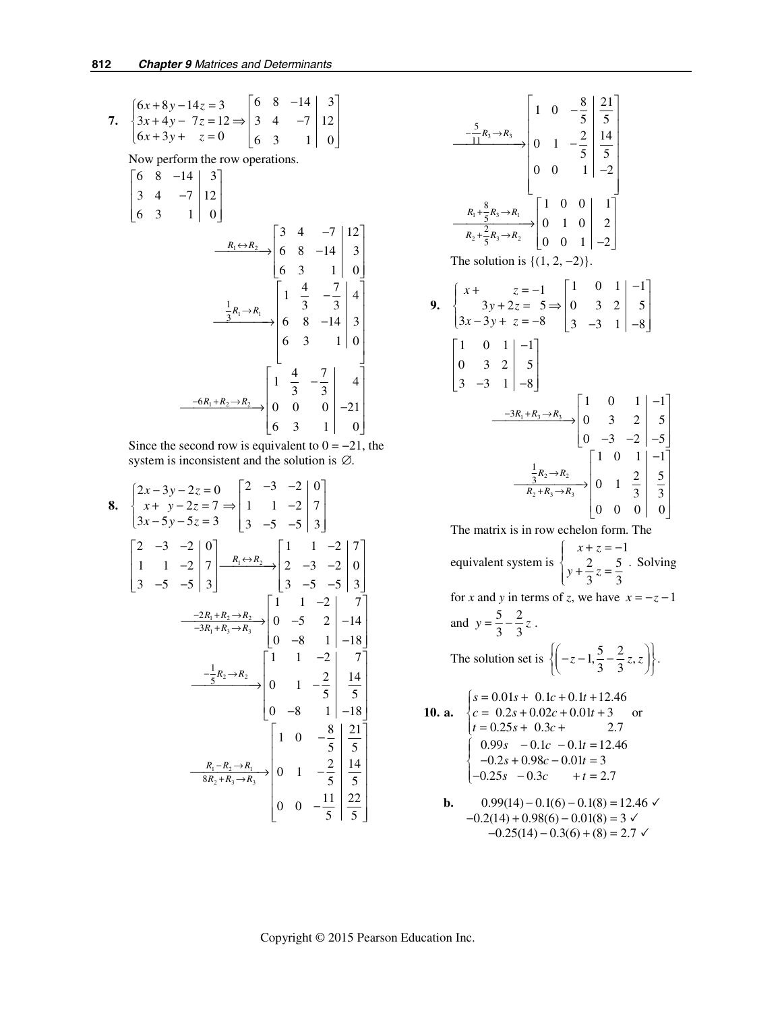7. 
$$
\begin{cases} 6x + 8y - 14z = 3 \\ 3x + 4y - 7z = 12 \Rightarrow \begin{vmatrix} 6 & 8 & -14 & 3 \\ 3 & 4 & -7 & 12 \\ 6 & 3 & 1 & 0 \end{vmatrix} \\ \text{Now perform the row operations.} \\ \begin{bmatrix} 6 & 8 & -14 & 3 \\ 3 & 4 & -7 & 12 \end{bmatrix} \end{cases}
$$

$$
\begin{bmatrix}\n6 & 3 & 1 & 0\n\end{bmatrix}\n\xrightarrow{R_1 \leftrightarrow R_2}\n\begin{bmatrix}\n3 & 4 & -7 & 12 \\
6 & 8 & -14 & 3 \\
6 & 3 & 1 & 0\n\end{bmatrix}
$$
\n
$$
\xrightarrow{\frac{1}{3}R_1 \to R_1}\n\begin{bmatrix}\n1 & \frac{4}{3} & -\frac{7}{3} & 4 \\
6 & 8 & -14 & 3 \\
6 & 3 & 1 & 0\n\end{bmatrix}
$$
\n
$$
\xrightarrow{-6R_1 + R_2 \to R_2}\n\begin{bmatrix}\n1 & \frac{4}{3} & -\frac{7}{3} & 4 \\
0 & 0 & 0 & 0 \\
6 & 3 & 1 & 0\n\end{bmatrix}\n\xrightarrow{-21}
$$

Since the second row is equivalent to  $0 = -21$ , the system is inconsistent and the solution is  $\varnothing$ .

8. 
$$
\begin{cases} 2x-3y-2z = 0 \ 3x-5y-5z = 3 \ 3 \end{cases} \begin{bmatrix} 2 & -3 & -2 & | & 0 \ 1 & 1 & -2 & | & 7 \ 3 & -5 & -5 & | & 3 \end{bmatrix}
$$
  
\n
$$
\begin{bmatrix} 2 & -3 & -2 & | & 0 \ 1 & 1 & -2 & | & 7 \ 3 & -5 & -5 & | & 3 \end{bmatrix} \begin{bmatrix} R_1 \leftrightarrow R_2 \ R_3 \end{bmatrix} = \begin{bmatrix} 1 & 1 & -2 & | & 7 \ 2 & -3 & -2 & | & 0 \ 3 & -5 & -5 & | & 3 \end{bmatrix}
$$
  
\n
$$
\begin{array}{c} -2R_1 + R_2 \rightarrow R_2 \ \hline -3R_1 + R_3 \rightarrow R_3 \end{array} \begin{bmatrix} 1 & 1 & -2 & | & 7 \ 0 & -5 & 2 & | & -14 \ 0 & -8 & 1 & | & -18 \end{bmatrix}
$$
  
\n
$$
\begin{array}{c} -\frac{1}{5}R_2 \rightarrow R_2 \ \hline 6 \end{array} \begin{bmatrix} 1 & 1 & -2 & | & 7 \ 0 & -8 & 1 & | & -18 \ 0 & -8 & 1 & | & -18 \end{bmatrix}
$$
  
\n
$$
\begin{bmatrix} 1 & 0 & -\frac{8}{5} & | & \frac{21}{5} \\ 0 & 0 & 1 & -\frac{2}{5} & | & \frac{5}{5} \\ 0 & 0 & 0 & -\frac{11}{5} & | & \frac{22}{5} \\ 0 & 0 & -\frac{11}{5} & | & \frac{22}{5} \end{bmatrix}
$$

9. 
$$
\begin{bmatrix}\nx + \frac{8}{5}R_3 \rightarrow R_3 \\
3x - 3y + z = -8\n\end{bmatrix}\n\begin{bmatrix}\n1 & 0 & -\frac{8}{5} & \frac{21}{5} \\
0 & 1 & -\frac{2}{5} & \frac{14}{5} \\
0 & 0 & 1 & -2\n\end{bmatrix}
$$
\n  
\n7. 
$$
\frac{R_1 + \frac{8}{5}R_3 \rightarrow R_1}{R_2 + \frac{2}{5}R_3 \rightarrow R_2}\n\begin{bmatrix}\n1 & 0 & 0 & 1 \\
0 & 1 & 0 & 2 \\
0 & 0 & 1 & -2\n\end{bmatrix}
$$
\n  
\n9. 
$$
\begin{cases}\nx + z = -1 \\
3x - 3y + z = -8 \\
3x - 3y + z = -8\n\end{cases}\n\begin{bmatrix}\n1 & 0 & 1 & -1 \\
0 & 3 & 2 & 5 \\
3 & -3 & 1 & -8\n\end{bmatrix}
$$
\n  
\n
$$
\begin{bmatrix}\n1 & 0 & 1 & -1 \\
0 & 3 & 2 & 5 \\
3 & -3 & 1 & -8\n\end{bmatrix}
$$
\n  
\n
$$
\begin{bmatrix}\n1 & 0 & 1 & -1 \\
0 & 3 & 2 & 5 \\
0 & -3 & -2 & -5\n\end{bmatrix}
$$
\n  
\n
$$
\begin{bmatrix}\n1 & 0 & 1 & -1 \\
0 & 3 & 2 & 5 \\
0 & -3 & -2 & -5\n\end{bmatrix}
$$
\n  
\n
$$
\begin{bmatrix}\n1 & 0 & 1 & -1 \\
0 & 1 & 1 & -1 \\
0 & 0 & 0 & 0\n\end{bmatrix}
$$
\n  
\n
$$
\frac{1}{R_2 + R_3 \rightarrow R_3}\n\begin{bmatrix}\n1 & 0 & 1 & 2 & 5 \\
0 & 1 & 2 & 5 \\
0 & 0 & 0 & 0\n\end{bmatrix}
$$

The matrix is in row echelon form. The

equivalent system is 1  $2 \begin{array}{cc} 2 & 5 \end{array}$ 3 3  $x + z$  $y + \frac{z}{2}z$  $\begin{cases} x + z = - \\ 2 \end{cases}$  $\left\{ y + \frac{2}{3}z = \frac{5}{3} \cdot$  Solving

for *x* and *y* in terms of *z*, we have  $x = -z - 1$ 

and 
$$
y = \frac{5}{3} - \frac{2}{3}z
$$
.  
The solution set is  $\left\{ \left( -z - 1, \frac{5}{3} - \frac{2}{3}z, z \right) \right\}$ .

**10. a.**   $0.01s + 0.1c + 0.1t + 12.46$  $0.2s + 0.02c + 0.01t + 3$  or  $t = 0.25s + 0.3c + 2.7$  $\begin{bmatrix} 0.99s & -0.1c & -0.1t = 12.46 \\ 0.25 & 0.935 & 0.014 \end{bmatrix}$  $\begin{cases} -0.2s + 0.98c - 0.01t = 3 \end{cases}$  $\begin{vmatrix} -0.25s & -0.3c & +t = 2.7 \end{vmatrix}$  $s = 0.01s + 0.1c + 0.1t$  $\begin{cases} s = 0.01s + 0.1c + 0.1t + 1 \\ c = 0.2s + 0.02c + 0.01t + \end{cases}$ 

**b.** 
$$
0.99(14) - 0.1(6) - 0.1(8) = 12.46
$$
   
- $0.2(14) + 0.98(6) - 0.01(8) = 3$    
- $0.25(14) - 0.3(6) + (8) = 2.7$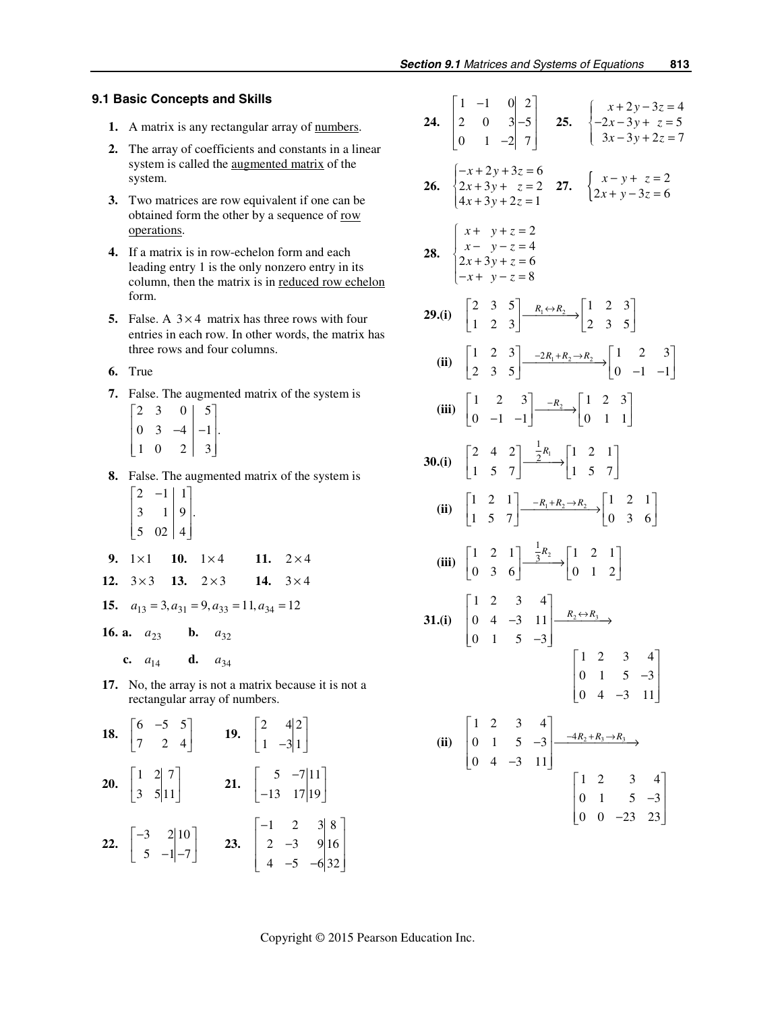#### **9.1 Basic Concepts and Skills**

- 1. A matrix is any rectangular array of numbers.
- **2.** The array of coefficients and constants in a linear system is called the augmented matrix of the system.
- **3.** Two matrices are row equivalent if one can be obtained form the other by a sequence of row operations.
- **4.** If a matrix is in row-echelon form and each leading entry 1 is the only nonzero entry in its column, then the matrix is in reduced row echelon form.
- **5.** False. A  $3 \times 4$  matrix has three rows with four entries in each row. In other words, the matrix has three rows and four columns.
- **6.** True
- **7.** False. The augmented matrix of the system is

| 2 |   | 0 | 5              |  |
|---|---|---|----------------|--|
| 0 | 3 |   | $-1$           |  |
|   | 0 | 2 | $\mathfrak{Z}$ |  |

- **8.** False. The augmented matrix of the system is  $\begin{vmatrix} 2 & -1 & 1 \end{vmatrix}$  $\begin{vmatrix} 3 & 1 \end{vmatrix} 9$ .  $\begin{vmatrix} 3 & 1 \\ 1 & 1 \end{vmatrix}$ 
	- $\begin{bmatrix} 5 & 02 & | & 4 \end{bmatrix}$
- **9.**  $1 \times 1$  **10.**  $1 \times 4$  **11.**  $2 \times 4$
- **12.**  $3 \times 3$  **13.**  $2 \times 3$  **14.**  $3 \times 4$
- **15.**  $a_{13} = 3, a_{31} = 9, a_{33} = 11, a_{34} = 12$

**16. a.**  $a_{23}$  **b.**  $a_{32}$ 

- **c.**  $a_{14}$  **d.**  $a_{34}$
- **17.** No, the array is not a matrix because it is not a rectangular array of numbers.

 $\sim$ 

**18.** 
$$
\begin{bmatrix} 6 & -5 & 5 \\ 7 & 2 & 4 \end{bmatrix}
$$
 **19.**  $\begin{bmatrix} 2 & 4 & 2 \\ 1 & -3 & 1 \end{bmatrix}$   
\n**20.**  $\begin{bmatrix} 1 & 2 & 7 \\ 3 & 5 & 11 \end{bmatrix}$  **21.**  $\begin{bmatrix} 5 & -7 & 11 \\ -13 & 17 & 19 \end{bmatrix}$   
\n**22.**  $\begin{bmatrix} -3 & 2 & 10 \\ 5 & -1 & -7 \end{bmatrix}$  **23.**  $\begin{bmatrix} -1 & 2 & 3 & 8 \\ 2 & -3 & 9 & 16 \\ 4 & -5 & -6 & 32 \end{bmatrix}$ 

| 24. $\begin{vmatrix} 1 & -1 & 0 & 2 \\ 2 & 0 & 3 & -5 \\ 0 & 1 & -2 & 7 \end{vmatrix}$ 25. $\begin{cases} x + 2y - 3z = 4 \\ -2x - 3y + z = 5 \\ 3x - 3y + 2z = 7 \end{cases}$                                          |
|-------------------------------------------------------------------------------------------------------------------------------------------------------------------------------------------------------------------------|
| 26. $\begin{cases} -x+2y+3z=6\\ 2x+3y+z=2\\ 4x+3y+2z=1 \end{cases}$ 27. $\begin{cases} x-y+z=2\\ 2x+y-3z=6 \end{cases}$                                                                                                 |
| 28. $\begin{cases}\nx + y + z = 2 \\ x - y - z = 4 \\ 2x + 3y + z = 6 \\ -x + y - z = 8\n\end{cases}$                                                                                                                   |
| <b>29.(i)</b> $\begin{vmatrix} 2 & 3 & 5 \\ 1 & 2 & 3 \end{vmatrix}$ $\longrightarrow$ $\begin{vmatrix} R_1 \leftrightarrow R_2 \\ \rightarrow \end{vmatrix}$ $\begin{vmatrix} 1 & 2 & 3 \\ 2 & 3 & 5 \end{vmatrix}$    |
| (ii) $\begin{bmatrix} 1 & 2 & 3 \\ 2 & 3 & 5 \end{bmatrix} \xrightarrow{-2R_1+R_2\rightarrow R_2} \begin{bmatrix} 1 & 2 & 3 \\ 0 & -1 & -1 \end{bmatrix}$                                                               |
| (iii) $\begin{bmatrix} 1 & 2 & 3 \\ 0 & -1 & -1 \end{bmatrix} \xrightarrow{R_2} \begin{bmatrix} 1 & 2 & 3 \\ 0 & 1 & 1 \end{bmatrix}$                                                                                   |
| <b>30.(i)</b> $\begin{bmatrix} 2 & 4 & 2 \\ 1 & 5 & 7 \end{bmatrix} \xrightarrow{\frac{1}{2}R_1} \begin{bmatrix} 1 & 2 & 1 \\ 1 & 5 & 7 \end{bmatrix}$                                                                  |
| (ii) $\begin{bmatrix} 1 & 2 & 1 \\ 1 & 5 & 7 \end{bmatrix} \xrightarrow{\phantom{a} -R_1 + R_2 \rightarrow R_2} \begin{bmatrix} 1 & 2 & 1 \\ 0 & 3 & 6 \end{bmatrix}$                                                   |
| (iii) $\begin{bmatrix} 1 & 2 & 1 \\ 0 & 3 & 6 \end{bmatrix} \xrightarrow{\frac{1}{3}R_2} \begin{bmatrix} 1 & 2 & 1 \\ 0 & 1 & 2 \end{bmatrix}$                                                                          |
| 31.(i) $\begin{bmatrix} 1 & 2 & 3 & 4 \\ 0 & 4 & -3 & 11 \\ 0 & 1 & 5 & -3 \end{bmatrix}$ $\xrightarrow{R_2 \leftrightarrow R_3}$<br>$\begin{bmatrix} 1 & 2 & 3 & 4 \\ 0 & 1 & 5 & -3 \\ 0 & 4 & -3 & 11 \end{bmatrix}$ |
| (ii) $\begin{bmatrix} 1 & 2 & 3 & 4 \\ 0 & 1 & 5 & -3 \\ 0 & 4 & -3 & 11 \end{bmatrix} \xrightarrow{-4R_2 + R_3 \rightarrow R_3} \begin{bmatrix} 1 & 2 & 3 & 4 \\ 0 & 1 & 5 & -3 \\ 0 & 0 & -23 & 23 \end{bmatrix}$     |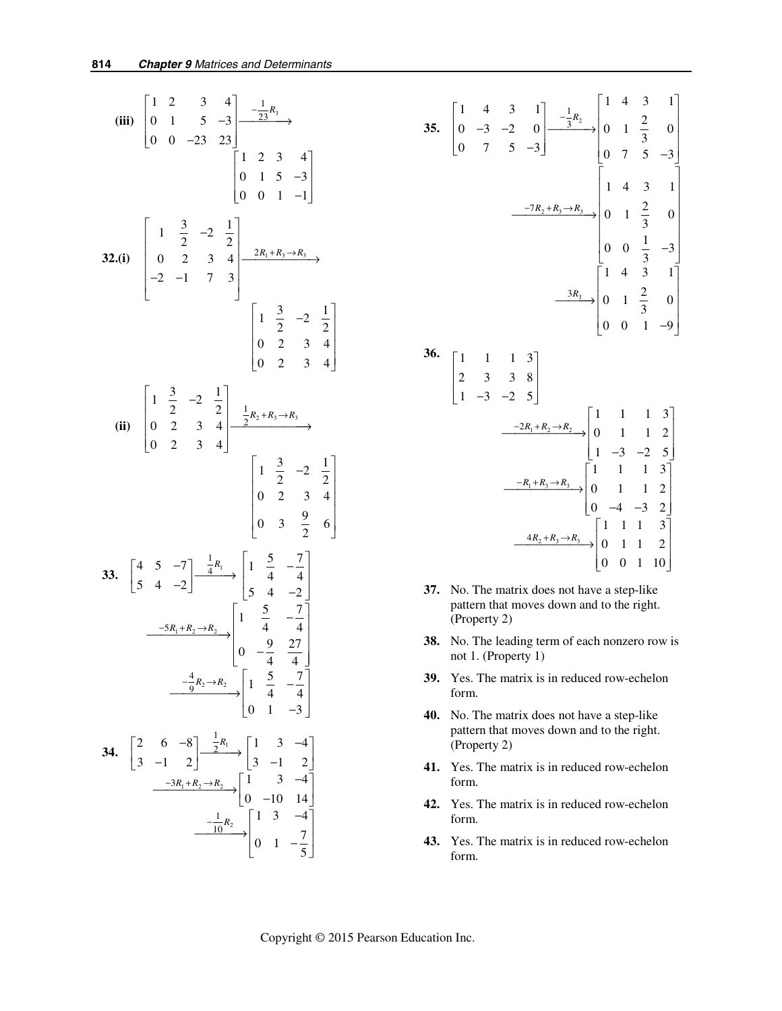**(iii)**  $\begin{vmatrix} 0 & 1 & 5 & -3 \end{vmatrix} \begin{vmatrix} -\frac{23}{3}x_3 \end{vmatrix}$ 1 23 12 3 4  $0 \quad 1 \quad 5 \quad -3$  $0 \t 0 \t -23 \t 23$ 123 4  $0 \t1 \t5 \t-3$  $0 \t 0 \t 1 \t -1$  $\begin{vmatrix} 1 & 2 & 3 & 4 \end{vmatrix}$   $\begin{array}{c} 1 \\ -\frac{1}{2}R \end{array}$  $\begin{vmatrix} 0 & 1 & 5 & -3 \end{vmatrix} \xrightarrow{-\frac{1}{23}R_3}$  $\begin{bmatrix} 0 & 0 & -23 & 23 \end{bmatrix}$  $\begin{bmatrix} 1 & 2 & 3 & 4 \\ 0 & 1 & 5 & -3 \\ 0 & 0 & 1 & -1 \end{bmatrix}$ **32.(i)** 1 0 2 3 4  $\frac{2R_1+R_3\rightarrow R_3}{2}$  $1 \frac{3}{2}$  -2  $\frac{1}{2}$ 0 2 34 2  $-1$  7 3  $1 \frac{3}{2}$  -2  $\frac{1}{2}$ 02 34 02 34  $+ R_3 \rightarrow$  $\begin{vmatrix} 1 & \frac{3}{2} & -2 & \frac{1}{2} \end{vmatrix}$  $\begin{vmatrix} 0 & 2 & 3 & 4 \end{vmatrix} \xrightarrow{2R_1+R_3 \rightarrow R_3}$  $\begin{bmatrix} -2 & -1 & 7 & 3 \end{bmatrix}$  $\left|1 \frac{3}{2} \right| - 2 \frac{1}{2}$  $\begin{vmatrix} 2 & 2 & 4 \end{vmatrix}$  $\begin{vmatrix} 0 & 2 & 3 & 4 \end{vmatrix}$  $\begin{bmatrix} 0 & 2 & 3 & 4 \end{bmatrix}$  $R_1 + R_3 \rightarrow R$ **(ii)**  $\begin{vmatrix} 0 & 2 & 3 & 4 \end{vmatrix} \begin{vmatrix} \frac{2}{3} & \frac{2}{3} & \frac{2}{3} & \frac{2}{3} & \frac{2}{3} & \frac{2}{3} & \frac{2}{3} & \frac{2}{3} & \frac{2}{3} & \frac{2}{3} & \frac{2}{3} & \frac{2}{3} & \frac{2}{3} & \frac{2}{3} & \frac{2}{3} & \frac{2}{3} & \frac{2}{3} & \frac{2}{3} & \frac{2}{3} & \frac{2}{3} & \frac{2}{3} & \frac{2}{3} & \frac{2}{3} &$ 1 2  $1 \frac{3}{2}$  -2  $\frac{1}{2}$ 02 34 02 34  $1 \frac{3}{2}$  -2  $\frac{1}{2}$ 02 34 0 3  $\frac{9}{2}$  6  $\begin{vmatrix} 1 & \frac{3}{2} & -2 & \frac{1}{2} \end{vmatrix}$   $\frac{1}{2}R_2 + R_3 \rightarrow$  $\begin{vmatrix} 0 & 2 & 3 & 4 \end{vmatrix} \xrightarrow{R_2 + R_3 \rightarrow R_3}$  $\begin{bmatrix} 0 & 2 & 3 & 4 \end{bmatrix}$  $\left|1 \frac{3}{2} - 2 \frac{1}{2}\right|$  $\begin{vmatrix} 2 & 2 & 7 \end{vmatrix}$  $\begin{vmatrix} 0 & 2 & 3 & 4 \end{vmatrix}$  $\vert$   $\vert$   $\vert$   $\vert$  $\begin{bmatrix} 0 & 3 & \frac{1}{2} & 6 \end{bmatrix}$  $R_2 + R_3 \rightarrow R$ **33.**  $\begin{bmatrix} 4 & 3 & -1 \\ 7 & 1 & 2 \end{bmatrix}$  $5R_1 + R_2 \rightarrow R_2$   $\begin{vmatrix} 1 & \frac{5}{4} & -\frac{7}{4} \end{vmatrix}$  $\frac{4}{6}R_2 \rightarrow R_2$ 1 4 5  $-7\frac{1}{4}R_1$   $1\frac{5}{4}$   $-7\frac{7}{4}$ 9  $5 \quad 4 \quad -2 \overline{\smash{\big)}\xrightarrow{4} \qquad \smash{4} \qquad \smash{4} \xrightarrow{4} \qquad \smash{4} \xrightarrow{4} \qquad \smash{4}$  $0 \quad -\frac{9}{4} \quad \frac{27}{4}$ 4 4  $1 \quad \frac{5}{4} \quad -\frac{7}{4}$ 0 1  $-3$  $\begin{bmatrix} 4 & 5 & -7 \\ 5 & 4 & -2 \end{bmatrix} \xrightarrow{\frac{1}{4}R_1} \begin{bmatrix} 1 & \frac{5}{4} & -\frac{7}{4} \\ 5 & 4 & -2 \end{bmatrix}$  $\frac{-5R_1+R_2\to R_2}{2}$   $\left(1+\frac{5}{4}-\frac{7}{4}\right)$  $-\frac{1}{6}R_2 \rightarrow R$  $\begin{bmatrix} 0 & -\frac{9}{4} & \frac{27}{4} \end{bmatrix}$  $\frac{-\frac{4}{9}R_2 \rightarrow R_2}{\frac{1}{9} \left( \frac{5}{4} \right)} \begin{bmatrix} 1 & \frac{5}{4} & -\frac{7}{4} \\ 0 & 1 & -3 \end{bmatrix}$ **34.**  $\begin{bmatrix} 2 & 0 & -\infty \\ 2 & 1 & 0 \end{bmatrix}$  $1 + n_2 - n_2$ 2 1 2 3 1 10 2 6 -8  $\frac{1}{2}R_1$  1 3 -4  $3 -1 2$   $|3 -1 2$  $1 \t 3 \t -4$  $0 -10 14$  $1 \quad 3 \quad -4$ 0 1  $-\frac{7}{5}$ *R*  $R_1 + R_2 \rightarrow R$ *R*  $-3R_1 + R_2 \rightarrow$ −  $\begin{bmatrix} 2 & 6 & -8 \\ 3 & -1 & 2 \end{bmatrix} \xrightarrow{\frac{1}{2}R_1} \begin{bmatrix} 1 & 3 & -4 \\ 3 & -1 & 2 \end{bmatrix}$  $\frac{-3R_1+R_2\rightarrow R_2}{0}$   $\rightarrow$   $\begin{bmatrix} 1 & 3 & -4 \\ 0 & -10 & 14 \end{bmatrix}$  $\begin{bmatrix} 1 & 3 & -4 \end{bmatrix}$  $\frac{10^{12}}{2}$  0 1  $\frac{7}{5}$ 



- **37.** No. The matrix does not have a step-like pattern that moves down and to the right. (Property 2)
- **38.** No. The leading term of each nonzero row is not 1. (Property 1)
- **39.** Yes. The matrix is in reduced row-echelon form.
- **40.** No. The matrix does not have a step-like pattern that moves down and to the right. (Property 2)
- **41.** Yes. The matrix is in reduced row-echelon form.
- **42.** Yes. The matrix is in reduced row-echelon form.
- **43.** Yes. The matrix is in reduced row-echelon form.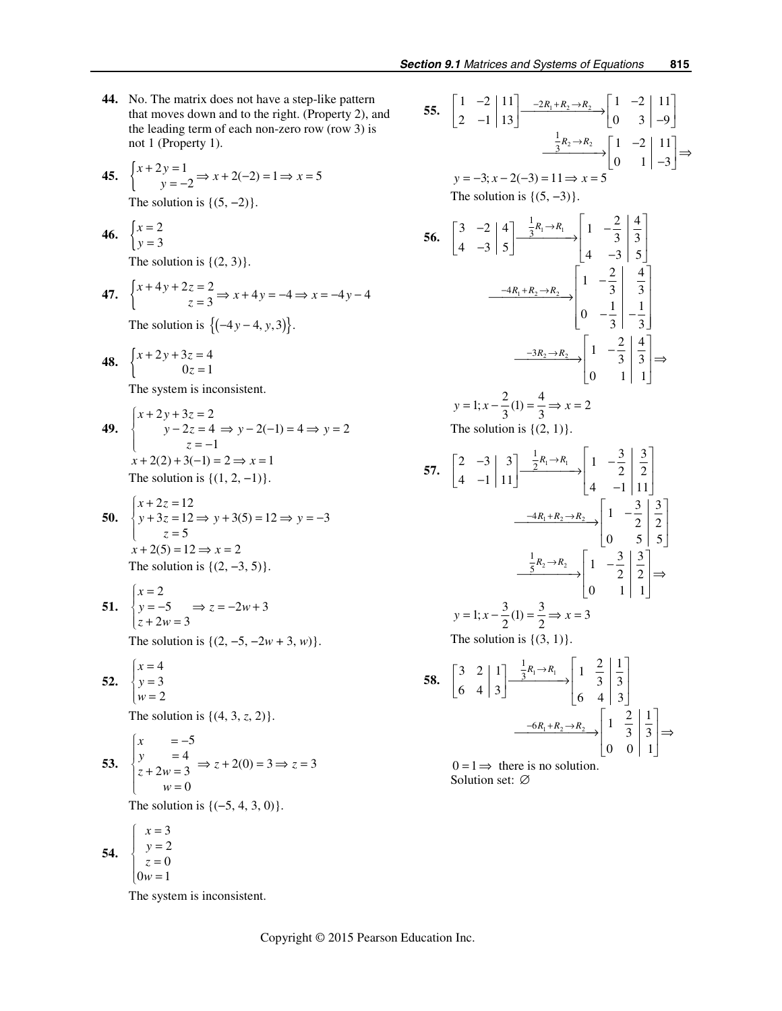- **44.** No. The matrix does not have a step-like pattern that moves down and to the right. (Property 2), and the leading term of each non-zero row (row 3) is not 1 (Property 1).
- **45.**  $\begin{cases} x + 2y = 1 \\ y = -2 \end{cases} \Rightarrow x + 2(-2) = 1 \Rightarrow x = 5$  $+2y=1$ <br> $y=-2 \Rightarrow x+2(-2)=1 \Rightarrow x=$

The solution is  $\{(5, -2)\}.$ 

$$
46. \quad \begin{cases} x = 2 \\ y = 3 \end{cases}
$$

The solution is  $\{(2, 3)\}.$ 

47. 
$$
\begin{cases} x + 4y + 2z = 2 \\ z = 3 \end{cases} \Rightarrow x + 4y = -4 \Rightarrow x = -4y - 4
$$

The solution is  ${(-4y-4, y, 3)}.$ 

**48.** 
$$
\begin{cases} x + 2y + 3z = 4 \\ 0z = 1 \end{cases}
$$

The system is inconsistent.

49. 
$$
\begin{cases} x + 2y + 3z = 2 \\ y - 2z = 4 \implies y - 2(-1) = 4 \implies y = 2 \\ z = -1 \\ x + 2(2) + 3(-1) = 2 \implies x = 1 \end{cases}
$$
  
The solution is {(1, 2, -1)}.

50. 
$$
\begin{cases} x + 2z = 12 \\ y + 3z = 12 \Rightarrow y + 3(5) = 12 \Rightarrow y = -3 \\ z = 5 \\ x + 2(5) = 12 \Rightarrow x = 2 \end{cases}
$$

$$
x + 2(3) = 12 \Rightarrow x = 2
$$
  
The solution is {(2, -3, 5)}.

$$
\begin{aligned} \textbf{51.} \quad & \begin{cases} x = 2\\ y = -5\\ z + 2w = 3 \end{cases} \Rightarrow z = -2w + 3 \end{aligned}
$$

The solution is {(2, −5, −2*w* + 3, *w*)}.

$$
\begin{array}{c}\n52. \\
\begin{cases}\nx = 4 \\
y = 3 \\
w = 2\n\end{cases}\n\end{array}
$$

The solution is  $\{(4, 3, z, 2)\}.$ 

53. 
$$
\begin{cases} x = -5 \\ y = 4 \\ z + 2w = 3 \end{cases} \Rightarrow z + 2(0) = 3 \Rightarrow z = 3
$$

The solution is  ${(-5, 4, 3, 0)}.$ 

**54.**  $\begin{cases} y = 2 \\ -0 \end{cases}$  $x = 3$  $0 w = 1$ *y z*  $\begin{cases} y = \\ z = \\ 0w = \end{cases}$  $\left\vert 0w\right\vert =% {\textstyle\sum\nolimits_{n}} \left\vert 0\right\rangle \left\langle 0\right\vert ^{n}$ 

The system is inconsistent.

0

55. 
$$
\begin{bmatrix} 1 & -2 & | & 1 \ 2 & -1 & | & 13 \end{bmatrix} \xrightarrow{-2R_1 + R_2 \rightarrow R_2} \begin{bmatrix} 1 & -2 & | & 11 \ 0 & 3 & | & -9 \end{bmatrix}
$$
  
\n $\frac{1}{3}R_2 \rightarrow R_2$   
\n $y = -3; x - 2(-3) = 11 \Rightarrow x = 5$   
\nThe solution is {(5, -3)}.  
\n56.  $\begin{bmatrix} 3 & -2 & | & 4 \ 4 & -3 & | & 5 \end{bmatrix} \xrightarrow{\frac{1}{3}R_1 \rightarrow R_1} \begin{bmatrix} 1 & -\frac{2}{3} & | & \frac{4}{3} \ 4 & -3 & | & 5 \end{bmatrix}$   
\n $\xrightarrow{-4R_1 + R_2 \rightarrow R_2} \begin{bmatrix} 1 & -\frac{2}{3} & | & \frac{4}{3} \ 0 & -\frac{1}{3} & | & -\frac{1}{3} \end{bmatrix}$   
\n $\xrightarrow{-3R_2 \rightarrow R_2} \begin{bmatrix} 1 & -\frac{2}{3} & | & \frac{4}{3} \ 0 & -\frac{1}{3} & | & -\frac{1}{3} \end{bmatrix}$   
\n $y = 1; x - \frac{2}{3}(1) = \frac{4}{3} \Rightarrow x = 2$   
\nThe solution is {(2, 1)}.  
\n57.  $\begin{bmatrix} 2 & -3 & | & 3 \ 4 & -1 & | & 11 \end{bmatrix} \xrightarrow{\frac{1}{2}R_1 \rightarrow R_1} \begin{bmatrix} 1 & -\frac{3}{2} & | & \frac{3}{2} \ 4 & -1 & | & 11 \end{bmatrix}$   
\n $\xrightarrow{-4R_1 + R_2 \rightarrow R_2} \begin{bmatrix} 1 & -\frac{3}{2} & | & \frac{3}{2} \ 0 & 5 & | & 5 \end{bmatrix}$   
\n $y = 1; x - \frac{3}{2}(1) = \frac{3}{2} \Rightarrow x = 3$   
\nThe solution is {(3, 1)}.  
\n58.  $\begin{bmatrix} 3 & 2 & | & 1 \ 6 & 4 & | & 3 \end{bmatrix} \xrightarrow{\frac{1}{3}R_1 \rightarrow R_1} \begin{bmatrix}$ 

Solution set: ∅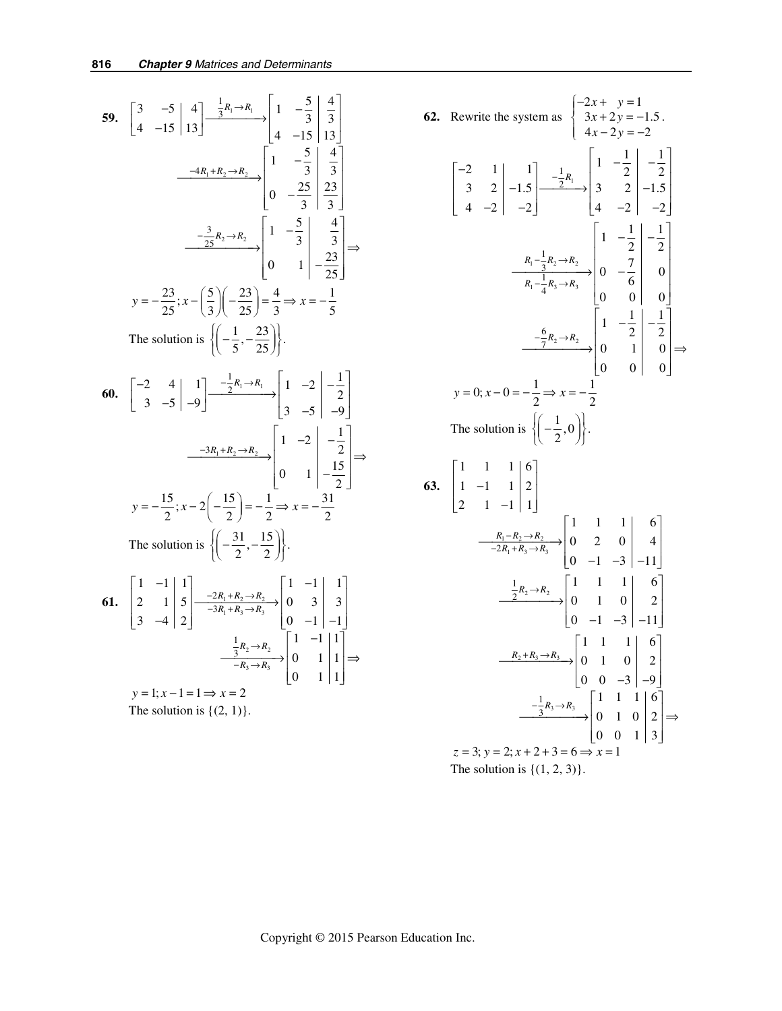59. 
$$
\begin{bmatrix} 3 & -5 \\ 4 & -15 \end{bmatrix} \xrightarrow{4} \xrightarrow{3} \xrightarrow{3} \xrightarrow{4} \begin{bmatrix} 1 & -\frac{5}{3} & \frac{4}{3} \\ 4 & -15 & 13 \end{bmatrix}
$$
  
\n $\xrightarrow{-4R_1 + R_2 \rightarrow R_2} \begin{bmatrix} 1 & -\frac{5}{3} & \frac{4}{3} \\ 0 & -\frac{25}{3} & \frac{23}{3} \end{bmatrix}$   
\n $\xrightarrow{-\frac{3}{25}R_2 \rightarrow R_2} \begin{bmatrix} 1 & -\frac{5}{3} & \frac{4}{3} \\ 0 & 1 & -\frac{5}{3} & \frac{4}{3} \end{bmatrix}$   
\n $y = -\frac{23}{25}; x - (\frac{5}{3})(-\frac{23}{25}) = \frac{4}{3} \Rightarrow x = -\frac{1}{5}$   
\nThe solution is  $\left\{ \left( -\frac{1}{5}, -\frac{23}{25} \right) \right\}$ .  
\n60.  $\begin{bmatrix} -2 & 4 \\ 3 & -5 \end{bmatrix} \xrightarrow{1} \begin{bmatrix} 1 & -2 \\ 3 & -5 \end{bmatrix} \xrightarrow{-9} \begin{bmatrix} 1 & -2 \\ 3 & -5 \end{bmatrix} \xrightarrow{-9} \begin{bmatrix} 1 & -2 \\ 0 & 1 \end{bmatrix} \xrightarrow{-\frac{1}{25}} \xrightarrow{-\frac{1}{25}}$   
\n $y = -\frac{15}{2}; x - 2(-\frac{15}{2}) = -\frac{1}{2} \Rightarrow x = -\frac{31}{2}$   
\nThe solution is  $\left\{ \left( -\frac{31}{2}, -\frac{15}{2} \right) \right\}$ .  
\n61.  $\begin{bmatrix} 1 & -1 \\ 2 & 1 \\ 3 & -4 \end{bmatrix} \xrightarrow{5} \begin{bmatrix} -\frac{2R_1 + R_2 \rightarrow R_2}{-3R_1 + R_3 \rightarrow R_3} \\ \frac{1}{-3R_1 + R_3 \rightarrow R_3} \\ \frac{1}{-R_3 \rightarrow R_2} \end{bmatrix} \begin{bmatrix} 1 & -1 \\ 0 & 3 \\ 0 & -1 \end{bmatrix} \xrightarrow{1} \begin{bmatrix} 1 \\$ 

62. Rewrite the system as 
$$
\begin{cases}\n-2x + y = 1 \\
3x + 2y = -1.5 \\
4x - 2y = -2\n\end{cases}
$$
\n
$$
\begin{bmatrix}\n-2 & 1 & | & 1 \\
3 & 2 & | & -1.5 \\
4 & -2 & | & -2\n\end{bmatrix}\n\begin{bmatrix}\n1 & -\frac{1}{2} & | & -\frac{1}{2} \\
3 & 2 & | & -1.5 \\
4 & -2 & | & -2\n\end{bmatrix}\n\begin{bmatrix}\n1 & -\frac{1}{2} & | & -\frac{1}{2} \\
3 & 2 & | & -1.5 \\
4 & -2 & | & -2\n\end{bmatrix}
$$
\n
$$
\xrightarrow[\overline{R_1} - \frac{1}{4}R_3 \rightarrow R_3]{R_1 - \frac{1}{4}R_3 \rightarrow R_3}
$$
\n
$$
\begin{bmatrix}\n1 & -\frac{1}{2} & | & -\frac{1}{2} \\
0 & 0 & 0 & | & 0 \\
0 & 0 & 0 & | & 0\n\end{bmatrix}
$$
\n
$$
y = 0; x - 0 = -\frac{1}{2} \Rightarrow x = -\frac{1}{2}
$$
\nThe solution is 
$$
\left(-\frac{1}{2}, 0\right)
$$
\n63. 
$$
\begin{bmatrix}\n1 & 1 & 1 & | & 6 \\
1 & -1 & 1 & | & 2 \\
2 & 1 & -1 & | & 1\n\end{bmatrix}
$$
\n
$$
\xrightarrow{\frac{R_1 - R_2 \rightarrow R_2}{-2R_1 + R_3 \rightarrow R_3}}\n\begin{bmatrix}\n1 & 1 & 1 & | & 6 \\
0 & 2 & 0 & | & 4 \\
0 & -1 & -3 & | & -11\n\end{bmatrix}
$$
\n
$$
\xrightarrow{\frac{1}{2}R_2 \rightarrow R_2}
$$
\n
$$
\begin{bmatrix}\n1 & 1 & 1 & | & 6 \\
0 & 1 & 0 & | & 2 \\
0 & -1 & -3 & | & -11\n\end{bmatrix}
$$
\n
$$
\xrightarrow{\frac{1}{2}R_2 \rightarrow R_3}
$$
\n
$$
\begin{bmatrix}\n1 & 1 & 1 & | & 6 \\
0 & 1 & 0 & | & 2 \\
0 & 0 & -3 & | & -9\n\end{bmatrix}
$$
\n
$$
\xrightarrow{\frac{1}{3
$$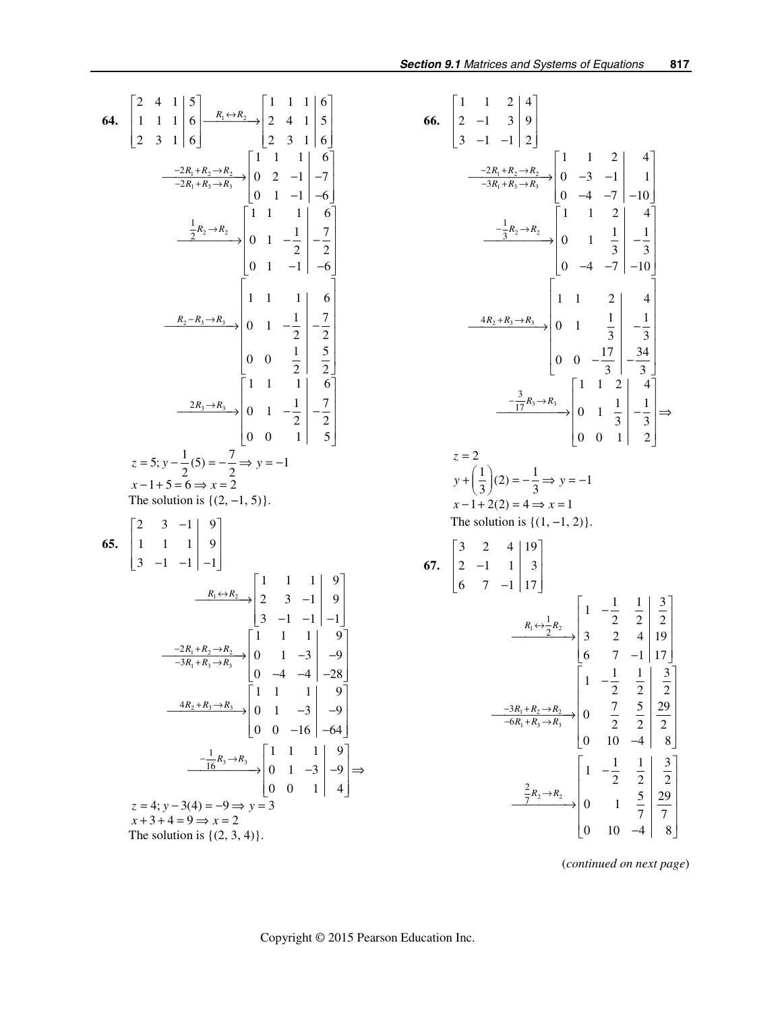64. 
$$
\begin{bmatrix} 2 & 4 & 1 & 5 \ 1 & 1 & 1 & 6 \ 2 & 3 & 1 & 6 \ \end{bmatrix} \xrightarrow{R_1 \leftrightarrow R_2} \begin{bmatrix} 1 & 1 & 1 & 1 & 6 \ 2 & 4 & 1 & 5 \ -2R_1 + R_3 \rightarrow R_3 \end{bmatrix} \begin{bmatrix} 1 & 1 & 1 & 1 & 6 \ 0 & 2 & -1 & -7 \ 0 & 1 & -1 & -6 \ \end{bmatrix}
$$
  
\n
$$
\xrightarrow{\frac{1}{2}R_2 \rightarrow R_2} \begin{bmatrix} 1 & 1 & 1 & 1 & 6 \ 0 & 1 & -1 & -6 \ \end{bmatrix} \begin{bmatrix} 1 & 1 & 1 & 6 \ 0 & 1 & -1 & -6 \ \end{bmatrix}
$$
  
\n
$$
\xrightarrow{\frac{1}{2}R_2 \rightarrow R_3} \begin{bmatrix} 1 & 1 & 1 & 1 & 6 \ 0 & 1 & -1 & -6 \ \end{bmatrix} \begin{bmatrix} 1 & 1 & 1 & 6 \ 0 & 1 & -1 & -6 \ \end{bmatrix}
$$
  
\n
$$
\xrightarrow{R_2 - R_3 \rightarrow R_3} \begin{bmatrix} 1 & 1 & 1 & 1 & 6 \ 0 & 1 & -\frac{1}{2} & -\frac{7}{2} \\ 0 & 0 & \frac{1}{2} & \frac{5}{2} \\ 0 & 0 & \frac{1}{2} & \frac{5}{2} \end{bmatrix}
$$
  
\nz = 5;  $y - \frac{1}{2}(5) = -\frac{7}{2} \Rightarrow y = -1$   
\nx - 1 + 5 = 6  $\Rightarrow$  x = 2  
\nThe solution is {(2, -1, 5)}  
\n65. 
$$
\begin{bmatrix} 2 & 3 & -1 & 9 \ 1 & 1 & 1 & 9 \ 3 & -1 & -1 & -1 \end{bmatrix}
$$
  
\n
$$
\xrightarrow{\frac{R_1 \leftrightarrow R_2}{-3R_1 + R_3 \rightarrow R_3}} \begin{bmatrix} 1 & 1 & 1 & 1 & 9 \ 0 & 1 & -3 & -9 \ 0 & -4 & -4 & -28 \end{bmatrix}
$$
  
\n
$$
\xrightarrow{\frac{4R_2 + R_3 \rightarrow R_3}{-1} \begin{
$$

66. 
$$
\begin{bmatrix} 1 & 1 & 2 & 4 \ 2 & -1 & 3 & 9 \ 3 & -1 & -1 & 2 \ \end{bmatrix}
$$
  
\n
$$
\begin{bmatrix} 1 & 1 & 2 & 4 \ -3R_1 + R_3 \rightarrow R_3 \end{bmatrix} = \begin{bmatrix} 1 & 1 & 2 & 4 \ 0 & -3 & -1 & 1 \ 0 & -4 & -7 & -10 \ \end{bmatrix}
$$
  
\n
$$
\begin{bmatrix} 1 & 1 & 2 & 4 \ 0 & -4 & -7 & -10 \ 0 & -4 & -7 & -10 \ \end{bmatrix}
$$
  
\n
$$
\begin{bmatrix} 1 & 1 & 2 & 4 \ 0 & -4 & -7 & -10 \ 0 & -4 & -7 & -10 \ \end{bmatrix}
$$
  
\n
$$
\begin{bmatrix} 1 & 1 & 2 & 4 \ 0 & -4 & -7 & -10 \ 0 & -4 & -7 & -10 \ \end{bmatrix}
$$
  
\n
$$
\begin{bmatrix} 1 & 1 & 2 & 4 \ 0 & 0 & -\frac{17}{3} & -\frac{34}{3} \\ 0 & 0 & -\frac{17}{3} & -\frac{34}{3} \\ 0 & 0 & 1 & \frac{1}{3} & -\frac{1}{3} \ \end{bmatrix}
$$
  
\n $z = 2$   
\n $y + \left(\frac{1}{3}\right)(2) = -\frac{1}{3} \Rightarrow y = -1$   
\n $x - 1 + 2(2) = 4 \Rightarrow x = 1$   
\nThe solution is {(1, -1, 2)}.  
\n67. 
$$
\begin{bmatrix} 3 & 2 & 4 & 19 \\ 2 & -1 & 1 & 3 \\ 6 & 7 & -1 & 17 \end{bmatrix}
$$
  
\n
$$
\begin{bmatrix} 3 & 2 & 4 & 19 \\ 6 & 7 & -1 & 17 \ \end{bmatrix}
$$
  
\n
$$
\begin{bmatrix} 4 & -\frac{1}{2} & \frac{1}{2} & \frac{3}{2} \\ 3 & 2 & 4 & 19 \\ 6 & 7 & -1 & 17 \ \end{bmatrix}
$$
  
\n
$$
\begin{bmatrix} 1 & -\frac{1}{2} & \frac{1}{2} & \frac{3
$$

(*continued on next page*)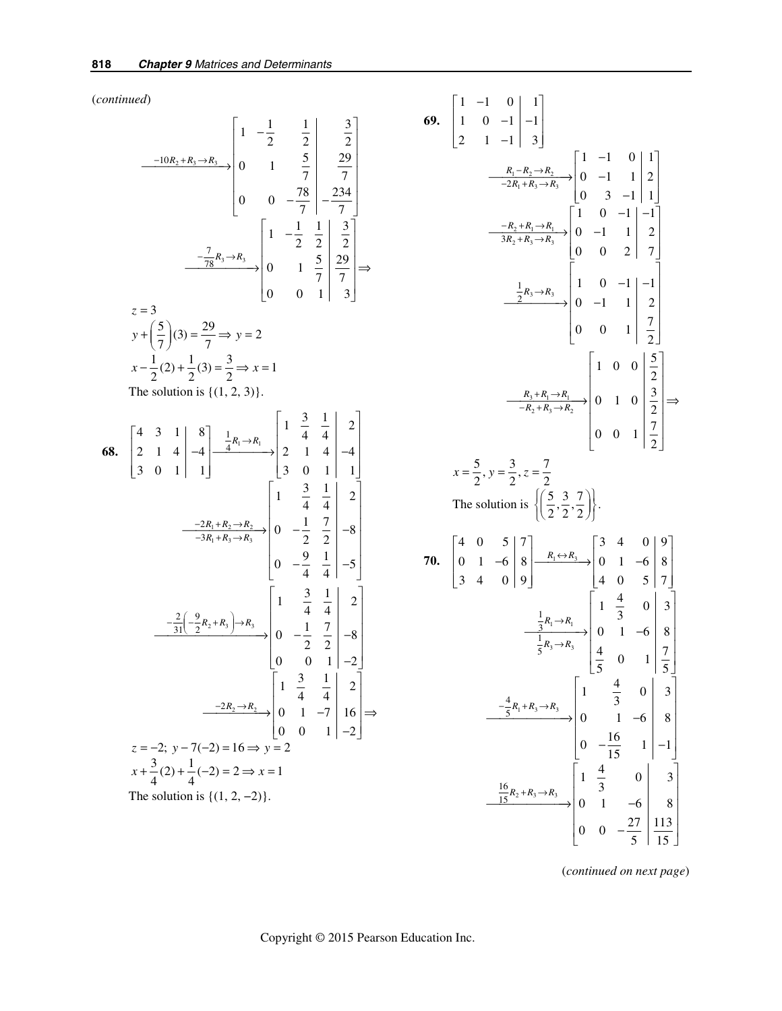(*continued*)

$$
\frac{-10R_2 + R_3 \rightarrow R_3}{-10R_2 + R_3 \rightarrow R_3} \begin{bmatrix} 1 & -\frac{1}{2} & \frac{1}{2} & \frac{3}{2} \\ 0 & 1 & \frac{5}{7} & \frac{29}{7} \\ 0 & 0 & -\frac{78}{7} & -\frac{234}{7} \end{bmatrix}
$$
  
\n
$$
z = 3
$$
  
\n $y + (\frac{5}{7})(3) = \frac{29}{7} \Rightarrow y = 2$   
\n $x - \frac{1}{2}(2) + \frac{1}{2}(3) = \frac{3}{2} \Rightarrow x = 1$   
\nThe solution is {(1, 2, 3)}.  
\n68.  $\begin{bmatrix} 4 & 3 & 1 & | & 8 \\ 2 & 1 & 4 & | & -4 \\ 3 & 0 & 1 & | & 1 \end{bmatrix} = \frac{1}{4}R_1 \rightarrow R_1$   
\n
$$
\begin{bmatrix} 1 & \frac{3}{4} & \frac{1}{4} & | & 2 \\ 2 & 1 & 4 & | & -4 \\ 3 & 0 & 1 & | & 1 \end{bmatrix} = \begin{bmatrix} 1 & \frac{3}{4} & \frac{1}{4} & | & 2 \\ 2 & 1 & 4 & | & -4 \\ 3 & 0 & 1 & | & 1 \end{bmatrix}
$$
  
\n
$$
\frac{-2R_1 + R_2 \rightarrow R_2}{-3R_1 + R_3 \rightarrow R_3}
$$
  
\n
$$
\begin{bmatrix} 1 & \frac{3}{4} & \frac{1}{4} & | & 2 \\ 0 & -\frac{9}{4} & \frac{1}{4} & | & -5 \\ 0 & -\frac{9}{4} & \frac{1}{4} & | & -5 \end{bmatrix}
$$
  
\n
$$
\frac{-\frac{2}{31}(-\frac{9}{2}R_2 + R_3) \rightarrow R_3}{-3R_1 + R_3 \rightarrow R_3}
$$
  
\n
$$
\begin{bmatrix} 1 & \frac{3}{4} & \frac{1}{4} & | & 2 \\ 0 & -\frac{1}{2} & \frac{7}{2} & | & -8 \\ 0 & 0 & 1 & | & -2 \end{bmatrix}
$$
  
\n $z = -2; y - 7(-2) = 16 \Rightarrow y = 2$ <

69. 
$$
\begin{bmatrix} 1 & -1 & 0 & | & 1 \ 1 & 0 & -1 & | & -1 \ 2 & 1 & -1 & | & 3 \end{bmatrix}
$$
  
\n
$$
\frac{R_1 - R_2 \rightarrow R_2}{-2R_1 + R_3 \rightarrow R_3} \begin{bmatrix} 1 & -1 & 0 & | & 1 \ 0 & -1 & 1 & | & 2 \ 0 & 3 & -1 & | & 1 \end{bmatrix}
$$
  
\n
$$
\frac{-R_2 + R_1 \rightarrow R_1}{3R_2 + R_3 \rightarrow R_3} \begin{bmatrix} 1 & 0 & -1 & | & -1 \ 0 & -1 & 1 & | & 2 \ 0 & 0 & 2 & | & 7 \end{bmatrix}
$$
  
\n
$$
\frac{\frac{1}{2}R_3 \rightarrow R_3}{-R_2 + R_3 \rightarrow R_3} \begin{bmatrix} 1 & 0 & -1 & | & -1 \ 0 & -1 & 1 & | & 2 \ 0 & 0 & 1 & | & \frac{7}{2} \end{bmatrix}
$$
  
\n
$$
x = \frac{5}{2}, y = \frac{3}{2}, z = \frac{7}{2}
$$
  
\nThe solution is 
$$
\left\{ \left( \frac{5}{2}, \frac{3}{2}, \frac{7}{2} \right) \right\}.
$$
  
\n70. 
$$
\begin{bmatrix} 4 & 0 & 5 & | & 7 \ 0 & 1 & -6 & | & 8 \ 3 & 4 & 0 & | & 9 \end{bmatrix} \begin{bmatrix} R_1 \leftrightarrow R_3 \\ R_2 \leftrightarrow R_3 \end{bmatrix} \begin{bmatrix} 3 & 4 & 0 & | & 9 \ 0 & 1 & 0 & | & \frac{7}{2} \ 0 & 0 & 1 & | & \frac{7}{2} \end{bmatrix} \Rightarrow
$$
  
\n
$$
\frac{\frac{1}{3}R_1 \rightarrow R_1}{\frac{1}{5}R_3 \rightarrow R_3} \begin{bmatrix} 3 & 4 & 0 & | & 9 \ 0 & 1 & -6 & | & 8 \ 4 & 0 & 5 & | & 7 \end{bmatrix}
$$
  
\n
$$
\frac{\frac{1}{3}R_3 \rightarrow R_3}{\frac{1}{5}R_3 \rightarrow R_3} \begin{bmatrix} 1 & \frac{4}{3} & 0 & | & 3 \ 0 &
$$

(*continued on next page*)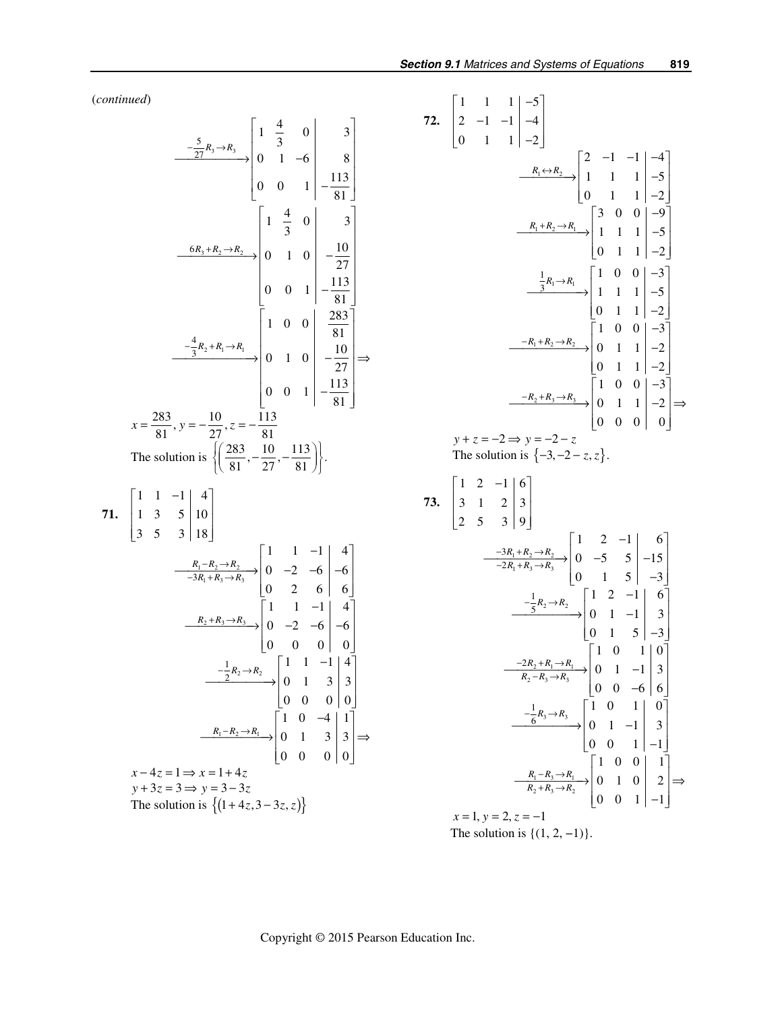(*continued*)

$$
\frac{5}{27}R_3 \rightarrow R_3
$$
\n
$$
\begin{bmatrix}\n1 & \frac{4}{3} & 0 & 3 \\
0 & 1 & -6 & 8 \\
0 & 0 & 1 & -\frac{113}{81}\n\end{bmatrix}
$$
\n
$$
\xrightarrow{\frac{6R_3 + R_2 \rightarrow R_3}{8}} \begin{bmatrix}\n1 & \frac{4}{3} & 0 & 3 \\
0 & 1 & 0 & -\frac{10}{27} \\
0 & 1 & 0 & -\frac{10}{27} \\
0 & 0 & 1 & -\frac{113}{81}\n\end{bmatrix}
$$
\n
$$
x = \frac{283}{81}, y = -\frac{10}{27}, z = -\frac{113}{81}
$$
\nThe solution is 
$$
\left\{\left(\frac{283}{81}, -\frac{10}{27}, -\frac{113}{81}\right)\right\}.
$$
\n71. 
$$
\begin{bmatrix}\n1 & 1 & -1 & | & 4 \\
1 & 3 & 5 & | & 10 \\
3 & 5 & 3 & | & 18\n\end{bmatrix}
$$
\n
$$
\xrightarrow{\frac{R_1 - R_2 \rightarrow R_2}{-3R_1 + R_3 \rightarrow R_3}} \begin{bmatrix}\n1 & 1 & -1 & | & 4 \\
0 & -2 & -6 & | & -6 \\
0 & 2 & 6 & 6\n\end{bmatrix}
$$
\n
$$
\xrightarrow{\frac{R_2 + R_3 \rightarrow R_3}{-3R_1 + R_3 \rightarrow R_3}} \begin{bmatrix}\n1 & 1 & -1 & | & 4 \\
0 & -2 & -6 & | & -6 \\
0 & 0 & 0 & | & 0\n\end{bmatrix}
$$
\n
$$
\xrightarrow{\frac{1}{2}R_2 \rightarrow R_2}
$$
\n
$$
\begin{bmatrix}\n1 & 1 & -1 & | & 4 \\
0 & 1 & 3 & 3 \\
0 & 0 & 0 & | & 0\n\end{bmatrix}
$$
\n
$$
\xrightarrow{\frac{1}{2}R_2 \rightarrow R_3}
$$
\n
$$
\begin{bmatrix}\n1 & 0 & -4 & | & 1 \\
0 & 1 & 3 & 3 \\
0 & 0 & 0 & | & 0\n\end{bmatrix}
$$
\n
$$
x - 4z = 1 \Rightarrow x = 1 + 4z
$$
\n
$$
y +
$$

72. 
$$
\begin{bmatrix} 1 & 1 & 1 & -5 \ 2 & -1 & -1 & -4 \ 0 & 1 & 1 & -2 \ \end{bmatrix}
$$
  
\n
$$
\xrightarrow{R_1 \leftrightarrow R_2} \begin{bmatrix} 2 & -1 & -1 & -4 \ 1 & 1 & 1 & -5 \ 0 & 1 & 1 & -2 \ \end{bmatrix}
$$
  
\n
$$
\xrightarrow{R_1 + R_2 \rightarrow R_1} \begin{bmatrix} 3 & 0 & 0 & -9 \ 1 & 1 & 1 & -5 \ 0 & 1 & 1 & -2 \ \end{bmatrix}
$$
  
\n
$$
\xrightarrow{\frac{1}{3}R_1 \rightarrow R_1} \begin{bmatrix} 1 & 0 & 0 & -3 \ 1 & 1 & 1 & -5 \ 0 & 1 & 1 & -2 \ \end{bmatrix}
$$
  
\n
$$
\xrightarrow{-R_1 + R_2 \rightarrow R_2} \begin{bmatrix} 1 & 0 & 0 & -3 \ 0 & 1 & 1 & -2 \ 0 & 1 & 1 & -2 \ \end{bmatrix}
$$
  
\n
$$
\xrightarrow{-R_1 + R_2 \rightarrow R_2} \begin{bmatrix} 1 & 0 & 0 & -3 \ 0 & 1 & 1 & -2 \ 0 & 1 & 1 & -2 \ \end{bmatrix}
$$
  
\n
$$
\xrightarrow{R_2 + R_3 \rightarrow R_3} \begin{bmatrix} 1 & 0 & 0 & -3 \ 0 & 1 & 1 & -2 \ 0 & 0 & 0 & 0 \ \end{bmatrix}
$$
  
\n
$$
\xrightarrow{y + z = -2 \rightarrow y = -2 - z}
$$
  
\nThe solution is  $\{-3, -2 - z, z\}$ .  
\n73. 
$$
\begin{bmatrix} 1 & 2 & -1 & 6 \ 3 & 1 & 2 & 3 \ 2 & 5 & 3 & 9 \ \end{bmatrix}
$$
  
\n
$$
\xrightarrow{-3R_1 + R_2 \rightarrow R_2} \begin{bmatrix} 1 & 2 & -1 & 6 \ 0 & -5 & 5 & -15 \ 0 & 1 & -1 & 3 \ \end{bmatrix}
$$
  
\n
$$
\xrightarrow{-2R_2 + R_3 \rightarrow R_3} \begin{bmatrix} 1 & 2 & -1 & 6 \ 0 & 1 & -1 & 3 \ 0 & 1 & -1 & 3 \ \end
$$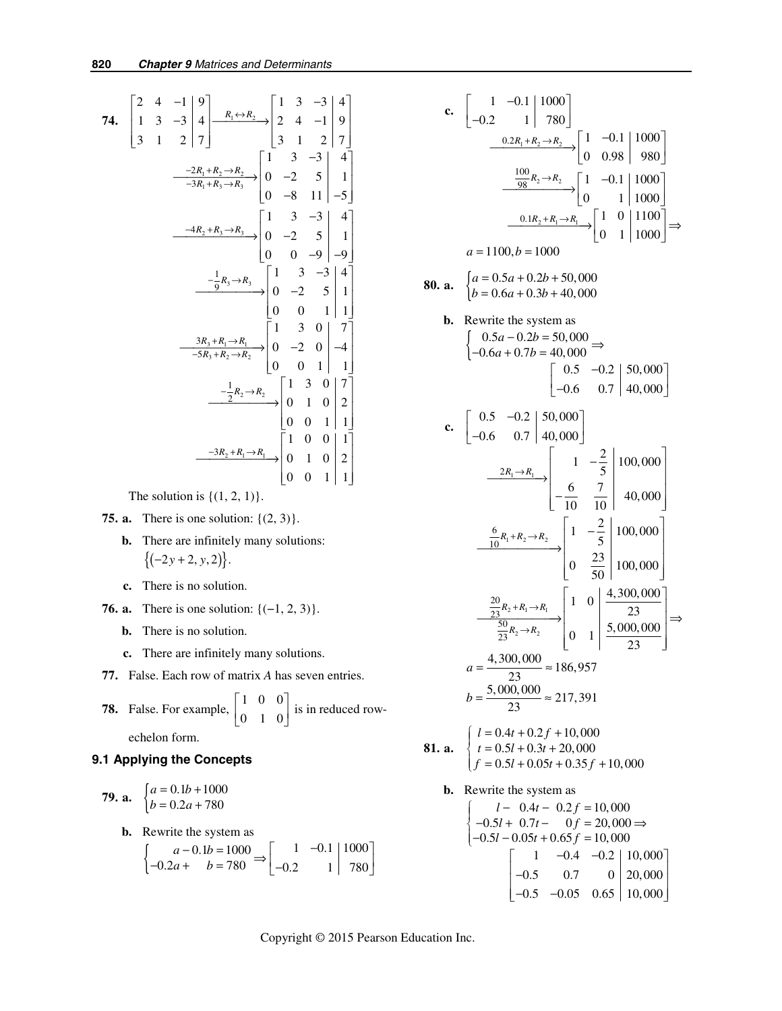74. 
$$
\begin{bmatrix} 2 & 4 & -1 & 9 \ 1 & 3 & -3 & 4 \ 3 & 1 & 2 & 7 \ \end{bmatrix} \xrightarrow{R_1 \leftrightarrow R_2} \begin{bmatrix} 1 & 3 & -3 & 4 \ 2 & 4 & -1 & 9 \ 3 & 1 & 2 & 7 \ \end{bmatrix}
$$
  
\n
$$
\xrightarrow{-2R_1 + R_2 \rightarrow R_2} \begin{bmatrix} 1 & 3 & -3 & 4 \ 0 & -2 & 5 & 1 \ 0 & -8 & 11 & -5 \ \end{bmatrix}
$$
  
\n
$$
\xrightarrow{-4R_2 + R_3 \rightarrow R_3} \begin{bmatrix} 1 & 3 & -3 & 4 \ 0 & -8 & 11 & -5 \ 0 & 0 & -9 & -9 \ \end{bmatrix}
$$
  
\n
$$
\xrightarrow{-\frac{1}{9}R_3 \rightarrow R_3} \begin{bmatrix} 1 & 3 & -3 & 4 \ 0 & -2 & 5 & 1 \ 0 & 0 & -9 & -9 \ \end{bmatrix}
$$
  
\n
$$
\xrightarrow{-\frac{1}{9}R_3 \rightarrow R_3} \begin{bmatrix} 1 & 3 & 0 & 7 \ 0 & -2 & 5 & 1 \ 0 & 0 & 1 & 1 \ \end{bmatrix}
$$
  
\n
$$
\xrightarrow{-3R_3 + R_1 \rightarrow R_1} \begin{bmatrix} 1 & 3 & 0 & 7 \ 0 & -2 & 0 & -4 \ 0 & 0 & 1 & 1 \ \end{bmatrix}
$$
  
\n
$$
\xrightarrow{-\frac{1}{2}R_2 \rightarrow R_2} \begin{bmatrix} 1 & 3 & 0 & 7 \ 0 & 1 & 0 & 2 \ 0 & 0 & 1 & 1 \ \end{bmatrix}
$$
  
\n
$$
\xrightarrow{-3R_2 + R_1 \rightarrow R_1} \begin{bmatrix} 1 & 0 & 0 & 1 \ 0 & 1 & 0 & 2 \ 0 & 0 & 1 & 1 \ \end{bmatrix}
$$

The solution is  $\{(1, 2, 1)\}.$ 

- **75. a.** There is one solution: {(2, 3)}.
	- **b.** There are infinitely many solutions:  ${(-2y + 2, y, 2)}.$
	- **c.** There is no solution.
- **76. a.** There is one solution: {(−1, 2, 3)}.
	- **b.** There is no solution.
	- **c.** There are infinitely many solutions.
- **77.** False. Each row of matrix *A* has seven entries.
- **78.** False. For example,  $\begin{bmatrix} 1 & 0 & 0 \\ 0 & 1 & 0 \end{bmatrix}$  $\begin{bmatrix} 1 & 0 & 0 \\ 0 & 1 & 0 \end{bmatrix}$  is in reduced row-

echelon form.

## **9.1 Applying the Concepts**

**79. a.** 
$$
\begin{cases} a = 0.1b + 1000 \\ b = 0.2a + 780 \end{cases}
$$

**b.** Rewrite the system as\n
$$
\begin{cases}\n a - 0.1b = 1000 \\
 -0.2a + b = 780\n\end{cases} \Rightarrow\n\begin{bmatrix}\n 1 & -0.1 & | 1000 \\
 -0.2 & 1 & | 780\n\end{bmatrix}
$$

c. 
$$
\begin{bmatrix} 1 & -0.1 & 1000 \ -0.2 & 1 & 780 \end{bmatrix}
$$
  
\n
$$
\frac{0.2R_1 + R_2 \rightarrow R_2}{98} \begin{bmatrix} 1 & -0.1 & 1000 \ 0.98 & 980 \end{bmatrix}
$$
  
\n
$$
\frac{100}{98}R_2 \rightarrow R_2 \begin{bmatrix} 1 & -0.1 & 1000 \ 0 & 1 & 1000 \end{bmatrix}
$$
  
\n
$$
\frac{0.1R_2 + R_1 \rightarrow R_1}{20} \begin{bmatrix} 1 & 0 & 11000 \ 0 & 1 & 1000 \end{bmatrix} \Rightarrow
$$
  
\na = 1100, b = 1000  
\n80. a. 
$$
\begin{cases} a = 0.5a + 0.2b + 50,000 \ b = 0.6a + 0.3b + 40,000 \end{cases}
$$
  
\nb. Rewrite the system as  
\n
$$
\begin{bmatrix} 0.5a - 0.2b = 50,000 \ -0.6a + 0.7b = 40,000 \end{bmatrix} \begin{bmatrix} 0.5 & -0.2 & 50,000 \ -0.6 & 0.7 & 40,000 \end{bmatrix}
$$
  
\nc. 
$$
\begin{bmatrix} 0.5 & -0.2 & 50,000 \ -0.6 & 0.7 & 40,000 \end{bmatrix}
$$
  
\n
$$
\frac{2R_1 \rightarrow R_1}{-0.6} \begin{bmatrix} 1 & -\frac{2}{5} & 100,000 \ -\frac{6}{10}R_1 + R_2 \rightarrow R_2 \end{bmatrix} \begin{bmatrix} 1 & -\frac{2}{5} & 100,000 \ 0 & \frac{23}{50} & 100,000 \end{bmatrix}
$$
  
\n
$$
\frac{\frac{6}{23}R_2 + R_1 \rightarrow R_1}{\frac{23}{23}R_2 \rightarrow R_2} \begin{bmatrix} 1 & 0 & \frac{4}{3} & 300,000 \ 0 & \frac{23}{50} & 100,000 \end{bmatrix}
$$
  
\n
$$
a =
$$

 $1 -0.4 -0.2 \mid 10,000$  $0.5$  0.7 0 | 20,000  $0.5$   $-0.05$   $0.65$  | 10,000  $\begin{vmatrix} 1 & -0.4 & -0.2 & 10,000 \\ -0.5 & 0.7 & 0 & 20,000 \end{vmatrix}$  $\begin{bmatrix} -0.5 & 0.7 & 0 \\ -0.5 & -0.05 & 0.65 \end{bmatrix}$  10,000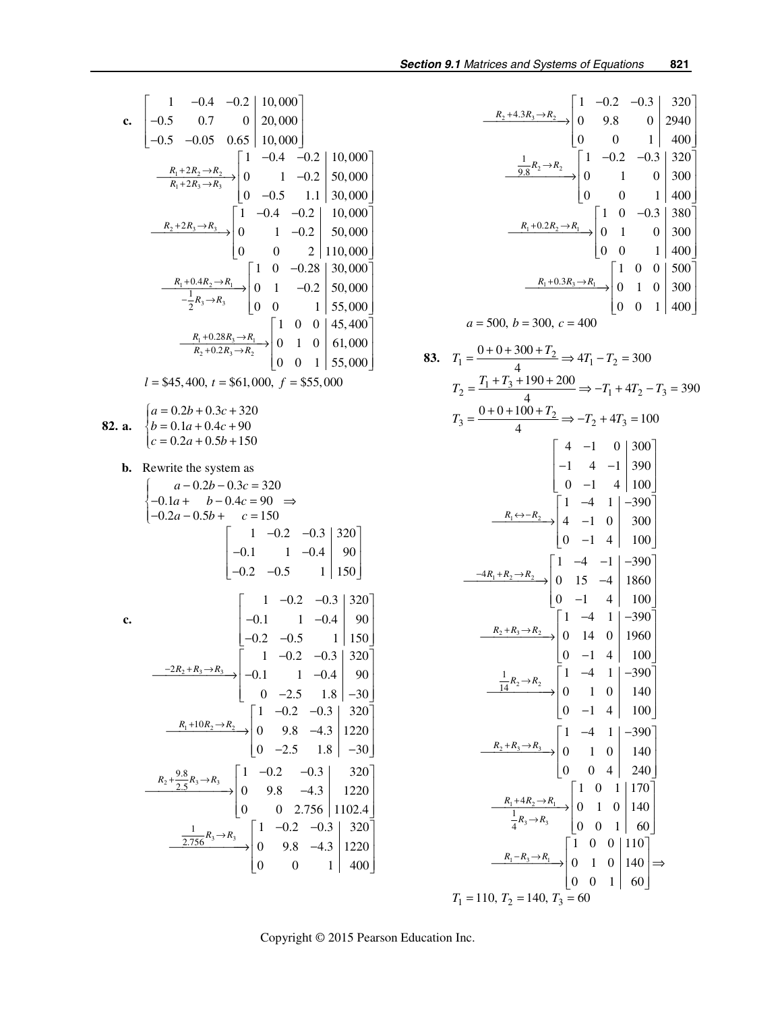$$
\frac{R_2+4.3R_3\rightarrow R_2}{0} \rightarrow \begin{bmatrix} 1 & -0.2 & -0.3 & 320 \ 0 & 9.8 & 0 & 2940 \ 0 & 0 & 1 & 400 \ \frac{1}{9.8}R_2\rightarrow R_2 & 0 & 1 & 0 & 300 \ 0 & 0 & 1 & 0 & 300 \ 0 & 0 & 1 & 400 \ \frac{1}{9.8}R_1+0.2R_2\rightarrow R_1 & 0 & 1 & 0 & 300 \ 0 & 0 & 1 & 400 \ 0 & 0 & 1 & 400 \ \frac{1}{9.8}R_1+0.3R_3\rightarrow R_1 & 0 & 1 & 0 & 300 \ 0 & 0 & 1 & 400 \ \frac{1}{9.8}R_1+0.3R_3\rightarrow R_1 & 0 & 1 & 0 & 300 \ 0 & 0 & 1 & 400 \ \end{bmatrix}
$$
  
\n
$$
a = 500, b = 300, c = 400
$$
  
\n83.  $T_1 = \frac{0+0+300+T_2}{4} \Rightarrow 4T_1 - T_2 = 300$   
\n $T_2 = \frac{T_1+T_3+190+200}{4} \Rightarrow -T_1+4T_2-T_3 = 390$   
\n $T_3 = \frac{0+0+100+T_2}{4} \Rightarrow -T_2+4T_3 = 100$   
\n
$$
\begin{bmatrix} 4 & -1 & 0 & 300 \ -1 & 4 & -1 & 390 \ 0 & -1 & 4 & 100 \end{bmatrix}
$$
  
\n
$$
\frac{R_1 \leftrightarrow R_2}{0} = \begin{bmatrix} 1 & -4 & -1 & -390 \ 0 & -1 & 4 & 100 \ 0 & -1 & 4 & 100 \end{bmatrix}
$$
  
\n
$$
\frac{-4R_1+R_2\rightarrow R_2}{14} = \begin{bmatrix} 1 & -4 & 1 & -390 \ 0 & -1 & 4 & 100 \ 0 & -1 & 4 & 100 \end{bmatrix}
$$
  
\n
$$
\frac{1}{14}R_2 \rightarrow R_2
$$
  
\n
$$
\begin
$$

c. 
$$
\begin{bmatrix}\n1 & -0.4 & -0.2 & 10,000 \\
-0.5 & 0.7 & 0 & 20,000 \\
-0.5 & -0.05 & 0.65 & 10,000\n\end{bmatrix}
$$
\n
$$
\begin{bmatrix}\n1 & -0.4 & -0.2 & 10,000 \\
R_1 + 2R_2 \rightarrow R_2 & 0 & 1 & -0.2 & 50,000 \\
0 & -0.5 & 1.1 & 30,000\n\end{bmatrix}
$$
\n
$$
\begin{bmatrix}\n1 & -0.4 & -0.2 & 10,000 \\
R_2 + 2R_3 \rightarrow R_3 & 0 & 1 & -0.2 & 50,000 \\
0 & 0 & 2 & 110,000 & 0 & 2 & 110,000\n\end{bmatrix}
$$
\n
$$
\begin{bmatrix}\n1 & -0.4 & -0.2 & 10,000 \\
0 & 0 & 2 & 110,000 \\
0 & 0 & 2 & 110,000\n\end{bmatrix}
$$
\n
$$
\begin{bmatrix}\n1 & 0 & -0.28 & 30,000 \\
R_1 + 0.4R_2 \rightarrow R_1 & 0 & 1 & -0.2 & 50,000 \\
0 & 0 & 1 & 55,000\n\end{bmatrix}
$$
\n
$$
\begin{bmatrix}\n1 & 0 & 0 & 45,400 \\
R_2 + 0.2R_3 \rightarrow R_2 & 0 & 1 & 0 \\
0 & 0 & 1 & 55,000\n\end{bmatrix}
$$
\n
$$
I = $45,400, t = $61,000, f = $55,000
$$
\n82. **a.** 
$$
\begin{bmatrix}\na = 0.2b + 0.3c + 320 \\
b = 0.1a + 0.4c + 90 \\
c = 0.2a + 0.5b + 150\n\end{bmatrix}
$$
\n**b.** Rewrite the system as 
$$
\begin{bmatrix}\na - 0.2b - 0.3c = 320 \\
-0.1a + b - 0.4c = 90 \\
-0.2a - 0.5b + c = 150\n\end{bmatrix}
$$
\n
$$
\begin{bmatrix}\n1 & -0.2 &
$$

Copyright © 2015 Pearson Education Inc.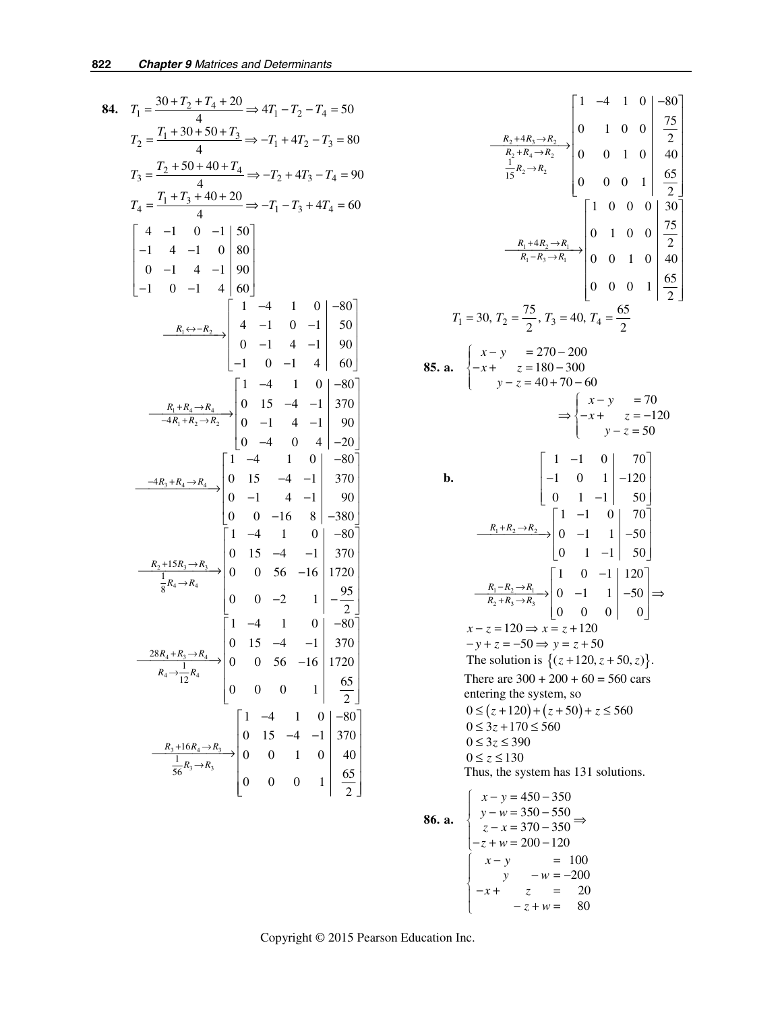84. 
$$
T_1 = \frac{30+T_2+T_4+20}{4} \Rightarrow 4T_1 - T_2 - T_4 = 50
$$
  
\n $T_2 = \frac{T_1+30+50+T_3}{4} \Rightarrow -T_1+4T_2 - T_3 = 80$   
\n $T_3 = \frac{T_2+50+40+T_4}{4} \Rightarrow -T_2+4T_3 - T_4 = 90$   
\n $T_4 = \frac{T_1+T_3+40+20}{4} \Rightarrow -T_1 - T_3 + 4T_4 = 60$   
\n $\begin{bmatrix} 4 & -1 & 0 & -1 & 50 \\ -1 & 4 & -1 & 0 & 80 \\ 0 & -1 & 4 & -1 & 90 \\ -1 & 0 & -1 & 4 & 60 \end{bmatrix}$   
\n $\begin{bmatrix} 1 & -4 & 1 & 0 & -80 \\ 0 & -1 & 4 & -1 & 90 \\ 0 & -1 & 4 & -1 & 90 \\ -1 & 0 & -1 & 4 & 60 \end{bmatrix}$   
\n $\begin{bmatrix} 1 & -4 & 1 & 0 & -80 \\ 0 & -1 & 4 & -1 & 90 \\ -1 & 0 & -1 & 4 & 60 \end{bmatrix}$   
\n $\begin{bmatrix} 1 & -4 & 1 & 0 & -80 \\ -4R_1+R_2-R_2 & 0 & -1 & 4 & -1 \\ 0 & -1 & 4 & -1 & 90 \\ 0 & -1 & 4 & -1 & 90 \\ 0 & -1 & 4 & -1 & 90 \\ 0 & 0 & -16 & 8 & -380 \end{bmatrix}$   
\n $\begin{bmatrix} 1 & -4 & 1 & 0 & -80 \\ -4R_3+R_4\rightarrow R_4 & 0 & 0 & 56 & -16 \\ 0 & 15 & -4 & -1 & 370 \\ 0 & 0 & 56 & -16 & 1720 \\ 0 & 0 & 0 & 2 & 1 & -\frac{95}{2} \end{bmatrix}$   
\n $\begin{bmatrix} 1 & -4 & 1 & 0 & -80 \\ 0 & 15 & -4 & -1 & 370 \\ 0 & 0 & 0 & 1 & 0 & -80 \\ 0 & 0 & 0 & 1 & 0 & 50 \\ 0 &$ 

$$
\frac{R_2 + 4R_3 \rightarrow R_2}{R_2 + R_4 \rightarrow R_2} \begin{bmatrix} 1 & -4 & 1 & 0 & -80 \ 0 & 1 & 0 & 0 & \frac{75}{2} \\ \frac{R_2 + 4R_3 \rightarrow R_2}{15R_2 \rightarrow R_2} & 0 & 0 & 1 & 0 \\ 0 & 0 & 1 & 0 & 0 & \frac{65}{2} \\ \frac{R_1 + 4R_2 \rightarrow R_1}{R_1 - R_3 \rightarrow R_1} & 0 & 1 & 0 & 0 \\ 0 & 0 & 0 & 1 & 0 & 40 \\ 0 & 0 & 0 & 1 & 0 & 40 \\ 0 & 0 & 0 & 1 & 0 & 40 \\ 0 & 0 & 0 & 1 & 0 & 40 \\ \frac{55}{2} & 0 & -x + z = 180 - 300 & 0 \\ z = 40 + 70 - 60 & 0 & -z = 70 \\ z = 40 + 70 - 60 & 0 & -z = 70 \\ z = 50 & 0 & 0 & 0 & 0 \\ z = 50 & 0 & 0 & 0 & 0 \\ z = 50 & 0 & 0 & 0 & 0 \\ z = 50 & 0 & 0 & 0 & 0 \\ z = 50 & 0 & 0 & 0 & 0 \\ z = 50 & 0 & 0 & 0 & 0 \\ z = 50 & 0 & 0 & 0 & 0 \\ z = 50 & 0 & 0 & 0 & 0 \\ z = 50 & 0 & 0 & 0 & 0 \\ z = 50 & 0 & 0 & 0 & 0 \\ z = 50 & 0 & 0 & 0 & 0 \\ z = 50 & 0 & 0 & 0 & 0 \\ z = 50 & 0 & 0 & 0 & 0 \\ z = 50 & 0 & 0 & 0 & 0 \\ z = 50 & 0 & 0 & 0 & 0 \\ z = 50 & 0 & 0 & 0 & 0 \\ z = 50 & 0 & 0 & 0 & 0 \\ z = 50 & 0 & 0 & 0 & 0 \\ z = 50 & 0 & 0 & 0 & 0 \\ z = 50 & 0 & 0 & 0 & 0 \\ z = 50 & 0 & 0 & 0 & 0 \\ z = 50 & 0 & 0 & 0 & 0 \\ z = 50 & 0 & 0 & 0 & 0 \\ z = 50 & 0
$$

86. a.  
\n
$$
\begin{cases}\nx - y = 450 - 350 \\
y - w = 350 - 550 \\
z - x = 370 - 350\n\end{cases}
$$
\n
$$
\begin{cases}\nx - y = 450 - 350 \\
z - x = 370 - 350\n\end{cases}
$$
\n
$$
\begin{cases}\nx - y = 100 \\
y - w = -200 \\
-z + w = 80\n\end{cases}
$$

Copyright © 2015 Pearson Education Inc.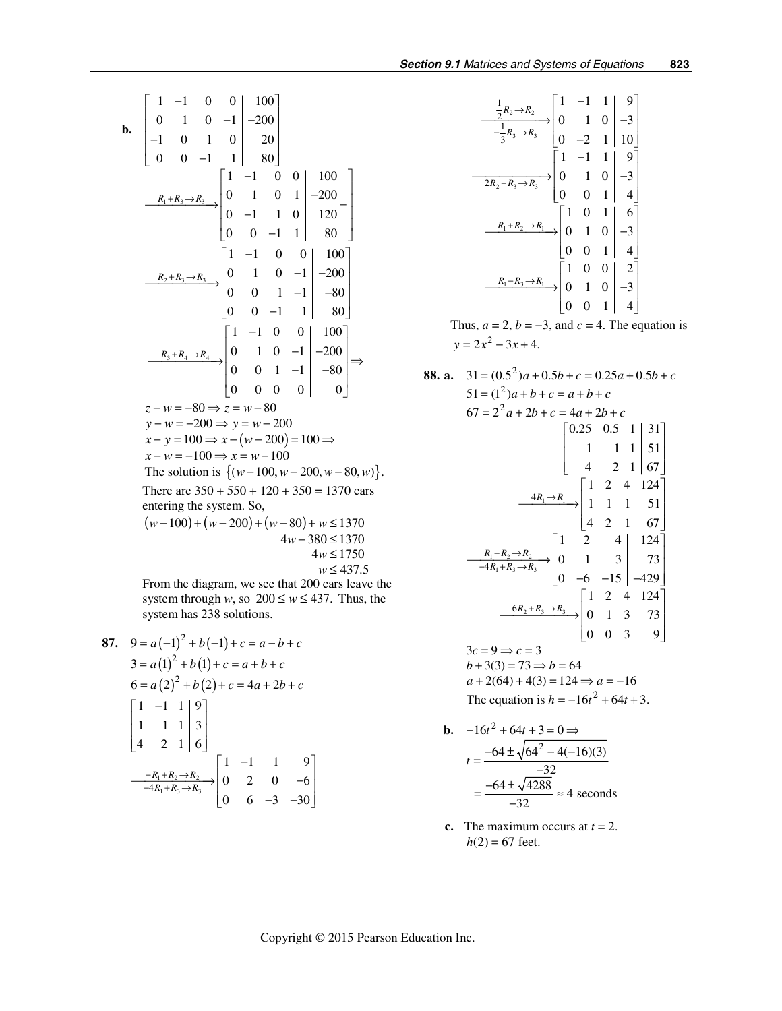**b.** 
$$
\begin{bmatrix} 1 & -1 & 0 & 0 & | & 100 \ -1 & 0 & 1 & 0 & | & -200 \ 0 & 0 & -1 & 1 & | & 80 \ \end{bmatrix}
$$
  
\n
$$
\begin{bmatrix} 1 & -1 & 0 & 0 & | & 100 \ 0 & 0 & -1 & 1 & | & 80 \ 0 & -1 & 1 & 0 & | & -200 \ 0 & 0 & -1 & 1 & | & 80 \ \end{bmatrix}
$$
  
\n
$$
\begin{bmatrix} 1 & -1 & 0 & 0 & | & 100 \ 0 & 0 & -1 & 1 & | & 80 \ 0 & 0 & -1 & 1 & | & 80 \ \end{bmatrix}
$$
  
\n
$$
\begin{bmatrix} 1 & -1 & 0 & 0 & | & 100 \ 0 & 0 & 1 & -1 & | & -80 \ 0 & 0 & -1 & 1 & | & 80 \ \end{bmatrix}
$$
  
\n
$$
\begin{bmatrix} R_2 + R_3 \rightarrow R_3 \\ \rightarrow R_3 + R_4 \rightarrow R_4 \\ \rightarrow R_4 \end{bmatrix}
$$
  
\n
$$
\begin{bmatrix} 1 & -1 & 0 & 0 & | & 100 \ 0 & 0 & -1 & | & -80 \ 0 & 0 & 1 & -1 & | & -80 \ 0 & 0 & 0 & 0 & | & 0 \ \end{bmatrix}
$$
  
\n
$$
z - w = -80 \Rightarrow z = w - 80
$$
  
\n
$$
y - w = -200 \Rightarrow y = w - 200
$$
  
\n
$$
x - y = 100 \Rightarrow x - (w - 200) = 100 \Rightarrow x - w = -100
$$
  
\nThe solution is { $(w - 100, w - 200, w - 80, w)$ }.  
\nThere are 350 + 550 + 120 + 350 = 1370 cars  
\nentering the system. So,  
\n $(w - 100) + (w - 200) + (w - 80) + w \le 1370$   
\n $4w \le 1750$   
\n $w \le 437.5$ 

From the diagram, we see that 200 cars leave the system through *w*, so  $200 \le w \le 437$ . Thus, the system has 238 solutions.

87. 
$$
9 = a(-1)^{2} + b(-1) + c = a - b + c
$$
  
\n
$$
3 = a(1)^{2} + b(1) + c = a + b + c
$$
  
\n
$$
6 = a(2)^{2} + b(2) + c = 4a + 2b + c
$$
  
\n
$$
\begin{bmatrix}\n1 & -1 & 1 & 9 \\
1 & 1 & 1 & 3 \\
4 & 2 & 1 & 6\n\end{bmatrix}
$$
  
\n
$$
\xrightarrow{-R_{1} + R_{2} \rightarrow R_{3}} \begin{bmatrix}\n1 & -1 & 1 & 9 \\
0 & 2 & 0 & -6 \\
0 & 6 & -3 & -30\n\end{bmatrix}
$$

$$
\frac{\frac{1}{2}R_2 \to R_2}{-\frac{1}{3}R_3 \to R_3} \begin{bmatrix} 1 & -1 & 1 & 9 \ 0 & 1 & 0 & -3 \ 0 & -2 & 1 & 10 \end{bmatrix}
$$
  
\n
$$
\frac{1}{2R_2 + R_3 \to R_3} \begin{bmatrix} 1 & -1 & 1 & 9 \ 0 & -2 & 1 & 10 \ 0 & 0 & 1 & 4 \end{bmatrix}
$$
  
\n
$$
\frac{R_1 + R_2 \to R_1}{\begin{bmatrix} 1 & 0 & 1 & 6 \ 0 & 0 & 1 & 4 \end{bmatrix}}
$$
  
\n
$$
\frac{R_1 + R_2 \to R_1}{\begin{bmatrix} 1 & 0 & 1 & 6 \ 0 & 0 & 1 & 4 \end{bmatrix}}
$$
  
\n
$$
\frac{R_1 - R_3 \to R_1}{\begin{bmatrix} 1 & 0 & 0 & 2 \ 0 & 0 & 1 & 0 & -3 \ 0 & 0 & 1 & 4 \end{bmatrix}}
$$

Thus,  $a = 2$ ,  $b = -3$ , and  $c = 4$ . The equation is  $y = 2x^2 - 3x + 4.$ 

88. a. 
$$
31 = (0.5^2)a + 0.5b + c = 0.25a + 0.5b + c
$$
  
\n $51 = (1^2)a + b + c = a + b + c$   
\n $67 = 2^2a + 2b + c = 4a + 2b + c$   
\n $\begin{bmatrix}\n0.25 & 0.5 & 1 & 31 \\
1 & 1 & 1 & 51 \\
4 & 2 & 1 & 67\n\end{bmatrix}$   
\n $\begin{bmatrix}\n1 & 2 & 4 & 124 \\
4 & 2 & 1 & 67\n\end{bmatrix}$   
\n $\begin{bmatrix}\n1 & 2 & 4 & 124 \\
4 & 2 & 1 & 67\n\end{bmatrix}$   
\n $\begin{bmatrix}\n1 & 2 & 4 & 124 \\
4 & 2 & 1 & 67\n\end{bmatrix}$   
\n $\begin{bmatrix}\n1 & 2 & 4 & 124 \\
4 & 2 & 1 & 67\n\end{bmatrix}$   
\n $\begin{bmatrix}\n1 & 2 & 4 & 124 \\
0 & -6 & -15 & -429\n\end{bmatrix}$   
\n $\begin{bmatrix}\n1 & 2 & 4 & 124 \\
0 & 1 & 3 & 73 \\
0 & 0 & 3 & 9\n\end{bmatrix}$   
\n $3c = 9 \Rightarrow c = 3$   
\n $b + 3(3) = 73 \Rightarrow b = 64$   
\n $a + 2(64) + 4(3) = 124 \Rightarrow a = -16$   
\nThe equation is  $h = -16t^2 + 64t + 3$ .

**b.** 
$$
-16t^2 + 64t + 3 = 0 \Rightarrow
$$
  

$$
t = \frac{-64 \pm \sqrt{64^2 - 4(-16)(3)}}{-32}
$$

$$
= \frac{-64 \pm \sqrt{4288}}{-32} \approx 4 \text{ seconds}
$$

**c.** The maximum occurs at  $t = 2$ .  $h(2) = 67$  feet.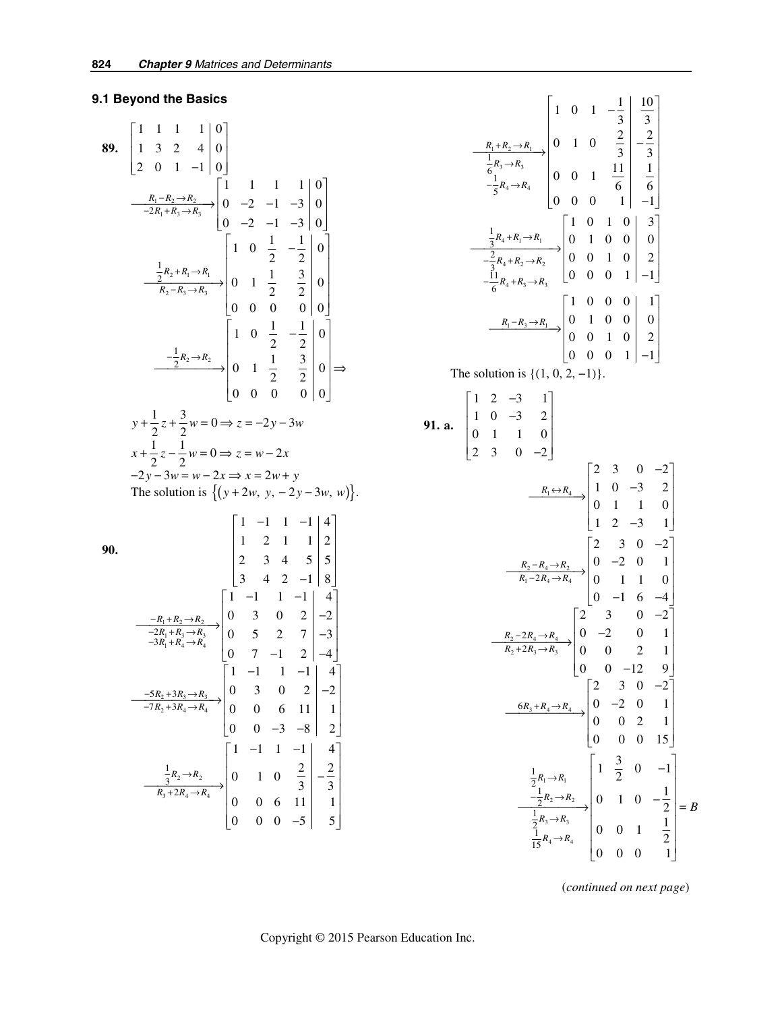# **9.1 Beyond the Basics**

89. 
$$
\begin{bmatrix} 1 & 1 & 1 & 1 & 0 \ 1 & 3 & 2 & 4 & 0 \ 2 & 0 & 1 & -1 & 0 \ \end{bmatrix}
$$
  
\n
$$
\frac{R_1 - R_2 \rightarrow R_2}{-2R_1 + R_3 \rightarrow R_3}
$$

$$
\begin{bmatrix} 1 & 1 & 1 & 1 & 0 \ 0 & -2 & -1 & -3 & 0 \ 0 & -2 & -1 & -3 & 0 \ \end{bmatrix}
$$
  
\n
$$
\frac{\frac{1}{2}R_2 + R_1 \rightarrow R_1}{R_2 - R_3 \rightarrow R_3}
$$

$$
\begin{bmatrix} 1 & 0 & \frac{1}{2} & -\frac{1}{2} & 0 \ 0 & 1 & \frac{1}{2} & \frac{3}{2} & 0 \ 0 & 0 & 0 & 0 & 0 \ \end{bmatrix}
$$
  
\n
$$
\frac{-\frac{1}{2}R_2 + R_1 \rightarrow R_1}{R_2 - R_3 \rightarrow R_3}
$$

$$
\begin{bmatrix} 1 & 0 & \frac{1}{2} & -\frac{1}{2} & 0 \ 0 & 0 & 0 & 0 & 0 \ 0 & 0 & 0 & 0 & 0 \ \end{bmatrix}
$$
  
\n
$$
y + \frac{1}{2}z + \frac{3}{2}w = 0 \Rightarrow z = -2y - 3w
$$
  
\n
$$
x + \frac{1}{2}z - \frac{1}{2}w = 0 \Rightarrow z = w - 2x
$$
  
\n
$$
-2y - 3w = w - 2x \Rightarrow x = 2w + y
$$
  
\nThe solution is  $\{(y + 2w, y, -2y - 3w, w)\}.$   
\n90.  
\n90.  
\n
$$
\begin{bmatrix} 1 & -1 & 1 & -1 & | & 4 \ 1 & 2 & 1 & 1 & | & 2 \ 2 & 3 & 4 & 5 & | & 5 \ 3 & 4 & 2 & -1 & | & 8 \ \end{bmatrix}
$$
  
\n
$$
\frac{-R_1 + R_2 \rightarrow R_2}{-3R_1 + R_4 \rightarrow R_4}
$$

$$
\begin{bmatrix} 1 & -1 & 1 & -1 & | & 4 \ 0 & 3 & 0 & 2 & | & -2 \ 0 & 7
$$

1. a. 
$$
\begin{bmatrix} 1 & 0 & -\frac{1}{3} & \frac{10}{3} \\ \frac{1}{6}R_3 \rightarrow R_3 & 0 & 0 & 0 \\ \frac{1}{6}R_4 \rightarrow R_4 & 0 & 0 & 0 & 0 \\ \frac{1}{3}R_4 + R_1 \rightarrow R_1 & 0 & 0 & 0 & 0 \\ 0 & 0 & 0 & 1 & -1 & 0 \\ \frac{1}{3}R_4 + R_1 \rightarrow R_1 & 0 & 0 & 0 & 0 \\ \frac{2}{3}R_4 + R_2 \rightarrow R_2 & 0 & 0 & 0 & 0 & 0 \\ \frac{2}{3}R_4 + R_3 \rightarrow R_3 & 0 & 0 & 0 & 0 & 0 \\ \frac{1}{6}R_4 + R_3 \rightarrow R_3 & 0 & 0 & 0 & 1 & -1 \end{bmatrix}
$$
  
The solution is {(1, 0, 2, -1)}.  
31. a. 
$$
\begin{bmatrix} 1 & 2 & -3 & 1 \\ 1 & 0 & -3 & 2 \\ 0 & 1 & 1 & 0 \\ 2 & 3 & 0 & -2 \end{bmatrix}
$$
  

$$
\begin{bmatrix} 1 & 2 & -3 & 1 \\ 1 & 0 & -3 & 2 \\ 0 & 1 & 1 & 0 \\ 2 & 3 & 0 & -2 \end{bmatrix}
$$
  

$$
\begin{bmatrix} R_1 \leftarrow R_4 \\ R_1 \leftarrow R_2 \end{bmatrix}
$$
  

$$
\begin{bmatrix} 2 & 3 & 0 & -2 \\ 0 & 1 & 1 & 0 \\ 0 & 1 & 1 & 0 \\ 0 & 1 & 1 & 0 \\ 0 & 1 & 1 & 0 \end{bmatrix}
$$
  

$$
\begin{bmatrix} R_2 - R_4 \rightarrow R_2 \\ R_1 - 2R_4 \rightarrow R_4 \\ R_1 - 2R_4 \rightarrow R_4 \end{bmatrix}
$$
  

$$
\begin{bmatrix} 2 & 3 & 0 & -2 \\ 0 & 1 & 1 & 0 \\ 0 & 1 & 1 & 0 \\ 0 & 0 & 1 & 1 \end{bmatrix}
$$
  

$$
\begin{bmatrix} R_2 - 2R_4 \rightarrow R_4 \\ R_1 - 2R_4 \rightarrow R_4 \\ R_2 + 2R_3 \rightarrow R_3 \end{bmatrix}
$$
  

$$
\begin{bmatrix
$$

(*continued on next page*)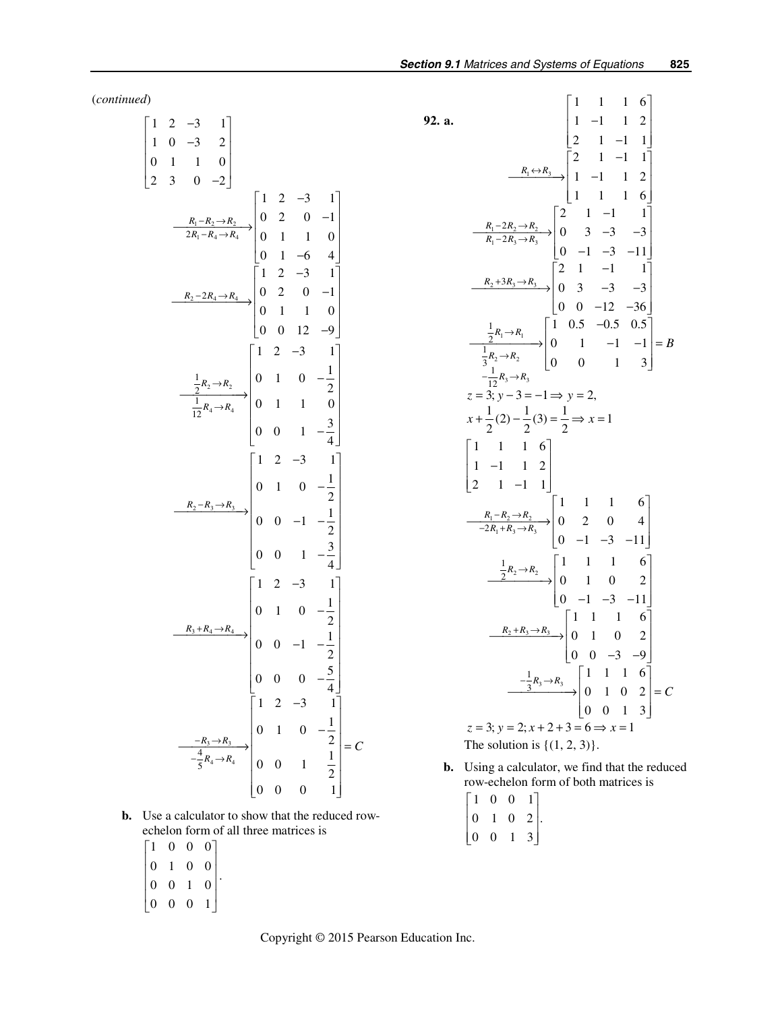(*continued*)

| $\begin{bmatrix} 1 & 2 & -3 & 1 \\ 1 & 0 & -3 & 2 \\ 0 & 1 & 1 & 0 \\ 2 & 3 & 0 & -2 \end{bmatrix}$                                                                                                                                                                                                                                                                                                      |  |  |  |
|----------------------------------------------------------------------------------------------------------------------------------------------------------------------------------------------------------------------------------------------------------------------------------------------------------------------------------------------------------------------------------------------------------|--|--|--|
|                                                                                                                                                                                                                                                                                                                                                                                                          |  |  |  |
|                                                                                                                                                                                                                                                                                                                                                                                                          |  |  |  |
| 1 1 0<br>$\frac{R_1 - R_2 \rightarrow R_2}{2R_1 - R_4 \rightarrow R_4}$<br>$\begin{bmatrix}\n1 & 2 & -3 & 1 \\ 0 & 2 & 0 & -1 \\ 0 & 1 & 1 & 0 \\ 0 & 1 & -6 & 4\n\end{bmatrix}$<br>$\begin{bmatrix}\n1 & 2 & -3 & 1 \\ 0 & 1 & 1 & 0 \\ 0 & 1 & -6 & 4\n\end{bmatrix}$<br>$\begin{bmatrix}\n1 & 2 & -3 & 1 \\ 2 & -3 & 1 \\ 0 & 0 & 12 & -9\n\end{bmatrix}$<br>$\begin{bmatrix}\n1 & 2 & -3 & 1 \\ 0 &$ |  |  |  |
|                                                                                                                                                                                                                                                                                                                                                                                                          |  |  |  |
|                                                                                                                                                                                                                                                                                                                                                                                                          |  |  |  |
|                                                                                                                                                                                                                                                                                                                                                                                                          |  |  |  |
| $\begin{bmatrix} 0 & 0 & 0 & -\frac{1}{4} \end{bmatrix}$ $\begin{bmatrix} 1 & 2 & -3 & 1 \ 0 & 1 & 0 & -\frac{1}{2} \\ \frac{-R_3 \rightarrow R_3}{5} & 0 & 1 & 0 & -\frac{1}{2} \\ 0 & 0 & 1 & \frac{1}{2} \\ 0 & 0 & 0 & 1 \end{bmatrix} = C$                                                                                                                                                          |  |  |  |
|                                                                                                                                                                                                                                                                                                                                                                                                          |  |  |  |

 **b.** Use a calculator to show that the reduced rowechelon form of all three matrices is

 $\begin{vmatrix} 1 & 0 & 0 & 0 \end{vmatrix}$  $\begin{vmatrix} 0 & 1 & 0 & 0 \end{vmatrix}$ 0010  $\begin{bmatrix} 0 & 0 & 0 & 1 \end{bmatrix}$  $\begin{bmatrix} 0 & 1 & 0 & 0 \\ 0 & 0 & 0 & 0 \\ 0 & 0 & 0 & 0 \\ 0 & 0 & 0 & 0 \\ 0 & 0 & 0 & 0 \\ 0 & 0 & 0 & 0 \\ 0 & 0 & 0 & 0 \\ 0 & 0 & 0 & 0 \\ 0 & 0 & 0 & 0 \\ 0 & 0 & 0 & 0 & 0 \\ 0 & 0 & 0 & 0 & 0 \\ 0 & 0 & 0 & 0 & 0 \\ 0 & 0 & 0 & 0 & 0 & 0 \\ 0 & 0 & 0 & 0 & 0 & 0 \\ 0 & 0 & 0 & 0 & 0 & 0 \\ 0 & 0 &$  $\begin{vmatrix} 0 & 0 & 1 & 0 \end{vmatrix}$ .

92. a. 
$$
\begin{bmatrix}\n1 & 1 & 1 & 6 \\
1 & -1 & 1 & 2 \\
2 & 1 & -1 & 1\n\end{bmatrix}
$$
\n
$$
\xrightarrow{R_1 \Leftrightarrow R_3} \begin{bmatrix}\n2 & 1 & -1 & 1 \\
1 & -1 & 1 & 2 \\
1 & 1 & 1 & 6\n\end{bmatrix}
$$
\n
$$
\xrightarrow{R_1-2R_2 \to R_3} \begin{bmatrix}\n2 & 1 & -1 & 1 \\
0 & 3 & -3 & -3 \\
0 & -1 & -3 & -11\n\end{bmatrix}
$$
\n
$$
\xrightarrow{R_2+3R_3 \to R_3} \begin{bmatrix}\n2 & 1 & -1 & 1 \\
0 & 3 & -3 & -3 \\
0 & 0 & -12 & -36\n\end{bmatrix}
$$
\n
$$
\xrightarrow{\frac{1}{3}R_2 \to R_2} \begin{bmatrix}\n1 & 0.5 & -0.5 & 0.5 \\
0 & 3 & -3 & -3 \\
0 & 0 & -12 & -36\n\end{bmatrix}
$$
\n
$$
\xrightarrow{-\frac{1}{12}R_3 \to R_3}
$$
\n
$$
z = 3; y - 3 = -1 \Rightarrow y = 2,
$$
\n
$$
x + \frac{1}{2}(2) - \frac{1}{2}(3) = \frac{1}{2} \Rightarrow x = 1
$$
\n
$$
\begin{bmatrix}\n1 & 1 & 1 & 6 \\
1 & -1 & 1 & 2 \\
2 & 1 & -1 & 1\n\end{bmatrix}
$$
\n
$$
\xrightarrow{\frac{R_1 - R_2 \to R_3}{-2R_1 + R_3 \to R_3}} \begin{bmatrix}\n1 & 1 & 1 & 6 \\
0 & 2 & 0 & 4 \\
0 & -1 & -3 & -11\n\end{bmatrix}
$$
\n
$$
\xrightarrow{\frac{1}{2}R_2 \to R_2} \begin{bmatrix}\n1 & 1 & 1 & 6 \\
0 & 1 & 0 & 2 \\
0 & -1 & -3 & -11\n\end{bmatrix}
$$
\n
$$
\xrightarrow{\frac{1}{2}R_2 \to R_3} \begin{bmatrix}\n1 & 1 & 1 & 6 \\
0 & 1 & 0 & 2 \\
0 & 0 & -3 & -9\n\end{bmatrix}
$$
\n
$$
\xrightarrow{-\frac{1}{3}
$$

- **b.** Using a calculator, we find that the reduced row-echelon form of both matrices is
	- $\begin{bmatrix} 1 & 0 & 0 & 1 \end{bmatrix}$  $0 \t1 \t0 \t2$ .  $\begin{vmatrix} 0 & 0 & 1 & 3 \end{vmatrix}$  $\begin{bmatrix} 1 & 0 & 0 & 1 \\ 0 & 1 & 0 & 2 \\ 0 & 0 & 1 & 3 \end{bmatrix}$
- Copyright © 2015 Pearson Education Inc.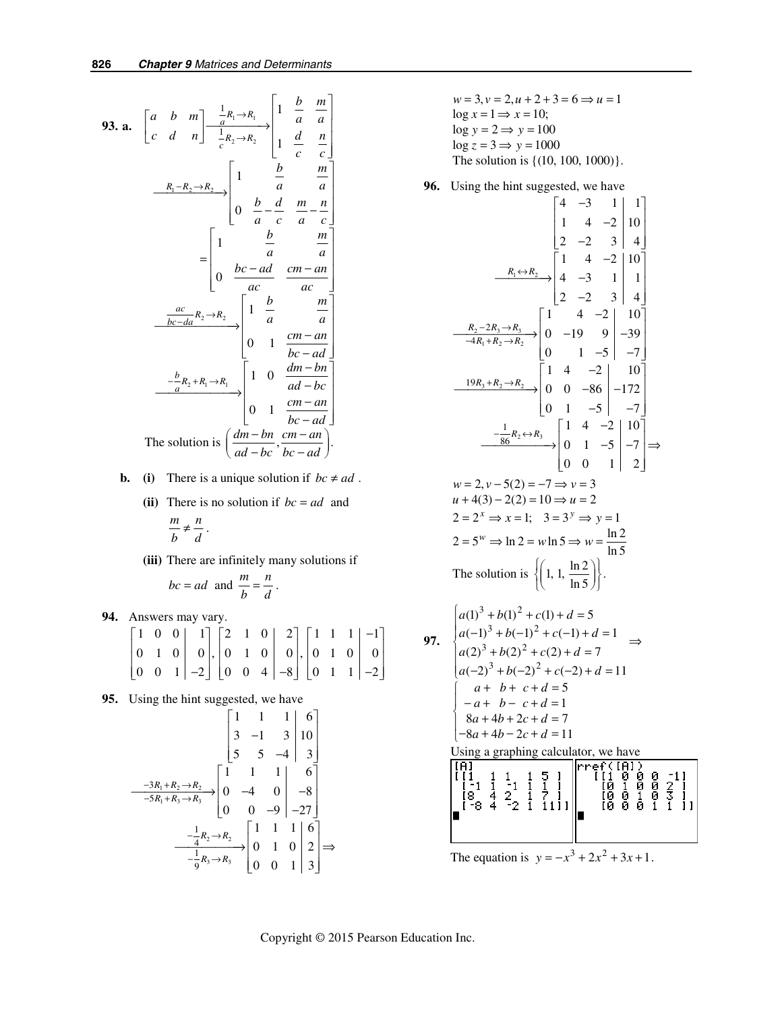93. a. 
$$
\begin{bmatrix} a & b & m \ c & d & n \end{bmatrix} \xrightarrow{\frac{1}{a}R_1 \rightarrow R_1} \begin{bmatrix} 1 & \frac{b}{a} & \frac{m}{a} \\ \frac{1}{c} & \frac{1}{c} & \frac{1}{c} \end{bmatrix}
$$
  
\n $\xrightarrow{R_1 - R_2 \rightarrow R_2} \begin{bmatrix} 1 & \frac{b}{a} & \frac{m}{a} \\ 0 & \frac{b}{a} - \frac{d}{c} & \frac{m}{a} - \frac{n}{c} \end{bmatrix}$   
\n $= \begin{bmatrix} 1 & \frac{b}{a} & \frac{m}{a} \\ 0 & \frac{bc - ad}{ac} & \frac{cm - an}{ac} \end{bmatrix}$   
\n $\xrightarrow{\frac{ac}{bc - da}R_2 \rightarrow R_2} \begin{bmatrix} 1 & \frac{b}{a} & \frac{m}{a} \\ 0 & 1 & \frac{cm - an}{bc - ad} \end{bmatrix}$   
\n $\xrightarrow{\frac{b}{a}R_2 + R_1 \rightarrow R_1} \begin{bmatrix} 1 & 0 & \frac{dm - bn}{ad - bc} \\ 0 & 1 & \frac{cm - an}{bc - ad} \end{bmatrix}$   
\nThe solution is  $\left(\frac{dm - bn}{ad - bc}, \frac{cm - an}{bc - ad}\right)$ .

- **b.** (i) There is a unique solution if  $bc \neq ad$ .
	- (ii) There is no solution if  $bc = ad$  and *m n*  $\frac{m}{b} \neq \frac{n}{d}$ .
	- **(iii)** There are infinitely many solutions if

$$
bc = ad
$$
 and  $\frac{m}{b} = \frac{n}{d}$ .

 **94.** Answers may vary.

|  | $\begin{bmatrix} 1 & 0 & 0 & 1 \\ 0 & 1 & 0 & 0 & 0 \\ 0 & 0 & 1 & -2 & 0 \end{bmatrix}, \begin{bmatrix} 2 & 1 & 0 & 2 \\ 0 & 1 & 0 & 0 \\ 0 & 0 & 4 & -8 \end{bmatrix}, \begin{bmatrix} 1 & 1 & 1 & -1 \\ 0 & 1 & 0 & 0 \\ 0 & 1 & 1 & -2 \end{bmatrix}$ |  |  |  |  |  |  |
|--|-----------------------------------------------------------------------------------------------------------------------------------------------------------------------------------------------------------------------------------------------------------|--|--|--|--|--|--|
|  |                                                                                                                                                                                                                                                           |  |  |  |  |  |  |

**95.** Using the hint suggested, we have

$$
\begin{bmatrix} 1 & 1 & 1 & 6 \ 3 & -1 & 3 & 10 \ 5 & 5 & -4 & 3 \ \end{bmatrix}
$$
  

$$
\xrightarrow{-3R_1 + R_2 \to R_2} \begin{bmatrix} 1 & 1 & 1 & 6 \ 9 & -4 & 0 & -8 \ 0 & 0 & -9 & -27 \ \end{bmatrix}
$$
  

$$
\xrightarrow{-\frac{1}{4}R_2 \to R_2} \begin{bmatrix} 1 & 1 & 1 & 6 \ 0 & 0 & -9 & -27 \ \end{bmatrix}
$$
  

$$
\xrightarrow{-\frac{1}{4}R_2 \to R_2} \begin{bmatrix} 1 & 1 & 1 & 6 \ 0 & 1 & 0 & 2 \ 0 & 0 & 1 & 3 \ \end{bmatrix} \Rightarrow
$$

$$
w = 3, v = 2, u + 2 + 3 = 6 \Rightarrow u = 1
$$
  
log x = 1  $\Rightarrow$  x = 10;  
log y = 2  $\Rightarrow$  y = 100  
log z = 3  $\Rightarrow$  y = 1000  
The solution is {(10, 100, 1000)}.

**96.** Using the hint suggested, we have

$$
\begin{bmatrix}\n4 & -3 & 1 & 1 \\
1 & 4 & -2 & 10 \\
2 & -2 & 3 & 4\n\end{bmatrix}
$$
\n
$$
\xrightarrow{R_1 \leftrightarrow R_2} \begin{bmatrix}\n4 & -3 & 1 & 1 \\
1 & 4 & -2 & 10 \\
2 & -2 & 3 & 4\n\end{bmatrix}
$$
\n
$$
\xrightarrow{-4R_1 + R_2 \rightarrow R_2} \begin{bmatrix}\n1 & 4 & -2 & 10 \\
0 & -19 & 9 & -39 \\
0 & 1 & -5 & -7\n\end{bmatrix}
$$
\n
$$
\xrightarrow{-19R_3 + R_2 \rightarrow R_2} \begin{bmatrix}\n1 & 4 & -2 & 10 \\
0 & 1 & -5 & -7\n\end{bmatrix}
$$
\n
$$
\xrightarrow{-19R_3 + R_2 \rightarrow R_2} \begin{bmatrix}\n1 & 4 & -2 & 10 \\
0 & 0 & -86 & -172 \\
0 & 1 & -5 & -7\n\end{bmatrix}
$$
\n
$$
\xrightarrow{\frac{1}{86}R_2 \leftrightarrow R_3} \begin{bmatrix}\n1 & 4 & -2 & 10 \\
0 & 1 & -5 & -7 \\
0 & 0 & 1 & 2\n\end{bmatrix} \Rightarrow
$$
\n
$$
w = 2, v - 5(2) = -7 \Rightarrow v = 3
$$
\n
$$
u + 4(3) - 2(2) = 10 \Rightarrow u = 2
$$
\n
$$
2 = 2^x \Rightarrow x = 1; \quad 3 = 3^y \Rightarrow y = 1
$$
\n
$$
2 = 5^w \Rightarrow \ln 2 = w \ln 5 \Rightarrow w = \frac{\ln 2}{\ln 5}
$$
\nThe solution is 
$$
\left\{ \left( 1, 1, \frac{\ln 2}{\ln 5} \right) \right\}.
$$
\n
$$
97. \quad \begin{cases}\n a(1)^3 + b(1)^2 + c(1) + d = 5 \\
 a(-1)^3 + b(-1)^2 + c(-1) + d = 1 \\
 a(2)^3 + b(2)^2 + c(2) + d = 7 \\
 a(-2)^3 + b(-2)^2 + c(-2) + d = 11 \\
 a + b + c + d = 5 \\
 -a + b - c + d = 1 \\
 8a + 4b + 2c + d = 7\n\end{bmatrix}
$$
\n

Using a graphing calculator, we have

| Ω.<br>8<br>-2<br>-8                          | (IAI)<br>Ø<br>ю<br>2.<br>0<br>Ø<br>ø<br>Θ.<br>Ø<br>й<br>ſЙ<br>Й |
|----------------------------------------------|-----------------------------------------------------------------|
| The equation is $y = -x^3 + 2x^2 + 3x + 1$ . |                                                                 |

 **97.**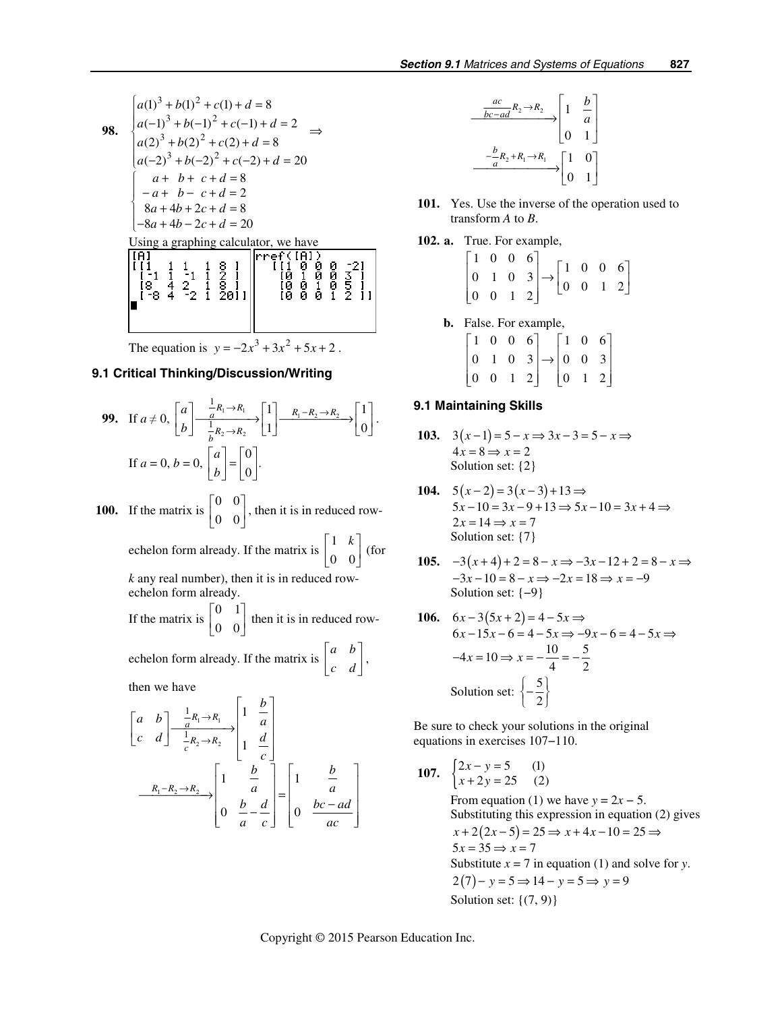98. 
$$
\begin{cases}\na(1)^3 + b(1)^2 + c(1) + d = 8 \\
a(-1)^3 + b(-1)^2 + c(-1) + d = 2 \\
a(2)^3 + b(2)^2 + c(2) + d = 8\n\end{cases} \Rightarrow
$$
\n
$$
\begin{cases}\na + b + c + d = 8 \\
-a + b - c + d = 2 \\
-8a + 4b + 2c + d = 8\n\end{cases}
$$
\nUsing a graphing calculator, we have\n
$$
\begin{bmatrix}\nF1 \\
F1 \\
F2 \\
F3 \\
F4\n\end{bmatrix}\n\begin{bmatrix}\n1 & 1 & 1 & 1 & 8 \\
1 & -1 & 1 & -1 & 1 & 8 \\
1 & -8 & 4 & -2 & 1 & 29\n\end{bmatrix}\n\begin{bmatrix}\nF1 \\
F1 \\
F1 \\
F1 \\
F2 \\
F3 \\
F4\n\end{bmatrix}\n\begin{bmatrix}\n1 & 1 & 1 & 1 & 8 \\
1 & 1 & 1 & 1 & 8 \\
1 & 1 & 1 & 1 & 1 & 8 \\
1 & 1 & 1 & 1 & 1 & 8 \\
1 & 1 & 1 & 1 & 1 & 8 \\
1 & 1 & 1 & 1 & 1 & 1 & 8 \\
1 & 1 & 1 & 1 & 1 & 1 & 8 \\
1 & 1 & 1 & 1 & 1 & 1 & 8 \\
1 & 1 & 1 & 1 & 1 & 1 & 1 \\
1 & 1 & 1 & 1 & 1 & 1 & 1 \\
1 & 1 & 1 & 1 & 1 & 1 & 1 \\
1 & 1 & 1 & 1 & 1 & 1 & 1 \\
1 & 1 & 1 & 1 & 1 & 1 & 1 \\
1 & 1 & 1 & 1 & 1 & 1 & 1 \\
1 & 1 & 1 & 1 & 1 & 1 & 1 \\
1 & 1 & 1 & 1 & 1 & 1 & 1 \\
1 & 1 & 1 & 1 & 1 & 1 & 1 \\
1 & 1 & 1 & 1 & 1 & 1 & 1 \\
1 & 1 & 1 & 1 & 1 & 1 & 1 \\
1 & 1 & 1 & 1 & 1 & 1 & 1 \\
1 & 1 & 1 & 1 & 1 & 1 & 1 \\
1 & 1 & 1 & 1 & 1 & 1 & 1 \\
1 & 1 & 1 & 1 & 1 & 1 & 1 \\
1 & 1 & 1 & 1 & 1 & 1 & 1 \\
1 & 1 & 1 & 1 &
$$

#### **9.1 Critical Thinking/Discussion/Writing**

**99.** If 
$$
a \neq 0
$$
,  $\begin{bmatrix} a \\ b \end{bmatrix} \xrightarrow[\begin{array}{c} \frac{1}{a}R_1 \rightarrow R_1 \\ \frac{1}{b}R_2 \rightarrow R_2 \end{array}] \begin{bmatrix} 1 \\ 1 \end{bmatrix} \xrightarrow[R_1 - R_2 \rightarrow R_2 \rightarrow R_2] \begin{bmatrix} 1 \\ 0 \end{bmatrix}$ .  
If  $a = 0$ ,  $b = 0$ ,  $\begin{bmatrix} a \\ b \end{bmatrix} = \begin{bmatrix} 0 \\ 0 \end{bmatrix}$ .

**100.** If the matrix is  $\begin{bmatrix} 0 & 0 \\ 0 & 0 \end{bmatrix}$ 0 0  $\begin{bmatrix} 0 & 0 \\ 0 & 0 \end{bmatrix}$ , then it is in reduced row-

echelon form already. If the matrix is 
$$
\begin{bmatrix} 1 & k \\ 0 & 0 \end{bmatrix}
$$
 (for

*k* any real number), then it is in reduced rowechelon form already.

If the matrix is 
$$
\begin{bmatrix} 0 & 1 \\ 0 & 0 \end{bmatrix}
$$
 then it is in reduced row-

echelon form already. If the matrix is  $\begin{bmatrix} a & b \\ c & d \end{bmatrix}$ *c d*  $\begin{bmatrix} a & b \\ c & d \end{bmatrix}$ 

then we have

$$
\begin{bmatrix} a & b \ c & d \end{bmatrix} \xrightarrow[\begin{array}{c} \frac{1}{a}R_1 \rightarrow R_1 \\ \frac{1}{c}R_2 \rightarrow R_2 \end{array}] \begin{bmatrix} 1 & \frac{b}{a} \\ 1 & \frac{d}{c} \end{bmatrix}
$$

$$
\xrightarrow[R_1 - R_2 \rightarrow R_2]{} \begin{bmatrix} 1 & \frac{b}{a} \\ 0 & \frac{b}{a} - \frac{d}{c} \end{bmatrix} = \begin{bmatrix} 1 & \frac{b}{a} \\ 0 & \frac{bc - ad}{ac} \end{bmatrix}
$$

$$
\begin{array}{c}\n\frac{ac}{bc-ad}R_2 \rightarrow R_2 \\
\hline\n\end{array}\n\longrightarrow\n\begin{bmatrix}\n1 & \frac{b}{a} \\
0 & 1\n\end{bmatrix}
$$
\n
$$
\xrightarrow{\frac{-b}{a}R_2 + R_1 \rightarrow R_1} \begin{bmatrix}\n1 & 0 \\
0 & 1\n\end{bmatrix}
$$

- **101.** Yes. Use the inverse of the operation used to transform *A* to *B*.
- **102. a.** True. For example,

|  |  | $\begin{bmatrix} 1 & 0 & 0 & 6 \\ 0 & 1 & 0 & 3 \\ 0 & 0 & 1 & 2 \end{bmatrix} \rightarrow \begin{bmatrix} 1 & 0 & 0 & 6 \\ 0 & 0 & 1 & 2 \end{bmatrix}$ |  |  |
|--|--|----------------------------------------------------------------------------------------------------------------------------------------------------------|--|--|

- **b.** False. For example,
	- 1006 106  $0 \t1 \t0 \t3 \rightarrow 0 \t0 \t3$  $\begin{bmatrix} 1 & 0 & 0 & 6 \\ 0 & 1 & 0 & 3 \\ 0 & 0 & 1 & 2 \end{bmatrix} \rightarrow \begin{bmatrix} 1 & 0 & 6 \\ 0 & 0 & 3 \\ 0 & 1 & 2 \end{bmatrix}$

### **9.1 Maintaining Skills**

103. 
$$
3(x-1) = 5 - x \Rightarrow 3x - 3 = 5 - x \Rightarrow 4x = 8 \Rightarrow x = 2
$$
  
Solution set: {2}

- 104.  $5(x-2) = 3(x-3)+13 \implies$  $5x-10 = 3x-9+13 \implies 5x-10 = 3x+4 \implies$  $2x = 14 \Rightarrow x = 7$ Solution set: {7}
- **105.**  $-3(x+4)+2=8-x \Rightarrow -3x-12+2=8$  $3x-10=8-x\Rightarrow -2x=18\Rightarrow x=-9$  $(x+4)+2=8-x \implies -3x-12+2=8-x$  $x-10=8-x \Rightarrow -2x=18 \Rightarrow x$  $-3(x+4)+2=8-x \Rightarrow -3x-12+2=8-x \Rightarrow$  $-3x-10=8-x \Rightarrow -2x=18 \Rightarrow x=-$ Solution set: {−9}

106. 
$$
6x-3(5x+2) = 4-5x \Rightarrow
$$
  
\n $6x-15x-6 = 4-5x \Rightarrow -9x-6 = 4-5x \Rightarrow$   
\n $-4x = 10 \Rightarrow x = -\frac{10}{4} = -\frac{5}{2}$   
\nSolution set:  $\left\{-\frac{5}{2}\right\}$ 

Be sure to check your solutions in the original equations in exercises 107−110.

**107.** 
$$
\begin{cases} 2x - y = 5 & (1) \\ x + 2y = 25 & (2) \end{cases}
$$

From equation (1) we have  $y = 2x - 5$ . Substituting this expression in equation (2) gives  $x+2(2x-5)=25 \Rightarrow x+4x-10=25 \Rightarrow$  $5x = 35 \Rightarrow x = 7$ Substitute  $x = 7$  in equation (1) and solve for *y*.  $2(7) - y = 5 \Rightarrow 14 - y = 5 \Rightarrow y = 9$ Solution set:  $\{(7, 9)\}$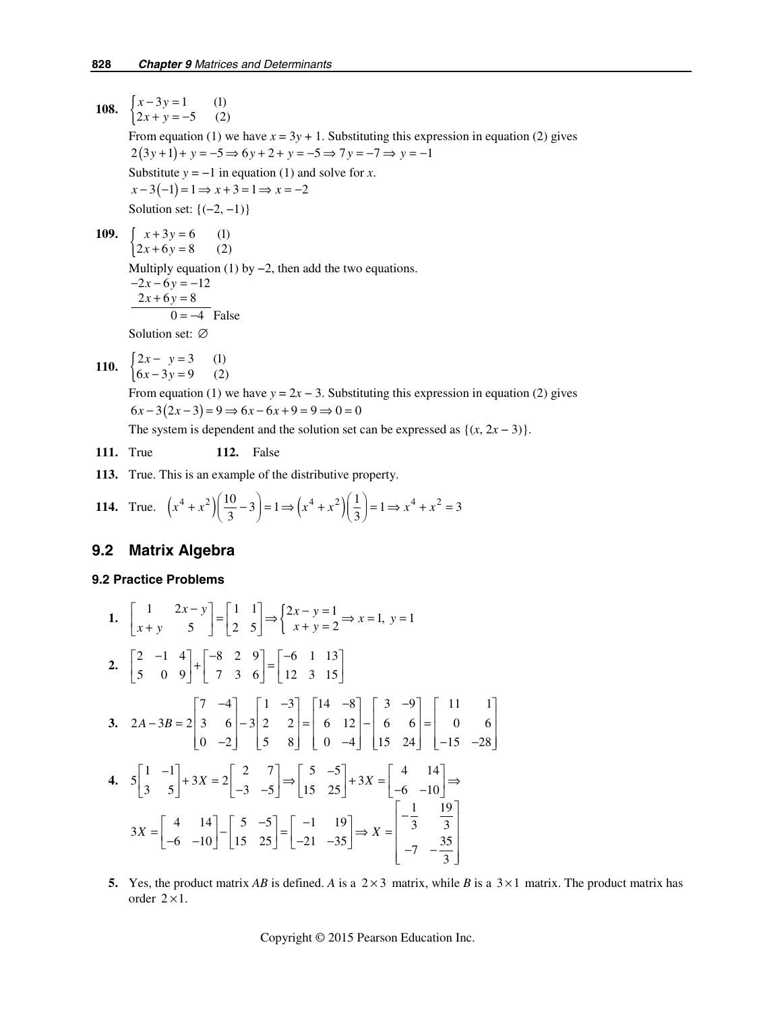**108.**  $\begin{cases} x-3y=1 & (1) \\ 2x+y=-5 & (2) \end{cases}$  $x - 3y$  $x + y$  $-3y =$  $+ y = -$ From equation (1) we have  $x = 3y + 1$ . Substituting this expression in equation (2) gives  $2(3y+1) + y = -5 \implies 6y + 2 + y = -5 \implies 7y = -7 \implies y = -1$ Substitute  $y = -1$  in equation (1) and solve for *x*.  $x-3(-1) = 1 \Rightarrow x+3=1 \Rightarrow x=-2$ Solution set:  $\{(-2, -1)\}$ **109.**  $\begin{cases} x+3y=6 \\ 2x+6y=8 \end{cases}$  (1)  $x + 3y$  $x + 6y$  $+3y=$  $+ 6y =$ Multiply equation (1) by  $-2$ , then add the two equations.  $-2x - 6y = -12$  $2x + 6y = 8$  $0 = -4$  False Solution set: ∅

110. 
$$
\begin{cases} 2x - y = 3 & (1) \\ 6x - 3y = 9 & (2) \end{cases}
$$

From equation (1) we have  $y = 2x - 3$ . Substituting this expression in equation (2) gives  $6x - 3(2x - 3) = 9 \implies 6x - 6x + 9 = 9 \implies 0 = 0$ 

The system is dependent and the solution set can be expressed as  $\{(x, 2x - 3)\}.$ 

**111.** True **112.** False

 **113.** True. This is an example of the distributive property.

114. True. 
$$
\left(x^4 + x^2\right) \left(\frac{10}{3} - 3\right) = 1 \Rightarrow \left(x^4 + x^2\right) \left(\frac{1}{3}\right) = 1 \Rightarrow x^4 + x^2 = 3
$$

## **9.2 Matrix Algebra**

#### **9.2 Practice Problems**

1. 
$$
\begin{bmatrix} 1 & 2x - y \ x + y & 5 \end{bmatrix} = \begin{bmatrix} 1 & 1 \ 2 & 5 \end{bmatrix} \Rightarrow \begin{Bmatrix} 2x - y = 1 \ x + y = 2 \end{Bmatrix} \Rightarrow x = 1, y = 1
$$
  
\n2.  $\begin{bmatrix} 2 & -1 & 4 \ 5 & 0 & 9 \end{bmatrix} + \begin{bmatrix} -8 & 2 & 9 \ 7 & 3 & 6 \end{bmatrix} = \begin{bmatrix} -6 & 1 & 13 \ 12 & 3 & 15 \end{bmatrix}$   
\n3.  $2A - 3B = 2 \begin{bmatrix} 7 & -4 \ 3 & 6 \ 0 & -2 \end{bmatrix} - 3 \begin{bmatrix} 1 & -3 \ 2 & 2 \ 5 & 8 \end{bmatrix} = \begin{bmatrix} 14 & -8 \ 6 & 12 \ 0 & -4 \end{bmatrix} - \begin{bmatrix} 3 & -9 \ 6 & 6 \ 15 & 24 \end{bmatrix} = \begin{bmatrix} 11 & 1 \ 0 & 6 \ -15 & -28 \end{bmatrix}$   
\n4.  $5 \begin{bmatrix} 1 & -1 \ 3 & 5 \end{bmatrix} + 3X = 2 \begin{bmatrix} 2 & 7 \ -3 & -5 \end{bmatrix} \Rightarrow \begin{bmatrix} 5 & -5 \ 15 & 25 \end{bmatrix} + 3X = \begin{bmatrix} 4 & 14 \ -6 & -10 \end{bmatrix} \Rightarrow 3X = \begin{bmatrix} 4 & 14 \ -6 & -10 \end{bmatrix} - \begin{bmatrix} 5 & -5 \ 15 & 25 \end{bmatrix} = \begin{bmatrix} -1 & 19 \ -21 & -35 \end{bmatrix} \Rightarrow X = \begin{bmatrix} -\frac{1}{3} & \frac{19}{3} \ -7 & -\frac{35}{3} \end{bmatrix}$ 

**5.** Yes, the product matrix *AB* is defined. *A* is a  $2 \times 3$  matrix, while *B* is a  $3 \times 1$  matrix. The product matrix has order  $2 \times 1$ .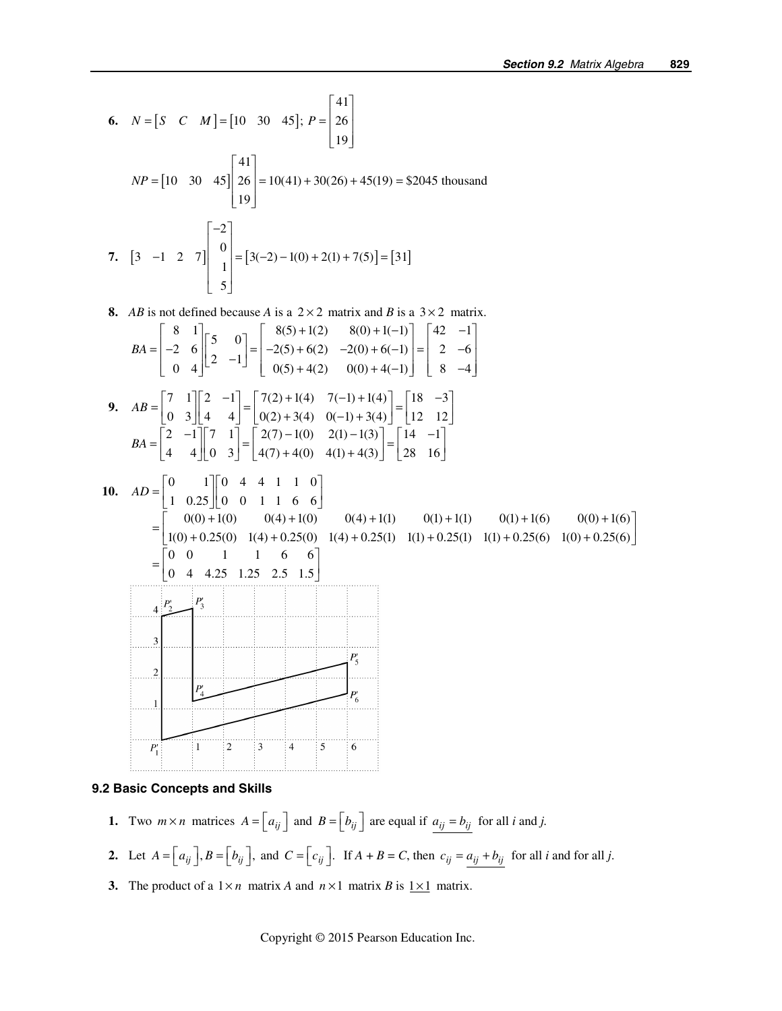6. 
$$
N = [S \ C \ M] = [10 \ 30 \ 45]; P = \begin{bmatrix} 41 \\ 26 \\ 19 \end{bmatrix}
$$
  
\n $NP = [10 \ 30 \ 45] \begin{bmatrix} 41 \\ 26 \\ 19 \end{bmatrix} = 10(41) + 30(26) + 45(19) = $2045 \text{ thousand}$   
\n7.  $[3 \ -1 \ 2 \ 7] \begin{bmatrix} -2 \\ 0 \\ 1 \\ 5 \end{bmatrix} = [3(-2) - 1(0) + 2(1) + 7(5)] = [31]$   
\n8. *AB* is not defined because *A* is a 2×2 matrix and *B* is a 3×2 matrix.  
\n $BA = \begin{bmatrix} 8 & 1 \\ -2 & 6 \\ 0 & 4 \end{bmatrix} \begin{bmatrix} 5 & 0 \\ 2 & -1 \end{bmatrix} = \begin{bmatrix} 8(5) + 1(2) & 8(0) + 1(-1) \\ -2(5) + 6(2) & -2(0) + 6(-1) \\ 0(5) + 4(2) & 0(0) + 4(-1) \end{bmatrix} = \begin{bmatrix} 42 & -1 \\ 2 & -6 \\ 8 & -4 \end{bmatrix}$   
\n9.  $AB = \begin{bmatrix} 7 & 1 \\ 0 & 3 \end{bmatrix} \begin{bmatrix} 2 & 1 \\ 4 & 4 \end{bmatrix} = \begin{bmatrix} 7(2) + 1(4) & 7(-1) + 1(4) \\ 0(5) + 4(2) & 0(1) + 3(4) \end{bmatrix} = \begin{bmatrix} 18 & -3 \\ 18 & -3 \end{bmatrix}$   
\n $BA = \begin{bmatrix} 2 & -1 \\ 4 & 4 \end{bmatrix} \begin{bmatrix} 7 & 1 \\ 0 & 3 \end{bmatrix} = \begin{bmatrix} 2(2) + 1(4) & 7(-1) + 1(4) \\ 4(7) + 4(0) & 4(1) + 4(3) \end{bmatrix} = \begin{bmatrix} 18 & -3 \\ 18 & -1 \end{bmatrix}$   
\n10.  $AD = \begin{bmatrix} 0 & 1 \\ 1 & 0.25 \end{bmatrix} \begin{bmatrix} 0 & 4 & 4 &$ 

#### **9.2 Basic Concepts and Skills**

- **1.** Two  $m \times n$  matrices  $A = \begin{bmatrix} a_{ij} \end{bmatrix}$  and  $B = \begin{bmatrix} b_{ij} \end{bmatrix}$  are equal if  $a_{ij} = b_{ij}$  for all *i* and *j*.
- **2.** Let  $A = \begin{bmatrix} a_{ij} \end{bmatrix}$ ,  $B = \begin{bmatrix} b_{ij} \end{bmatrix}$ , and  $C = \begin{bmatrix} c_{ij} \end{bmatrix}$ . If  $A + B = C$ , then  $c_{ij} = \frac{a_{ij} + b_{ij}}{a_{ij}}$  for all *i* and for all *j*.
- **3.** The product of a  $1 \times n$  matrix *A* and  $n \times 1$  matrix *B* is  $1 \times 1$  matrix.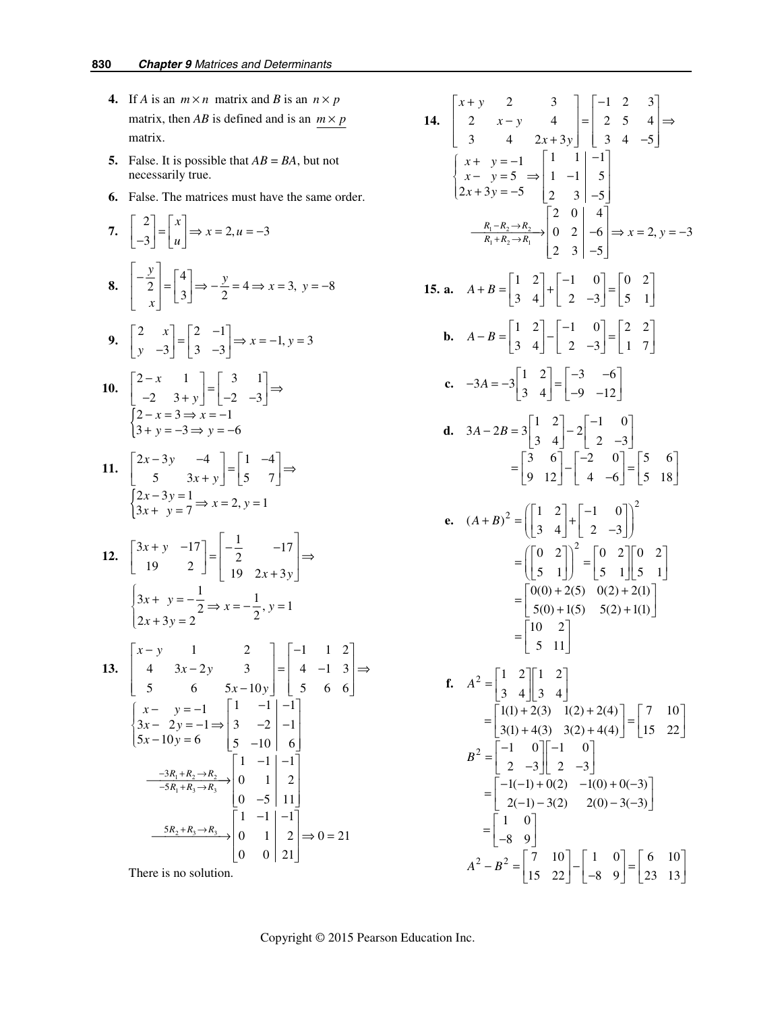- **4.** If *A* is an  $m \times n$  matrix and *B* is an  $n \times p$ matrix, then *AB* is defined and is an  $m \times p$ matrix.
- **5.** False. It is possible that  $AB = BA$ , but not necessarily true.
- **6.** False. The matrices must have the same order.

7. 
$$
\begin{bmatrix} 2 \ -3 \end{bmatrix} = \begin{bmatrix} x \ y \end{bmatrix} \Rightarrow x = 2, u = -3
$$
  
\n8.  $\begin{bmatrix} -\frac{y}{2} \ 2 \end{bmatrix} = \begin{bmatrix} 4 \ 3 \end{bmatrix} \Rightarrow -\frac{y}{2} = 4 \Rightarrow x = 3, y = -8$   
\n9.  $\begin{bmatrix} 2 & x \ y & -3 \end{bmatrix} = \begin{bmatrix} 2 & -1 \ 3 & -3 \end{bmatrix} \Rightarrow x = -1, y = 3$   
\n10.  $\begin{bmatrix} 2-x & 1 \ -2 & 3+y \end{bmatrix} = \begin{bmatrix} 3 & 1 \ -2 & -3 \end{bmatrix} \Rightarrow$   
\n $\begin{bmatrix} 2-x-3 \ y-x-3 \Rightarrow y=-6 \end{bmatrix}$   
\n11.  $\begin{bmatrix} 2x-3y & -4 \ 5 & 3x+y \end{bmatrix} = \begin{bmatrix} 1 & -4 \ 5 & 7 \end{bmatrix} \Rightarrow$   
\n $\begin{bmatrix} 2x-3y-1 \ 2x-3y=1 \ 3x+y=7 \Rightarrow x=2, y=1$   
\n12.  $\begin{bmatrix} 3x+y & -17 \ 19 & 2 \end{bmatrix} = \begin{bmatrix} -\frac{1}{2} & -17 \ 19 & 2x+3y \end{bmatrix} \Rightarrow$   
\n $\begin{bmatrix} 3x+y & -\frac{1}{2} \ 19 & 2 \end{bmatrix} = \begin{bmatrix} -\frac{1}{2} & -17 \ 1 & 2 \ 19 & 2x+3y \end{bmatrix}$   
\n13.  $\begin{bmatrix} x-y & 1 & 2 \ 4 & 3x-2y & 3 \ 5 & 6 & 5x-10y \end{bmatrix} = \begin{bmatrix} -1 & 1 & 2 \ 4 & -1 & 3 \ 5 & 6 & 6 \end{bmatrix}$   
\n $\begin{bmatrix} x-y=-1 & 1 & -1 \ 3x-2y=-1 \Rightarrow \begin{bmatrix} 1 & -1 & -1 \ 3 & -2 & -1 \ 5x-10y=6 & 5 & -10 \ 5 & -10 & 6 \end{bmatrix}$   
\n $\begin{bmatrix} -3R_1+R_2 \$ 

There is no solution.

 **14.**   $1 \frac{n_2 - n_2}{n_2}$  $1 + n_2 \rightarrow n_1$ 2 3  $|$   $|-1$  2 3 2  $x-y$  4  $=$  2 5 4 3 4  $2x+3y$  | 3 4 -5  $1 |1 1 -1$  $5 \Rightarrow |1 -1| 5$  $2x+3y=-5$  | 2 3 | -5 20 4 0 2  $-6 \implies x = 2, y = -3$ 2  $3$  |  $-5$  $R_1 - R_2 \rightarrow R$  $R_1 + R_2 \rightarrow R$  $x + y$  $x - y$  $x + 3y$  $x + y$  $x - y$  $x + 3y$  $\frac{-R_2 \rightarrow R_2}{+R_2 \rightarrow R_1}$  0 2  $\left(-6\right) \Rightarrow x = 2, y$  $\begin{vmatrix} x+y & 2 & 3 \end{vmatrix}$  | -1 2 3  $\begin{vmatrix} 2 & x-y & 4 \end{vmatrix} = \begin{vmatrix} 2 & 5 & 4 \end{vmatrix} \Rightarrow$  $\begin{bmatrix} 3 & 4 & 2x+3y \end{bmatrix} \begin{bmatrix} 3 & 4 & -5 \end{bmatrix}$  $\begin{cases} x + y = -1 \\ x - y = 5 \\ 2x + 3y = -5 \end{cases} \Rightarrow \begin{vmatrix} 1 & 1 \\ 1 & -1 \\ 2 & 3 \end{vmatrix} = \begin{vmatrix} -1 \\ 5 \\ -5 \end{vmatrix}$  $\begin{vmatrix} 2 & 0 & 4 \end{vmatrix}$  $\frac{R_1 - R_2 \rightarrow R_2}{R_1 + R_2 \rightarrow R_1}$  0 2  $\rightarrow 6$   $\Rightarrow$  x = 2, y = - $\begin{bmatrix} 2 & 3 & | & -5 \end{bmatrix}$ **15. a.**  $A+B=\begin{bmatrix} 1 & 2 \ 3 & 1 \end{bmatrix} + \begin{bmatrix} -1 & 0 \ 2 & 2 \end{bmatrix} = \begin{bmatrix} 0 & 2 \ 5 & 1 \end{bmatrix}$  $A + B = \begin{bmatrix} 1 & 2 \\ 3 & 4 \end{bmatrix} + \begin{bmatrix} -1 & 0 \\ 2 & -3 \end{bmatrix} = \begin{bmatrix} 0 & 2 \\ 5 & 1 \end{bmatrix}$ **b.**  $A - B = \begin{bmatrix} 1 & 2 \\ 2 & 1 \end{bmatrix} - \begin{bmatrix} -1 & 0 \\ 2 & 2 \end{bmatrix} = \begin{bmatrix} 2 & 2 \\ 1 & 2 \end{bmatrix}$  $A - B = \begin{bmatrix} 1 & 2 \\ 3 & 4 \end{bmatrix} - \begin{bmatrix} -1 & 0 \\ 2 & -3 \end{bmatrix} = \begin{bmatrix} 2 & 2 \\ 1 & 7 \end{bmatrix}$ **c.**  $-3A = -3\begin{bmatrix} 1 & 2 \\ 3 & 4 \end{bmatrix} = \begin{bmatrix} -3 & -6 \\ -9 & -12 \end{bmatrix}$ **d.**  $3A - 2B = 3\begin{bmatrix} 1 & 2 \\ 3 & 4 \end{bmatrix} - 2\begin{bmatrix} -1 & 0 \\ 2 & -3 \end{bmatrix}$ 3 6 |  $|-2$  0 | |5 6  $=\begin{bmatrix} 3 & 6 \\ 9 & 12 \end{bmatrix} - \begin{bmatrix} -2 & 0 \\ 4 & -6 \end{bmatrix} = \begin{bmatrix} 5 & 6 \\ 5 & 18 \end{bmatrix}$  **e.**  2  $(A+B)^2 = \begin{pmatrix} 1 & 2 \\ 3 & 4 \end{pmatrix} + \begin{pmatrix} -1 & 0 \\ 2 & -3 \end{pmatrix}$ 0 2] $\begin{bmatrix} 0 & 2 \end{bmatrix}$   $\begin{bmatrix} 0 & 2 \end{bmatrix}$   $\begin{bmatrix} 0 & 2 \end{bmatrix}$  $5 \quad 1 \mid J \mid 5 \quad 1 \mid 5 \quad 1$  $0(0) + 2(5) \quad 0(2) + 2(1)$  $5(0) + 1(5)$   $5(2) + 1(1)$ 10 2 5 11  $=\left(\begin{bmatrix} 0 & 2 \\ 5 & 1 \end{bmatrix}\right)^2 = \begin{bmatrix} 0 & 2 \\ 5 & 1 \end{bmatrix} \begin{bmatrix} 0 & 2 \\ 5 & 1 \end{bmatrix}$  $=\begin{bmatrix} 0(0) + 2(5) & 0(2) + 2(1) \\ 5(0) + 1(5) & 5(2) + 1(1) \end{bmatrix}$  $=\begin{bmatrix} 10 & 2 \\ 5 & 11 \end{bmatrix}$ **f.**  $A^2$ 2  $\begin{bmatrix} 2 & B^2 & \end{bmatrix}$  7 10  $\begin{bmatrix} 1 & 0 \\ \end{bmatrix}$  $1 \quad 2 \parallel 1 \quad 2$ 3 4 3 4  $1(1) + 2(3)$   $1(2) + 2(4)$  | 7 10  $3(1) + 4(3) \quad 3(2) + 4(4) \quad | 15 \quad 22$  $1 \quad 0 \parallel -1 \quad 0$ 2  $-3$  || 2  $-3$  $1(-1) + 0(2) -1(0) + 0(-3)$  $2(-1) - 3(2)$   $2(0) - 3(-3)$ 1 0 8 9  $A^2 - B^2 = \begin{bmatrix} 7 & 10 \\ 15 & 22 \end{bmatrix} - \begin{bmatrix} 1 & 0 \\ -8 & 9 \end{bmatrix} = \begin{bmatrix} 6 & 10 \\ 23 & 13 \end{bmatrix}$ *A B*  $=\begin{bmatrix} 1 & 2 \\ 3 & 4 \end{bmatrix} \begin{bmatrix} 1 & 2 \\ 3 & 4 \end{bmatrix}$  $=\begin{bmatrix} 1(1) + 2(3) & 1(2) + 2(4) \\ 3(1) + 4(3) & 3(2) + 4(4) \end{bmatrix} = \begin{bmatrix} 7 & 10 \\ 15 & 22 \end{bmatrix}$  $=\begin{bmatrix} -1 & 0 \\ 2 & -3 \end{bmatrix} \begin{bmatrix} -1 & 0 \\ 2 & -3 \end{bmatrix}$  $=\begin{bmatrix} -1(-1) + 0(2) & -1(0) + 0(-3) \\ 2(-1) - 3(2) & 2(0) - 3(-3) \end{bmatrix}$  $=\begin{bmatrix} 1 & 0 \\ -8 & 9 \end{bmatrix}$ 23 13  $\begin{vmatrix} 6 & 10 \end{vmatrix}$  $\begin{bmatrix} 23 & 13 \end{bmatrix}$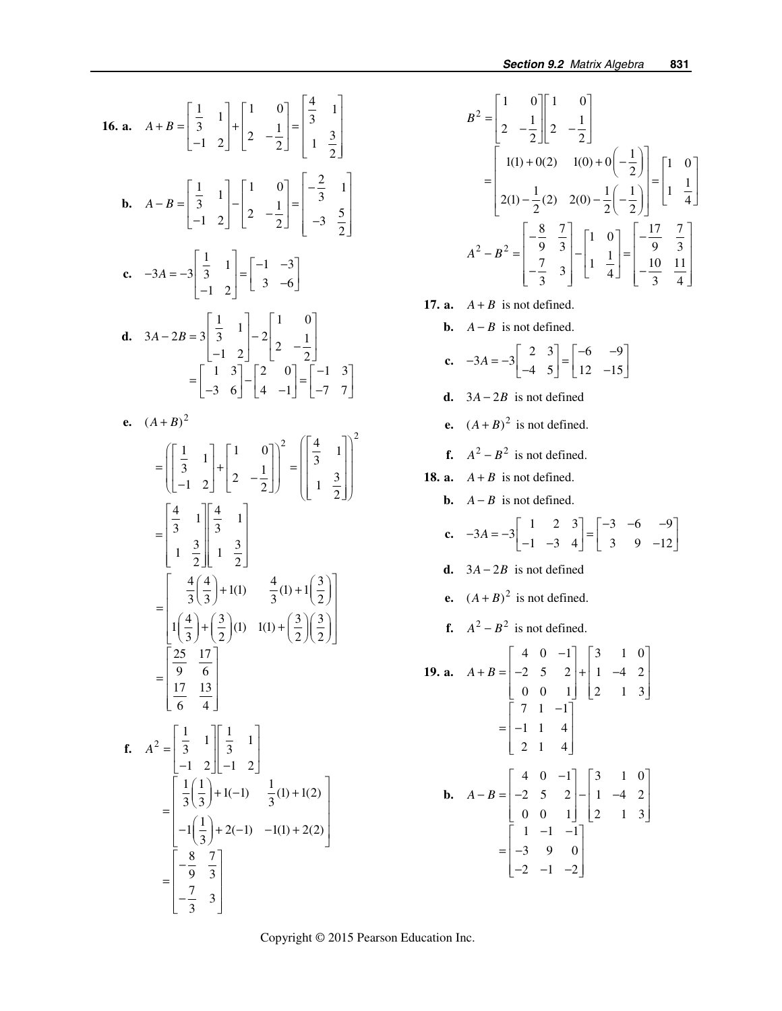16. a. 
$$
A + B = \begin{bmatrix} \frac{1}{3} & 1 \\ \frac{1}{3} & 1 \end{bmatrix} + \begin{bmatrix} 1 & 0 \\ 2 & -\frac{1}{2} \end{bmatrix} = \begin{bmatrix} \frac{4}{3} & 1 \\ 1 & \frac{3}{2} \end{bmatrix}
$$
  
\nb.  $A - B = \begin{bmatrix} \frac{1}{3} & 1 \\ -1 & 2 \end{bmatrix} - \begin{bmatrix} 1 & 0 \\ 2 & -\frac{1}{2} \end{bmatrix} = \begin{bmatrix} -\frac{2}{3} & 1 \\ -3 & \frac{5}{2} \end{bmatrix}$   
\nc.  $-3A = -3 \begin{bmatrix} \frac{1}{3} & 1 \\ -1 & 2 \end{bmatrix} = \begin{bmatrix} -1 & -3 \\ 3 & -6 \end{bmatrix}$   
\nd.  $3A - 2B = 3 \begin{bmatrix} \frac{1}{3} & 1 \\ -1 & 2 \end{bmatrix} - 2 \begin{bmatrix} 1 & 0 \\ 2 & -\frac{1}{2} \end{bmatrix}$   
\ne.  $(A + B)^2$   
\n $= \begin{bmatrix} \begin{bmatrix} 1 & 3 \\ 3 & 1 \\ -1 & 2 \end{bmatrix} + \begin{bmatrix} 1 & 0 \\ 2 & -\frac{1}{2} \end{bmatrix} = \begin{bmatrix} -1 & 3 \\ -7 & 7 \end{bmatrix}$   
\ne.  $(A + B)^2$   
\n $= \begin{bmatrix} \begin{bmatrix} \frac{4}{3} & 1 \\ 3 & 1 \\ 1 & 2 \end{bmatrix} + \begin{bmatrix} 1 & 0 \\ 2 & -\frac{1}{2} \end{bmatrix} = \begin{bmatrix} \begin{bmatrix} \frac{4}{3} & 1 \\ 1 & \frac{3}{2} \end{bmatrix}^2$   
\n $= \begin{bmatrix} \frac{4}{3} & 1 \\ \frac{4}{3} & \frac{1}{3} \end{bmatrix} + 1(1) - \frac{4}{3}(1) + 1(\frac{3}{2})$   
\n $= \begin{bmatrix} \frac{25}{9} & \frac{17}{6} \\ \frac{17}{6} & \frac{13}{4} \end{bmatrix}$   
\nf.  $A^2 = \begin{bmatrix} \frac{1}{3} & 1 \\ -1 &$ 

$$
B^{2} = \begin{bmatrix} 1 & 0 \\ 2 & -\frac{1}{2} \end{bmatrix} \begin{bmatrix} 1 & 0 \\ 2 & -\frac{1}{2} \end{bmatrix}
$$
  
= 
$$
\begin{bmatrix} 1(1) + 0(2) & 1(0) + 0(-\frac{1}{2}) \\ 2(1) - \frac{1}{2}(2) & 2(0) - \frac{1}{2}(-\frac{1}{2}) \end{bmatrix} = \begin{bmatrix} 1 & 0 \\ 1 & \frac{1}{4} \end{bmatrix}
$$
  

$$
A^{2} - B^{2} = \begin{bmatrix} -\frac{8}{9} & \frac{7}{3} \\ -\frac{7}{3} & 3 \end{bmatrix} - \begin{bmatrix} 1 & 0 \\ 1 & \frac{1}{4} \end{bmatrix} = \begin{bmatrix} -\frac{17}{9} & \frac{7}{3} \\ -\frac{10}{3} & \frac{11}{4} \end{bmatrix}
$$

**17. a.**  $A + B$  is not defined.

**b.**  $A - B$  is not defined.

**c.** 
$$
-3A = -3\begin{bmatrix} 2 & 3 \\ -4 & 5 \end{bmatrix} = \begin{bmatrix} -6 & -9 \\ 12 & -15 \end{bmatrix}
$$

- **d.**  $3A 2B$  is not defined
- **e.**  $(A + B)^2$  is not defined.
- **f.**  $A^2 B^2$  is not defined.
- **18. a.**  $A + B$  is not defined.
	- **b.**  $A B$  is not defined.

**c.** 
$$
-3A = -3\begin{bmatrix} 1 & 2 & 3 \ -1 & -3 & 4 \end{bmatrix} = \begin{bmatrix} -3 & -6 & -9 \ 3 & 9 & -12 \end{bmatrix}
$$

 $\overline{a}$ 

- **d.**  $3A 2B$  is not defined
- **e.**  $(A + B)^2$  is not defined.
- **f.**  $A^2 B^2$  is not defined.

**19. a.** 
$$
A + B = \begin{bmatrix} 4 & 0 & -1 \\ -2 & 5 & 2 \\ 0 & 0 & 1 \end{bmatrix} + \begin{bmatrix} 3 & 1 & 0 \\ 1 & -4 & 2 \\ 2 & 1 & 3 \end{bmatrix}
$$
  

$$
= \begin{bmatrix} 7 & 1 & -1 \\ -1 & 1 & 4 \\ 2 & 1 & 4 \end{bmatrix}
$$
  
**b.**  $A - B = \begin{bmatrix} 4 & 0 & -1 \\ -2 & 5 & 2 \\ 0 & 0 & 1 \end{bmatrix} - \begin{bmatrix} 3 & 1 & 0 \\ 1 & -4 & 2 \\ 2 & 1 & 3 \end{bmatrix}$   

$$
= \begin{bmatrix} 1 & -1 & -1 \\ -3 & 9 & 0 \\ -2 & -1 & -2 \end{bmatrix}
$$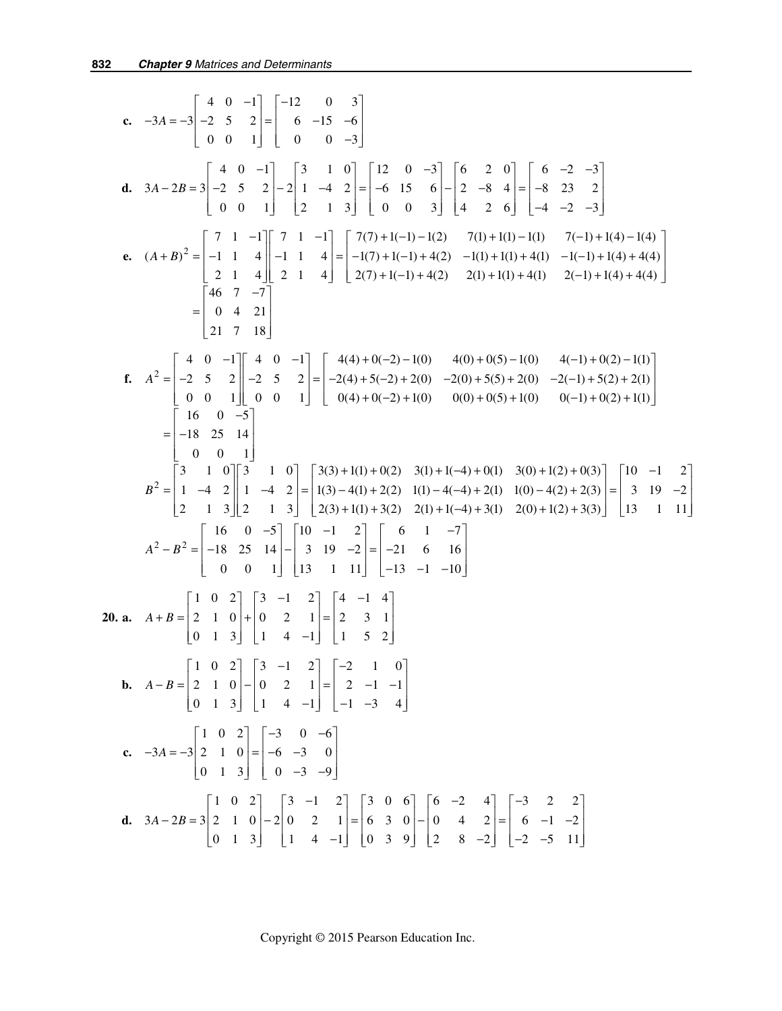c. 
$$
-3A = -3 \begin{bmatrix} 4 & 0 & -1 \ 0 & 0 & 1 \end{bmatrix} = \begin{bmatrix} -12 & 0 & 3 \ 0 & 0 & 1 \end{bmatrix}
$$
  
\nd.  $3A - 2B = 3 \begin{bmatrix} 4 & 0 & -1 \ 0 & 2 & 1 \ 0 & 0 & 1 \end{bmatrix} = \begin{bmatrix} 3 & 1 & 0 \ 2 & 1 & 3 \end{bmatrix} = \begin{bmatrix} 12 & 0 & -3 \ -6 & 15 & 6 \end{bmatrix} = \begin{bmatrix} 6 & 2 & 0 \ -9 & 3 & 4 \ 0 & 0 & 3 \end{bmatrix} = \begin{bmatrix} 6 & -2 & -3 \ -2 & -8 & 4 \ -8 & 23 & 2 \end{bmatrix}$   
\ne.  $(A+B)^2 = \begin{bmatrix} 7 & 1 & -1 \ -1 & 1 & 4 \ 2 & 1 & 4 \end{bmatrix} = \begin{bmatrix} 7 & 1 & -1 \ -1 & 1 & 4 \end{bmatrix} = \begin{bmatrix} 7(7) + 1(-1) - 1(2) & 7(1) + 1(1) - 1(1) & 7(-1) + 1(4) + 4(4) \ -1(4) + 4(4) & 2(4) + 2(4) & 2(4) + 1(4) + 4(2) & 2(4) + 1(1) + 4(1) & 2(-1) + 1(4) + 4(4) \end{bmatrix}$   
\n $= \begin{bmatrix} 4 & 0 & -1 \ 0 & 4 & 21 \ 21 & 7 & 18 \end{bmatrix}$   
\nf.  $A^2 = \begin{bmatrix} 4 & 0 & -1 \ 0 & 0 & 1 \ 0 & 0 & 1 \end{bmatrix} = \begin{bmatrix} 4(4) + 0(-2) - 1(0) & 4(0) + 0(5) - 1(0) & 4(-1) + 0(2) - 1(1) \ 0(4) + 0(2) + 1(0) & 0(0) + 0(5) + 1(0) & 0(-1) + 0(2) + 1(1) \end{bmatrix}$   
\nf.  $A^2 = \begin{bmatrix} 4 & 0 & -1 \ 0 & 0 & 1 \ 1 & 0 & 0 \end{bmatrix} = \begin$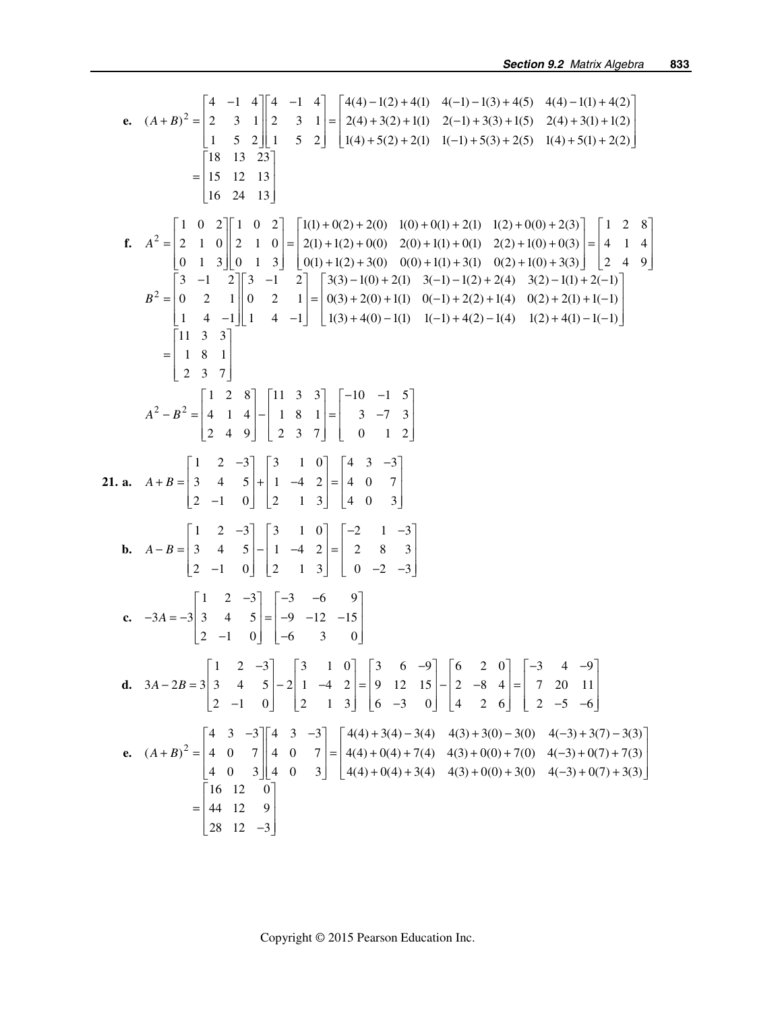e. 
$$
(A+B)^2 = \begin{bmatrix} 4 & -1 & 4 \ 2 & 3 & 1 \ 1 & 5 & 2 \end{bmatrix} \begin{bmatrix} 4 & -1 & 4 \ 2 & 3 & 1 \ 1 & 5 & 2 \end{bmatrix} = \begin{bmatrix} 4(4) - 1(2) + 4(1) & 4(-1) - 1(3) + 4(5) & 4(4) - 1(1) + 4(2) \ 1(4) + 5(1) + 2(2) \end{bmatrix}
$$
  
\n
$$
= \begin{bmatrix} 18 & 13 & 23 \ 18 & 2 & 3 \ 1 & 5 & 2 \end{bmatrix} \begin{bmatrix} 1 & 0 & 2 \ 1 & 0 & 2 \ 1 & 4 & 3 \end{bmatrix}
$$
  
\n
$$
= \begin{bmatrix} 18 & 13 & 23 \ 1 & 2 & 13 \ 1 & 3 \end{bmatrix}
$$
  
\n
$$
= \begin{bmatrix} 1 & 0 & 2 \ 1 & 0 & 2 \ 0 & 1 & 3 \end{bmatrix} \begin{bmatrix} 1 & 0 & 2 \ 0 & 1 & 3 \ 0 & 1 & 3 \end{bmatrix} = \begin{bmatrix} 1(1) + 0(2) + 2(0) & 1(0) + 0(1) + 2(1) & 1(2) + 0(0) + 2(3) & 1(4) + 5(1) + 2(2) \ 2(1) + 1(0) + 3(3) & 0(2) + 1(0) + 3(3) & 2(2) + 1(4) + 3(3) & 2(2) + 1(4) + 3(3) & 2(2) + 1(3) + 3(3) & 2(3) + 1(4) + 3(4) & 2(5) + 1(5) + 2(6) & 5(6) + 2(7) + 2(8) & 3(2) + 1(1) + 3(3) & 3(2) + 1(1) + 2(-1) \end{bmatrix}
$$
  
\n
$$
B^2 = \begin{bmatrix} 3 & -1 & 2 \ 0 & 2 & 1 \ 1 & 4 & -1 \end{bmatrix} \begin{bmatrix} 1 & 3 & 3 \ 0 & 3 & -1 \ 1 & 4 & -1 \end{bmatrix} = \begin{bmatrix} -1
$$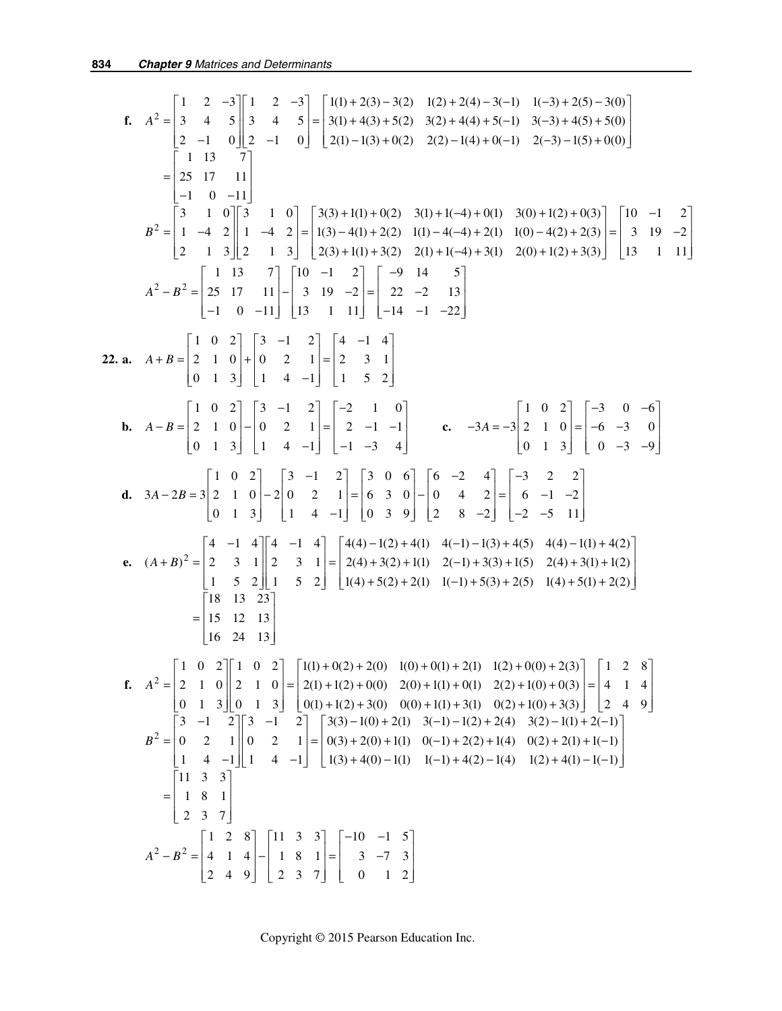f. 
$$
A^2 = \begin{bmatrix} 1 & 2 & -3 \ 3 & 4 & 5 \ 2 & -1 & 0 \end{bmatrix} = \begin{bmatrix} 1(1) + 2(3) - 3(2) & 1(2) + 2(4) - 3(-1) & 1(-3) + 2(5) - 3(0) \ 2(1) + 4(3) + 5(0) & 2(1) + 4(3) + 5(-1) & 3(-3) + 4(5) + 5(0) \end{bmatrix}
$$
  
\n
$$
= \begin{bmatrix} 1 & 13 & 7 \ 1 & 3 & 7 \ 2 & 1 & 11 \end{bmatrix}
$$
\n
$$
= \begin{bmatrix} 1 & 13 & 7 \ 3 & 1 & 0 \ 2 & 1 & 0 \end{bmatrix} = \begin{bmatrix} 3(3) + 1(1) + 0(2) & 3(1) + 1(-4) + 0(1) & 3(0) + 1(2) + 0(3) \ 2(1) + 4(-4) + 2(1) & 1(0) - 4(2) + 2(3) \end{bmatrix} = \begin{bmatrix} 10 & -1 & 2 \ 3 & 12 & -1 & 3 \ 1 & 3 & 2 & 1 \end{bmatrix}
$$
\n
$$
A^2 - B^2 = \begin{bmatrix} 25 & 17 & 11 \ 25 & 17 & 11 \end{bmatrix} = \begin{bmatrix} 1(0) + 2(3) + 1(1) + 3(2) & 2(1) + 1(-4) + 3(1) & 2(0) + 1(2) + 3(3) \end{bmatrix} = \begin{bmatrix} 10 & -1 & 2 \ 3 & 19 & -2 \ 13 & 11 & 2 \end{bmatrix}
$$
\n
$$
A^2 - B^2 = \begin{bmatrix} 25 & 17 & 11 \ 25 & 17 & 11 \end{bmatrix} = \begin{bmatrix} 10 & -1 & 2 \ 3 & -1 & 2 \ 1 & 3 & 1 & 11 \end{bmatrix} = \begin{bmatrix} 4 & -1 & 4 \ -1 & -1 & -2 \end{bmatrix}
$$
\n
$$
= \begin{bmatrix} 1 & 0 & 2 \ 2 & -1 & 0 \ -1 & 0 & -11 \end{bmatrix} = \begin{bmatrix}
$$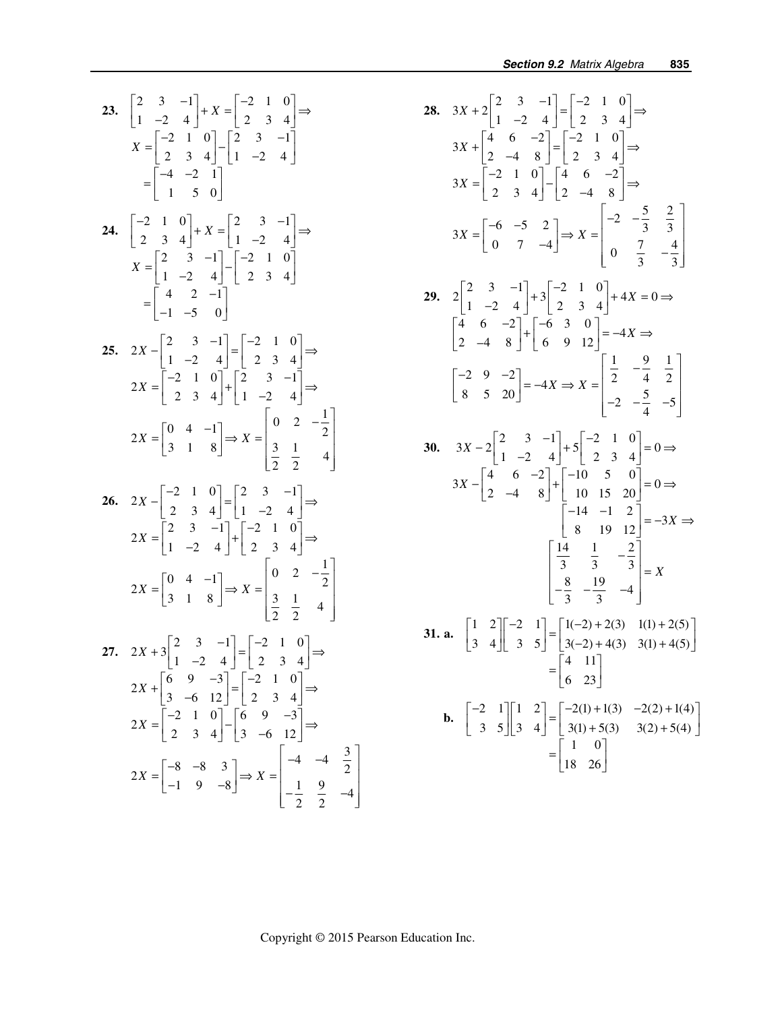**23.**  $\begin{vmatrix} 2 & 3 & -1 \\ 1 & 2 & 1 \end{vmatrix} + X = \begin{vmatrix} -2 & 1 & 0 \\ 2 & 2 & 1 \end{vmatrix}$  $\begin{bmatrix} 2 & 3 & -1 \\ 1 & -2 & 4 \end{bmatrix} + X = \begin{bmatrix} -2 & 1 & 0 \\ 2 & 3 & 4 \end{bmatrix} \Rightarrow$ 2 1 0 |  $\begin{vmatrix} 2 & 3 & -1 \\ 2 & 2 & -1 \\ 2 & 2 & -1 \end{vmatrix}$ 2 3 4 |  $1 -2 4$ 4  $-2$  1 1 50  $X = \begin{bmatrix} -2 & 1 & 0 \\ 2 & 3 & 4 \end{bmatrix} - \begin{bmatrix} 2 & 3 & -1 \\ 1 & -2 & 4 \end{bmatrix}$  $=\begin{bmatrix} -4 & -2 & 1 \\ 1 & 5 & 0 \end{bmatrix}$ **24.**  $\begin{vmatrix} -2 & 1 & 0 \\ 2 & 3 & -1 \end{vmatrix} + X = \begin{vmatrix} 2 & 3 & -1 \\ 1 & 2 & 1 \end{vmatrix}$  $\begin{bmatrix} -2 & 1 & 0 \\ 2 & 3 & 4 \end{bmatrix} + X = \begin{bmatrix} 2 & 3 & -1 \\ 1 & -2 & 4 \end{bmatrix} \Rightarrow$ 2 3  $-1$  |  $-2$  1 0  $1 -2 4$  | 2 3 4 4 2  $-1$  $1 -5 0$  $X = \begin{bmatrix} 2 & 3 & -1 \\ 1 & -2 & 4 \end{bmatrix} - \begin{bmatrix} -2 & 1 & 0 \\ 2 & 3 & 4 \end{bmatrix}$  $=\begin{bmatrix} 4 & 2 & -1 \\ -1 & -5 & 0 \end{bmatrix}$ **25.**  $2X - \begin{bmatrix} 2 & 3 & -1 \\ 1 & -2 & 4 \end{bmatrix} = \begin{bmatrix} -2 & 1 & 0 \\ 2 & 3 & 4 \end{bmatrix} \Rightarrow$  $2X = \begin{bmatrix} -2 & 1 & 0 \\ 2 & 3 & 4 \end{bmatrix} + \begin{bmatrix} 2 & 3 & -1 \\ 1 & -2 & 4 \end{bmatrix} \Rightarrow$  $2X = \begin{bmatrix} 0 & 4 & -1 \\ 2 & 1 & 0 \end{bmatrix} \Rightarrow X = \begin{bmatrix} 0 & 2 & -\frac{1}{2} \\ 2 & 1 & 2 \end{bmatrix}$ 3 1 8  $\begin{bmatrix} 3 & 1 & 4 \ 2 & 2 & 4 \end{bmatrix}$  $X = \begin{bmatrix} 0 & 4 & -1 \\ 2 & 1 & 2 \end{bmatrix} \Rightarrow X = \begin{bmatrix} 0 & 2 & -\frac{1}{2} \\ 2 & 1 & 2 \end{bmatrix}$  $=\begin{bmatrix} 3 & 1 & 8 \end{bmatrix} \Rightarrow X = \begin{bmatrix} 3 & 1 & 2 \ 2 & 2 & 4 \end{bmatrix}$ **26.**  $2X - \begin{bmatrix} -2 & 1 & 0 \\ 2 & 3 & 4 \end{bmatrix} = \begin{bmatrix} 2 & 3 & -1 \\ 1 & -2 & 4 \end{bmatrix} \Rightarrow$  $2X = \begin{bmatrix} 2 & 3 & -1 \\ 1 & -2 & 4 \end{bmatrix} + \begin{bmatrix} -2 & 1 & 0 \\ 2 & 3 & 4 \end{bmatrix}$  $2X = \begin{bmatrix} 0 & 4 & -1 \\ 2 & 1 & 0 \end{bmatrix} \Rightarrow X = \begin{bmatrix} 0 & 2 & -\frac{1}{2} \\ 2 & 1 & 0 \end{bmatrix}$  $\begin{bmatrix} 3 & 1 & 8 \end{bmatrix}$   $\begin{bmatrix} \frac{3}{2} & \frac{1}{2} & 4 \end{bmatrix}$  $X = \begin{bmatrix} 0 & 4 & -1 \\ 2 & 1 & 8 \end{bmatrix} \Rightarrow X = \begin{bmatrix} 0 & 2 & -\frac{1}{2} \\ 2 & 1 & 2 \end{bmatrix}$  $=\begin{bmatrix} 3 & 1 & 8 \end{bmatrix} \Rightarrow X = \begin{bmatrix} 3 & 1 & 2 \ 2 & 2 & 4 \end{bmatrix}$ **27.**  $2X+3\begin{vmatrix} 2 & 3 & -1 \\ 1 & -2 & 4 \end{vmatrix} = \begin{vmatrix} -2 & 1 & 0 \\ 2 & 3 & 4 \end{vmatrix}$  $2X + \begin{vmatrix} 6 & 9 & -3 \\ 3 & -6 & 12 \end{vmatrix} = \begin{vmatrix} -2 & 1 & 0 \\ 2 & 3 & 4 \end{vmatrix}$  $2X = \begin{vmatrix} -2 & 1 & 0 \\ 2 & 3 & 4 \end{vmatrix} - \begin{vmatrix} 6 & 9 & -3 \\ 3 & -6 & 12 \end{vmatrix}$  $2X = \begin{bmatrix} -8 & -8 & 3 \\ 1 & 2 & 3 \end{bmatrix} \Rightarrow X = \begin{bmatrix} -4 & -4 & \frac{3}{2} \\ 1 & 2 & 3 \end{bmatrix}$  $\begin{bmatrix} 1 & 9 & -8 \end{bmatrix}$   $\begin{bmatrix} -\frac{1}{2} & \frac{9}{2} & -4 \end{bmatrix}$ *X X X*  $X = \begin{bmatrix} -8 & -8 & 3 \\ 1 & 0 & 0 \end{bmatrix} \Rightarrow X = \begin{bmatrix} -4 & -4 & \frac{3}{2} \\ 1 & 0 & 0 \end{bmatrix}$  $+3\begin{bmatrix} 2 & 3 & -1 \\ 1 & -2 & 4 \end{bmatrix} = \begin{bmatrix} -2 & 1 & 0 \\ 2 & 3 & 4 \end{bmatrix} \Rightarrow$  $+\begin{bmatrix} 6 & 9 & -3 \\ 3 & -6 & 12 \end{bmatrix} = \begin{bmatrix} -2 & 1 & 0 \\ 2 & 3 & 4 \end{bmatrix} \Rightarrow$  $=\begin{bmatrix} -2 & 1 & 0 \\ 2 & 3 & 4 \end{bmatrix} - \begin{bmatrix} 6 & 9 & -3 \\ 3 & -6 & 12 \end{bmatrix} \Rightarrow$  $=\begin{bmatrix} -1 & 9 & -8 \end{bmatrix} \Rightarrow X = \begin{bmatrix} 1 & 9 & 2 \ -1 & 9 & -8 \end{bmatrix}$ 

28. 
$$
3X + 2\begin{bmatrix} 2 & 3 & -1 \ 1 & -2 & 4 \end{bmatrix} = \begin{bmatrix} -2 & 1 & 0 \ 2 & 3 & 4 \end{bmatrix} \Rightarrow
$$
  
\n $3X + \begin{bmatrix} 4 & 6 & -2 \ 2 & -4 & 8 \end{bmatrix} = \begin{bmatrix} -2 & 1 & 0 \ 2 & 3 & 4 \end{bmatrix} \Rightarrow$   
\n $3X = \begin{bmatrix} -2 & 1 & 0 \ 2 & 3 & 4 \end{bmatrix} - \begin{bmatrix} 4 & 6 & -2 \ 2 & -4 & 8 \end{bmatrix} \Rightarrow$   
\n $3X = \begin{bmatrix} -6 & -5 & 2 \ 0 & 7 & -4 \end{bmatrix} \Rightarrow X = \begin{bmatrix} -2 & -\frac{5}{3} & \frac{2}{3} \ 0 & \frac{7}{3} & -\frac{4}{3} \end{bmatrix}$   
\n29.  $2\begin{bmatrix} 2 & 3 & -1 \ 1 & -2 & 4 \end{bmatrix} + 3\begin{bmatrix} -2 & 1 & 0 \ 2 & 3 & 4 \end{bmatrix} + 4X = 0 \Rightarrow$   
\n $\begin{bmatrix} 4 & 6 & -2 \ 2 & -4 & 8 \end{bmatrix} + \begin{bmatrix} -6 & 3 & 0 \ 6 & 9 & 12 \end{bmatrix} = -4X \Rightarrow$   
\n $\begin{bmatrix} -2 & 9 & -2 \ 8 & 5 & 20 \end{bmatrix} = -4X \Rightarrow X = \begin{bmatrix} \frac{1}{2} & -\frac{9}{4} & \frac{1}{2} \\ -2 & -\frac{5}{4} & -5 \end{bmatrix}$   
\n30.  $3X - 2\begin{bmatrix} 2 & 3 & -1 \ 1 & -2 & 4 \end{bmatrix} + 5\begin{bmatrix} -2 & 1 & 0 \ 2 & 3 & 4 \end{bmatrix} = 0 \Rightarrow$   
\n $3X - \begin{bmatrix} 4 & 6 & -2 \ 2 & -4 & 8 \end{bmatrix} + \begin{bmatrix} -10 & 5 & 0 \ 10 & 15 & 20 \end{bmatrix} = 0 \Rightarrow$   
\n $3X - \begin{bmatrix} 4 & 6 & -2 \ 2 & -4 & 8 \$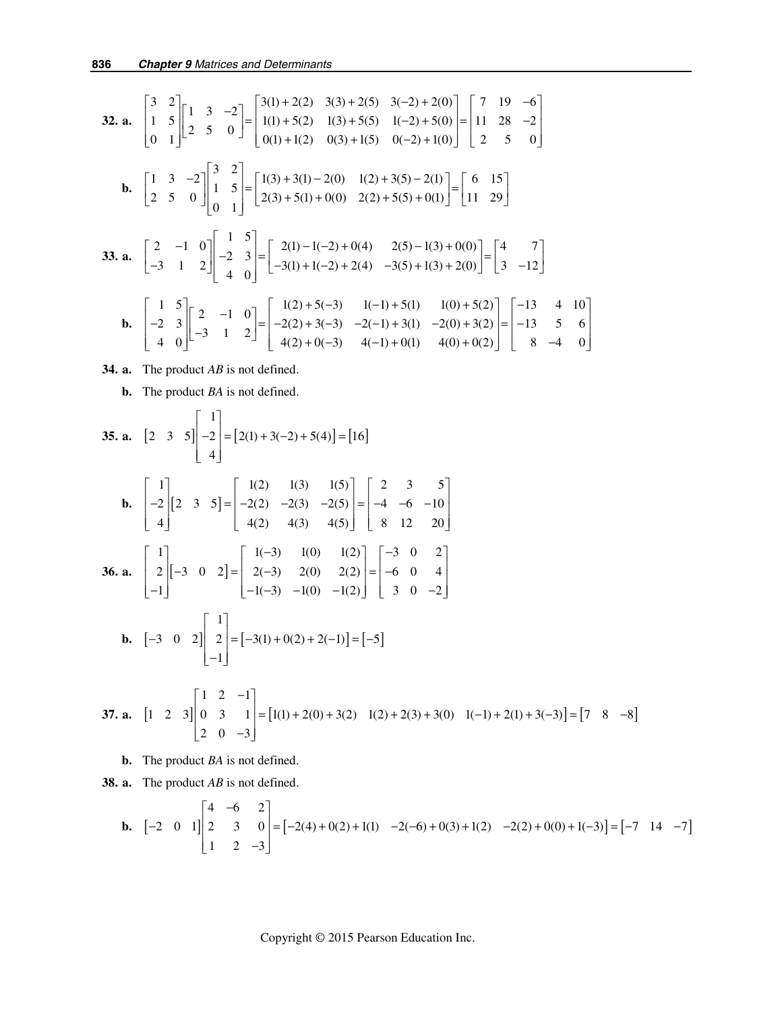32. a. 
$$
\begin{bmatrix} 3 & 2 \ 1 & 5 \ 0 & 1 \end{bmatrix} \begin{bmatrix} 1 & 3 & -2 \ 2 & 5 & 0 \end{bmatrix} = \begin{bmatrix} 3(1) + 2(2) & 3(3) + 2(5) & 3(-2) + 2(0) \ 1(1) + 5(2) & 1(3) + 5(5) & 1(-2) + 5(0) \ 0(1) + 1(2) & 0(3) + 1(5) & 0(-2) + 1(0) \end{bmatrix} = \begin{bmatrix} 7 & 19 & -6 \ 11 & 28 & -2 \ 2 & 5 & 0 \end{bmatrix}
$$
  
\nb. 
$$
\begin{bmatrix} 1 & 3 & -2 \ 2 & 5 & 0 \end{bmatrix} \begin{bmatrix} 3 & 2 \ 1 & 5 \ 0 & 1 \end{bmatrix} = \begin{bmatrix} 1(3) + 3(1) - 2(0) & 1(2) + 3(5) - 2(1) \ 2(3) + 5(1) + 0(0) & 2(2) + 5(5) + 0(1) \end{bmatrix} = \begin{bmatrix} 6 & 15 \ 11 & 29 \end{bmatrix}
$$
  
\n33. a. 
$$
\begin{bmatrix} 2 & -1 & 0 \ -3 & 1 & 2 \end{bmatrix} \begin{bmatrix} 1 & 5 \ -2 & 3 \ 4 & 0 \end{bmatrix} = \begin{bmatrix} 2(1) - 1(-2) + 0(4) & 2(5) - 1(3) + 0(0) \ -3(5) + 1(3) + 2(0) \end{bmatrix} = \begin{bmatrix} 4 & 7 \ 3 & -12 \end{bmatrix}
$$
  
\nb. 
$$
\begin{bmatrix} 1 & 5 \ -2 & 3 \ 4 & 0 \end{bmatrix} \begin{bmatrix} 2 & -1 & 0 \ -3 & 1 & 2 \end{bmatrix} = \begin{bmatrix} 1(2) + 5(-3) & 1(-1) + 5(1) & 1(0) + 5(2) \ 4(2) + 0(-3) & 4(-1) + 0(1) & 4(0) + 0(2) \end{bmatrix} = \begin{bmatrix} -13 & 4 & 10 \ -13 & 5 & 6 \ 8 & -4 & 0 \end
$$

- **34. a.** The product *AB* is not defined.
	- **b.** The product *BA* is not defined.

**35. a.** 
$$
\begin{bmatrix} 2 & 3 & 5 \end{bmatrix} \begin{bmatrix} 1 \\ -2 \\ 4 \end{bmatrix} = [2(1) + 3(-2) + 5(4)] = [16]
$$
  
\n**b.**  $\begin{bmatrix} 1 \\ -2 \\ 4 \end{bmatrix} \begin{bmatrix} 2 & 3 & 5 \end{bmatrix} = \begin{bmatrix} 1(2) & 1(3) & 1(5) \\ -2(2) & -2(3) & -2(5) \\ 4(2) & 4(3) & 4(5) \end{bmatrix} = \begin{bmatrix} 2 & 3 & 5 \\ -4 & -6 & -10 \\ 8 & 12 & 20 \end{bmatrix}$   
\n**36. a.**  $\begin{bmatrix} 1 \\ 2 \\ -1 \end{bmatrix} \begin{bmatrix} -3 & 0 & 2 \end{bmatrix} = \begin{bmatrix} 1(-3) & 1(0) & 1(2) \\ 2(-3) & 2(0) & 2(2) \\ -1(-3) & -1(0) & -1(2) \end{bmatrix} = \begin{bmatrix} -3 & 0 & 2 \\ -6 & 0 & 4 \\ 3 & 0 & -2 \end{bmatrix}$   
\n**b.**  $\begin{bmatrix} -3 & 0 & 2 \end{bmatrix} \begin{bmatrix} 1 \\ 2 \\ -1 \end{bmatrix} = [-3(1) + 0(2) + 2(-1)] = [-5]$ 

**37. a.**  $\begin{vmatrix} 1 & 2 & 3 \end{vmatrix} \begin{vmatrix} 0 & 3 & 1 \end{vmatrix} = \begin{vmatrix} 1(1) + 2(0) + 3(2) & 1(2) + 2(3) + 3(0) & 1(-1) + 2(1) + 3(-3) \end{vmatrix} = \begin{vmatrix} 7 & 8 & -8 \end{vmatrix}$  $1 \quad 2 \quad -1$ 1 2 3 || 0 3 1 | =  $\vert 1(1) + 2(0) + 3(2) 1(2) + 2(3) + 3(0) 1(-1) + 2(1) + 3(-3) \vert = \vert 7 \vert 8 \vert -8$ 2 0  $-3$  $\begin{vmatrix} 1 & 2 & -1 \end{vmatrix}$  $\begin{vmatrix} 0 & 3 & 1 \end{vmatrix}$  =  $\begin{bmatrix} 1(1) + 2(0) + 3(2) & 1(2) + 2(3) + 3(0) & 1(-1) + 2(1) + 3(-3) \end{bmatrix}$  =  $\begin{bmatrix} 7 & 8 & -1 \end{bmatrix}$  $\begin{bmatrix} 2 & 0 & -3 \end{bmatrix}$ 

 **b.** The product *BA* is not defined.

 **38. a.** The product *AB* is not defined.

**b.** 
$$
\begin{bmatrix} -2 & 0 & 1 \end{bmatrix} \begin{bmatrix} 4 & -6 & 2 \\ 2 & 3 & 0 \\ 1 & 2 & -3 \end{bmatrix} = \begin{bmatrix} -2(4) + 0(2) + 1(1) & -2(-6) + 0(3) + 1(2) & -2(2) + 0(0) + 1(-3) \end{bmatrix} = \begin{bmatrix} -7 & 14 & -7 \end{bmatrix}
$$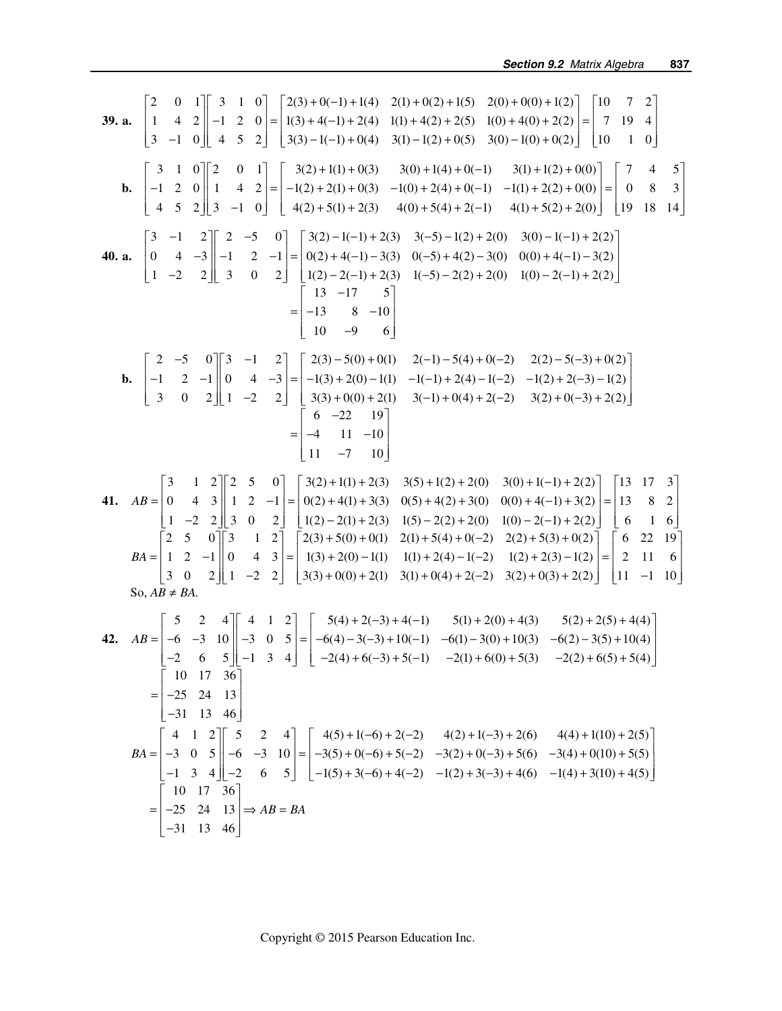39. a. 
$$
\begin{bmatrix} 2 & 0 & 1 \ 1 & 4 & 2 \ 3 & -1 & 0 \ \end{bmatrix} = \begin{bmatrix} 3 & 1 & 0 \ 1 & 2 & 0 \ 3 & 0 \ \end{bmatrix} = \begin{bmatrix} 2(3) + 0(-1) + 1(4) & 2(1) + 0(2) + 1(5) & 2(0) + 0(0) + 1(2) \ 1(0) + 4(0) + 2(2) \ 1(0) + 4(0) + 2(2) \ 1(0) & 1 & 0 \end{bmatrix} = \begin{bmatrix} 10 & 7 & 2 \ 7 & 19 & 4 \ 7 & 10 & 1 \ 1 & 0 & 1 \ \end{bmatrix}
$$
  
\nb. 
$$
\begin{bmatrix} 3 & 1 & 0 \ -1 & 2 & 0 \ 4 & 5 & 2 \ \end{bmatrix} = \begin{bmatrix} 3(2) + 1(1) + 0(3) & 3(0) + 1(4) + 0(-1) & 3(1) + 1(2) + 0(0) \ 1(0) + 2(4) + 0(-1) & -1(1) + 2(2) + 0(0) \ 4(3) & 4(2) + 5(1) + 2(3) & 4(0) + 5(4) + 2(-1) & 4(1) + 5(2) + 2(0) \end{bmatrix} = \begin{bmatrix} 7 & 4 & 5 \ 1 & 5 & 5 \ 1 & 8 & 14 \ \end{bmatrix}
$$
  
\n40. a. 
$$
\begin{bmatrix} 3 & -1 & 2 \ 0 & 4 & -3 \ 1 & -2 & 2 \ \end{bmatrix} = \begin{bmatrix} 2 & -5 & 0 \ 3 & 0 & 2 \ 3 & 0 & 2 \ \end{bmatrix} = \begin{bmatrix} 3(2) -1(-1) + 2(3) & 3(-5) - 1(2) + 2(0) & 3(0) - (-1) + 2(2) \ 1(0) - 2(-1) + 2(2) \ 1(0) - 2(-1) + 2(2) \ 1(0) - 2(-1) + 2(2) \ 1(0) - 2(-1) + 2(2) \ 1(0) - 2(-1) + 2(2) \ 1(0) - 2(-1) + 2(2) \
$$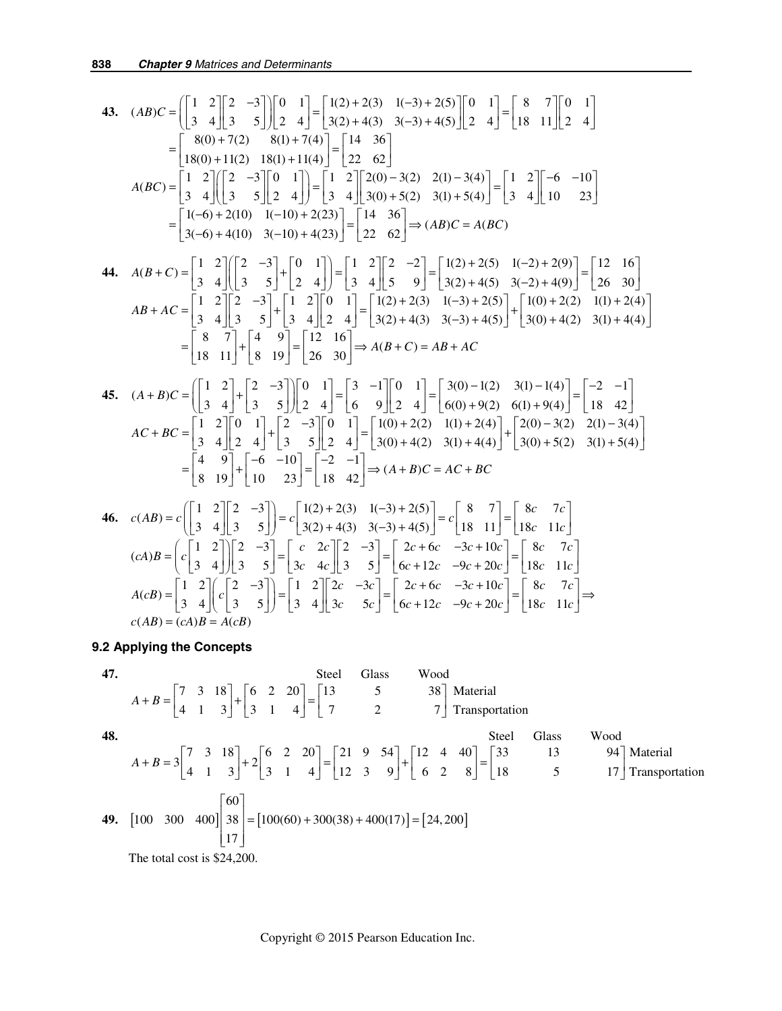43. 
$$
(AB)C = \begin{bmatrix} 1 & 2 \ 3 & 4 \end{bmatrix} \begin{bmatrix} 2 & -3 \ 3 & 5 \end{bmatrix} \begin{bmatrix} 0 & 1 \ 2 & 4 \end{bmatrix} = \begin{bmatrix} 1(2) + 2(3) & 1(-3) + 2(5) \ 3(2) + 4(3) & 3(-3) + 4(5) \end{bmatrix} \begin{bmatrix} 0 & 1 \ 2 & 4 \end{bmatrix} = \begin{bmatrix} 8 & 7 \ 18 & 11 \end{bmatrix} \begin{bmatrix} 0 & 1 \ 2 & 4 \end{bmatrix}
$$
  
\n
$$
= \begin{bmatrix} 8(0) + 7(2) & 8(1) + 7(4) \ 18(1) + 1(4) \end{bmatrix} = \begin{bmatrix} 14 & 36 \ 22 & 62 \end{bmatrix}
$$
  
\n
$$
A(BC) = \begin{bmatrix} 1 & 2 \ 3 & 4 \end{bmatrix} \begin{bmatrix} 2 & -3 \ 3 & 5 \end{bmatrix} \begin{bmatrix} 0 & 1 \ 2 & 4 \end{bmatrix} = \begin{bmatrix} 1 & 2 \ 3 & 4 \end{bmatrix} \begin{bmatrix} 2(0) - 3(2) & 2(1) - 3(4) \ 3(0) + 5(2) & 3(1) + 5(4) \end{bmatrix} = \begin{bmatrix} 1 & 2 \ 3 & 4 \end{bmatrix} \begin{bmatrix} -6 & -10 \ 10 & 23 \end{bmatrix}
$$
  
\n
$$
= \begin{bmatrix} 1(-6) + 2(10) & 1(-10) + 2(23) \ 3(-6) + 4(10) & 3(-10) + 4(23) \end{bmatrix} = \begin{bmatrix} 14 & 36 \ 22 & 62 \end{bmatrix} \Rightarrow (ABC) = A(BC)
$$
  
\n44.  $A(B + C) = \begin{bmatrix} 1 & 2 \ 3 & 4 \end{bmatrix} \begin{bmatrix} 2 & -3 \ 3 & 5 \end{bmatrix} + \begin{bmatrix} 0 & 1 \ 2 & 4 \end{bmatrix} = \begin{bmatrix} 1 & 2 \ 3 & 4 \end{bmatrix} \begin{bmatrix} 2 & -2 \ 3 & 62 \end{bmatrix$ 

**9.2 Applying the Concepts** 

47.   
\n318  
\n51. 
$$
A + B = \begin{bmatrix} 7 & 3 & 18 \\ 4 & 1 & 3 \end{bmatrix} + \begin{bmatrix} 6 & 2 & 20 \\ 3 & 1 & 4 \end{bmatrix} = \begin{bmatrix} 13 & 5 & 38 \\ 7 & 2 & 7 \end{bmatrix}
$$
 Material  
\n48.   
\n49.  $[100 \ 300 \ 400] \begin{bmatrix} 60 \\ 38 \\ 17 \end{bmatrix} = [100(60) + 300(38) + 400(17)] = [24, 200]$   
\nThe total cost is \$24,200.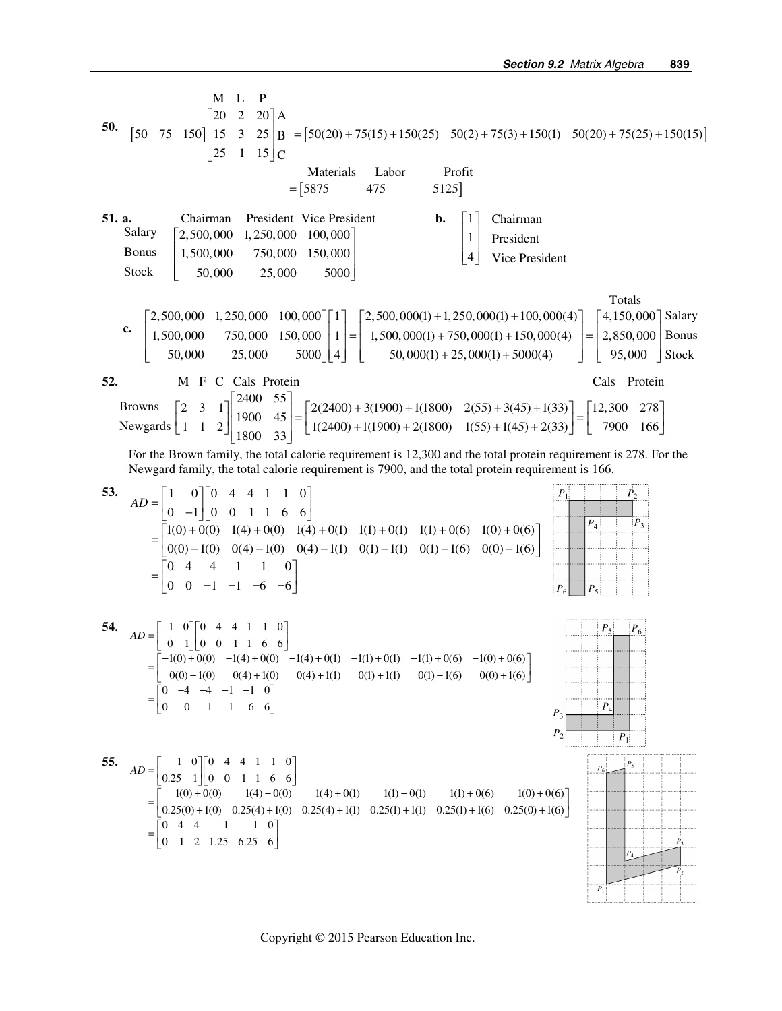ML P  $\begin{bmatrix} 20 & 2 & 20 \end{bmatrix}$ A **50.**  $\begin{bmatrix} 50 & 75 & 150 \end{bmatrix}$  15 3 25  $\begin{bmatrix} B = [50(20) + 75(15) + 150(25) & 50(2) + 75(3) + 150(1) & 50(20) + 75(25) + 150(15) \end{bmatrix}$  $\begin{bmatrix} 25 & 1 & 15 \end{bmatrix}$ C Materials Labor Profit  $=$  [5875 475 5125]  **51. a.** Chairman President Vice President **b.**  $\vert$  1 Chairman Salary  $\vert 1 \vert$  $\begin{bmatrix} 2,500,000 & 1,250,000 & 100,000 \end{bmatrix}$ President  $\vert \cdot \vert$  $\begin{array}{|l}\n1,500,000 & 750,000 & 150,000\n\end{array}$ Bonus  $\lfloor 4 \rfloor$ 4 Vice President Stock 50,000 25,000 5000 Totals  $\lceil 4, 150, 000 \rceil$  Salary  $\mid$  2,500,000 1,250,000 100,000  $\parallel$  1  $\mid$   $\mid$  2,500,000(1) + 1,250,000(1) + 100,000(4)  **c.**   $\begin{bmatrix} 1,500,000 & 750,000 & 150,000 \ 50,000 & 25,000 & 5000 \end{bmatrix}$  $\begin{bmatrix} 1 \\ 4 \end{bmatrix} = \begin{bmatrix} 1,500,000(1) + 750,000(1) + 150,000(4) \ 50,000(1) + 25,000(1) + 5000(4) \end{bmatrix} = \begin{bmatrix} 2,850,000 \\ 95,000 \end{bmatrix}$  Bonus  $\left[ 50,000 \quad 25,000 \quad 5000 \right] \left[ 4 \right] \left[ 50,000(1) + 25,000(1) + 5000(4) \right]$ 95,000 Stock **52. M** F C Cals Protein **Cals Protein** Cals Protein 2 3 1  $\begin{bmatrix} 2400 & 55 \\ 1900 & 45 \end{bmatrix}$  =  $\begin{bmatrix} 2(2400) + 3(1900) + 1(1800) & 2(55) + 3(45) + 1(33) \\ 14000 & 45 \end{bmatrix}$  =  $\begin{bmatrix} 12,300 & 278 \\ 7888 & 165 \end{bmatrix}$ Browns  $\begin{bmatrix} 2 & 3 & 1 \\ 1 & 1 & 2 \end{bmatrix} \begin{bmatrix} 2400 & 55 \\ 1900 & 45 \\ 1800 & 33 \end{bmatrix} = \begin{bmatrix} 2(2400) + 3(1900) + 1(1800) & 2(55) + 3(45) + 1(33) \\ 1(2400) + 1(1900) + 2(1800) & 1(55) + 1(45) + 2(33) \end{bmatrix} = \begin{bmatrix} 12,300 & 278 \\ 7900 & 166 \end{bmatrix$ Newgards For the Brown family, the total calorie requirement is 12,300 and the total protein requirement is 278. For the Newgard family, the total calorie requirement is 7900, and the total protein requirement is 166.  $\dot{P_2}$ **53.**  $\begin{bmatrix} 1 & 0 \end{bmatrix} \begin{bmatrix} 0 & 4 & 4 & 1 & 1 & 0 \end{bmatrix}$  $AD = \begin{bmatrix} 1 & 0 & 0 & 4 & 4 & 1 & 1 & 0 \\ 0 & -1 & 0 & 0 & 1 & 1 & 6 & 6 \end{bmatrix}$  $0 -1 \parallel 0 \mid 0 \mid 1 \mid 1 \mid 6 \mid 6$  $\boxed{P_4}$  $\overline{P_3}$  $= \begin{bmatrix} 1(0) + 0(0) & 1(4) + 0(0) & 1(4) + 0(1) & 1(1) + 0(1) & 1(1) + 0(6) & 1(0) + 0(6) \\ 0(0) - 1(0) & 0(4) - 1(0) & 0(4) - 1(1) & 0(1) - 1(1) & 0(1) - 1(6) & 0(0) - 1(6) \end{bmatrix}$  $1(0) + 0(0)$   $1(4) + 0(0)$   $1(4) + 0(1)$   $1(1) + 0(1)$   $1(1) + 0(6)$   $1(0) + 0(6)$  $0(0) - 1(0)$   $0(4) - 1(0)$   $0(4) - 1(1)$   $0(1) - 1(1)$   $0(1) - 1(6)$   $0(0) - 1(6)$ 04 4 1 1 0  $=\begin{bmatrix} 0 & 4 & 4 & 1 & 1 & 0 \\ 0 & 0 & -1 & -1 & -6 & -6 \end{bmatrix}$ 0 0  $-1$   $-1$   $-6$   $-6$  $P_6$  $P_{5}$ **54.**  $AD = \begin{bmatrix} -1 & 0 \\ 0 & 1 \end{bmatrix} \begin{bmatrix} 0 & 4 & 4 & 1 & 1 & 0 \\ 0 & 0 & 1 & 1 & 6 & 6 \end{bmatrix}$  $P_{5}$  $P_6$  $0 \t1 \t0 \t0 \t1 \t1 \t6 \t6$  $=\begin{bmatrix} -1(0) + 0(0) & -1(4) + 0(0) & -1(4) + 0(1) & -1(1) + 0(1) & -1(1) + 0(6) & -1(0) + 0(6) \\ 0(0) + 1(0) & 0(4) + 1(0) & 0(4) + 1(1) & 0(1) + 1(1) & 0(1) + 1(6) & 0(0) + 1(6) \end{bmatrix}$  $1(0) + 0(0) -1(4) + 0(0) -1(4) + 0(1) -1(1) + 0(1) -1(1) + 0(6) -1(0) + 0(6)$  $0(0) + 1(0)$   $0(4) + 1(0)$   $0(4) + 1(1)$   $0(1) + 1(1)$   $0(1) + 1(6)$   $0(0) + 1(6)$  $=\begin{bmatrix} 0 & -4 & -4 & -1 & -1 & 0 \\ 0 & 0 & 1 & 1 & 6 & 6 \end{bmatrix}$  $0 \t -4 \t -4 \t -1 \t -1 \t 0$  $\overline{P}$ 0 0 1 1 66  $P_3$  $P_1$ **55.**  $\begin{bmatrix} 1 & 0 \end{bmatrix}$  [0 4 4 1 1 0  $AD = \begin{bmatrix} 1 & 0 & 0 & 4 & 4 & 1 & 1 & 0 \\ 0.25 & 1 & 0 & 0 & 1 & 1 & 6 & 6 \end{bmatrix}$  $_{P}$  $= \begin{bmatrix} 1(0) + 0(0) & 1(4) + 0(0) & 1(4) + 0(1) & 1(1) + 0(1) & 1(1) + 0(6) & 1(0) + 0(6) \\ 0.25(0) + 1(0) & 0.25(4) + 1(0) & 0.25(4) + 1(1) & 0.25(1) + 1(1) & 0.25(1) + 1(6) & 0.25(0) + 1(6) \end{bmatrix}$  $1(0) + 0(0)$   $1(4) + 0(0)$   $1(4) + 0(1)$   $1(1) + 0(1)$   $1(1) + 0(6)$   $1(0) + 0(6)$ 044 1 10  $=\begin{bmatrix} 0 & 4 & 4 & 1 & 1 & 0 \\ 0 & 1 & 2 & 1.25 & 6.25 & 6 \end{bmatrix}$  $P_{A}$  $\boldsymbol{P}_1$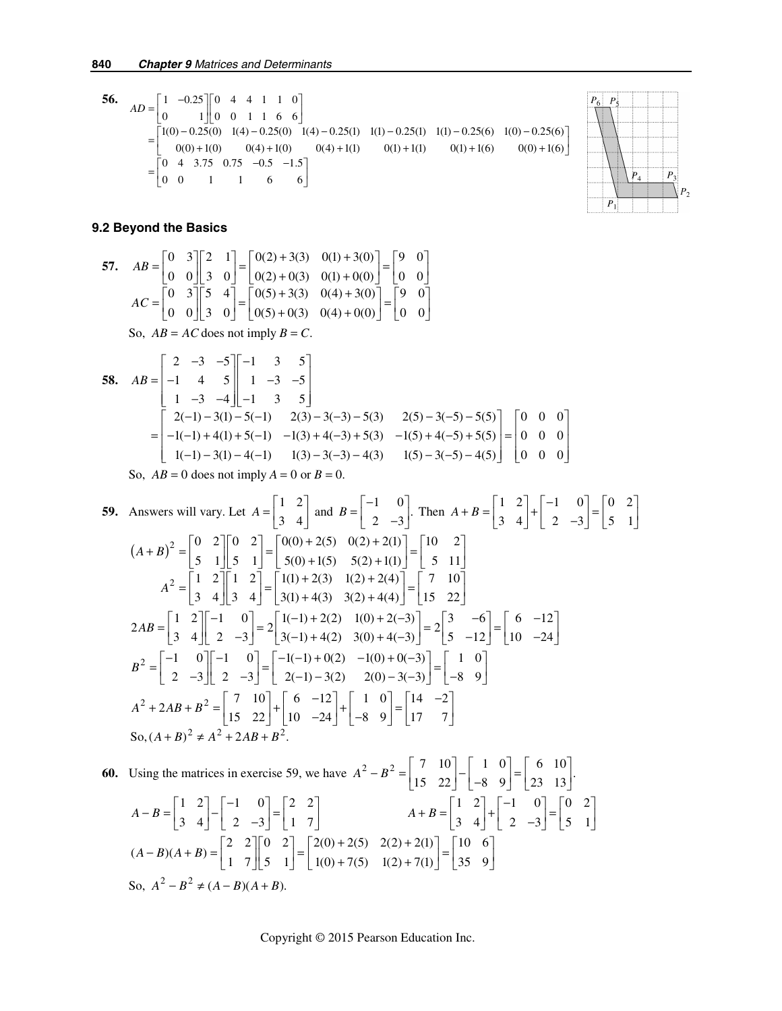**56.**  $\begin{bmatrix} 1 & -0.25 \end{bmatrix}$  [0 4 4 1 1 0 0  $1 \| 0 0 1 1 6 6$  $1(0) - 0.25(0)$   $1(4) - 0.25(0)$   $1(4) - 0.25(1)$   $1(1) - 0.25(1)$   $1(1) - 0.25(6)$   $1(0) - 0.25(6)$  $0(0) + 1(0)$   $0(4) + 1(0)$   $0(4) + 1(1)$   $0(1) + 1(1)$   $0(1) + 1(6)$   $0(0) + 1(6)$  $0 \quad 4 \quad 3.75 \quad 0.75 \quad -0.5 \quad -1.5$ 00 1 1 6 6  $AD = \begin{bmatrix} 1 & -0.25 \\ 0 & 1 \end{bmatrix} \begin{bmatrix} 0 & 4 & 4 & 1 & 1 & 0 \\ 0 & 0 & 1 & 1 & 6 & 6 \end{bmatrix}$  $=\begin{bmatrix} 1(0) - 0.25(0) & 1(4) - 0.25(0) & 1(4) - 0.25(1) & 1(1) - 0.25(1) & 1(1) - 0.25(6) & 1(0) - 0.25(6) \\ 0(0) + 1(0) & 0(4) + 1(0) & 0(4) + 1(1) & 0(1) + 1(1) & 0(1) + 1(6) & 0(0) + 1(6) \end{bmatrix}$  $=\begin{bmatrix} 0 & 4 & 3.75 & 0.75 & -0.5 & -1.5 \\ 0 & 0 & 1 & 1 & 6 & 6 \end{bmatrix}$ 



#### **9.2 Beyond the Basics**

57. 
$$
AB = \begin{bmatrix} 0 & 3 \\ 0 & 0 \end{bmatrix} \begin{bmatrix} 2 & 1 \\ 3 & 0 \end{bmatrix} = \begin{bmatrix} 0(2) + 3(3) & 0(1) + 3(0) \\ 0(2) + 0(3) & 0(1) + 0(0) \end{bmatrix} = \begin{bmatrix} 9 & 0 \\ 0 & 0 \end{bmatrix}
$$

$$
AC = \begin{bmatrix} 0 & 3 \\ 0 & 0 \end{bmatrix} \begin{bmatrix} 5 & 4 \\ 3 & 0 \end{bmatrix} = \begin{bmatrix} 0(5) + 3(3) & 0(4) + 3(0) \\ 0(5) + 0(3) & 0(4) + 0(0) \end{bmatrix} = \begin{bmatrix} 9 & 0 \\ 0 & 0 \end{bmatrix}
$$
So,  $AB = AC$  does not imply  $B = C$ .

58. 
$$
AB = \begin{bmatrix} 2 & -3 & -5 \\ -1 & 4 & 5 \\ 1 & -3 & -4 \end{bmatrix} \begin{bmatrix} -1 & 3 & 5 \\ 1 & -3 & -5 \\ -1 & 3 & 5 \end{bmatrix}
$$
  
\n
$$
= \begin{bmatrix} 2(-1) - 3(1) - 5(-1) & 2(3) - 3(-3) - 5(3) & 2(5) - 3(-5) - 5(5) \\ -1(-1) + 4(1) + 5(-1) & -1(3) + 4(-3) + 5(3) & -1(5) + 4(-5) + 5(5) \\ 1(-1) - 3(1) - 4(-1) & 1(3) - 3(-3) - 4(3) & 1(5) - 3(-5) - 4(5) \end{bmatrix} = \begin{bmatrix} 0 & 0 & 0 \\ 0 & 0 & 0 \\ 0 & 0 & 0 \end{bmatrix}
$$

So,  $AB = 0$  does not imply  $A = 0$  or  $B = 0$ .

59. Answers will vary. Let 
$$
A = \begin{bmatrix} 1 & 2 \ 3 & 4 \end{bmatrix}
$$
 and  $B = \begin{bmatrix} -1 & 0 \ 2 & -3 \end{bmatrix}$ . Then  $A + B = \begin{bmatrix} 1 & 2 \ 3 & 4 \end{bmatrix} + \begin{bmatrix} -1 & 0 \ 2 & -3 \end{bmatrix} = \begin{bmatrix} 0 & 2 \ 5 & 1 \end{bmatrix}$   
\n $(A + B)^2 = \begin{bmatrix} 0 & 2 \ 5 & 1 \end{bmatrix} \begin{bmatrix} 0 & 2 \ 5 & 1 \end{bmatrix} = \begin{bmatrix} 0(0) + 2(5) & 0(2) + 2(1) \ 5(0) + 1(5) & 5(2) + 1(1) \end{bmatrix} = \begin{bmatrix} 10 & 2 \ 5 & 11 \end{bmatrix}$   
\n $A^2 = \begin{bmatrix} 1 & 2 \ 3 & 4 \end{bmatrix} \begin{bmatrix} 1 & 2 \ 3 & 4 \end{bmatrix} = \begin{bmatrix} 1(1) + 2(3) & 1(2) + 2(4) \ 3(1) + 4(3) & 3(2) + 4(4) \end{bmatrix} = \begin{bmatrix} 7 & 10 \ 15 & 22 \end{bmatrix}$   
\n $2AB = \begin{bmatrix} 1 & 2 \ 3 & 4 \end{bmatrix} \begin{bmatrix} -1 & 0 \ 2 & -3 \end{bmatrix} = 2 \begin{bmatrix} 1(-1) + 2(2) & 1(0) + 2(-3) \ 3(0) + 4(-3) & 3(0) + 4(-3) \end{bmatrix} = 2 \begin{bmatrix} 3 & -6 \ 5 & -12 \end{bmatrix} = \begin{bmatrix} 6 & -12 \ 10 & -24 \end{bmatrix}$   
\n $B^2 = \begin{bmatrix} -1 & 0 \ 2 & -3 \end{bmatrix} \begin{bmatrix} -1 & 0 \ 2 & -3 \end{bmatrix} = \begin{bmatrix} -1(-1) + 0(2) & -1(0) + 0(-3) \ 2(-1) - 3(2) & 2(0) - 3(-3) \end{bmatrix} = \begin{bmatrix} 1 & 0 \ -8 & 9 \end{bmatrix}$   
\n $A^2 + 2AB + B$ 

**60.** Using the matrices in exercise 59, we have  $A^2 - B^2 = \begin{bmatrix} 7 & 10 \\ 15 & 22 \end{bmatrix} - \begin{bmatrix} 1 & 0 \\ -8 & 9 \end{bmatrix} = \begin{bmatrix} 6 & 10 \\ 23 & 13 \end{bmatrix}$ .  $A-B=\begin{bmatrix} 1 & 2 \\ 3 & 4 \end{bmatrix}-\begin{bmatrix} -1 & 0 \\ 2 & -3 \end{bmatrix}=\begin{bmatrix} 2 & 2 \\ 1 & 7 \end{bmatrix}$   $A+B=\begin{bmatrix} 1 & 2 \\ 3 & 4 \end{bmatrix}+\begin{bmatrix} -1 & 0 \\ 2 & -3 \end{bmatrix}=\begin{bmatrix} 0 & 2 \\ 5 & 1 \end{bmatrix}$  $(A-B)(A+B) = \begin{bmatrix} 2 & 2 \\ 1 & 7 \end{bmatrix} \begin{bmatrix} 0 & 2 \\ 5 & 1 \end{bmatrix} = \begin{bmatrix} 2(0) + 2(5) & 2(2) + 2(1) \\ 1(0) + 7(5) & 1(2) + 7(1) \end{bmatrix} = \begin{bmatrix} 10 & 6 \\ 35 & 9 \end{bmatrix}$ So,  $A^2 - B^2$  ≠  $(A - B)(A + B)$ .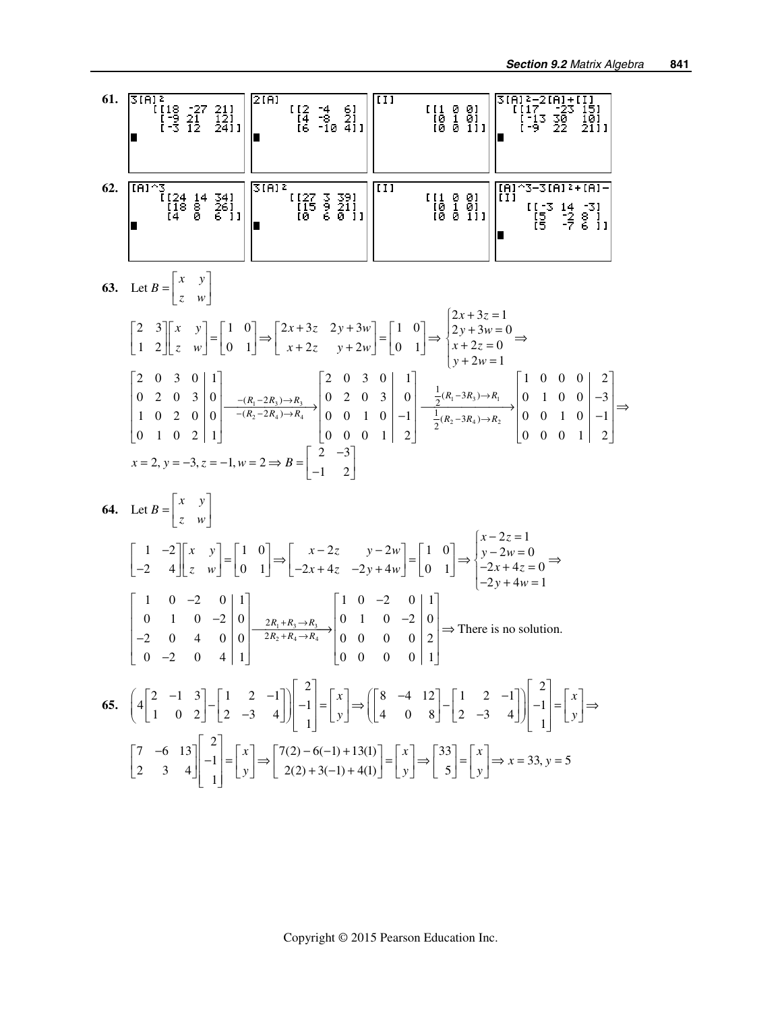61. 
$$
5\begin{bmatrix} 18 \\ -3 & 12 \end{bmatrix} \div \frac{2}{3}
$$
  
\n $\begin{bmatrix} 18 \\ -3 & 12 \end{bmatrix} \div \frac{2}{3}$   
\n $\begin{bmatrix} 24 \\ -3 & 12 \end{bmatrix}$   
\n $\begin{bmatrix} 24 \\ 14 \end{bmatrix} \div \frac{3}{2}$   
\n $\begin{bmatrix} 24 \\ 14 \end{bmatrix} \div \frac{3}{2}$   
\n $\begin{bmatrix} 24 \\ 14 \end{bmatrix} \div \frac{3}{2}$   
\n $\begin{bmatrix} 24 \\ 14 \end{bmatrix} \div \frac{3}{2}$   
\n $\begin{bmatrix} 24 \\ 14 \end{bmatrix} \div \frac{3}{2}$   
\n $\begin{bmatrix} 24 \\ 14 \end{bmatrix} \div \frac{3}{2}$   
\n $\begin{bmatrix} 24 \\ 14 \end{bmatrix} \times \begin{bmatrix} 1 & 0 \\ 0 & 1 \end{bmatrix} \Rightarrow \begin{bmatrix} 2x + 3z & 2y + 3w \\ x + 2z & y + 2w \end{bmatrix} = \begin{bmatrix} 1 & 0 \\ 0 & 1 \end{bmatrix} \Rightarrow \begin{bmatrix} 2x + 3z - 1 \\ 2y + 3w - 0 \end{bmatrix}$   
\n63. Let  $B = \begin{bmatrix} x & y \\ z & w \end{bmatrix}$   
\n $\begin{bmatrix} 2 & 0 & 3 & 0 \\ 1 & 2 & 2 & 0 \\ 1 & 0 & 2 & 0 \\ 0 & 1 & 0 & 2 \end{bmatrix} \begin{bmatrix} 1 & 0 \\ 0 & 1 \end{bmatrix} \Rightarrow \begin{bmatrix} 2x + 3z - 1 \\ x + 2z & y + 2w \end{bmatrix} = \begin{bmatrix} 1 & 0 \\ 0 & 1 \end{bmatrix} \Rightarrow \begin{bmatrix} 2x + 3z - 1 \\ 2y + 3w - 0 \end{bmatrix} = \begin{bmatrix} 1 & 0 & 0 & 0 \\ 0 & 1 & 0 & 0 \\ 0 & 1 & 0 & 0 \\ 0 & 0 & 0 & 1 \end{bmatrix} = \begin{bmatrix} 2 & 0 & 3 & 0 \\ 0 &$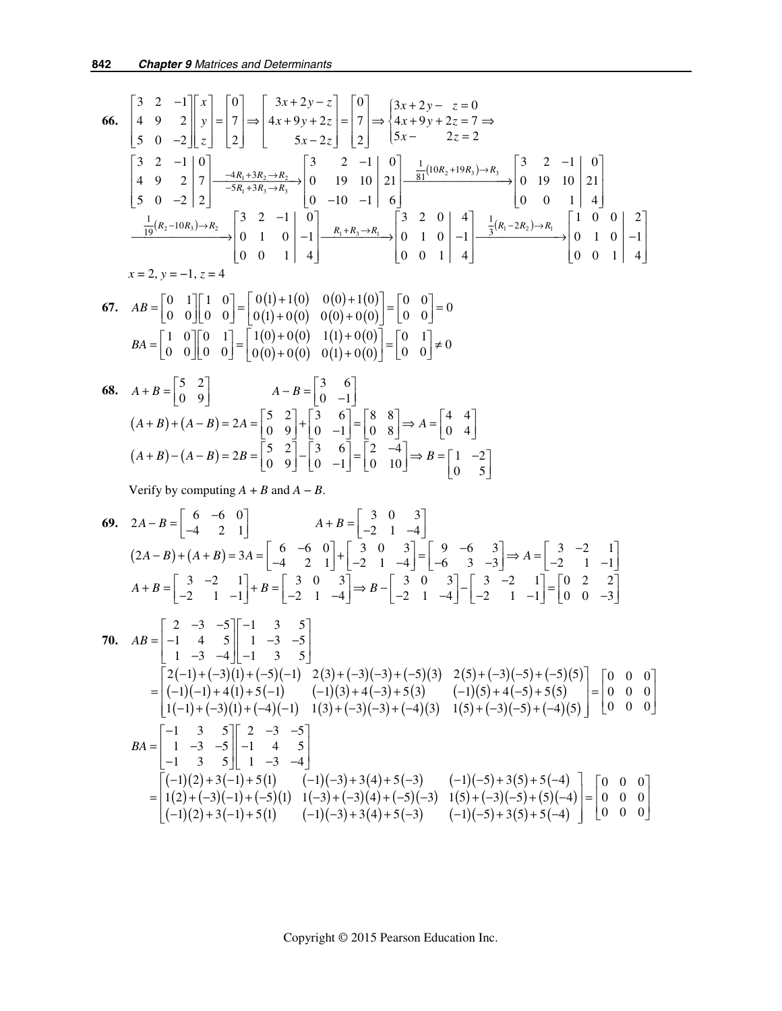$$
66. \begin{bmatrix} 3 & 2 & -1 \\ 4 & 9 & 2 \\ 5 & 0 & -2 \end{bmatrix} \begin{bmatrix} x \\ y \\ z \end{bmatrix} = \begin{bmatrix} 0 \\ 7 \\ 2 \end{bmatrix} \Rightarrow \begin{bmatrix} 3x + 2y - z \\ 4x + 9y + 2z \\ 5x - 2z \end{bmatrix} = \begin{bmatrix} 0 \\ 7 \\ 2 \end{bmatrix} \Rightarrow \begin{bmatrix} 3x + 2y - z = 0 \\ 4x + 9y + 2z = 7 \Rightarrow \\ 5x - 2z = 2 \end{bmatrix}
$$
  

$$
\begin{bmatrix} 3 & 2 & -1 \\ 4 & 9 & 2 \\ 5 & 0 & -2 \end{bmatrix} \begin{bmatrix} 0 \\ 7 \\ 7 \end{bmatrix} = \begin{bmatrix} 4R_1 + 3R_2 \rightarrow R_2 \\ -5R_1 + 3R_2 \rightarrow R_2 \end{bmatrix} \begin{bmatrix} 3 & 2 & -1 \\ 0 & 19 & 10 \\ 0 & 19 & 10 \\ 0 & -10 & -1 \end{bmatrix} \begin{bmatrix} 0 \\ 21 \\ 6 \end{bmatrix} = \begin{bmatrix} \frac{1}{81}(10R_2 + 19R_3) \rightarrow R_3 \\ \frac{1}{19}(10R_2 + 19R_3) \rightarrow R_3 \end{bmatrix} \begin{bmatrix} 3 & 2 & -1 \\ 0 & 19 & 10 \\ 0 & 0 & 1 \end{bmatrix} \begin{bmatrix} 3 & 2 & 0 \\ 4 & 1 & 0 \\ 0 & 0 & 1 \end{bmatrix} = \begin{bmatrix} 3 & 2 & 0 \\ 0 & 1 & 0 \\ 0 & 0 & 1 \end{bmatrix} \begin{bmatrix} 4 \\ -1 \\ 4 \end{bmatrix} = \begin{bmatrix} 1 & 0 & 0 \\ 0 & 1 & 0 \\ 0 & 0 & 1 \end{bmatrix} \begin{bmatrix} 2 \\ -1 \\ 4 \end{bmatrix}
$$
  

$$
x = 2, y = -1, z = 4
$$

**67.** 
$$
AB = \begin{bmatrix} 0 & 1 \\ 0 & 0 \end{bmatrix} \begin{bmatrix} 1 & 0 \\ 0 & 0 \end{bmatrix} = \begin{bmatrix} 0(1) + 1(0) & 0(0) + 1(0) \\ 0(1) + 0(0) & 0(0) + 0(0) \end{bmatrix} = \begin{bmatrix} 0 & 0 \\ 0 & 0 \end{bmatrix} = 0
$$
  

$$
BA = \begin{bmatrix} 1 & 0 \\ 0 & 0 \end{bmatrix} \begin{bmatrix} 0 & 1 \\ 0 & 0 \end{bmatrix} = \begin{bmatrix} 1(0) + 0(0) & 1(1) + 0(0) \\ 0(0) + 0(0) & 0(1) + 0(0) \end{bmatrix} = \begin{bmatrix} 0 & 1 \\ 0 & 0 \end{bmatrix} \neq 0
$$

68. 
$$
A + B = \begin{bmatrix} 5 & 2 \\ 0 & 9 \end{bmatrix}
$$
  $A - B = \begin{bmatrix} 3 & 6 \\ 0 & -1 \end{bmatrix}$   
\n $(A + B) + (A - B) = 2A = \begin{bmatrix} 5 & 2 \\ 0 & 9 \end{bmatrix} + \begin{bmatrix} 3 & 6 \\ 0 & -1 \end{bmatrix} = \begin{bmatrix} 8 & 8 \\ 0 & 8 \end{bmatrix} \Rightarrow A = \begin{bmatrix} 4 & 4 \\ 0 & 4 \end{bmatrix}$   
\n $(A + B) - (A - B) = 2B = \begin{bmatrix} 5 & 2 \\ 0 & 9 \end{bmatrix} - \begin{bmatrix} 3 & 6 \\ 0 & -1 \end{bmatrix} = \begin{bmatrix} 2 & -4 \\ 0 & 10 \end{bmatrix} \Rightarrow B = \begin{bmatrix} 1 & -2 \\ 0 & 5 \end{bmatrix}$ 

Verify by computing  $A + B$  and  $A - B$ .

69. 
$$
2A - B = \begin{bmatrix} 6 & -6 & 0 \ -4 & 2 & 1 \end{bmatrix}
$$
  
\n $(2A - B) + (A + B) = 3A = \begin{bmatrix} 6 & -6 & 0 \ -4 & 2 & 1 \end{bmatrix} + \begin{bmatrix} 3 & 0 & 3 \ -2 & 1 & -4 \end{bmatrix} = \begin{bmatrix} 9 & -6 & 3 \ -6 & 3 & -3 \end{bmatrix} \Rightarrow A = \begin{bmatrix} 3 & -2 & 1 \ -2 & 1 & -1 \end{bmatrix}$   
\n $A + B = \begin{bmatrix} 3 & -2 & 1 \ -2 & 1 & -1 \end{bmatrix} + B = \begin{bmatrix} 3 & 0 & 3 \ -2 & 1 & -4 \end{bmatrix} \Rightarrow B - \begin{bmatrix} 3 & 0 & 3 \ -2 & 1 & -4 \end{bmatrix} - \begin{bmatrix} 3 & -2 & 1 \ -2 & 1 & -1 \end{bmatrix} = \begin{bmatrix} 0 & 2 & 2 \ 0 & 0 & -3 \end{bmatrix}$   
\n70.  $AB = \begin{bmatrix} 2 & -3 & -5 \ -1 & 4 & 5 \ 1 & -3 & -4 \end{bmatrix} - \begin{bmatrix} 1 & 3 & 5 \ 1 & -3 & -5 \ 1 & 3 & 5 \end{bmatrix}$   
\n $= \begin{bmatrix} 2(-1) + (-3)(1) + (-5)(-1) & 2(3) + (-3)(-3) + (-5)(3) & 2(5) + (-3)(-5) + (-5)(5) \\ (-1)(-1) + 4(1) + 5(-1) & (-1)(3) + 4(-3) + 5(3) & (-1)(5) + 4(-5) + 5(5) \\ 1(-1) + (-3)(1) + (-4)(-1) & 1(3) + (-3)(-3) + (-4)(3) & 1(5) + (-3)(-5) + (-4)(5) \end{bmatrix} = \begin{bmatrix} 0 & 0 & 0 \ 0 & 0 & 0 \ 0 & 0 & 0 \end{bmatrix}$   
\n $BA = \begin{bmatrix} -1 & 3 & 5 \ 1 & -3 & -5 \ -1 & 3 & 5 \end{bmatrix} \begin{bmatrix} 2 & -3 & -5 \ -1 & 4 & 5 \ 1 & -3 & -4 \end{bmatrix}$   
\n $= \begin{$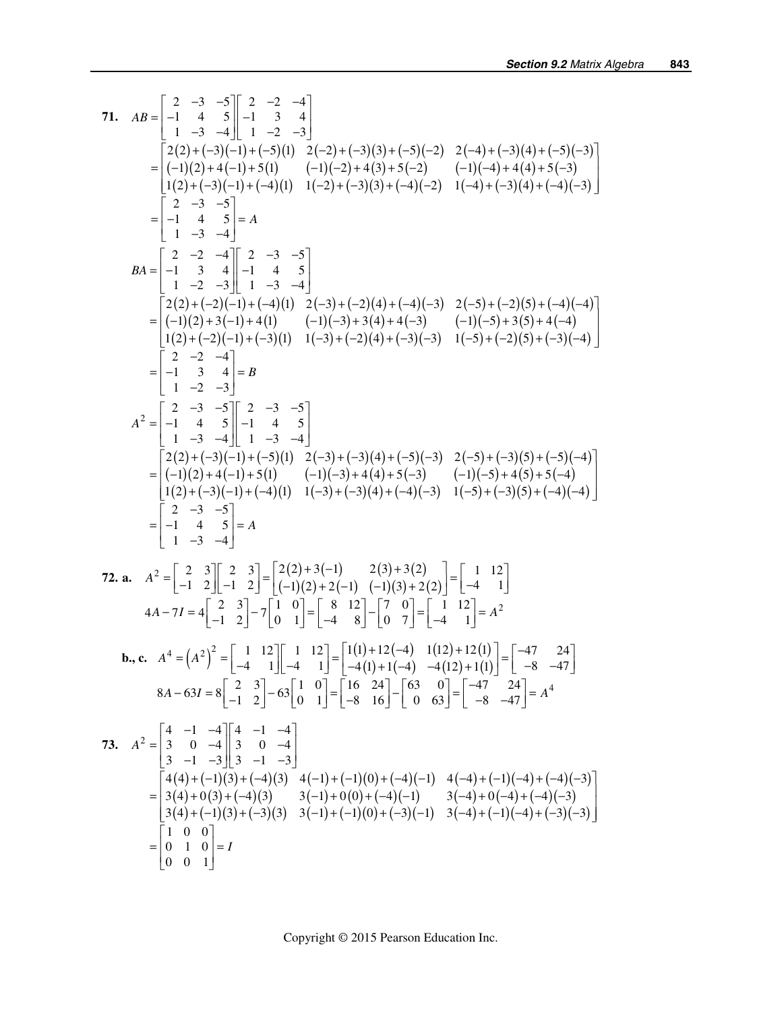71. 
$$
AB = \begin{bmatrix} 2 & -3 & -5 \\ -1 & 4 & 5 \\ 1 & -3 & 4 \end{bmatrix} = \begin{bmatrix} 2 & -2 & -4 \\ 1 & 3 & 4 \\ 1 & -2 & -3 \end{bmatrix}
$$
  
\n
$$
= \begin{bmatrix} 2(2) + (-3)(-1) + (-5)(1) & 2(-2) + (-3)(3) + (-5)(-2) & 2(-4) + (-3)(4) + (-5)(-3) \\ (1)(2) + (-3)(-1) + (-4)(1) & (1)(-2) + (4)(3) + (4)(-2) & (1)(-4) + (4)(4) + 5(-3) \\ (1)(2) + (-3)(-1) + (-4)(1) & 1(-2) + (-3)(3) + (-4)(-3) & 1(-4) + (-3)(4) + (-4)(-3) \end{bmatrix}
$$
  
\n
$$
= \begin{bmatrix} 2 & -3 & -5 \\ -1 & 4 & 5 \\ 1 & -2 & -3 \end{bmatrix} = A
$$
  
\n
$$
BA = \begin{bmatrix} 2 & -2 & -4 \\ -1 & 3 & 4 \\ 1 & -2 & -3 \end{bmatrix} = A
$$
  
\n
$$
= \begin{bmatrix} 2 & -3 & -5 \\ 1 & 4 & 5 \\ 1 & -2 & -3 \end{bmatrix} = 1
$$
  
\n
$$
= \begin{bmatrix} 2 & -3 & -5 \\ 2 & -2 & -4 \\ 2 & -2 & -1 \end{bmatrix} = 2
$$
  
\n
$$
= \begin{bmatrix} 2 & -3 & -5 \\ 2 & -2 & -4 \\ 1 & 2 & -3 \end{bmatrix} = 1
$$
  
\n
$$
= \begin{bmatrix} 2 & -3 & -5 \\ 2 & -1 & 4 & 5 \\ 1 & 2 & -3 \end{bmatrix} = 1
$$
  
\n
$$
= \begin{bmatrix} 2 & -3 & -5 \\ 2 & 1 & 4 \\ 1 & -2 & -3 \end{bmatrix} = 1
$$
  
\n
$$
A^2 = \begin{bmatrix} 2 & -3 & -5 \\ -1 & 3 & 4 \\ 1 & -2 & -3 \end{bmatrix} = 1
$$
  
\n
$$
= \begin{bmatrix} 2 & -3 & -5 \\ -1 & 3 & 4 \\ 1 & -3 & -4 \end{b
$$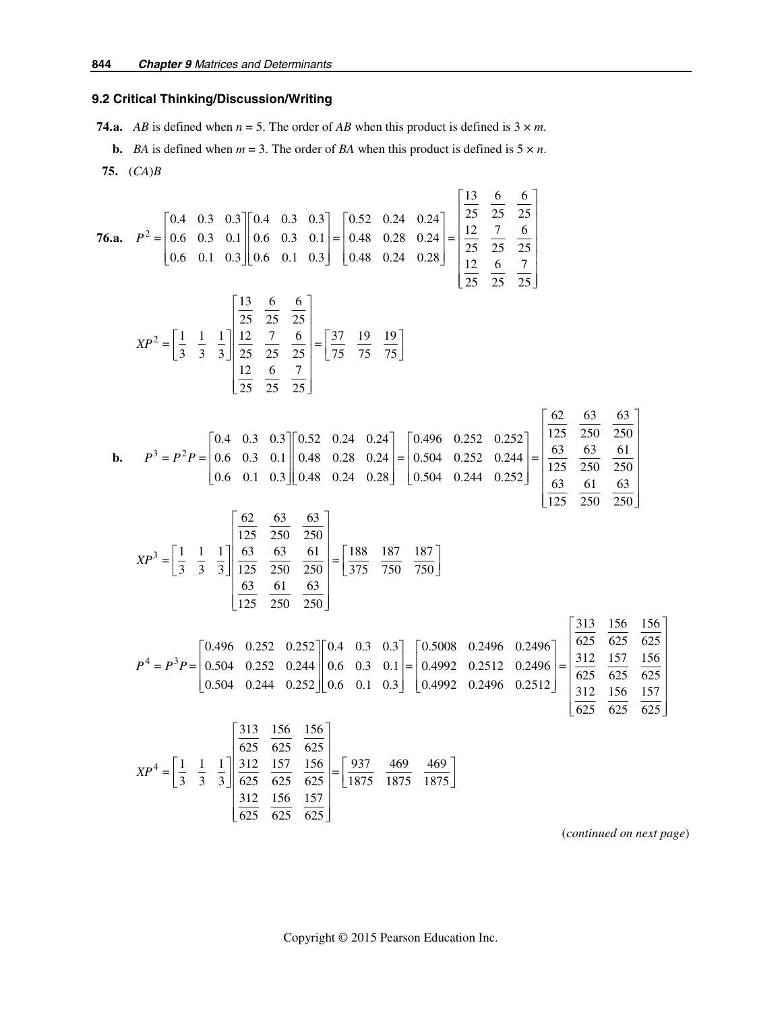## **9.2 Critical Thinking/Discussion/Writing**

**74.a.** *AB* is defined when  $n = 5$ . The order of *AB* when this product is defined is  $3 \times m$ .

**b.** *BA* is defined when  $m = 3$ . The order of *BA* when this product is defined is  $5 \times n$ .  **75.** (*CA*)*B* 

76.a. 
$$
P^2 = \begin{bmatrix} 0.4 & 0.3 & 0.3 \\ 0.6 & 0.3 & 0.1 \\ 0.6 & 0.1 & 0.3 \end{bmatrix} \begin{bmatrix} 0.4 & 0.3 & 0.3 \\ 0.6 & 0.1 & 0.3 \end{bmatrix} = \begin{bmatrix} 0.52 & 0.24 & 0.24 \\ 0.48 & 0.28 & 0.24 \\ 0.48 & 0.24 & 0.28 \end{bmatrix} = \begin{bmatrix} \frac{13}{25} & \frac{6}{25} & \frac{6}{25} \\ \frac{12}{25} & \frac{7}{25} & \frac{6}{25} \\ \frac{12}{25} & \frac{6}{25} & \frac{7}{25} \end{bmatrix}
$$
  
\n $XP^2 = \begin{bmatrix} 1 & 1 & 1 \\ \frac{1}{25} & \frac{12}{25} & \frac{6}{25} & \frac{6}{25} \\ \frac{12}{25} & \frac{6}{25} & \frac{7}{25} \end{bmatrix} = \begin{bmatrix} 37 & 19 & 19 \\ \frac{12}{25} & \frac{6}{25} & \frac{7}{25} \end{bmatrix}$   
\nb.  $P^3 = P^2 P = \begin{bmatrix} 0.4 & 0.3 & 0.3 \\ 0.6 & 0.3 & 0.1 \\ 0.6 & 0.1 & 0.3 \end{bmatrix} \begin{bmatrix} 0.92 & 0.24 & 0.24 \\ 0.48 & 0.28 & 0.24 \\ 0.48 & 0.24 & 0.28 \end{bmatrix} = \begin{bmatrix} 0.496 & 0.252 & 0.252 \\ 0.504 & 0.252 & 0.252 \\ 0.504 & 0.252 & 0.244 \\ 0.504 & 0.252 & 0.244 \end{bmatrix} = \begin{bmatrix} \frac{62}{125} & \frac{63}{250} & \frac{63}{250} \\ \frac{63}{125} & \frac{61}{250} & \frac{61}{250} \\ \frac{63}{125} & \frac{61}{250} & \frac{61}{250} \\ \frac{63}{1$ 

(*continued on next page*)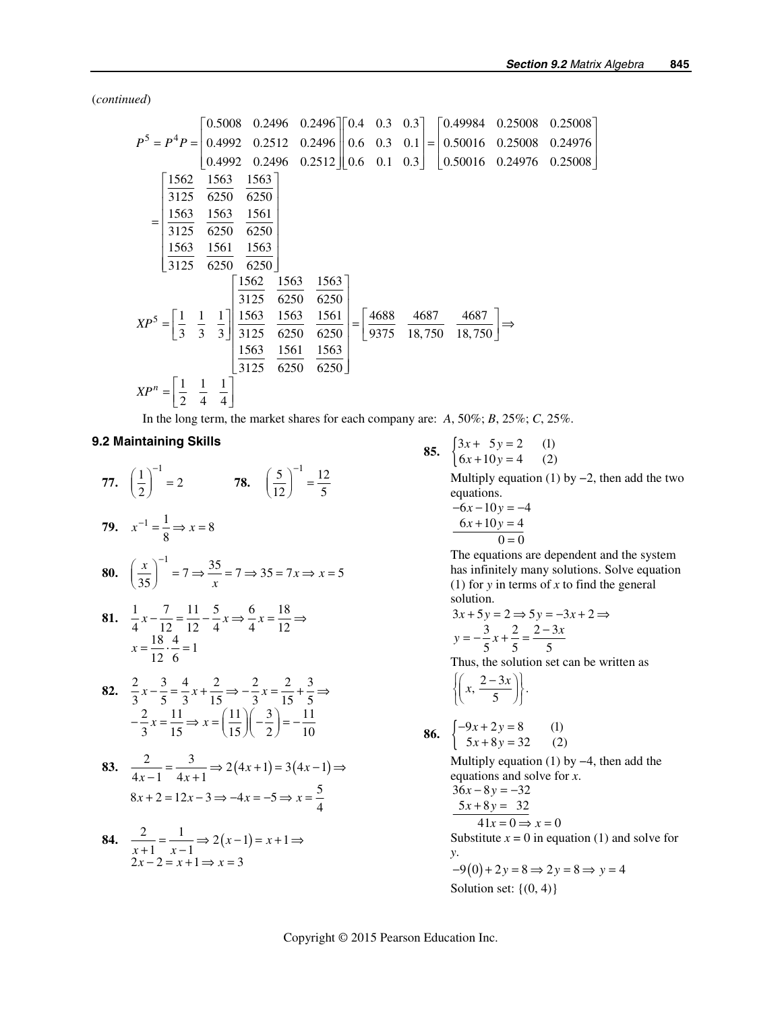(*continued*)

$$
P^{5} = P^{4}P = \begin{bmatrix} 0.5008 & 0.2496 & 0.2496 \ 0.4992 & 0.2512 & 0.2496 \ 0.4992 & 0.2512 & 0.2496 \ 0.4992 & 0.2496 & 0.2512 \end{bmatrix} \begin{bmatrix} 0.4 & 0.3 & 0.3 \ 0.6 & 0.3 & 0.1 \ 0.6 & 0.1 & 0.3 \end{bmatrix} = \begin{bmatrix} 0.49984 & 0.25008 & 0.25008 \ 0.50016 & 0.25008 & 0.24976 \ 0.50016 & 0.24976 & 0.25008 \end{bmatrix}
$$

$$
= \begin{bmatrix} \frac{1562}{3125} & \frac{1563}{6250} & \frac{1561}{6250} \\ \frac{1563}{3125} & \frac{1561}{6250} & \frac{1563}{6250} \end{bmatrix}
$$

$$
XP^{5} = \begin{bmatrix} \frac{1}{3} & \frac{1}{3} & \frac{1}{3} & \frac{1}{3} \\ \frac{1562}{3125} & \frac{1563}{6250} & \frac{1563}{6250} \\ \frac{1563}{3125} & \frac{1563}{6250} & \frac{1563}{6250} \\ \frac{1563}{3125} & \frac{1563}{6250} & \frac{1561}{6250} \end{bmatrix} = \begin{bmatrix} \frac{4688}{9375} & \frac{4687}{18,750} & \frac{4687}{18,750} \end{bmatrix} \Rightarrow
$$

$$
XP^{n} = \begin{bmatrix} \frac{1}{2} & \frac{1}{4} & \frac{1}{4} \end{bmatrix}
$$

In the long term, the market shares for each company are:  $A$ , 50%;  $B$ , 25%;  $C$ , 25%.

#### **9.2 Maintaining Skills**

**77.**  $\left(\frac{1}{2}\right)^{-1} = 2$  **78.**  $\left(\frac{5}{12}\right)^{-1} = \frac{12}{5}$  $\left(\frac{5}{12}\right)^{-1} = \frac{12}{5}$ **79.**  $x^{-1} = \frac{1}{8} \Rightarrow x = 8$ **80.**  $\left(\frac{x}{35}\right)^{-1} = 7 \Rightarrow \frac{35}{x} = 7 \Rightarrow 35 = 7x \Rightarrow x = 5$ 81.  $\frac{1}{4}x - \frac{7}{12} = \frac{11}{12} - \frac{5}{4}x \Rightarrow \frac{6}{4}x = \frac{18}{12} \Rightarrow$  $x = \frac{18}{12} \cdot \frac{4}{6} = 1$ **82.**  $\frac{2}{3}x - \frac{3}{5} = \frac{4}{3}x + \frac{2}{15} \Rightarrow -\frac{2}{3}x = \frac{2}{15} + \frac{3}{5} \Rightarrow$  $2 \t11 \t(11) (3) 11$  $-\frac{2}{3}x = \frac{11}{15} \Rightarrow x = \left(\frac{11}{15}\right)\left(-\frac{3}{2}\right) = -\frac{11}{10}$ 83.  $\frac{2}{4x-1} = \frac{3}{4x+1} \Rightarrow 2(4x+1) = 3(4x-1) \Rightarrow$  $8x + 2 = 12x - 3 \Rightarrow -4x = -5 \Rightarrow x = \frac{5}{4}$ **84.**  $\frac{2}{x+1} = \frac{1}{x-1} \Rightarrow 2(x-1) = x+1$  $\frac{z}{x+1} = \frac{1}{x-1} \Rightarrow 2(x-1) = x$  $\frac{2}{x+1} = \frac{1}{x-1} \Rightarrow 2(x-1) = x+1 \Rightarrow$ 

 $2x-2=x+1 \Rightarrow x=3$ 

 $-2 = x + 1 \Rightarrow x =$ 

 $x - 2 = x + 1 \Rightarrow x$ 

85. 
$$
\begin{cases} 3x + 5y = 2 & (1) \\ 6x + 10y = 4 & (2) \end{cases}
$$

Multiply equation (1) by  $-2$ , then add the two equations.

$$
-6x-10y = -4
$$
  

$$
6x+10y = 4
$$
  

$$
0=0
$$

The equations are dependent and the system has infinitely many solutions. Solve equation (1) for *y* in terms of *x* to find the general solution.

$$
3x + 5y = 2 \Rightarrow 5y = -3x + 2 \Rightarrow
$$
  

$$
y = -\frac{3}{5}x + \frac{2}{5} = \frac{2 - 3x}{5}
$$

Thus, the solution set can be written as

$$
\left\{ \left(x, \frac{2-3x}{5}\right) \right\}.
$$

86. 
$$
\begin{cases} -9x + 2y = 8 & (1) \\ 5x + 8y = 32 & (2) \end{cases}
$$

Multiply equation (1) by  $-4$ , then add the equations and solve for *x*.  $36x - 8y = -32$  $5x + 8y = 32$  $41x = 0 \Rightarrow x = 0$ 

Substitute  $x = 0$  in equation (1) and solve for *y*.

$$
-9(0) + 2y = 8 \Rightarrow 2y = 8 \Rightarrow y = 4
$$
  
Solution set: {(0, 4)}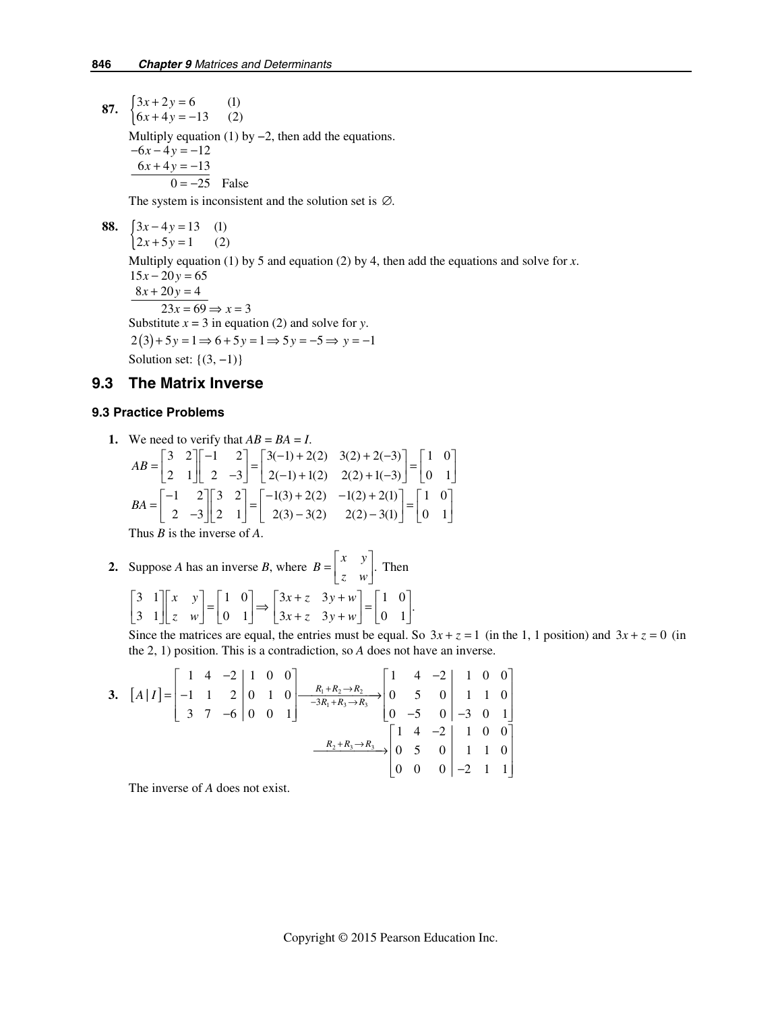**87.**  $\begin{cases} 3x + 2y = 6 & (1) \\ 6x + 4y = -13 & (2) \end{cases}$  $x + 2y$  $x + 4y$  $+ 2y =$  $+4y = -$ Multiply equation (1) by  $-2$ , then add the equations.  $-6x - 4y = -12$ 

 $6x+4y=-13$  $0 = -25$  False

The system is inconsistent and the solution set is  $\varnothing$ .

88. 
$$
\begin{cases} 3x - 4y = 13 & (1) \\ 2x + 5y = 1 & (2) \end{cases}
$$

Multiply equation (1) by 5 and equation (2) by 4, then add the equations and solve for *x*.

 $15x - 20y = 65$  $8x + 20y = 4$  $23x = 69 \Rightarrow x = 3$ Substitute  $x = 3$  in equation (2) and solve for *y*.  $2(3) + 5y = 1 \Rightarrow 6 + 5y = 1 \Rightarrow 5y = -5 \Rightarrow y = -1$ Solution set:  $\{(3, -1)\}\$ 

## **9.3 The Matrix Inverse**

#### **9.3 Practice Problems**

1. We need to verify that 
$$
AB = BA = I
$$
.  
\n
$$
AB = \begin{bmatrix} 3 & 2 \\ 2 & 1 \end{bmatrix} \begin{bmatrix} -1 & 2 \\ 2 & -3 \end{bmatrix} = \begin{bmatrix} 3(-1) + 2(2) & 3(2) + 2(-3) \\ 2(-1) + 1(2) & 2(2) + 1(-3) \end{bmatrix} = \begin{bmatrix} 1 & 0 \\ 0 & 1 \end{bmatrix}
$$
\n
$$
BA = \begin{bmatrix} -1 & 2 \\ 2 & -3 \end{bmatrix} \begin{bmatrix} 3 & 2 \\ 2 & 1 \end{bmatrix} = \begin{bmatrix} -1(3) + 2(2) & -1(2) + 2(1) \\ 2(3) - 3(2) & 2(2) - 3(1) \end{bmatrix} = \begin{bmatrix} 1 & 0 \\ 0 & 1 \end{bmatrix}
$$
\nThus *B* is the inverse of *A*.

2. Suppose *A* has an inverse *B*, where 
$$
B = \begin{bmatrix} x & y \\ z & w \end{bmatrix}
$$
. Then  
\n
$$
\begin{bmatrix} 3 & 1 \\ 3 & 1 \end{bmatrix} \begin{bmatrix} x & y \\ z & w \end{bmatrix} = \begin{bmatrix} 1 & 0 \\ 0 & 1 \end{bmatrix} \Rightarrow \begin{bmatrix} 3x + z & 3y + w \\ 3x + z & 3y + w \end{bmatrix} = \begin{bmatrix} 1 & 0 \\ 0 & 1 \end{bmatrix}.
$$

Since the matrices are equal, the entries must be equal. So  $3x + z = 1$  (in the 1, 1 position) and  $3x + z = 0$  (in the 2, 1) position. This is a contradiction, so *A* does not have an inverse.

3. 
$$
[A|I] = \begin{bmatrix} 1 & 4 & -2 & 1 & 0 & 0 \\ -1 & 1 & 2 & 0 & 1 & 0 \\ 3 & 7 & -6 & 0 & 0 & 1 \end{bmatrix} \xrightarrow{\begin{subarray}{l} R_1 + R_2 \rightarrow R_2 \\ \rightarrow R_1 + R_3 \rightarrow R_3 \end{subarray}} \begin{bmatrix} 1 & 4 & -2 & 1 & 0 & 0 \\ 0 & 5 & 0 & 1 & 1 & 0 \\ 0 & -5 & 0 & -3 & 0 & 1 \end{bmatrix}
$$

$$
\xrightarrow{\begin{subarray}{l} R_2 + R_3 \rightarrow R_3 \\ \rightarrow R_2 + R_3 \rightarrow R_3 \end{subarray}} \begin{bmatrix} 1 & 4 & -2 & 1 & 0 & 0 \\ 0 & 5 & 0 & 1 & 1 & 0 \\ 0 & 0 & 0 & -2 & 1 & 1 \end{bmatrix}
$$

The inverse of *A* does not exist.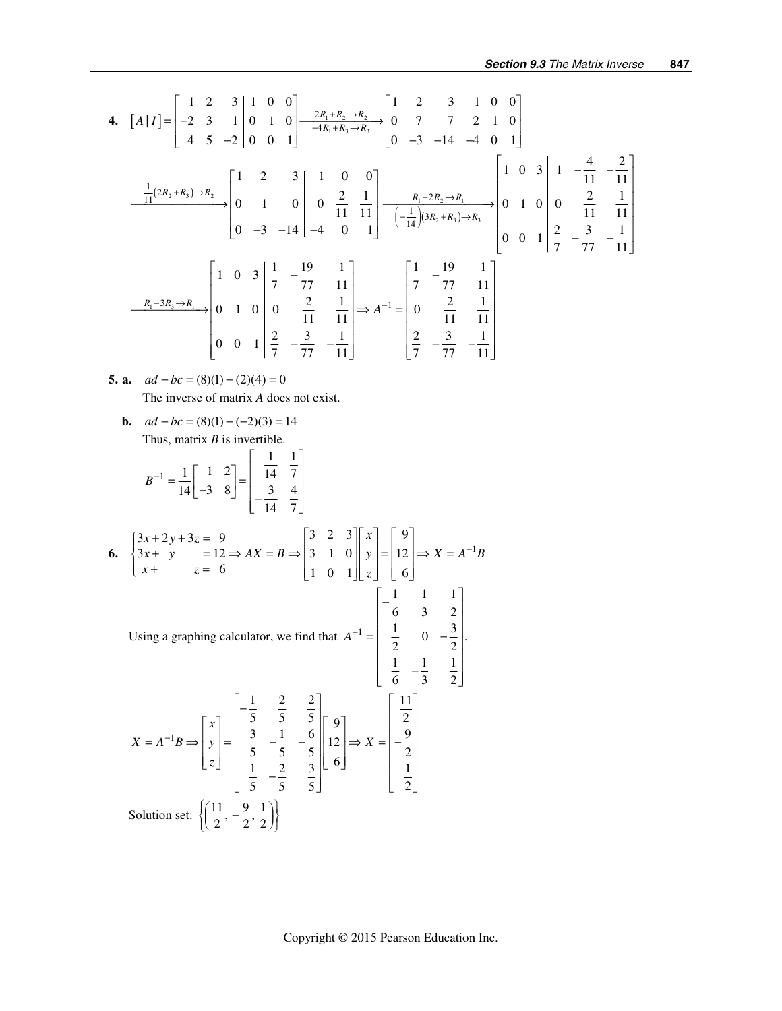4. 
$$
[A|I] = \begin{bmatrix} 1 & 2 & 3 & 1 & 0 & 0 \ -2 & 3 & 1 & 0 & 1 & 0 \ 4 & 5 & -2 & 0 & 0 & 1 \end{bmatrix} \xrightarrow{2R_1 + R_2 \rightarrow R_2} \begin{bmatrix} 1 & 2 & 3 & 1 & 0 & 0 \ 0 & 7 & 7 & 2 & 1 & 0 \ 0 & -3 & -14 & -4 & 0 & 1 \end{bmatrix}
$$
  
\n
$$
\xrightarrow{\frac{1}{11}(2R_2 + R_3) \rightarrow R_2} \begin{bmatrix} 1 & 2 & 3 & 1 & 0 & 0 \ 0 & 1 & 0 & 0 & \frac{2}{11} & \frac{1}{11} \\ 0 & 1 & 0 & 0 & \frac{2}{11} & \frac{1}{11} \\ 0 & -3 & -14 & -4 & 0 & 1 \end{bmatrix} \xrightarrow{R_1 - 2R_2 \rightarrow R_1} \begin{bmatrix} 1 & 0 & 3 & 1 & -\frac{4}{11} & -\frac{2}{11} \\ 0 & 1 & 0 & 0 & \frac{2}{11} & \frac{1}{11} \\ -\frac{1}{14}(3R_2 + R_3) \rightarrow R_3 \end{bmatrix} \begin{bmatrix} 1 & 0 & 3 & 1 & -\frac{4}{11} & -\frac{2}{11} \\ 0 & 0 & 1 & 0 & 0 \\ 0 & 0 & 1 & \frac{2}{7} & -\frac{3}{77} & -\frac{1}{11} \end{bmatrix}
$$
  
\n
$$
\xrightarrow{R_1 - 3R_3 \rightarrow R_1} \begin{bmatrix} 1 & 0 & 3 & \frac{1}{7} & -\frac{19}{77} & \frac{1}{11} \\ 0 & 1 & 0 & 0 & \frac{2}{11} & \frac{1}{11} \\ \frac{2}{7} & -\frac{3}{77} & -\frac{1}{11} \end{bmatrix} \Rightarrow A^{-1} = \begin{bmatrix} \frac{1}{7} & -\frac{19}{77} & \frac{1}{11} \\ 0 & \frac{2}{11} & \frac{1}{11} \\ \frac{2}{7} & -\frac{3}{77} & -\frac{1}{11} \end{bmatrix}
$$

**5. a.**  $ad - bc = (8)(1) - (2)(4) = 0$ The inverse of matrix *A* does not exist.

**b.** 
$$
ad - bc = (8)(1) - (-2)(3) = 14
$$
  
Thus, matrix *B* is invertible.

$$
B^{-1} = \frac{1}{14} \begin{bmatrix} 1 & 2 \\ -3 & 8 \end{bmatrix} = \begin{bmatrix} \frac{1}{14} & \frac{1}{7} \\ -\frac{3}{14} & \frac{4}{7} \end{bmatrix}
$$

6. 
$$
\begin{cases} 3x + 2y + 3z = 9 \\ 3x + y = 12 \Rightarrow AX = B \Rightarrow \begin{bmatrix} 3 & 2 & 3 \\ 3 & 1 & 0 \\ 1 & 0 & 1 \end{bmatrix} \begin{bmatrix} x \\ y \\ z \end{bmatrix} = \begin{bmatrix} 9 \\ 12 \\ 6 \end{bmatrix} \Rightarrow X = A^{-1}B
$$

Using a graphing calculator, we find that 
$$
A^{-1} = \begin{bmatrix} -\frac{1}{6} & \frac{1}{3} & \frac{1}{2} \\ \frac{1}{2} & 0 & -\frac{3}{2} \\ \frac{1}{6} & -\frac{1}{3} & \frac{1}{2} \end{bmatrix}
$$
  
 $X = A^{-1}B \Rightarrow \begin{bmatrix} x \\ y \\ z \end{bmatrix} = \begin{bmatrix} -\frac{1}{5} & \frac{2}{5} & \frac{2}{5} \\ \frac{3}{5} & -\frac{1}{5} & -\frac{6}{5} \\ \frac{1}{5} & -\frac{2}{5} & \frac{3}{5} \end{bmatrix} \begin{bmatrix} 9 \\ 12 \\ 6 \end{bmatrix} \Rightarrow X = \begin{bmatrix} \frac{11}{2} \\ -\frac{9}{2} \\ \frac{1}{2} \end{bmatrix}$   
Solution set:  $\left\{ \left( \frac{11}{2}, -\frac{9}{2}, \frac{1}{2} \right) \right\}$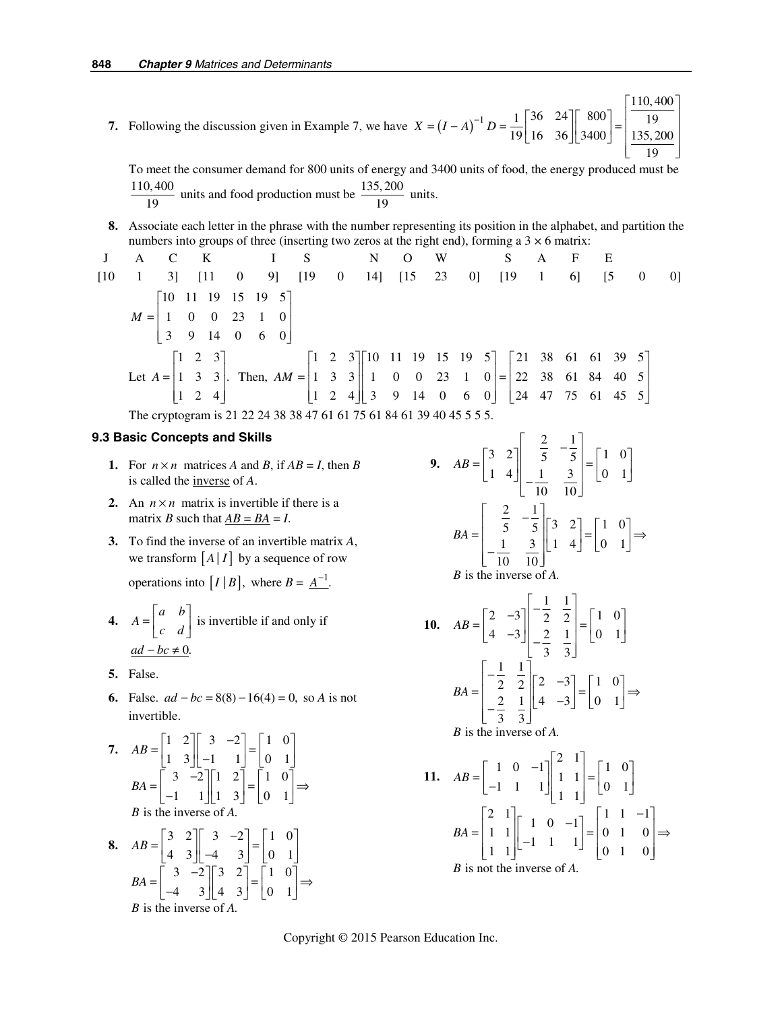**7.** Following the discussion given in Example 7, we have  $X = (I - A)^{-1}$ 110, 400  $1 | 36 | 24 | | 800 |$  | 19  $X = (I - A)^{-1} D = \frac{1}{19} \begin{vmatrix} 30 & 24 \\ 16 & 36 \end{vmatrix} \begin{vmatrix} 800 \\ 3400 \end{vmatrix} = \begin{vmatrix} 19 \\ 135,200 \end{vmatrix}$ 19  $\vert 110,400 \vert$  $=(I - A)^{-1} D = \frac{1}{19} \begin{bmatrix} 36 & 24 \\ 16 & 36 \end{bmatrix} \begin{bmatrix} 800 \\ 3400 \end{bmatrix} = \begin{bmatrix} 19 \\ 135, 200 \end{bmatrix}$  $\begin{bmatrix} 19 \end{bmatrix}$ 

To meet the consumer demand for 800 units of energy and 3400 units of food, the energy produced must be  $\frac{110,400}{19}$  units and food production must be  $\frac{135,200}{19}$  units.

**8.** Associate each letter in the phrase with the number representing its position in the alphabet, and partition the numbers into groups of three (inserting two zeros at the right end), forming a  $3 \times 6$  matrix:

$$
J \quad A \quad C \quad K \quad I \quad S \quad N \quad O \quad W \quad S \quad A \quad F \quad E
$$
\n
$$
[10 \quad 1 \quad 3] \quad [11 \quad 0 \quad 9] \quad [19 \quad 0 \quad 14] \quad [15 \quad 23 \quad 0] \quad [19 \quad 1 \quad 6] \quad [5 \quad 0 \quad 0]
$$
\n
$$
M = \begin{bmatrix} 10 & 11 & 19 & 15 & 19 & 5 \\ 1 & 0 & 0 & 23 & 1 & 0 \\ 3 & 9 & 14 & 0 & 6 & 0 \end{bmatrix}
$$
\n
$$
Let A = \begin{bmatrix} 1 & 2 & 3 \\ 1 & 3 & 3 \\ 1 & 2 & 4 \end{bmatrix}.
$$
\n
$$
Then, AM = \begin{bmatrix} 1 & 2 & 3 \\ 1 & 3 & 3 \\ 1 & 2 & 4 \end{bmatrix} \begin{bmatrix} 10 & 11 & 19 & 15 & 19 & 5 \\ 1 & 0 & 0 & 23 & 1 & 0 \\ 3 & 9 & 14 & 0 & 6 & 0 \end{bmatrix} = \begin{bmatrix} 21 & 38 & 61 & 61 & 39 & 5 \\ 22 & 38 & 61 & 84 & 40 & 5 \\ 24 & 47 & 75 & 61 & 45 & 5 \end{bmatrix}
$$
\n
$$
The cryptogram is 21 22 24 38 38 47 61 61 75 61 84 61 39 40 45 5 5 5.
$$

#### **9.3 Basic Concepts and Skills**

- **1.** For  $n \times n$  matrices *A* and *B*, if  $AB = I$ , then *B* is called the inverse of *A*.
- **2.** An  $n \times n$  matrix is invertible if there is a matrix *B* such that  $AB = BA = I$ .
- **3.** To find the inverse of an invertible matrix *A*, we transform  $\left|A\right|I\right|$  by a sequence of row

operations into  $[I | B]$ , where  $B = A^{-1}$ .

- **4.**  $A = \begin{bmatrix} a & b \\ c & d \end{bmatrix}$  is invertible if and only if  $ad - bc \neq 0$ .
	- **5.** False.
	- **6.** False.  $ad bc = 8(8) 16(4) = 0$ , so A is not invertible.
	- **7.**  $AB = \begin{bmatrix} 1 & 2 \\ 1 & 2 \end{bmatrix} \begin{bmatrix} 3 & -2 \\ 1 & 2 \end{bmatrix} = \begin{bmatrix} 1 & 0 \\ 0 & 1 \end{bmatrix}$  $1 \quad 3 \parallel -1 \quad 1 \parallel 0 \quad 1$ 3  $-2$  || 1 2 | 1 0  $1 \quad 1 \parallel 1 \quad 3 \parallel 0 \quad 1$ *B* is the inverse of *A*. *AB BA*  $=\begin{bmatrix} 1 & 2 \\ 1 & 3 \end{bmatrix} \begin{bmatrix} 3 & -2 \\ -1 & 1 \end{bmatrix} = \begin{bmatrix} 1 & 0 \\ 0 & 1 \end{bmatrix}$  $=\begin{bmatrix} 3 & -2 \\ -1 & 1 \end{bmatrix} \begin{bmatrix} 1 & 2 \\ 1 & 3 \end{bmatrix} = \begin{bmatrix} 1 & 0 \\ 0 & 1 \end{bmatrix}$   $\Rightarrow$

8. 
$$
AB = \begin{bmatrix} 3 & 2 \\ 4 & 3 \end{bmatrix} \begin{bmatrix} 3 & -2 \\ -4 & 3 \end{bmatrix} = \begin{bmatrix} 1 & 0 \\ 0 & 1 \end{bmatrix}
$$
  
\n $BA = \begin{bmatrix} 3 & -2 \\ -4 & 3 \end{bmatrix} \begin{bmatrix} 3 & 2 \\ 4 & 3 \end{bmatrix} = \begin{bmatrix} 1 & 0 \\ 0 & 1 \end{bmatrix} \Rightarrow$   
\n*B* is the inverse of *A*.

**9.**  2 1  $3 \t2 \t3 \t5 \t5 \t1 \t0$  $1 \quad 4 \parallel \quad 1 \quad 3 \parallel \mid 0 \quad 1$ 10 10 *AB*  $=\begin{bmatrix} 3 & 2 \\ 1 & 4 \end{bmatrix} \begin{bmatrix} \frac{2}{5} & -\frac{1}{5} \\ \frac{1}{10} & \frac{3}{10} \end{bmatrix} = \begin{bmatrix} 1 & 0 \\ 0 & 1 \end{bmatrix}$ 2 1  $\frac{1}{5}$   $\frac{1}{5}$   $\frac{3}{2}$   $\frac{2}{-}$   $\frac{1}{1}$  0  $1 \quad 3 \parallel 1 \quad 4 \parallel \mid 0 \quad 1$ 10 10 *B* is the inverse of *A*.  $BA = \begin{vmatrix} \frac{2}{5} & -\frac{1}{5} \\ 1 & \frac{2}{5} & -\frac{1}{5} \end{vmatrix} \begin{bmatrix} 3 & 2 \\ 1 & 1 \end{bmatrix} = \begin{bmatrix} 1 & 0 \\ 0 & 1 \end{bmatrix}$  $=\begin{bmatrix} 3 & 3 \\ -\frac{1}{10} & \frac{3}{10} \end{bmatrix} \begin{bmatrix} 1 & 4 \end{bmatrix} = \begin{bmatrix} 0 & 1 \end{bmatrix} \Rightarrow$ 

**10.** 
$$
AB = \begin{bmatrix} 2 & -3 \\ 4 & -3 \end{bmatrix} \begin{bmatrix} -\frac{1}{2} & \frac{1}{2} \\ -\frac{2}{3} & \frac{1}{3} \end{bmatrix} = \begin{bmatrix} 1 & 0 \\ 0 & 1 \end{bmatrix}
$$
  

$$
BA = \begin{bmatrix} -\frac{1}{2} & \frac{1}{2} \\ -\frac{2}{3} & \frac{1}{3} \end{bmatrix} \begin{bmatrix} 2 & -3 \\ 4 & -3 \end{bmatrix} = \begin{bmatrix} 1 & 0 \\ 0 & 1 \end{bmatrix} \Rightarrow
$$
  
*B* is the inverse of *A*.

**11.** 
$$
AB = \begin{bmatrix} 1 & 0 & -1 \\ -1 & 1 & 1 \end{bmatrix} \begin{bmatrix} 2 & 1 \\ 1 & 1 \\ 1 & 1 \end{bmatrix} = \begin{bmatrix} 1 & 0 \\ 0 & 1 \end{bmatrix}
$$
  

$$
BA = \begin{bmatrix} 2 & 1 \\ 1 & 1 \\ 1 & 1 \end{bmatrix} \begin{bmatrix} 1 & 0 & -1 \\ -1 & 1 & 1 \end{bmatrix} = \begin{bmatrix} 1 & 1 & -1 \\ 0 & 1 & 0 \\ 0 & 1 & 0 \end{bmatrix} \Rightarrow
$$
  
*B* is not the inverse of *A*.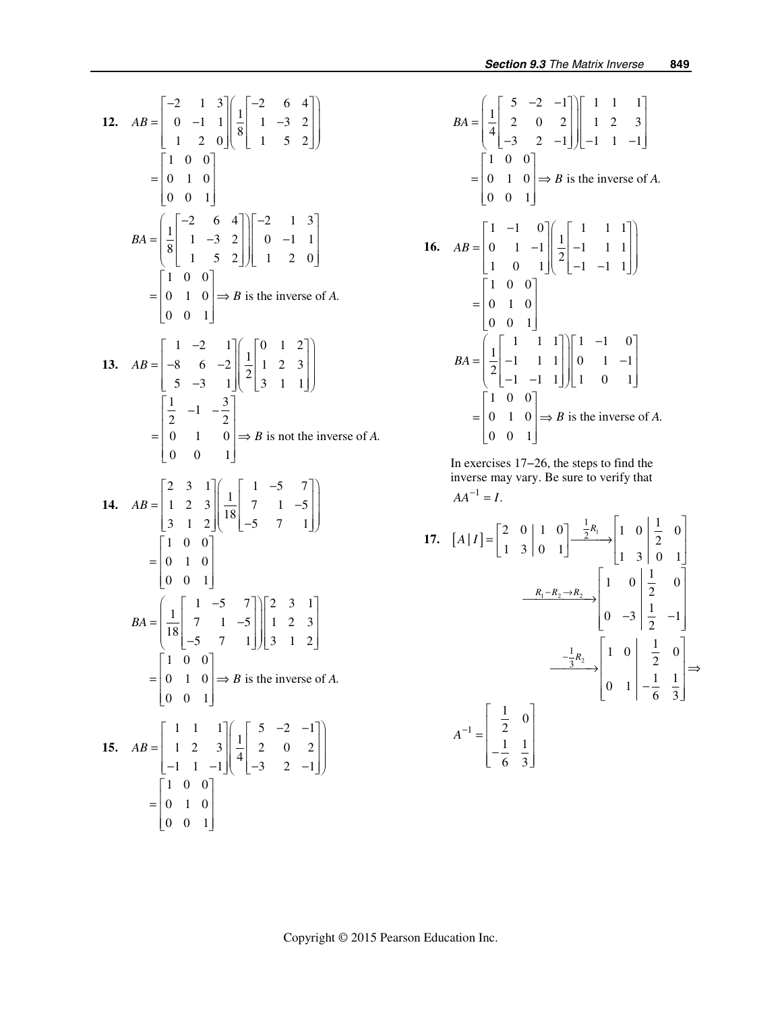12. 
$$
AB = \begin{bmatrix} -2 & 1 & 3 \ 0 & -1 & 1 \ 1 & 2 & 0 \end{bmatrix} \begin{bmatrix} -2 & 6 & 4 \ 1 & -3 & 2 \ 1 & 5 & 2 \end{bmatrix}
$$
  
\n
$$
= \begin{bmatrix} 1 & 0 & 0 \ 0 & 1 & 0 \ 0 & 0 & 1 \end{bmatrix}
$$
\n
$$
BA = \begin{bmatrix} 1 & 0 & 0 \ 8 & 1 & -3 & 2 \ 1 & 5 & 2 & 1 \end{bmatrix} \begin{bmatrix} -2 & 1 & 3 \ 0 & -1 & 1 \ 1 & 2 & 0 \end{bmatrix}
$$
\n
$$
= \begin{bmatrix} 1 & 0 & 0 \ 0 & 1 & 0 \ 0 & 0 & 1 \end{bmatrix} \Rightarrow B \text{ is the inverse of } A.
$$
\n13.  $AB = \begin{bmatrix} 1 & -2 & 1 \ -8 & 6 & -2 \ 5 & -3 & 1 \end{bmatrix} \begin{bmatrix} 1 & 0 & 1 & 2 \ 2 & 1 & 2 & 3 \ 3 & 1 & 1 \end{bmatrix}$   
\n
$$
= \begin{bmatrix} \frac{1}{2} & -1 & -\frac{3}{2} \\ 0 & 1 & 0 \ 0 & 1 \end{bmatrix} \Rightarrow B \text{ is not the inverse of } A.
$$
\n14.  $AB = \begin{bmatrix} 2 & 3 & 1 \\ 1 & 2 & 3 \\ 3 & 1 & 2 \end{bmatrix} \begin{bmatrix} 1 & -5 & 7 \\ 18 & -5 & 7 & 1 \end{bmatrix}$   
\n
$$
= \begin{bmatrix} 1 & 0 & 0 \\ 0 & 1 & 0 \\ 0 & 0 & 1 \end{bmatrix}
$$
\n
$$
BA = \begin{bmatrix} 1 & 1 & -5 \\ 18 & 7 & 1 & -5 \\ -5 & 7 & 1 \end{bmatrix} \begin{bmatrix} 2 & 3 & 1 \\ 1 & 2 & 3 \\ 3 & 1 & 2 \end{bmatrix}
$$
\n
$$
= \begin{bmatrix} 1 & 0 & 0 \\ 0 & 1 & 0 \\ 0 & 0 & 1 \end{bmatrix} \Rightarrow B \text{ is the inverse of } A.
$$
\n15.  $AB = \begin{bmatrix} 1 & 1 & 1 \\ 1$ 

$$
BA = \begin{bmatrix} 5 & -2 & -1 \\ 4 & 2 & 0 & 2 \\ -3 & 2 & -1 \end{bmatrix} \begin{bmatrix} 1 & 1 & 1 \\ 1 & 2 & 3 \\ -1 & 1 & -1 \end{bmatrix}
$$
  
\n
$$
= \begin{bmatrix} 1 & 0 & 0 \\ 0 & 1 & 0 \\ 0 & 0 & 1 \end{bmatrix} \Rightarrow B \text{ is the inverse of } A.
$$
  
\n**16.** 
$$
AB = \begin{bmatrix} 1 & -1 & 0 \\ 0 & 1 & -1 \\ 1 & 0 & 1 \end{bmatrix} \begin{bmatrix} 1 & 1 & 1 \\ 2 & -1 & 1 & 1 \\ -1 & -1 & 1 \end{bmatrix}
$$
  
\n
$$
= \begin{bmatrix} 1 & 0 & 0 \\ 0 & 1 & 0 \\ 0 & 0 & 1 \end{bmatrix}
$$
  
\n
$$
BA = \begin{bmatrix} 1 & 1 & 1 \\ 2 & -1 & 1 & 1 \\ -1 & -1 & 1 & 1 \\ 0 & 0 & 1 \end{bmatrix} \begin{bmatrix} 1 & -1 & 0 \\ 0 & 1 & -1 \\ 1 & 0 & 1 \end{bmatrix}
$$
  
\n
$$
= \begin{bmatrix} 1 & 0 & 0 \\ 0 & 1 & 0 \\ 0 & 0 & 1 \end{bmatrix} \Rightarrow B \text{ is the inverse of } A.
$$

 In exercises 17−26, the steps to find the inverse may vary. Be sure to verify that  $AA^{-1} = I.$ 

17. 
$$
[A|I] = \begin{bmatrix} 2 & 0 & 1 & 0 \\ 1 & 3 & 0 & 1 \end{bmatrix} \xrightarrow{\frac{1}{2}R_1} \begin{bmatrix} 1 & 0 & \frac{1}{2} & 0 \\ 1 & 3 & 0 & 1 \end{bmatrix}
$$

$$
\xrightarrow{R_1 - R_2 \to R_2} \begin{bmatrix} 1 & 0 & \frac{1}{2} & 0 \\ 0 & -3 & \frac{1}{2} & -1 \end{bmatrix}
$$

$$
\xrightarrow{-\frac{1}{3}R_2} \begin{bmatrix} 1 & 0 & \frac{1}{2} & 0 \\ 0 & 1 & -\frac{1}{6} & \frac{1}{3} \end{bmatrix} \Rightarrow
$$

$$
A^{-1} = \begin{bmatrix} \frac{1}{2} & 0 \\ -\frac{1}{6} & \frac{1}{3} \end{bmatrix}
$$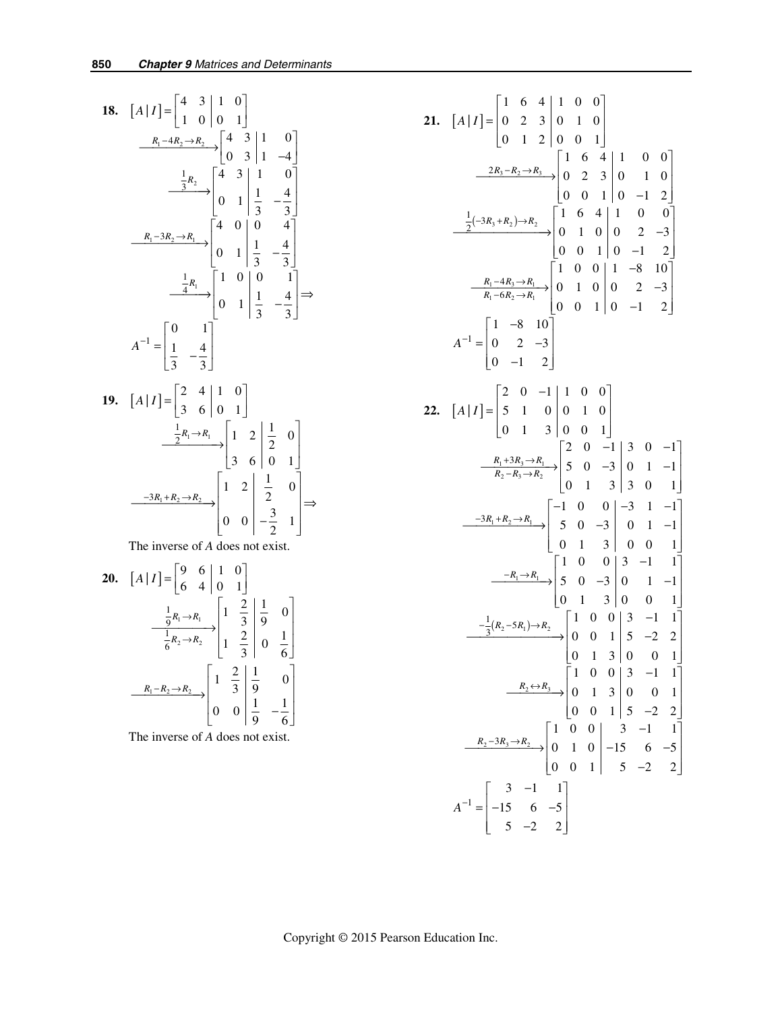18. 
$$
[A|I] = \begin{bmatrix} 4 & 3 & 1 & 0 \ 1 & 0 & 0 & 1 \end{bmatrix}
$$
  
\n $\frac{R_1 - 4R_2 \rightarrow R_2}{3} \begin{bmatrix} 4 & 3 & 1 & 0 \ 0 & 3 & 1 & -4 \end{bmatrix}$   
\n $\frac{\frac{1}{3}R_2}{3} \begin{bmatrix} 4 & 3 & 1 & 0 \ 0 & 1 & \frac{1}{3} & -\frac{4}{3} \end{bmatrix}$   
\n $\frac{R_1 - 3R_2 \rightarrow R_1}{4}$   
\n $\frac{\frac{1}{4}R_1}{4}$   
\n $\frac{1}{4}$   
\n $\frac{1}{4}$   
\n19.  $[A|I] = \begin{bmatrix} 2 & 4 & 1 & 0 \ 3 & 6 & 0 & 1 \end{bmatrix}$   
\n $\frac{\frac{1}{2}R_1 \rightarrow R_1}{3} \begin{bmatrix} 1 & 0 & 0 & 1 \ 0 & 1 & \frac{1}{3} & -\frac{4}{3} \end{bmatrix} \Rightarrow$   
\n $\frac{\frac{1}{2}R_1 \rightarrow R_1}{2}$   
\n $\frac{\frac{1}{2}R_1 \rightarrow R_1}{3}$   
\n10.  $[A|I] = \begin{bmatrix} 2 & 4 & 1 & 0 \ 3 & 6 & 0 & 1 \end{bmatrix}$   
\n $\frac{\frac{1}{2}R_1 \rightarrow R_1}{3}$   
\n $\begin{bmatrix} 1 & 2 & \frac{1}{2} & 0 \ 3 & 6 & 0 & 1 \end{bmatrix}$   
\n $\frac{\frac{-3R_1 + R_2 \rightarrow R_2}{6}}{1}$   
\n $\begin{bmatrix} 1 & 2 & \frac{1}{2} & 0 \ 0 & 0 & -\frac{3}{2} & 1 \end{bmatrix} \Rightarrow$   
\nThe inverse of *A* does not exist.  
\n20.  $[A|I] = \begin{bmatrix} 9 & 6 & 1 & 0 \ 6 & 4 & 0 & 1 \end{bmatrix}$   
\n $\frac{\frac{1}{9}R_1 \rightarrow R_1}{\frac{1}{6}R_2 \rightarrow R_2}$   
\n $\begin{bmatrix$ 

$$
\begin{bmatrix} -R_2 \rightarrow R_2 \\ 6 \end{bmatrix} \begin{bmatrix} 1 & \frac{2}{3} & 0 & \frac{1}{6} \end{bmatrix}
$$

$$
\begin{bmatrix} R_1 - R_2 \rightarrow R_2 \\ 0 & 0 & 0 \end{bmatrix} \begin{bmatrix} 1 & \frac{2}{3} & \frac{1}{9} & 0 \\ 0 & 0 & \frac{1}{9} & -\frac{1}{6} \end{bmatrix}
$$

The inverse of *A* does not exist.

21. 
$$
[A|I] = \begin{bmatrix} 1 & 6 & 4 & 1 & 0 & 0 \ 0 & 2 & 3 & 0 & 1 & 0 \ 0 & 1 & 2 & 0 & 0 & 1 \end{bmatrix}
$$
  
\n
$$
\xrightarrow{2R_3 - R_2 \rightarrow R_3} \begin{bmatrix} 1 & 6 & 4 & 1 & 0 & 0 \ 0 & 2 & 3 & 0 & 1 & 0 \ 0 & 0 & 1 & 0 & -1 & 2 \end{bmatrix}
$$
  
\n
$$
\xrightarrow{\frac{1}{2}(-3R_3 + R_2) \rightarrow R_2} \begin{bmatrix} 1 & 6 & 4 & 1 & 0 & 0 \ 0 & 2 & 3 & 0 & 1 & 0 \ 0 & 0 & 1 & 0 & -1 & 2 \end{bmatrix}
$$
  
\n
$$
\xrightarrow{R_1 - 4R_3 \rightarrow R_1} \begin{bmatrix} 1 & 0 & 0 & 1 & -8 & 10 \ 0 & 1 & 0 & 0 & 2 & -3 \ 0 & -1 & 2 & 0 & 0 & 1 \end{bmatrix}
$$
  
\n
$$
A^{-1} = \begin{bmatrix} 1 & -8 & 10 \ 0 & 2 & -3 \ 0 & -1 & 2 \end{bmatrix}
$$
  
\n22. 
$$
[A|I] = \begin{bmatrix} 2 & 0 & -1 & 1 & 0 & 0 \ 5 & 1 & 0 & 0 & 1 & 0 \ 0 & 1 & 3 & 0 & 0 & 1 \end{bmatrix}
$$
  
\n
$$
\xrightarrow{R_1 + 3R_3 \rightarrow R_1} \begin{bmatrix} 2 & 0 & -1 & 3 & 0 & -1 \ 6 & 1 & 3 & 0 & 0 & 1 \end{bmatrix}
$$
  
\n
$$
\xrightarrow{R_1 + R_2 \rightarrow R_1} \begin{bmatrix} 2 & 0 & -1 & 3 & 0 & -1 \ 6 & 1 & 3 & 3 & 0 & 1 \end{bmatrix}
$$
  
\n
$$
\xrightarrow{-3R_1 + R_2 \rightarrow R_1} \begin{bmatrix} 2 & 0 & -1 & 3 & 0 & -1 \ 5 & 0 & -3 & 0 & 1 & -1 \ 0 & 1 & 3 & 0 & 0 & 1 \end{bmatrix}
$$
  
\n
$$
\xrightarrow
$$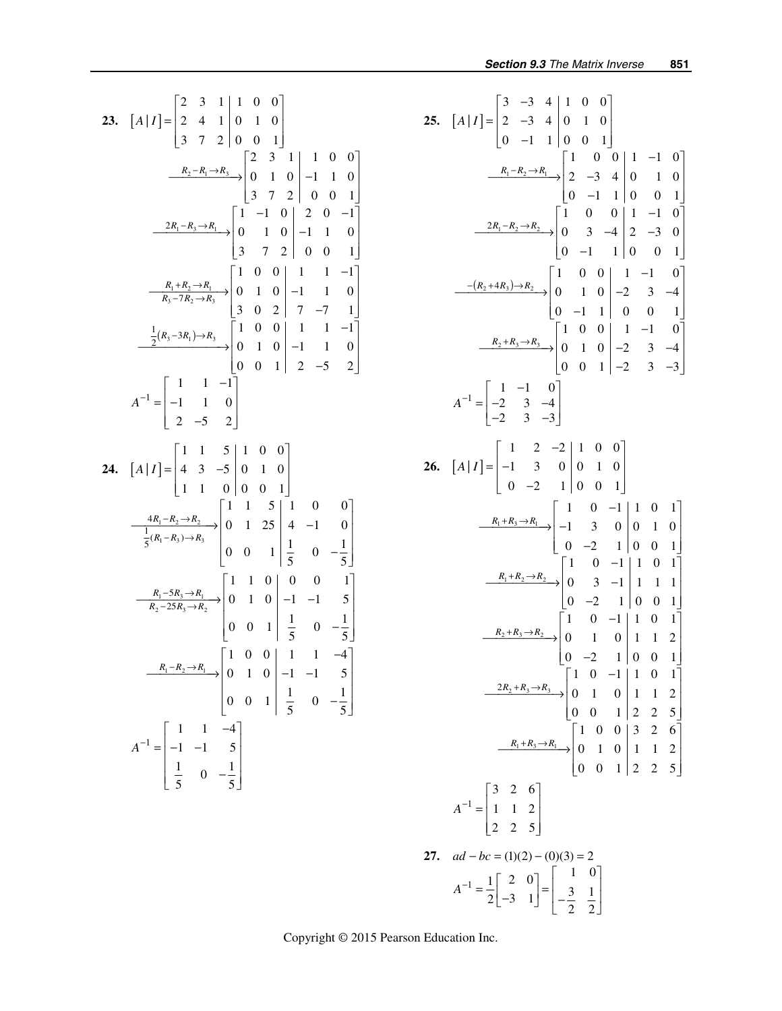23. 
$$
[A|I] = \begin{bmatrix} 2 & 3 & 1 & 1 & 0 & 0 \ 2 & 4 & 1 & 0 & 1 & 0 \ 3 & 7 & 2 & 0 & 0 & 1 \end{bmatrix}
$$
  
\n $\frac{R_2 - R_1 \rightarrow R_3}{2}$   $\begin{bmatrix} 2 & 3 & 1 & 1 & 0 & 0 \ 0 & 1 & 0 & -1 & 1 & 0 \ 3 & 7 & 2 & 0 & 0 & 1 \end{bmatrix}$   
\n $\frac{2R_1 - R_3 \rightarrow R_1}{R_3 - 7R_2 \rightarrow R_3}$   $\begin{bmatrix} 1 & -1 & 0 & 2 & 0 & -1 \ 0 & 1 & 0 & -1 & 1 & 0 \ 3 & 7 & 2 & 0 & 0 & 1 \end{bmatrix}$   
\n $\frac{R_1 + R_2 \rightarrow R_1}{R_3 - 7R_2 \rightarrow R_3}$   $\begin{bmatrix} 1 & 0 & 0 & 1 & 1 & -1 \ 0 & 1 & 0 & -1 & 1 & 0 \ 3 & 0 & 2 & 7 & -7 & 1 \end{bmatrix}$   
\n $\frac{\frac{1}{2}(R_3 - 3R_1) \rightarrow R_3}{2}$   $\begin{bmatrix} 1 & 0 & 0 & 1 & 1 & -1 \ 0 & 1 & 0 & -1 & 1 & 0 \ 0 & 0 & 1 & 2 & -5 & 2 \end{bmatrix}$   
\n24.  $[A|I] = \begin{bmatrix} 1 & 1 & 5 & 1 & 0 & 0 \ 4 & 3 & -5 & 0 & 1 & 0 \ 1 & 1 & 0 & 0 & 0 & 1 \end{bmatrix}$   
\n $\frac{4R_1 - R_2 \rightarrow R_2}{\frac{1}{5}(R_1 - R_3) \rightarrow R_3}$   $\begin{bmatrix} 1 & 1 & 5 & 1 & 0 & 0 \ 0 & 1 & 1 & 25 & 4 & -1 & 0 \ 0 & 0 & 1 & \frac{1}{5} & 0 & -\frac{1}{5} \end{bmatrix}$   
\n $\frac{R_1 - 5R_3 \rightarrow R_1}{R_2 - 25R_3 \rightarrow R_2}$   $\begin{bmatrix} 1 & 1 & 0 & 0 & 0 &$ 

25. 
$$
[A|I] = \begin{bmatrix} 3 & -3 & 4 & 1 & 0 & 0 \\ 2 & -3 & 4 & 0 & 1 & 0 \\ 0 & -1 & 1 & 0 & 0 & 1 \end{bmatrix}
$$
  
\n
$$
\xrightarrow{R_1 - R_2 \rightarrow R_1} \begin{bmatrix} 1 & 0 & 0 & 1 & -1 & 0 \\ 2 & -3 & 4 & 0 & 1 & 0 \\ 0 & -1 & 1 & 0 & 0 & 1 \end{bmatrix}
$$
\n
$$
\xrightarrow{2R_1 - R_2 \rightarrow R_2} \begin{bmatrix} 1 & 0 & 0 & 1 & -1 & 0 \\ 0 & -1 & 1 & 0 & 0 & 1 \end{bmatrix}
$$
\n
$$
\xrightarrow{-(R_2 + 4R_3) \rightarrow R_2} \begin{bmatrix} 1 & 0 & 0 & 1 & -1 & 0 \\ 0 & 3 & -4 & 2 & -3 & 0 \\ 0 & -1 & 1 & 0 & 0 & 1 \end{bmatrix}
$$
\n
$$
\xrightarrow{-(R_2 + 4R_3) \rightarrow R_2} \begin{bmatrix} 1 & 0 & 0 & 1 & -1 & 0 \\ 0 & 1 & 0 & -2 & 3 & -4 \\ 0 & -1 & 1 & 0 & 0 & 1 \end{bmatrix}
$$
\n
$$
\xrightarrow{R_2 + R_3 \rightarrow R_3} \begin{bmatrix} 1 & 0 & 0 & 1 & -1 & 0 \\ 0 & 1 & 0 & -2 & 3 & -3 \end{bmatrix}
$$
\n26.  $[A|I] = \begin{bmatrix} 1 & 2 & -2 & 1 & 0 & 0 \\ -1 & 3 & 0 & 0 & 1 & 0 \\ 0 & -2 & 1 & 0 & 0 & 1 \end{bmatrix}$ \n
$$
\xrightarrow{R_1 + R_3 \rightarrow R_1} \begin{bmatrix} 1 & 0 & -1 & 1 & 0 & 1 \\ -1 & 3 & 0 & 0 & 1 & 0 \\ 0 & -2 & 1 & 0 & 0 & 1 \end{bmatrix}
$$
\n
$$
\xrightarrow{R_1 + R_2 \rightarrow R_2} \begin{bmatrix} 1 & 0 & -1 & 1 & 0 & 1 \\ 0 & 1 & 1 & 2 & 0 \\ 0 & -2 & 1 & 0 & 0 & 1 \end{bmatrix}
$$
\n<math display="block</p>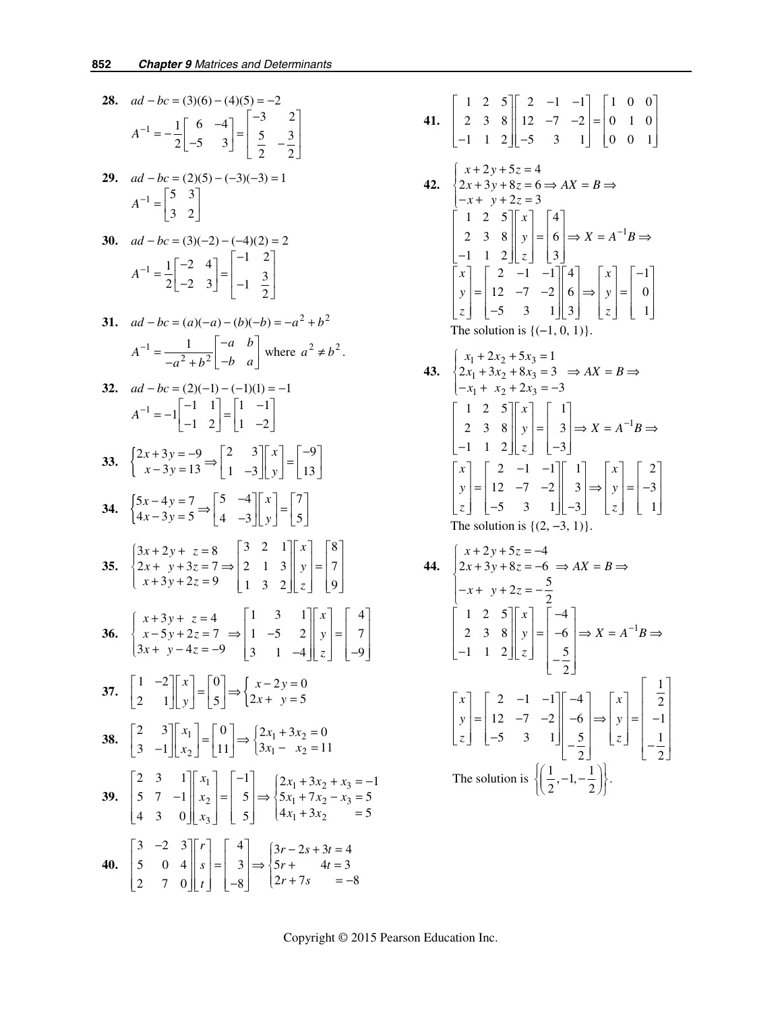**28.** 
$$
ad - bc = (3)(6) - (4)(5) = -2
$$
  

$$
A^{-1} = -\frac{1}{2} \begin{bmatrix} 6 & -4 \\ -5 & 3 \end{bmatrix} = \begin{bmatrix} -3 & 2 \\ 5 & -\frac{3}{2} \end{bmatrix}
$$

**29.** 
$$
ad - bc = (2)(5) - (-3)(-3) = 1
$$
  

$$
A^{-1} = \begin{bmatrix} 5 & 3 \\ 3 & 2 \end{bmatrix}
$$

30. 
$$
ad - bc = (3)(-2) - (-4)(2) = 2
$$

$$
A^{-1} = \frac{1}{2} \begin{bmatrix} -2 & 4 \\ -2 & 3 \end{bmatrix} = \begin{bmatrix} -1 & 2 \\ -1 & \frac{3}{2} \end{bmatrix}
$$

31. 
$$
ad - bc = (a)(-a) - (b)(-b) = -a^2 + b^2
$$
  

$$
A^{-1} = \frac{1}{-a^2 + b^2} \begin{bmatrix} -a & b \\ -b & a \end{bmatrix}
$$
 where  $a^2 \neq b^2$ .

32. 
$$
ad - bc = (2)(-1) - (-1)(1) = -1
$$
  
\n
$$
A^{-1} = -1 \begin{bmatrix} -1 & 1 \\ -1 & 2 \end{bmatrix} = \begin{bmatrix} 1 & -1 \\ 1 & -2 \end{bmatrix}
$$

$$
\mathbf{33.} \quad\n \begin{cases}\n 2x + 3y = -9 \\
 x - 3y = 13\n \end{cases}\n \Rightarrow\n \begin{bmatrix}\n 2 & 3 \\
 1 & -3\n \end{bmatrix}\n \begin{bmatrix}\n x \\
 y\n \end{bmatrix}\n =\n \begin{bmatrix}\n -9 \\
 13\n \end{bmatrix}
$$

$$
34. \quad\n \begin{cases}\n 5x - 4y = 7 \\
 4x - 3y = 5\n \end{cases}\n \Rightarrow\n \begin{bmatrix}\n 5 & -4 \\
 4 & -3\n \end{bmatrix}\n \begin{bmatrix}\n x \\
 y\n \end{bmatrix}\n =\n \begin{bmatrix}\n 7 \\
 5\n \end{bmatrix}
$$

35. 
$$
\begin{cases} 3x + 2y + z = 8 \\ 2x + y + 3z = 7 \Rightarrow \begin{vmatrix} 3 & 2 & 1 \\ 2 & 1 & 3 \\ 1 & 3 & 2 \end{vmatrix} \begin{vmatrix} x \\ y \\ z \end{vmatrix} = \begin{vmatrix} 8 \\ 7 \\ 9 \end{vmatrix}
$$

**36.** 
$$
\begin{cases} x+3y+z=4 \\ x-5y+2z=7 \\ 3x+y-4z=-9 \end{cases} \Rightarrow \begin{bmatrix} 1 & 3 & 1 \\ 1 & -5 & 2 \\ 3 & 1 & -4 \end{bmatrix} \begin{bmatrix} x \\ y \\ z \end{bmatrix} = \begin{bmatrix} 4 \\ 7 \\ -9 \end{bmatrix}
$$

$$
\mathbf{37.} \quad \begin{bmatrix} 1 & -2 \\ 2 & 1 \end{bmatrix} \begin{bmatrix} x \\ y \end{bmatrix} = \begin{bmatrix} 0 \\ 5 \end{bmatrix} \Rightarrow \begin{cases} x - 2y = 0 \\ 2x + y = 5 \end{cases}
$$

$$
\begin{bmatrix} 2 & 3 \\ 3 & -1 \end{bmatrix} \begin{bmatrix} x_1 \\ x_2 \end{bmatrix} = \begin{bmatrix} 0 \\ 11 \end{bmatrix} \Rightarrow \begin{cases} 2x_1 + 3x_2 = 0 \\ 3x_1 - x_2 = 11 \end{cases}
$$

39. 
$$
\begin{bmatrix} 2 & 3 & 1 \ 5 & 7 & -1 \ 4 & 3 & 0 \ \end{bmatrix} \begin{bmatrix} x_1 \ x_2 \ x_3 \end{bmatrix} = \begin{bmatrix} -1 \ 5 \ 5 \end{bmatrix} \Rightarrow \begin{cases} 2x_1 + 3x_2 + x_3 = -1 \ 5x_1 + 7x_2 - x_3 = 5 \ 4x_1 + 3x_2 = 5 \end{cases}
$$
  
40. 
$$
\begin{bmatrix} 3 & -2 & 3 \ 5 & 0 & 4 \ 2 & 7 & 0 \ \end{bmatrix} \begin{bmatrix} r \ s \ r \end{bmatrix} = \begin{bmatrix} 4 \ 3 \ -8 \end{bmatrix} \Rightarrow \begin{cases} 3r - 2s + 3t = 4 \ 5r + 4t = 3 \ 2r + 7s = -8 \end{cases}
$$

**41.** 
$$
\begin{bmatrix} 1 & 2 & 5 \ 2 & 3 & 8 \ -1 & 1 & 2 \end{bmatrix} \begin{bmatrix} 2 & -1 & -1 \ 12 & -7 & -2 \ -5 & 3 & 1 \end{bmatrix} = \begin{bmatrix} 1 & 0 & 0 \ 0 & 1 & 0 \ 0 & 0 & 1 \end{bmatrix}
$$
  
\n**42.** 
$$
\begin{cases} x + 2y + 5z = 4 \\ 2x + 3y + 8z = 6 \Rightarrow AX = B \Rightarrow \\ -x + y + 2z = 3 \end{cases}
$$

$$
\begin{bmatrix} 1 & 2 & 5 \ 2 & 3 & 8 \ -1 & 1 & 2 \end{bmatrix} \begin{bmatrix} x \ y \ z \end{bmatrix} = \begin{bmatrix} 4 \\ 6 \\ 3 \end{bmatrix} \Rightarrow X = A^{-1}B \Rightarrow
$$

$$
\begin{bmatrix} x \ y \ z \end{bmatrix} = \begin{bmatrix} 2 & -1 & -1 \ 12 & -7 & -2 \ -5 & 3 & 1 \end{bmatrix} \begin{bmatrix} 4 \\ 6 \\ 3 \end{bmatrix} \Rightarrow \begin{bmatrix} x \ y \ z \end{bmatrix} = \begin{bmatrix} -1 \\ 0 \\ 1 \end{bmatrix}
$$
The solution is {(-1, 0, 1)}.

43. 
$$
\begin{cases} x_1 + 2x_2 + 5x_3 = 1 \\ 2x_1 + 3x_2 + 8x_3 = 3 \implies AX = B \implies \\ -x_1 + x_2 + 2x_3 = -3 \end{cases}
$$

$$
\begin{bmatrix} 1 & 2 & 5 \\ 2 & 3 & 8 \\ -1 & 1 & 2 \end{bmatrix} \begin{bmatrix} x \\ y \\ z \end{bmatrix} = \begin{bmatrix} 1 \\ 3 \\ -3 \end{bmatrix} \implies X = A^{-1}B \implies
$$

$$
\begin{bmatrix} x \\ y \\ z \end{bmatrix} = \begin{bmatrix} 2 & -1 & -1 \\ 12 & -7 & -2 \\ -5 & 3 & 1 \end{bmatrix} \begin{bmatrix} 1 \\ 3 \\ -3 \end{bmatrix} \implies \begin{bmatrix} x \\ y \\ z \end{bmatrix} = \begin{bmatrix} 2 \\ -3 \\ 1 \end{bmatrix}
$$
The solution is {(2, -3, 1)}.

44. 
$$
\begin{cases} x + 2y + 5z = -4 \\ 2x + 3y + 8z = -6 \Rightarrow AX = B \Rightarrow \\ -x + y + 2z = -\frac{5}{2} \end{cases}
$$

$$
\begin{bmatrix} 1 & 2 & 5 \\ 2 & 3 & 8 \\ -1 & 1 & 2 \end{bmatrix} \begin{bmatrix} x \\ y \\ z \end{bmatrix} = \begin{bmatrix} -4 \\ -6 \\ -\frac{5}{2} \end{bmatrix} \Rightarrow X = A^{-1}B \Rightarrow
$$

$$
\begin{bmatrix} x \\ y \\ z \end{bmatrix} = \begin{bmatrix} 2 & -1 & -1 \\ 12 & -7 & -2 \\ -5 & 3 & 1 \end{bmatrix} \begin{bmatrix} -4 \\ -6 \\ -\frac{5}{2} \end{bmatrix} \Rightarrow \begin{bmatrix} x \\ y \\ z \end{bmatrix} = \begin{bmatrix} \frac{1}{2} \\ -1 \\ -\frac{1}{2} \end{bmatrix}
$$
The solution is 
$$
\left\{ \left( \frac{1}{2}, -1, -\frac{1}{2} \right) \right\}.
$$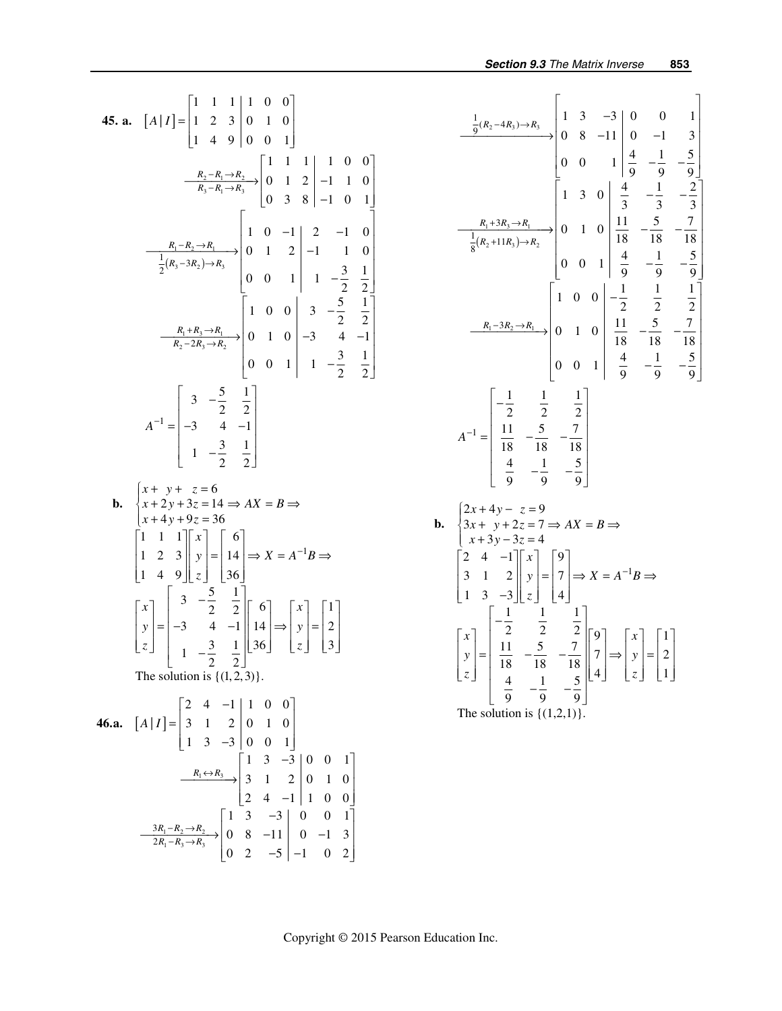45. a. 
$$
[A|I] = \begin{bmatrix} 1 & 1 & 1 & 1 & 0 & 0 \ 1 & 2 & 3 & 0 & 1 & 0 \ 1 & 4 & 9 & 0 & 0 & 1 \end{bmatrix}
$$
  
\n $\frac{R_2 - R_1 \rightarrow R_2}{R_3 - R_1 \rightarrow R_3} \rightarrow \begin{bmatrix} 1 & 1 & 1 & 1 & 0 & 0 \ 0 & 1 & 2 & -1 & 1 & 0 \ 0 & 3 & 8 & -1 & 0 & 1 \end{bmatrix}$   
\n $\frac{R_1 - R_2 \rightarrow R_1}{\frac{1}{2}(R_3 - 3R_2) \rightarrow R_3} \begin{bmatrix} 1 & 0 & -1 & 2 & -1 & 0 \ 0 & 1 & 2 & -1 & 1 & 0 \ 0 & 0 & 1 & 1 & -\frac{3}{2} & \frac{1}{2} \end{bmatrix}$   
\n $\frac{R_1 + R_3 \rightarrow R_1}{R_2 - 2R_3 \rightarrow R_2} \rightarrow \begin{bmatrix} 1 & 0 & 0 & 3 & -\frac{5}{2} & \frac{1}{2} \ 0 & 0 & 1 & 1 & -\frac{3}{2} & \frac{1}{2} \end{bmatrix}$   
\n $A^{-1} = \begin{bmatrix} 3 & -\frac{5}{2} & \frac{1}{2} \\ -3 & 4 & -1 \\ 1 & -\frac{3}{2} & \frac{1}{2} \end{bmatrix}$   
\nb.  $\begin{cases} x + y + z = 6 \\ x + 2y + 3z = 14 \Rightarrow AX = B \Rightarrow \\ x + 4y + 9z = 36 \\ 1 & 4 & 9 \end{cases}$   
\n $\begin{bmatrix} x \\ y \\ z \end{bmatrix} = \begin{bmatrix} 6 \\ -3 & 4 & -1 \\ 16 \end{bmatrix}$   
\n $\begin{bmatrix} x \\ y \\ z \end{bmatrix} = \begin{bmatrix} 6 \\ -3 & 4 & -1 \\ 16 \end{bmatrix}$   
\n $\begin{bmatrix} x \\ y \\ z \end{bmatrix} = \begin{bmatrix} 3 & -\frac{5}{2} & \frac{1}{2} \\ 1 & 4 & 9 \end{bmatrix} \begin{bmatrix} 6 \\ 2 \\ 36 \end{bmatrix}$   
\n $\begin{bmatrix} x \\ y \\ z \end{$ 

$$
\frac{\frac{1}{9}(R_2-4R_3)\rightarrow R_3}{\frac{1}{9}(R_2+11R_3)\rightarrow R_2}
$$
\n
$$
\begin{bmatrix}\n1 & 3 & -3 & 0 & 0 & 1 \\
0 & 8 & -11 & 0 & -1 & 3 \\
0 & 0 & 1 & \frac{4}{9} & -\frac{1}{9} & -\frac{5}{9}\n\end{bmatrix}
$$
\n
$$
\frac{R_1+3R_3\rightarrow R_1}{\frac{1}{8}(R_2+11R_3)\rightarrow R_2}
$$
\n
$$
\begin{bmatrix}\n1 & 3 & 0 & \frac{4}{3} & -\frac{1}{3} & -\frac{2}{3} \\
\frac{1}{3} & \frac{1}{3} & -\frac{1}{3} & -\frac{2}{3} \\
0 & 0 & 1 & \frac{4}{9} & -\frac{1}{9} & -\frac{5}{9}\n\end{bmatrix}
$$
\n
$$
\frac{R_1-3R_2\rightarrow R_1}{\frac{1}{8}(R_2+11R_3)\rightarrow R_2}
$$
\n
$$
\begin{bmatrix}\n1 & 0 & 0 & -\frac{1}{2} & \frac{1}{2} & \frac{1}{2} & \frac{1}{2} \\
\frac{1}{18} & -\frac{1}{18} & -\frac{1}{18} & -\frac{7}{18} & -\frac{7}{18} \\
0 & 0 & 1 & \frac{4}{9} & -\frac{1}{9} & -\frac{5}{9}\n\end{bmatrix}
$$
\n
$$
A^{-1} = \begin{bmatrix}\n-\frac{1}{2} & \frac{1}{2} & \frac{1}{2} \\
\frac{11}{18} & -\frac{5}{18} & -\frac{7}{18} \\
\frac{4}{9} & -\frac{1}{9} & -\frac{5}{9}\n\end{bmatrix}
$$
\n
$$
B = \begin{bmatrix}\n2x + 4y - z = 9 \\
3x + y + 2z = 7 \Rightarrow AX = B \Rightarrow
$$
\n
$$
\begin{bmatrix}\nx \\
x + 3y - 3z = 4 \\
x + 3y - 3z = 4 \\
1 & 3 & -3\n\end{bmatrix} \begin{bmatrix}\ny \\
z\n\end{bmatrix} = \begin{bmatrix}\n9 \\
7 \\
4\n\end{bmatrix} \Rightarrow X = A^{-1}B \Rightarrow
$$
\n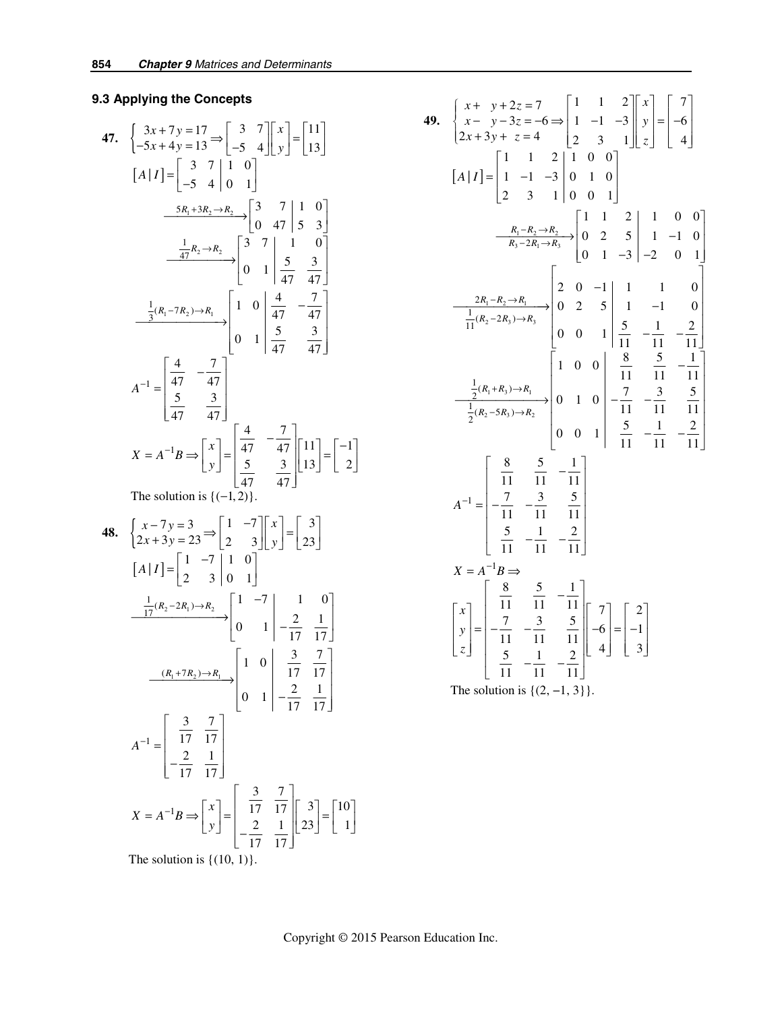# **9.3 Applying the Concepts**

47. 
$$
\begin{aligned}\n\begin{bmatrix}\n3x + 7y &= 17 \\
-5x + 4y &= 13\n\end{bmatrix} \rightarrow \begin{bmatrix}\n3 & 7 \\
-5 & 4\n\end{bmatrix}\n\begin{bmatrix}\nx \\
y\n\end{bmatrix} = \begin{bmatrix}\n11 \\
13\n\end{bmatrix} \\
[A|I] = \begin{bmatrix}\n3 & 7 & 1 & 0 \\
-5 & 4 & 0 & 1\n\end{bmatrix} \\
\underline{5R_1 + 3R_2 \rightarrow R_2} \rightarrow \begin{bmatrix}\n3 & 7 & 1 & 0 \\
0 & 47 & 5 & 3\n\end{bmatrix} \\
\underline{\frac{1}{47}R_2 \rightarrow R_2} \rightarrow \begin{bmatrix}\n3 & 7 & 1 & 0 \\
0 & 1 & \frac{5}{47} & \frac{3}{47}\n\end{bmatrix} \\
\underline{\frac{1}{3}(R_1 - 7R_2) \rightarrow R_1} \rightarrow \begin{bmatrix}\n1 & 0 & \frac{4}{47} & -\frac{7}{47} \\
0 & 1 & \frac{5}{47} & \frac{3}{47}\n\end{bmatrix} \\
A^{-1} = \begin{bmatrix}\n\frac{4}{47} & -\frac{7}{47} \\
\frac{5}{47} & \frac{3}{47}\n\end{bmatrix} \\
X = A^{-1}B \Rightarrow \begin{bmatrix}\nx \\
y\n\end{bmatrix} = \begin{bmatrix}\n\frac{4}{47} & -\frac{7}{47} \\
\frac{5}{47} & \frac{3}{47}\n\end{bmatrix} \begin{bmatrix}\n11 \\
13\n\end{bmatrix} = \begin{bmatrix}\n-1 \\
2\n\end{bmatrix} \\
\text{The solution is } \left(\begin{bmatrix}1 & 2\end{bmatrix}\right)\n\end{aligned}
$$

The solution is  $\{(-1, 2)\}.$ 

**48.** 
$$
\begin{bmatrix} x-7y=3 \\ 2x+3y=23 \end{bmatrix} \xrightarrow{\begin{bmatrix} 1 & -7 \\ 2 & 3 \end{bmatrix}} \begin{bmatrix} x \\ y \end{bmatrix} = \begin{bmatrix} 3 \\ 23 \end{bmatrix}
$$

$$
\begin{bmatrix} A|I] = \begin{bmatrix} 1 & -7 & | & 1 & 0 \\ 2 & 3 & 0 & 1 \end{bmatrix}
$$

$$
\xrightarrow{\frac{1}{17}(R_2-2R_1)\rightarrow R_2} \begin{bmatrix} 1 & -7 & | & 1 & 0 \\ 0 & 1 & | & -\frac{2}{17} & \frac{1}{17} \end{bmatrix}
$$

$$
\xrightarrow{\frac{(R_1+7R_2)\rightarrow R_1}{17 \cdot 17}} \begin{bmatrix} 1 & 0 & | & \frac{3}{17} & \frac{7}{17} \\ 0 & 1 & | & -\frac{2}{17} & \frac{1}{17} \end{bmatrix}
$$

$$
A^{-1} = \begin{bmatrix} \frac{3}{17} & \frac{7}{17} \\ -\frac{2}{17} & \frac{1}{17} \end{bmatrix}
$$

$$
X = A^{-1}B \Rightarrow \begin{bmatrix} x \\ y \end{bmatrix} = \begin{bmatrix} \frac{3}{17} & \frac{7}{17} \\ -\frac{2}{17} & \frac{1}{17} \end{bmatrix} \begin{bmatrix} 3 \\ 23 \end{bmatrix} = \begin{bmatrix} 10 \\ 1 \end{bmatrix}
$$
The solution is {(10, 1)}.

49. 
$$
\begin{cases} x + y + 2z = 7 \ 2x + 3y + z = 4 \ 2x + 3y + z = 4 \ 2x + 3y + z = 4 \ 2x + 3y + z = 4 \ 2x + 3y + z = 4 \ 2x + 3y + z = 4 \ 2x + 3y + z = 4 \ 2x + 3y + 3y = 4 \end{cases}
$$
  
\n
$$
\begin{bmatrix} A \mid I \end{bmatrix} = \begin{bmatrix} 1 & 1 & 2 & 1 & 0 & 0 \\ 1 & -1 & -3 & 0 & 1 & 0 \\ 2 & 3 & 1 & 0 & 0 & 1 \end{bmatrix}
$$
  
\n
$$
\begin{array}{c} R_1 - R_2 \rightarrow R_2 \\ \hline R_3 - 2R_1 \rightarrow R_3 \end{array} \begin{bmatrix} 1 & 1 & 2 & 1 & 0 & 0 \\ 0 & 2 & 5 & 1 & -1 & 0 \\ 0 & 1 & -3 & -2 & 0 & 1 \end{bmatrix}
$$
  
\n
$$
\begin{array}{c} 2R_1 - R_2 \rightarrow R_1 \\ \hline \frac{1}{11}(R_2 - 2R_3) \rightarrow R_3 \end{array} \begin{bmatrix} 2 & 0 & -1 & 1 & 1 & 0 \\ 0 & 2 & 5 & 1 & -1 & 0 \\ 0 & 0 & 1 & 5 & -1 & -2 \\ 0 & 0 & 1 & 1 & 1 & 1 & -11 \end{bmatrix}
$$
  
\n
$$
\begin{array}{c} \frac{1}{2}(R_1 + R_3) \rightarrow R_1 \\ \hline \frac{1}{2}(R_2 - 5R_3) \rightarrow R_2 \end{array}
$$
  
\n
$$
\begin{array}{c} 0 & 1 & 0 & -7 & -3 & 5 \\ 0 & 0 & 1 & 5 & -1 & -2 \\ 11 & -11 & -11 & 11 & 11 \\ 5 & -1 & -11 & -11 & -11 \end{array}
$$
  
\n
$$
X = A^{-1}B \Rightarrow
$$
  
\n
$$
\begin{bmatrix} x \\ y \\ z \end{bmatrix} = \begin{bmatrix} \frac{8}{11} & \frac{5}{11} & -\frac{1}{11} \\ -\frac{7}{11} & -\frac{3}{11} & \frac{5}{1
$$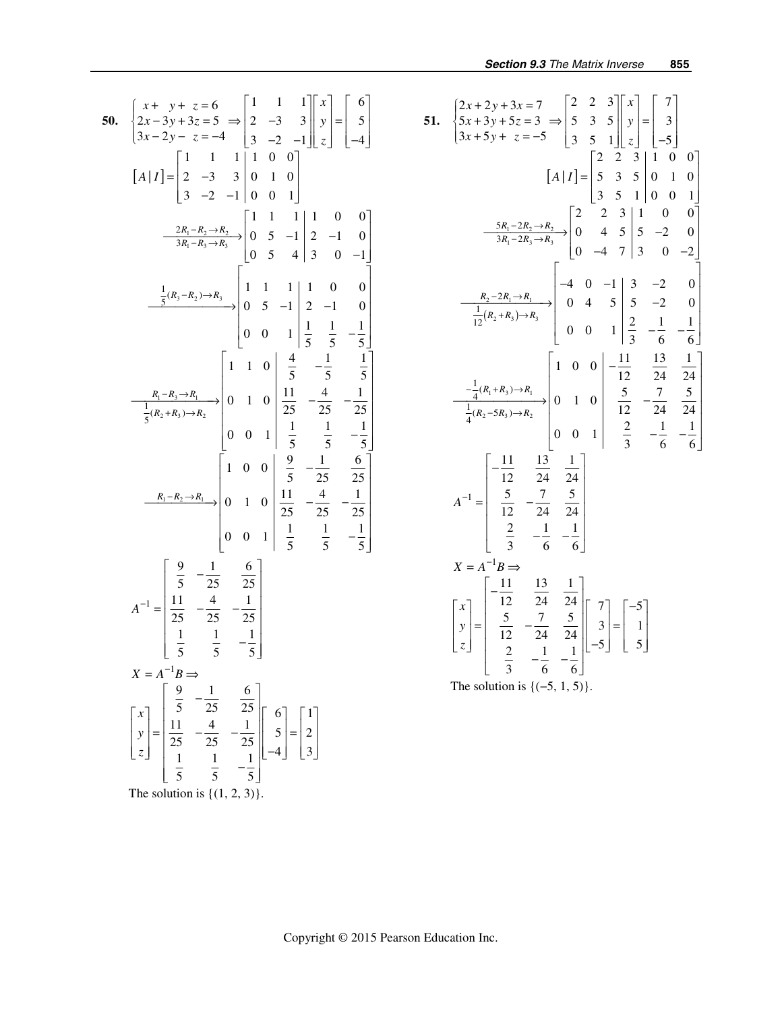50. 
$$
\begin{cases} x + y + z = 6 \ 2x - 3y + 3z = 5 \ \Rightarrow \begin{bmatrix} 1 & 1 & 1 \ 2 & -3 & 3 \ 3x - 2y - z = -4 \ \end{bmatrix} \begin{bmatrix} x \ 2 \ -3 & 3 \ 3 \ -2 & -1 \ \end{bmatrix} \begin{bmatrix} y \ 2 \ 2 \ \end{bmatrix} = \begin{bmatrix} 6 \ -5 \ -4 \ \end{bmatrix}
$$
  
\n
$$
\begin{bmatrix} A|I \end{bmatrix} = \begin{bmatrix} 1 & 1 & 1 & 1 & 0 & 0 \ 2 & -3 & 3 & 0 & 1 & 0 \ 3 & -2 & -1 & 0 & 0 & 1 \end{bmatrix}
$$
  
\n
$$
\frac{2R_1 - R_2 \rightarrow R_2}{3R_1 - R_3 \rightarrow R_3} \begin{bmatrix} 1 & 1 & 1 & 1 & 0 & 0 \ 0 & 5 & -1 & 2 & -1 & 0 \ 0 & 5 & 4 & 3 & 0 & -1 \end{bmatrix}
$$
  
\n
$$
\frac{1}{5}(R_3 - R_2) \rightarrow R_3
$$
  
\n
$$
\frac{1}{5}(R_3 - R_2) \rightarrow R_3
$$
  
\n
$$
\frac{1}{5}(R_4 - R_3) \rightarrow R_2
$$
  
\n
$$
\frac{1}{5}(R_2 + R_3) \rightarrow R_2
$$
  
\n
$$
\frac{1}{5}(R_2 + R_3) \rightarrow R_2
$$
  
\n
$$
\frac{1}{5}(R_2 + R_3) \rightarrow R_2
$$
  
\n
$$
\frac{1}{5}(R_2 + R_3) \rightarrow R_2
$$
  
\n
$$
\frac{1}{5}(R_2 + R_3) \rightarrow R_2
$$
  
\n
$$
\frac{1}{5}(R_2 + R_3) \rightarrow R_2
$$
  
\n
$$
\frac{1}{5}(R_2 + R_3) \rightarrow R_2
$$
  
\n
$$
\frac{1}{5}(R_2 + R_3) \rightarrow R_2
$$
  
\n
$$
\frac{1}{5}(R_2 + R_3) \rightarrow R_2
$$
  
\n
$$
\frac{1}{5}(R_2 + R_3) \rightarrow R_2
$$
  
\n<math display="</p>

51. 
$$
\begin{cases} 2x + 2y + 3x = 7 \\ 5x + 3y + 5z = 3 \Rightarrow \begin{bmatrix} 2 & 2 & 3 \\ 5 & 3 & 5 \\ 3 & 5 & 1 \end{bmatrix} \begin{bmatrix} x \\ y \\ z \end{bmatrix} = \begin{bmatrix} 7 \\ 3 \\ -5 \end{bmatrix}
$$
  
\n
$$
\begin{bmatrix} A|I] = \begin{bmatrix} 2 & 2 & 3 \\ 5 & 3 & 5 \\ 5 & 3 & 5 \end{bmatrix} \begin{bmatrix} 1 & 0 & 0 \\ 1 & 0 & 0 \\ 3 & 5 & 1 & 0 \end{bmatrix}
$$
  
\n
$$
\frac{5R_1 - 2R_2 \rightarrow R_2}{3R_1 - 2R_3 \rightarrow R_3} \begin{bmatrix} 2 & 2 & 3 & 1 & 0 & 0 \\ 0 & 4 & 5 & 5 & -2 & 0 \\ 0 & -4 & 7 & 3 & 0 & -2 \end{bmatrix}
$$
  
\n
$$
\frac{R_2 - 2R_1 \rightarrow R_1}{\frac{1}{12}(R_2 + R_3) \rightarrow R_3} \begin{bmatrix} -4 & 0 & -1 & 3 & -2 & 0 \\ 0 & 4 & 5 & 5 & -2 & 0 \\ 0 & 0 & 1 & \frac{2}{3} & -\frac{1}{6} & -\frac{1}{6} \end{bmatrix}
$$
  
\n
$$
\frac{1}{4}(R_2 - 5R_3) \rightarrow R_2 \begin{bmatrix} 1 & 0 & 0 & -\frac{11}{12} & \frac{13}{24} & \frac{1}{24} \\ \frac{1}{4}(R_2 - 5R_3) \rightarrow R_2 \end{bmatrix} \begin{bmatrix} 1 & 0 & 0 & -\frac{11}{12} & \frac{13}{24} & \frac{1}{24} \\ 0 & 1 & 0 & \frac{5}{12} & -\frac{7}{24} & \frac{5}{24} \\ \frac{2}{3} & -\frac{1}{6} & -\frac{1}{6} \end{bmatrix}
$$
  
\n
$$
X = A^{-1}B \Rightarrow
$$
  
\n
$$
\begin{bmatrix} x \\ y \\ z \end{bmatrix} = \begin{bmatrix} -\frac{11}{12} & \frac{13}{24} & \frac{1}{24} \\
$$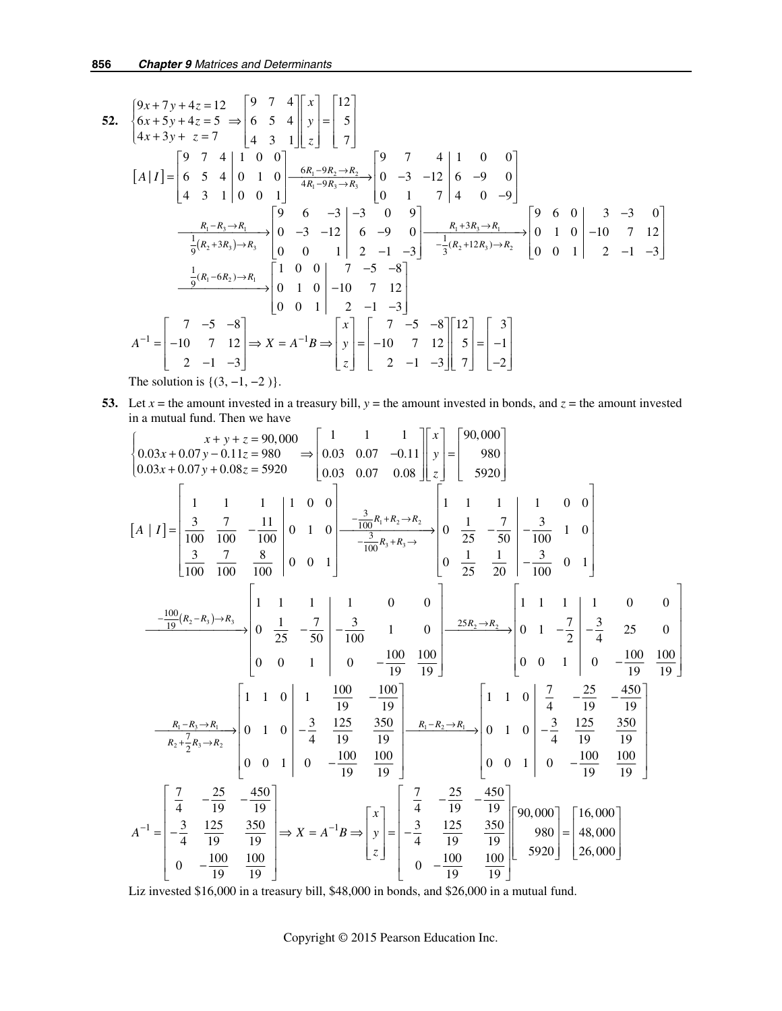52. 
$$
\begin{cases} 9x+7y+4z=12 \ 6x+5y+4z=5 \ \Rightarrow \begin{vmatrix} 9 & 7 & 4 \ 6 & 5 & 4 \ 4x+3y+z=7 \end{vmatrix} \begin{vmatrix} x \ 4 & 3 & 1 \end{vmatrix} \begin{vmatrix} z \ 5 \end{vmatrix} = \begin{vmatrix} 12 \ 5 \ 7 \end{vmatrix}
$$
  
\n
$$
\begin{bmatrix} A|I \end{bmatrix} = \begin{bmatrix} 9 & 7 & 4 \ 6 & 5 & 4 \ 4 & 3 & 1 \end{bmatrix} \begin{bmatrix} 1 & 0 & 0 \ 0 & 1 & 0 \ 4 & 4x-9R_3 \end{bmatrix} \begin{vmatrix} 6x-8R_2-R_2 \ 4R_1-R_3-R_3 \end{vmatrix} = \begin{bmatrix} 9 & 7 & 4 \ 0 & -3 & -12 \ 0 & 1 & 7 \end{bmatrix} \begin{bmatrix} 4 & 0 & 0 \ 6 & -9 & 0 \ 0 & 1 & 7 \end{bmatrix}
$$
  
\n
$$
\begin{array}{c} \frac{R_1-R_3-R_1}{16R_2+3R_3\end{array} \begin{bmatrix} 9 & 6 & -3 \ 0 & -3 & -12 \ 0 & 0 & 1 \end{bmatrix} \begin{bmatrix} 9 & -3 & -12 \ 6 & -9 & 0 \ 2 & -1 & -3 \end{bmatrix} \begin{bmatrix} 9 & 6 & 0 \ 0 & 1 & 0 \ -10 & 7 & 12 \ 0 & 0 & 1 \end{bmatrix} = \begin{bmatrix} 9 & 6 & 0 \ 0 & 1 & 0 \ 0 & 0 & 1 \end{bmatrix} \begin{bmatrix} 3 & -3 & 0 \ -10 & 7 & 12 \ 0 & 0 & 1 \end{bmatrix}
$$
  
\n
$$
\begin{array}{c} \frac{1}{9}(R_1-6R_2)\rightarrow R_1 \\ \frac{1}{9}(R_1-6R_2)\rightarrow R_1 \\ \frac{1}{9}(R_1-6R_2)\rightarrow R_1 \end{array} \begin{bmatrix} 1 & 0 & 0 \ 0 & 1 & 0 \ 0 & 1 & 0 \ 0 & 0 & 1 \end{bmatrix} = \begin{bmatrix} 7 & -5 & -8 \ -10 & 7 & 12
$$

**53.** Let  $x =$  the amount invested in a treasury bill,  $y =$  the amount invested in bonds, and  $z =$  the amount invested in a mutual fund. Then we have

$$
\begin{cases}\n0.03x + 0.07y - 0.11z = 980 \\
0.03x + 0.07y + 0.08z = 5920\n\end{cases} = \begin{bmatrix}\n1 & 1 & 1 \\
0.03 & 0.07 & -0.11 \\
0.03 & 0.07 & 0.08\n\end{bmatrix} \begin{bmatrix}\nx \\
y \\
z\n\end{bmatrix} = \begin{bmatrix}\n90,000 \\
980 \\
5920\n\end{bmatrix}
$$
\n
$$
\begin{bmatrix}\n1 & 1 & 1 & 1 & 0 & 0 \\
\frac{3}{100} & \frac{7}{100} & -\frac{11}{100} & 0 & 1 & 0 \\
\frac{3}{100} & \frac{7}{100} & -\frac{8}{100} & 0 & 0 & 1\n\end{bmatrix} = \begin{bmatrix}\n-\frac{3}{100}R_1 + R_2 - R_2 \\
-\frac{3}{100}R_3 + R_3 - \frac{1}{100} & 0 & \frac{1}{25} & -\frac{7}{50} & -\frac{3}{100} & 1 & 0 \\
0 & \frac{1}{25} & -\frac{7}{50} & -\frac{3}{100} & 0 & 1\n\end{bmatrix} = \begin{bmatrix}\n1 & 1 & 1 & 0 & 0 \\
-\frac{3}{100}R_3 + R_3 - \frac{1}{100} & 0 & \frac{1}{25} & -\frac{7}{50} & -\frac{3}{100} & 1 \\
0 & \frac{1}{25} & \frac{1}{20} & -\frac{3}{100} & 0 & 1\n\end{bmatrix}
$$
\n
$$
= \begin{bmatrix}\n\frac{100}{9}(R_2 - R_3) - R_3 \\
0 & 0 & 1 & 0 \\
0 & 0 & 1 & 0\n\end{bmatrix} = \begin{bmatrix}\n1 & 1 & 1 & 0 & 0 \\
\frac{1}{100} & 1 & 0 & 0 & \frac{25R_2 - R_2}{100} & 0 & 1 \\
0 & 0 & 1 & 0 & -\frac{7}{10} & \frac{1}{10} \\
0 & 0 & 1 & 0 & -\frac{7}{10} & \frac{1}{10} \\
0 & 0 & 1 & 0 & -\frac{1
$$

Liz invested \$16,000 in a treasury bill, \$48,000 in bonds, and \$26,000 in a mutual fund.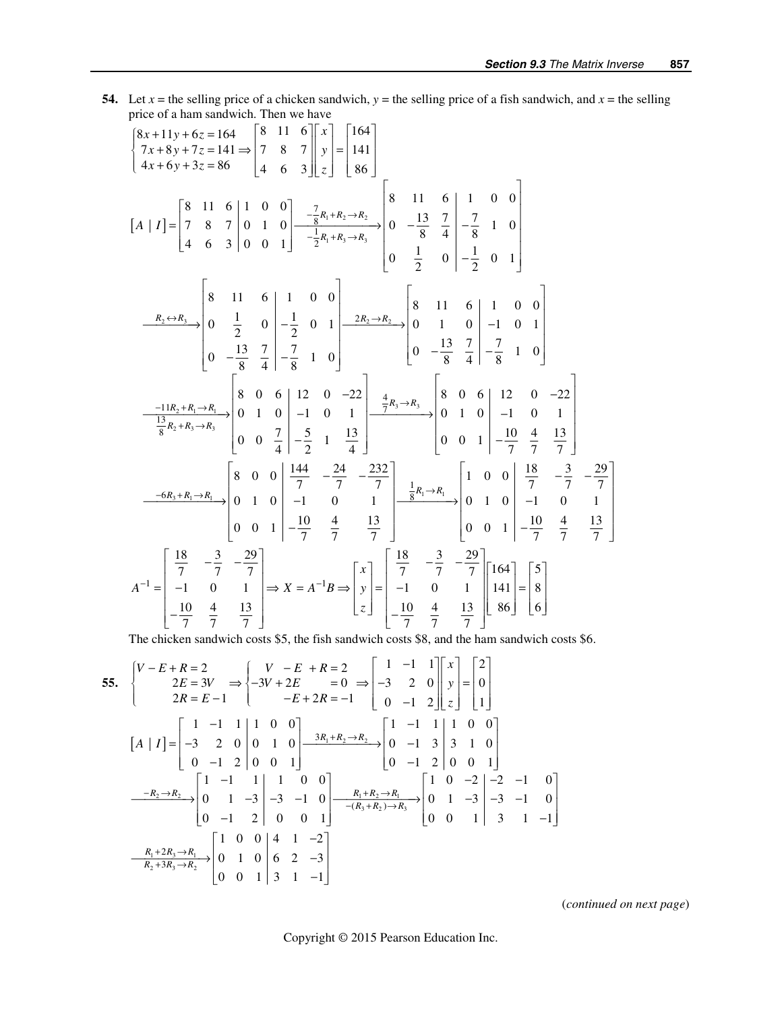**54.** Let  $x =$  the selling price of a chicken sandwich,  $y =$  the selling price of a fish sandwich, and  $x =$  the selling price of a ham sandwich. Then we have

$$
\begin{bmatrix} 8x+11y+6z=164 \\ 7x+8y+7z=141 \Rightarrow \begin{bmatrix} 8 & 11 & 6 \\ 7 & 8 & 7 \\ 4x+6y+3z=86 \end{bmatrix} \begin{bmatrix} x \\ 9 \end{bmatrix} = \begin{bmatrix} 164 \\ 141 \\ 86 \end{bmatrix}
$$
  
\n
$$
\begin{bmatrix} A & 1 & 1 \\ 1 & 1 \end{bmatrix} = \begin{bmatrix} 8 & 11 & 6 \\ 7 & 8 & 7 \\ 4 & 6 & 3 \end{bmatrix} \begin{bmatrix} 1 & 0 & 0 \\ 0 & 1 & 0 \\ 0 & 0 & 1 \end{bmatrix} = \begin{bmatrix} -\frac{7}{8}x_1 + R_2 \Rightarrow R_2 \\ -\frac{13}{8}x_1 + R_3 \Rightarrow R_3 \end{bmatrix} \begin{bmatrix} 8 & 11 & 6 \\ 0 & -\frac{13}{8} & \frac{7}{4} \\ 0 & \frac{1}{2} & 0 \\ 0 & -\frac{1}{2} & 0 \end{bmatrix} = \begin{bmatrix} 1 & 0 & 0 \\ 0 & 1 & 0 \\ 0 & -\frac{13}{8} & \frac{7}{4} \\ 0 & -\frac{13}{8} & \frac{7}{4} \end{bmatrix} = \begin{bmatrix} 1 & 0 & 0 \\ 0 & 1 & 0 \\ 0 & 1 & 0 \\ 0 & -\frac{13}{8} & \frac{7}{4} \end{bmatrix} = \begin{bmatrix} 1 & 0 & 0 \\ 0 & 1 & 0 \\ 0 & 1 & 0 \\ 0 & -\frac{13}{8} & \frac{7}{4} \end{bmatrix} = \begin{bmatrix} 1 & 0 & 0 \\ 0 & 1 & 0 \\ 0 & 1 & 0 \\ 0 & 1 & 0 \\ 0 & 0 & \frac{13}{8} & \frac{7}{4} \end{bmatrix} = \begin{bmatrix} 1 & 0 & 0 \\ 0 & 1 & 0 \\ 0 & 1 & 0 \\ 0 & 1 & 0 \\ 0 & 0 & 1 \end{bmatrix} = \begin{bmatrix} 164 \\ -\frac{13}{8} & 1 & 0 \\ 0 & 1 & 0 \\ 0 & -\frac{13}{8} & \frac{7}{4} \end{bmatrix} = \begin{bmatrix} 164 \\ 1 & 0
$$

The chicken sandwich costs \$5, the fish sandwich costs \$8, and the ham sandwich costs \$6.

55. 
$$
\begin{cases}\nV - E + R = 2 \\
2E = 3V \Rightarrow \begin{cases}\n2E - 3V + 2E = 0 \\
2R = E - 1\n\end{cases} \Rightarrow \begin{cases}\n2E - 3V + 2E = 0 \\
-3E - 2E = -1\n\end{cases} \Rightarrow \begin{cases}\n1 & -1 & 1 \\
-3 & 2 & 0 \\
0 & -1 & 2\n\end{cases} \begin{cases}\nx \\
y \\
z\n\end{cases} = \begin{bmatrix}\n2 \\
0 \\
1\n\end{bmatrix}
$$
\n
$$
\begin{bmatrix}\nA | I\n\end{bmatrix} = \begin{bmatrix}\n1 & -1 & 1 & 1 & 0 & 0 \\
-3 & 2 & 0 & 0 & 1 \\
0 & -1 & 2 & 0 & 0 & 1\n\end{bmatrix} \xrightarrow{3R_1 + R_2 \rightarrow R_2} \begin{bmatrix}\n1 & -1 & 1 & 1 & 1 & 0 & 0 \\
0 & -1 & 2 & 0 & 0 & 1\n\end{bmatrix} \begin{bmatrix}\n1 & -1 & 1 & 1 & 0 & 0 \\
0 & -1 & 2 & 0 & 0 & 1\n\end{bmatrix}
$$
\n
$$
\xrightarrow{-R_2 \rightarrow R_2} \begin{bmatrix}\n1 & -1 & 1 & 1 & 1 & 0 & 0 \\
0 & 1 & -3 & -3 & -1 & 0 \\
0 & -1 & 2 & 0 & 0 & 1\n\end{bmatrix} \xrightarrow{- (R_3 + R_2) \rightarrow R_3} \begin{cases}\n1 & 0 & -2 & -2 & -1 & 0 \\
0 & 1 & -3 & -3 & -1 & 0 \\
0 & 0 & 1 & 3 & 1 & -1\n\end{cases}
$$
\n
$$
\xrightarrow{R_1 + 2R_3 \rightarrow R_1} \begin{bmatrix}\n1 & 0 & 0 & 4 & 1 & -2 \\
0 & 1 & 0 & 6 & 2 & -3 \\
0 & 0 & 1 & 3 & 1 & -1\n\end{bmatrix}
$$

(*continued on next page*)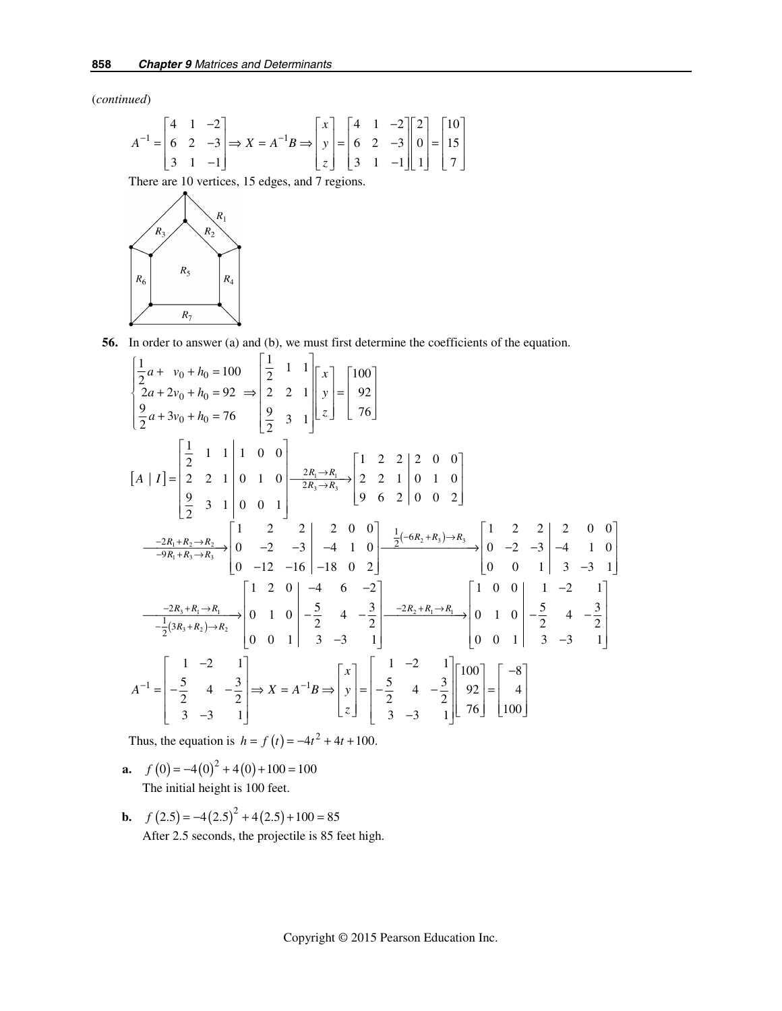(*continued*)

$$
A^{-1} = \begin{bmatrix} 4 & 1 & -2 \\ 6 & 2 & -3 \\ 3 & 1 & -1 \end{bmatrix} \Rightarrow X = A^{-1}B \Rightarrow \begin{bmatrix} x \\ y \\ z \end{bmatrix} = \begin{bmatrix} 4 & 1 & -2 \\ 6 & 2 & -3 \\ 3 & 1 & -1 \end{bmatrix} \begin{bmatrix} 2 \\ 0 \\ 1 \end{bmatrix} = \begin{bmatrix} 10 \\ 15 \\ 7 \end{bmatrix}
$$

There are 10 vertices, 15 edges, and 7 regions.



 **56.** In order to answer (a) and (b), we must first determine the coefficients of the equation.

$$
\begin{bmatrix} \frac{1}{2}a + v_0 + h_0 = 100 \\ 2a + 2v_0 + h_0 = 92 \implies \begin{bmatrix} \frac{1}{2} & 1 & 1 \\ 2 & 2 & 1 \\ \frac{9}{2} & 3 & 1 \end{bmatrix} \begin{bmatrix} x \\ y \\ z \end{bmatrix} = \begin{bmatrix} 100 \\ 92 \\ 76 \end{bmatrix}
$$
  
\n
$$
\begin{bmatrix} A & |I] = \begin{bmatrix} \frac{1}{2} & 1 & 1 & 1 & 0 & 0 \\ 2 & 2 & 1 & 0 & 1 & 0 \\ 2 & 2 & 1 & 0 & 1 & 0 \\ 9 & 3 & 1 & 0 & 0 & 1 \end{bmatrix} \begin{bmatrix} \frac{2R_1 \rightarrow R_1}{2R_3 \rightarrow R_3} \\ \frac{2R_3 \rightarrow R_3}{2R_3 \rightarrow R_3} \end{bmatrix} \begin{bmatrix} 1 & 2 & 2 & 0 & 0 \\ 2 & 2 & 1 & 0 & 1 & 0 \\ 9 & 6 & 2 & 0 & 0 & 2 \end{bmatrix}
$$
  
\n
$$
\begin{array}{c} -2R_1 + R_2 \rightarrow R_2 \\ \frac{-2R_1 + R_3 \rightarrow R_3}{-9R_1 + R_3 \rightarrow R_3} \end{array} \begin{bmatrix} 1 & 2 & 2 & 2 & 0 & 0 \\ 0 & -2 & -3 & -4 & 1 & 0 \\ 0 & -12 & -16 & -18 & 0 & 2 \end{bmatrix} \begin{bmatrix} \frac{1}{2}(-6R_2 + R_3) \rightarrow R_3 \\ \frac{-2R_2 + R_1 \rightarrow R_3}{2} \end{bmatrix} \begin{bmatrix} 1 & 2 & 2 & 2 & 0 & 0 \\ 0 & -2 & -3 & -4 & 1 & 0 \\ 0 & 0 & 1 & 3 & -3 & 1 \end{bmatrix}
$$
  
\n
$$
\begin{array}{c} -2R_3 + R_1 \rightarrow R_1 \\ \frac{-1}{2}(3R_3 + R_2) \rightarrow R_2 \end{array} \begin{bmatrix} 1 & 2 & 0 & 0 & -4 & 6 & -2 \\ 0 & 1 & 0 & 0 & -2 & 4 & -2 \\ 0 & 0 & 1 & 3 & -3 & 1 \end{bmatrix} \begin{bmatrix}
$$

Thus, the equation is  $h = f(t) = -4t^2 + 4t + 100$ .

- **a.**  $f(0) = -4(0)^2 + 4(0) + 100 = 100$ The initial height is 100 feet.
- **b.**  $f(2.5) = -4(2.5)^2 + 4(2.5) + 100 = 85$ After 2.5 seconds, the projectile is 85 feet high.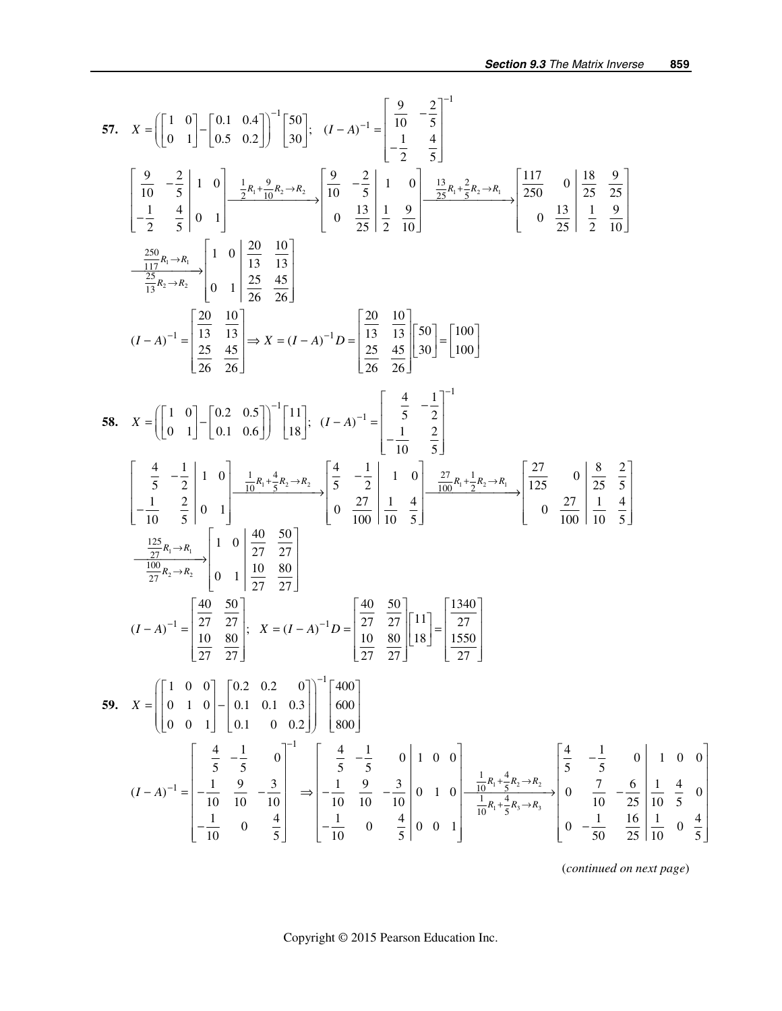57. 
$$
X = \begin{bmatrix} 1 & 0 \ 0 & 1 \end{bmatrix} - \begin{bmatrix} 0.1 & 0.4 \ 0.5 & 0.2 \end{bmatrix} \begin{bmatrix} -1 & 0 \ 30 & 1 \end{bmatrix};
$$
  $(I - A)^{-1} = \begin{bmatrix} \frac{0}{10} & -\frac{2}{5} \\ -\frac{1}{2} & \frac{4}{5} \end{bmatrix}$   
\n $\begin{bmatrix} \frac{0}{10} & -\frac{2}{5} & 1 & 0 \\ \frac{1}{2} & \frac{4}{5} & 0 & 1 \end{bmatrix} - \frac{\frac{1}{2}n_1 - \frac{9}{10}n_2 - n_3}{2n_1 - \frac{10}{10}} = \begin{bmatrix} \frac{1}{10} & -\frac{2}{5} & 1 & 0 \\ 0 & \frac{13}{25} & \frac{1}{25} & \frac{9}{10} \end{bmatrix} - \frac{\frac{13}{25}n_1 + \frac{2}{5}n_2 - n_4}{25} = \begin{bmatrix} \frac{117}{250} & 0 & \frac{18}{25} & \frac{9}{25} \\ \frac{250}{25} & \frac{45}{25} & 1 & \frac{9}{25} \end{bmatrix}$   
\n $(I - A)^{-1} = \begin{bmatrix} \frac{20}{13} & \frac{10}{13} \\ \frac{25}{26} & \frac{45}{26} \end{bmatrix} \Rightarrow X = (I - A)^{-1}D = \begin{bmatrix} \frac{20}{13} & \frac{10}{13} \\ \frac{25}{26} & \frac{45}{26} \end{bmatrix} = \begin{bmatrix} 100 \\ 100 \end{bmatrix}$   
\n58.  $X = \begin{bmatrix} 1 & 0 \\ 0 & 1 \end{bmatrix} - \begin{bmatrix} 0.2 & 0.5 \\ 0.1 & 0.6 \end{bmatrix}^{-1} \begin{bmatrix} 11 \\ 18 \end{bmatrix};$   $(I - A)^{-1} = \begin{bmatrix} \frac{4}{5} & -\frac{1}{2} \\ -\frac{1}{10} & \frac{2}{5} \end{bmatrix} = \begin{bmatrix} 100 \\ 100 \end{bmatrix}$   
\n5

(*continued on next page*)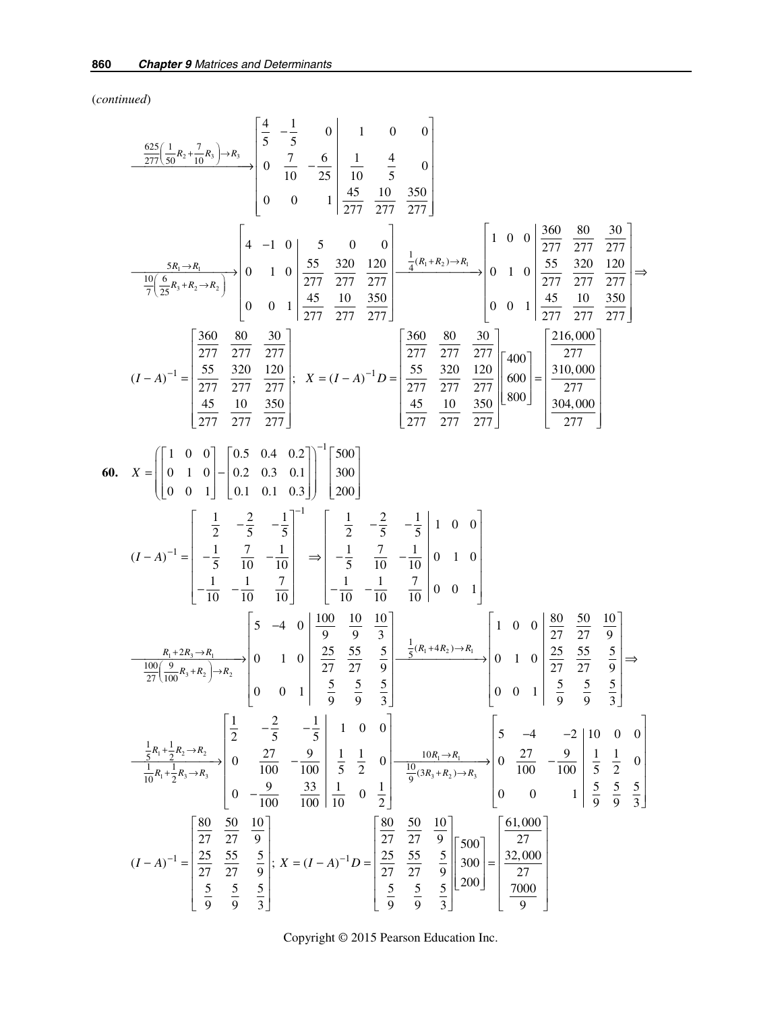(*continued*)

$$
\frac{\frac{625}{277}(\frac{1}{30}R_2 + \frac{7}{10}R_1) - R_1}{\frac{10}{77}(\frac{6}{25}R_1 + R_0 - R_1)}\begin{bmatrix} \frac{4}{5} & -\frac{1}{5} & 0 & 1 & 0 & 0 \\ 0 & \frac{7}{10} & -\frac{6}{25} & \frac{1}{10} & \frac{4}{5} & 0 \\ 0 & 0 & 1 & \frac{45}{277} & \frac{107}{277} & \frac{377}{277} \end{bmatrix}
$$
\n
$$
\frac{5R_1 \rightarrow R_1}{\frac{10}{7}(\frac{6}{25}R_1 + R_0 \rightarrow R_1)}\begin{bmatrix} 4 & -1 & 0 & 5 & 0 & 0 \\ 0 & 1 & 0 & \frac{55}{277} & \frac{320}{277} & \frac{120}{277} \\ 0 & 0 & 1 & \frac{45}{277} & \frac{100}{277} & \frac{100}{277} \end{bmatrix}
$$
\n
$$
(I - A)^{-1} = \begin{bmatrix} \frac{360}{277} & \frac{30}{277} & \frac{300}{277} \\ \frac{37}{277} & \frac{377}{277} & \frac{127}{277} \end{bmatrix}; \quad X = (I - A)^{-1}D = \begin{bmatrix} \frac{360}{277} & \frac{80}{277} & \frac{300}{277} \\ 0 & 0 & 1 & \frac{45}{277} & \frac{100}{277} \\ \frac{45}{277} & \frac{10}{277} & \frac{330}{277} \end{bmatrix}
$$
\n
$$
(I - A)^{-1} = \begin{bmatrix} \frac{1}{277} & \frac{330}{277} & \frac{100}{277} \\ \frac{45}{277} & \frac{10}{277} & \frac{100}{277} \end{bmatrix} = \begin{bmatrix} \frac{1}{207} & \frac{2}{207} & \frac{100}{277} \\ \frac{100}{277} & \frac{100}{277} & \frac{100}{277} \end
$$

Copyright © 2015 Pearson Education Inc.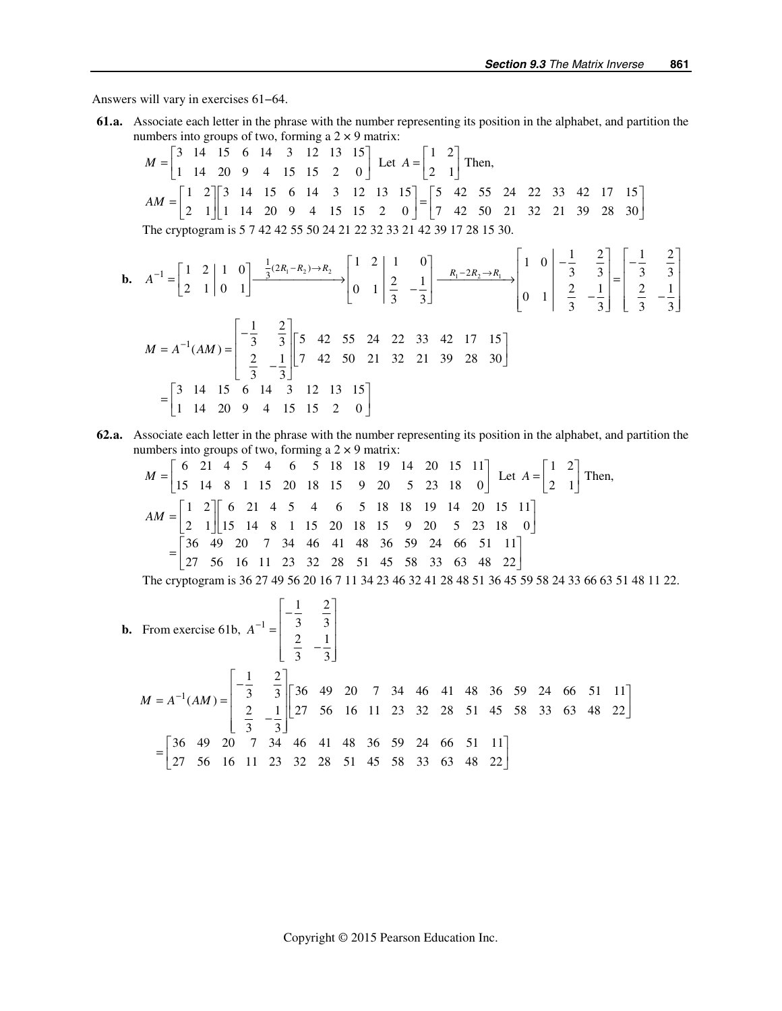Answers will vary in exercises 61−64.

 **61. a.** Associate each letter in the phrase with the number representing its position in the alphabet, and partition the numbers into groups of two, forming a  $2 \times 9$  matrix:

$$
M = \begin{bmatrix} 3 & 14 & 15 & 6 & 14 & 3 & 12 & 13 & 15 \\ 1 & 14 & 20 & 9 & 4 & 15 & 15 & 2 & 0 \end{bmatrix} \text{ Let } A = \begin{bmatrix} 1 & 2 \\ 2 & 1 \end{bmatrix} \text{ Then,}
$$
  
\n
$$
AM = \begin{bmatrix} 1 & 2 \\ 2 & 1 \end{bmatrix} \begin{bmatrix} 3 & 14 & 15 & 6 & 14 & 3 & 12 & 13 & 15 \\ 1 & 14 & 20 & 9 & 4 & 15 & 15 & 2 & 0 \end{bmatrix} = \begin{bmatrix} 5 & 42 & 55 & 24 & 22 & 33 & 42 & 17 & 15 \\ 7 & 42 & 50 & 21 & 32 & 21 & 39 & 28 & 30 \end{bmatrix}
$$
  
\nThe cryptogram is 5 7 42 42 55 50 24 21 22 32 33 21 42 39 17 28 15 30.

**b.** 
$$
A^{-1} = \begin{bmatrix} 1 & 2 & | & 1 & 0 \ 2 & 1 & | & 0 & 1 \end{bmatrix} \xrightarrow{\frac{1}{3}(2R_1 - R_2) \to R_2} \begin{bmatrix} 1 & 2 & | & 1 & 0 \ 0 & 1 & | & \frac{2}{3} & -\frac{1}{3} \end{bmatrix} \xrightarrow{R_1 - 2R_2 \to R_1} \begin{bmatrix} 1 & 0 & | & -\frac{1}{3} & \frac{2}{3} \\ 0 & 1 & | & \frac{2}{3} & -\frac{1}{3} \end{bmatrix} = \begin{bmatrix} -\frac{1}{3} & \frac{2}{3} \\ \frac{2}{3} & -\frac{1}{3} \end{bmatrix} \begin{bmatrix} -\frac{1}{3} & \frac{2}{3} \\ \frac{2}{3} & -\frac{1}{3} \end{bmatrix} = \begin{bmatrix} -\frac{1}{3} & \frac{2}{3} \\ \frac{2}{3} & -\frac{1}{3} \end{bmatrix} \begin{bmatrix} 5 & 42 & 55 & 24 & 22 & 33 & 42 & 17 & 15 \\ 7 & 42 & 50 & 21 & 32 & 21 & 39 & 28 & 30 \end{bmatrix}
$$
  

$$
= \begin{bmatrix} 3 & 14 & 15 & 6 & 14 & 3 & 12 & 13 & 15 \\ 1 & 14 & 20 & 9 & 4 & 15 & 15 & 2 & 0 \end{bmatrix}
$$

 **62. a.** Associate each letter in the phrase with the number representing its position in the alphabet, and partition the numbers into groups of two, forming a  $2 \times 9$  matrix:

$$
M = \begin{bmatrix} 6 & 21 & 4 & 5 & 4 & 6 & 5 & 18 & 18 & 19 & 14 & 20 & 15 & 11 \\ 15 & 14 & 8 & 1 & 15 & 20 & 18 & 15 & 9 & 20 & 5 & 23 & 18 & 0 \end{bmatrix} \text{ Let } A = \begin{bmatrix} 1 & 2 \\ 2 & 1 \end{bmatrix} \text{ Then,}
$$
  
\n
$$
AM = \begin{bmatrix} 1 & 2 \\ 2 & 1 \end{bmatrix} \begin{bmatrix} 6 & 21 & 4 & 5 & 4 & 6 & 5 & 18 & 18 & 19 & 14 & 20 & 15 & 11 \\ 2 & 1 & 15 & 14 & 8 & 1 & 15 & 20 & 18 & 15 & 9 & 20 & 5 & 23 & 18 & 0 \end{bmatrix}
$$
  
\n
$$
= \begin{bmatrix} 36 & 49 & 20 & 7 & 34 & 46 & 41 & 48 & 36 & 59 & 24 & 66 & 51 & 11 \\ 27 & 56 & 16 & 11 & 23 & 32 & 28 & 51 & 45 & 58 & 33 & 63 & 48 & 22 \end{bmatrix}
$$

The cryptogram is 36 27 49 56 20 16 7 11 34 23 46 32 41 28 48 51 36 45 59 58 24 33 66 63 51 48 11 22.

**b.** From exercise 61b, 
$$
A^{-1} = \begin{bmatrix} -\frac{1}{3} & \frac{2}{3} \\ \frac{2}{3} & -\frac{1}{3} \end{bmatrix}
$$
  
\n
$$
M = A^{-1}(AM) = \begin{bmatrix} -\frac{1}{3} & \frac{2}{3} \\ \frac{2}{3} & -\frac{1}{3} \end{bmatrix} \begin{bmatrix} 36 & 49 & 20 & 7 & 34 & 46 & 41 & 48 & 36 & 59 & 24 & 66 & 51 & 11 \\ 2 & -\frac{1}{3} & 27 & 56 & 16 & 11 & 23 & 32 & 28 & 51 & 45 & 58 & 33 & 63 & 48 & 22 \end{bmatrix}
$$
\n
$$
= \begin{bmatrix} 36 & 49 & 20 & 7 & 34 & 46 & 41 & 48 & 36 & 59 & 24 & 66 & 51 & 11 \\ 27 & 56 & 16 & 11 & 23 & 32 & 28 & 51 & 45 & 58 & 33 & 63 & 48 & 22 \end{bmatrix}
$$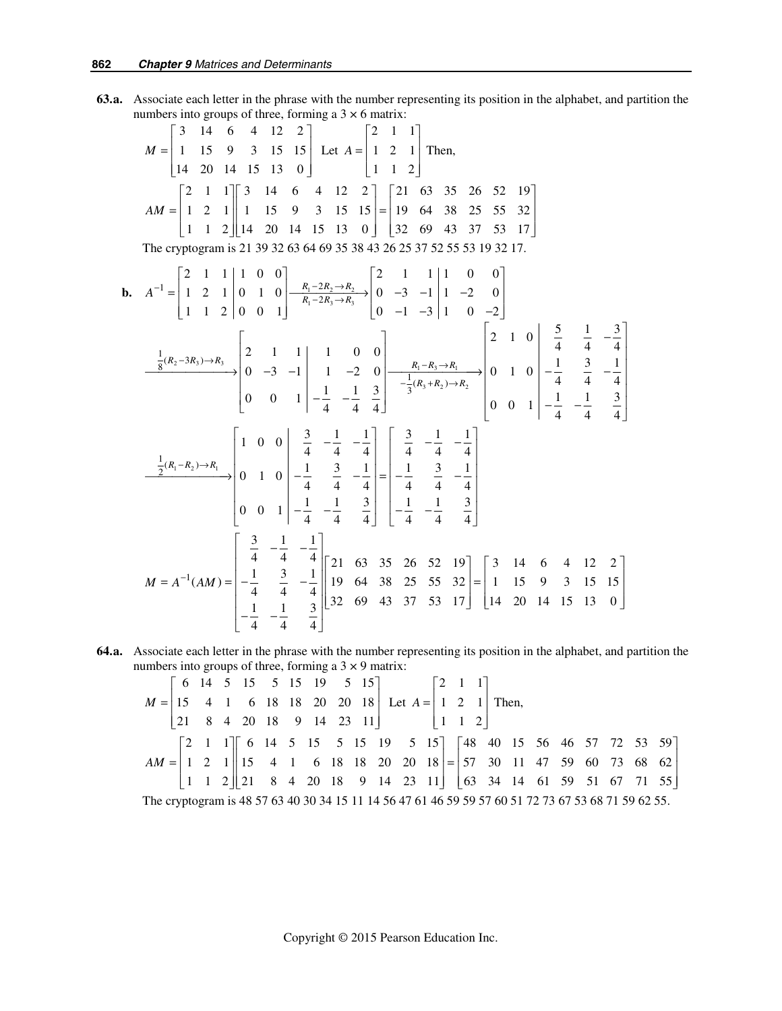**63. a.** Associate each letter in the phrase with the number representing its position in the alphabet, and partition the numbers into groups of three, forming a  $3 \times 6$  matrix:

$$
M = \begin{bmatrix} 3 & 14 & 6 & 4 & 12 & 2 \\ 1 & 15 & 9 & 3 & 15 & 15 \\ 14 & 20 & 14 & 15 & 13 & 0 \end{bmatrix} \text{ Let } A = \begin{bmatrix} 2 & 1 & 1 \\ 1 & 2 & 1 \\ 1 & 1 & 2 \end{bmatrix} \text{ Then,}
$$
  
\n
$$
AM = \begin{bmatrix} 2 & 1 & 1 \\ 1 & 2 & 1 \\ 1 & 1 & 2 \end{bmatrix} \begin{bmatrix} 3 & 14 & 6 & 4 & 12 & 2 \\ 1 & 15 & 9 & 3 & 15 & 15 \\ 19 & 64 & 38 & 25 & 55 & 32 \\ 32 & 69 & 43 & 37 & 53 & 17 \end{bmatrix}
$$
  
\nThe cryptogram is 21 39 32 63 64 69 35 38 43 26 25 37 52 55 53 19 32 17.  
\n**b.** 
$$
A^{-1} = \begin{bmatrix} 2 & 1 & 1 & 1 & 0 & 0 \\ 1 & 2 & 1 & 0 & 1 & 0 \\ 1 & 1 & 2 & 0 & 0 & 1 \end{bmatrix} \begin{bmatrix} R_1 - 2R_2 \rightarrow R_3 \\ R_1 - 2R_3 \rightarrow R_3 \\ R_1 - 2R_3 \rightarrow R_3 \end{bmatrix} = \begin{bmatrix} 2 & 1 & 1 & 1 & 0 & 0 \\ 0 & -3 & -1 & 1 & 0 & 0 \\ 0 & -1 & -3 & 1 & 0 & -2 \end{bmatrix}
$$
  
\n
$$
\frac{1}{3}(R_2 - 3R_3) \rightarrow R_3 = \begin{bmatrix} 2 & 1 & 1 & 1 & 0 & 0 \\ 0 & -3 & -1 & 1 & -2 & 0 \\ 0 & 0 & 1 & -\frac{1}{4} & -\frac{1}{4} & \frac{3}{4} \end{bmatrix} = \begin{bmatrix} 2 & 1 & 0 & \frac{5}{4} & \frac{1}{4} & -\frac{3}{4} \\ \frac{1}{3}(R_3 + R_2) \rightarrow R_2 & 0 & 0 & 1 \end{bmatrix} = \begin{bmatrix} 2 & 1 & 0 & 5 &
$$

 **64. a.** Associate each letter in the phrase with the number representing its position in the alphabet, and partition the numbers into groups of three, forming a  $3 \times 9$  matrix:

| $M = \begin{vmatrix} 15 & 4 & 1 & 6 & 18 & 18 & 20 & 20 & 18 \end{vmatrix}$ Let $A = \begin{vmatrix} 1 & 2 & 1 \end{vmatrix}$ Then, |  |  |  | $\begin{bmatrix} 6 & 14 & 5 & 15 & 5 & 15 & 19 & 5 & 15 \end{bmatrix}$ $\begin{bmatrix} 2 & 1 & 1 \end{bmatrix}$ |  |  |  |  |  |  |  |  |  |  |  |  |  |                                                                                                                                             |
|-------------------------------------------------------------------------------------------------------------------------------------|--|--|--|------------------------------------------------------------------------------------------------------------------|--|--|--|--|--|--|--|--|--|--|--|--|--|---------------------------------------------------------------------------------------------------------------------------------------------|
|                                                                                                                                     |  |  |  |                                                                                                                  |  |  |  |  |  |  |  |  |  |  |  |  |  |                                                                                                                                             |
|                                                                                                                                     |  |  |  | $\begin{vmatrix} 21 & 8 & 4 & 20 & 18 & 9 & 14 & 23 & 11 \end{vmatrix}$   1   1   2                              |  |  |  |  |  |  |  |  |  |  |  |  |  |                                                                                                                                             |
| $AM = \begin{vmatrix} 1 & 2 & 1 \end{vmatrix}$ 15 4 1 6 18 18 20 20 18 = 57 30 11 47 59 60 73 68 62                                 |  |  |  |                                                                                                                  |  |  |  |  |  |  |  |  |  |  |  |  |  | $\begin{bmatrix} 2 & 1 & 1 \end{bmatrix}$ 6 14 5 15 5 15 19 5 15 $\begin{bmatrix} 48 & 40 & 15 & 56 & 46 & 57 & 72 & 53 & 59 \end{bmatrix}$ |
|                                                                                                                                     |  |  |  |                                                                                                                  |  |  |  |  |  |  |  |  |  |  |  |  |  |                                                                                                                                             |
|                                                                                                                                     |  |  |  |                                                                                                                  |  |  |  |  |  |  |  |  |  |  |  |  |  | $\begin{vmatrix} 1 & 1 & 2 \end{vmatrix}$ 21 8 4 20 18 9 14 23 11 63 34 14 61 59 51 67 71 55                                                |
| The cryptogram is 48 57 63 40 30 34 15 11 14 56 47 61 46 59 59 57 60 51 72 73 67 53 68 71 59 62 55.                                 |  |  |  |                                                                                                                  |  |  |  |  |  |  |  |  |  |  |  |  |  |                                                                                                                                             |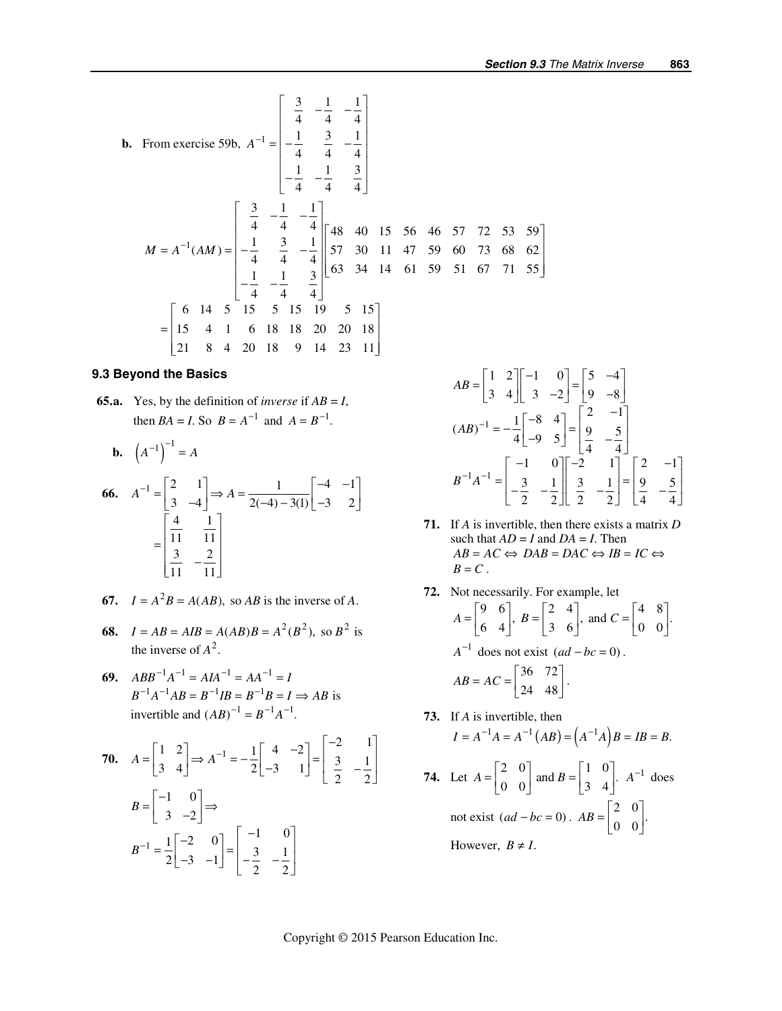**b.** From exercise 59b, 
$$
A^{-1} = \begin{bmatrix} \frac{3}{4} & -\frac{1}{4} & -\frac{1}{4} \\ -\frac{1}{4} & \frac{3}{4} & -\frac{1}{4} \\ -\frac{1}{4} & -\frac{1}{4} & \frac{3}{4} \end{bmatrix}
$$
  
\n
$$
M = A^{-1}(AM) = \begin{bmatrix} \frac{3}{4} & -\frac{1}{4} & -\frac{1}{4} \\ -\frac{1}{4} & \frac{3}{4} & -\frac{1}{4} \\ -\frac{1}{4} & \frac{3}{4} & -\frac{1}{4} \\ -\frac{1}{4} & \frac{3}{4} & -\frac{1}{4} \end{bmatrix} \begin{bmatrix} 48 & 40 & 15 & 56 & 46 & 57 & 72 & 53 & 59 \\ 57 & 30 & 11 & 47 & 59 & 60 & 73 & 68 & 62 \\ 63 & 34 & 14 & 61 & 59 & 51 & 67 & 71 & 55 \end{bmatrix}
$$
  
\n
$$
= \begin{bmatrix} 6 & 14 & 5 & 15 & 5 & 15 & 19 & 5 & 15 \\ 15 & 4 & 1 & 6 & 18 & 18 & 20 & 20 & 18 \\ 21 & 8 & 4 & 20 & 18 & 9 & 14 & 23 & 11 \end{bmatrix}
$$

#### **9.3 Beyond the Basics**

**65.a.** Yes, by the definition of *inverse* if  $AB = I$ , then *BA* = *I*. So  $B = A^{-1}$  and  $A = B^{-1}$ .

$$
\mathbf{b.} \quad \left(A^{-1}\right)^{-1} = A
$$

$$
66. \quad A^{-1} = \begin{bmatrix} 2 & 1 \\ 3 & -4 \end{bmatrix} \Rightarrow A = \frac{1}{2(-4) - 3(1)} \begin{bmatrix} -4 & -1 \\ -3 & 2 \end{bmatrix}
$$

$$
= \begin{bmatrix} \frac{4}{11} & \frac{1}{11} \\ \frac{3}{11} & -\frac{2}{11} \end{bmatrix}
$$

- **67.**  $I = A^2 B = A(AB)$ , so *AB* is the inverse of *A*.
- **68.**  $I = AB = AIB = A(AB)B = A^2(B^2)$ , so  $B^2$  is the inverse of  $A^2$ .
- **69.**  $ABB^{-1}A^{-1} = AIA^{-1} = AA^{-1} = I$  $B^{-1}A^{-1}AB = B^{-1}IB = B^{-1}B = I \implies AB$  is invertible and  $(AB)^{-1} = B^{-1}A^{-1}$ .

**70.** 
$$
A = \begin{bmatrix} 1 & 2 \\ 3 & 4 \end{bmatrix} \Rightarrow A^{-1} = -\frac{1}{2} \begin{bmatrix} 4 & -2 \\ -3 & 1 \end{bmatrix} = \begin{bmatrix} -2 & 1 \\ \frac{3}{2} & -\frac{1}{2} \end{bmatrix}
$$
  
 $B = \begin{bmatrix} -1 & 0 \\ 3 & -2 \end{bmatrix} \Rightarrow$   
 $B^{-1} = \frac{1}{2} \begin{bmatrix} -2 & 0 \\ -3 & -1 \end{bmatrix} = \begin{bmatrix} -1 & 0 \\ -\frac{3}{2} & -\frac{1}{2} \end{bmatrix}$ 

$$
AB = \begin{bmatrix} 1 & 2 \\ 3 & 4 \end{bmatrix} \begin{bmatrix} -1 & 0 \\ 3 & -2 \end{bmatrix} = \begin{bmatrix} 5 & -4 \\ 9 & -8 \end{bmatrix}
$$
  

$$
(AB)^{-1} = -\frac{1}{4} \begin{bmatrix} -8 & 4 \\ -9 & 5 \end{bmatrix} = \begin{bmatrix} 2 & -1 \\ 9 & -5 \\ 4 & -4 \end{bmatrix}
$$
  

$$
B^{-1}A^{-1} = \begin{bmatrix} -1 & 0 \\ -\frac{3}{2} & -\frac{1}{2} \end{bmatrix} \begin{bmatrix} -2 & 1 \\ \frac{3}{2} & -\frac{1}{2} \end{bmatrix} = \begin{bmatrix} 2 & -1 \\ 9 & -5 \\ 4 & -4 \end{bmatrix}
$$

- **71.** If *A* is invertible, then there exists a matrix *D* such that  $AD = I$  and  $DA = I$ . Then  $AB = AC \Leftrightarrow DAB = DAC \Leftrightarrow IB = IC \Leftrightarrow$  $B = C$ .
- **72.** Not necessarily. For example, let  $A = \begin{bmatrix} 9 & 6 \\ 6 & 4 \end{bmatrix}, B = \begin{bmatrix} 2 & 4 \\ 3 & 6 \end{bmatrix}, \text{ and } C = \begin{bmatrix} 4 & 8 \\ 0 & 0 \end{bmatrix}.$  $A^{-1}$  does not exist  $(ad - bc = 0)$ .  $\begin{bmatrix} 36 & 72 \end{bmatrix}$

$$
AB = AC = \begin{bmatrix} 36 & 72 \\ 24 & 48 \end{bmatrix}.
$$

- **73.** If *A* is invertible, then  $I = A^{-1}A = A^{-1}(AB) = (A^{-1}A)B = IB = B.$
- **74.** Let  $A = \begin{bmatrix} 2 & 0 \\ 0 & 0 \end{bmatrix}$  and  $B = \begin{bmatrix} 1 & 0 \\ 3 & 4 \end{bmatrix}$ .  $A^{-1}$  does not exist  $(ad - bc = 0)$ .  $AB = \begin{bmatrix} 2 & 0 \\ 0 & 0 \end{bmatrix}$ . However,  $B \neq I$ .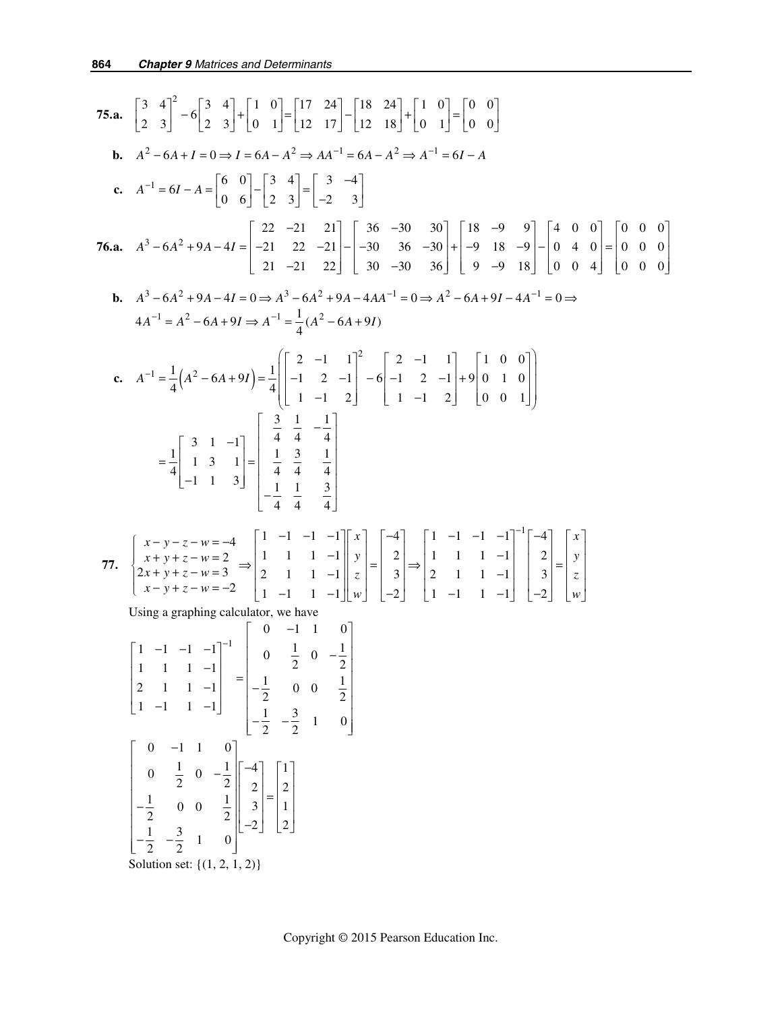75.a. 
$$
\begin{bmatrix} 3 & 4 \ 2 & 3 \end{bmatrix}^2 - 6 \begin{bmatrix} 3 & 4 \ 2 & 3 \end{bmatrix} + \begin{bmatrix} 1 & 0 \ 0 & 1 \end{bmatrix} = \begin{bmatrix} 17 & 24 \ 12 & 18 \end{bmatrix} - \begin{bmatrix} 18 & 24 \ 12 & 18 \end{bmatrix} + \begin{bmatrix} 1 & 0 \ 0 & 1 \end{bmatrix} = \begin{bmatrix} 0 & 0 \ 0 & 0 \end{bmatrix}
$$
  
\nb.  $A^2 - 6A + I = 0 \Rightarrow I = 6A - A^2 \Rightarrow AA^{-1} = 6A - A^2 \Rightarrow A^{-1} = 6I - A$   
\nc.  $A^{-1} = 6I - A = \begin{bmatrix} 6 & 0 \ 0 & 6 \end{bmatrix} - \begin{bmatrix} 3 & 4 \ 2 & 3 \end{bmatrix} = \begin{bmatrix} 3 & -4 \ -2 & 3 \end{bmatrix}$   
\n76.a.  $A^3 - 6A^2 + 9A - 4I = \begin{bmatrix} 22 & -21 \ 21 & 22 & -21 \ 21 & -21 & 22 \end{bmatrix} - \begin{bmatrix} 36 & -30 & 30 \ 30 & 36 & -30 \ 30 & -9 & 18 \end{bmatrix} + \begin{bmatrix} 4 & 0 & 0 \ 9 & 4 & 0 \ 9 & -9 & 18 \end{bmatrix} = \begin{bmatrix} 0 & 0 & 0 \ 0 & 4 & 0 \ 0 & 0 & 0 \end{bmatrix}$   
\nb.  $A^3 - 6A^2 + 9A - 4I = 0 \Rightarrow A^3 - 6A^2 + 9A - 4AA^{-1} = 0 \Rightarrow A^2 - 6A + 9I - 4A^{-1} = 0 \Rightarrow$   
\n $4A^{-1} = A^2 - 6A + 9I \Rightarrow A^{-1} = \frac{1}{4}(A^2 - 6A + 9I)$   
\nc.  $A^{-1} = \frac{1}{4}(A^2 - 6A + 9I) = \frac{1}{4} \begin{bmatrix} 2 & -1 & 1 \ -1 & 2 & 1 \end{bmatrix} = 6 \begin{bmatrix} 2 & -1 & 1 \ -1 & 2 & 1 \end{bmatrix} + 9$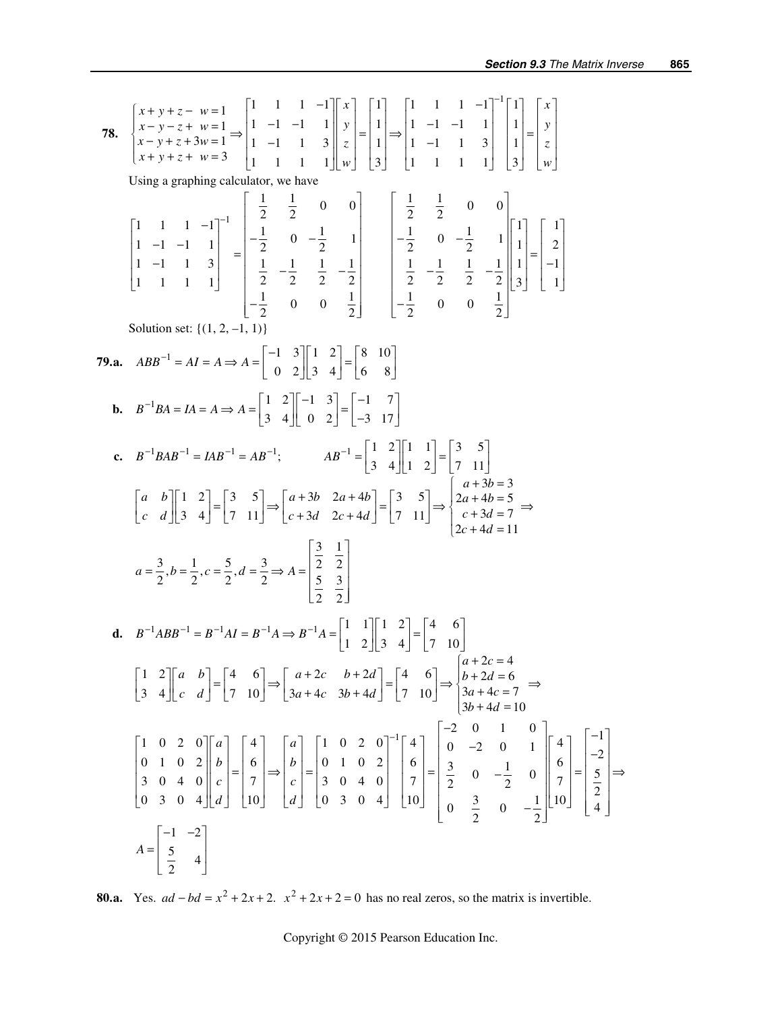78. 
$$
\begin{bmatrix} x+y+z-w=1 \ x-y-z+w=1 \ x-y+z+w=1 \ y+y+z+w=3 \ y+w=4 \ y+w=5 \end{bmatrix} \begin{bmatrix} 1 & 1 & 1 & -1 \ 1 & -1 & 1 & 1 \ 1 & 1 & 1 & 1 \end{bmatrix} \begin{bmatrix} x \ y \ z \end{bmatrix} = \begin{bmatrix} 1 \ 1 \ 1 \ 1 \end{bmatrix} \Rightarrow \begin{bmatrix} 1 \ 1 \ 1 \ 1 \ 1 \end{bmatrix} = \begin{bmatrix} 1 \ 1 \ 1 \ 1 \end{bmatrix} = \begin{bmatrix} x \ y \ z \end{bmatrix}
$$
  
\nUsing a graphing calculator, we have  
\nUsing a graphing calculator, we have  
\n
$$
\begin{bmatrix} 1 & 1 & 1 & -1 \ 1 & -1 & 1 & 1 \ 1 & 1 & 1 & 1 \end{bmatrix} = \begin{bmatrix} \frac{1}{2} & \frac{1}{2} & 0 & 0 \\ -\frac{1}{2} & 0 & -\frac{1}{2} & 1 \\ \frac{1}{2} & -\frac{1}{2} & \frac{1}{2} & -\frac{1}{2} \\ -\frac{1}{2} & 0 & 0 & \frac{1}{2} \end{bmatrix} = \begin{bmatrix} \frac{1}{2} & \frac{1}{2} & 0 & 0 \\ -\frac{1}{2} & 0 & -\frac{1}{2} & 1 \\ \frac{1}{2} & -\frac{1}{2} & \frac{1}{2} & -\frac{1}{2} \\ -\frac{1}{2} & 0 & 0 & \frac{1}{2} \end{bmatrix} = \begin{bmatrix} \frac{1}{2} & \frac{1}{2} & -\frac{1}{2} \\ \frac{1}{2} & -\frac{1}{2} & \frac{1}{2} & -\frac{1}{2} \\ -\frac{1}{2} & 0 & 0 & \frac{1}{2} \end{bmatrix} = \begin{bmatrix} 1 & 1 \ -1 & 1 \ -1 & 1 \end{bmatrix}
$$
  
\nSolution set:  $\{(1, 2, -1, 1)\}$   
\n79. **a.**  $ABB^{-1} = AB = AB = 4 = \begin{bmatrix} 1 & 3 \ 3 & 4 \end{bmatrix} = \begin{bmatrix} 1 & 3 \ 0 & 2 \end{bmatrix} = \begin{bmatrix} -1 & 7 \ -3 &$ 

**80.a.** Yes.  $ad - bd = x^2 + 2x + 2$ .  $x^2 + 2x + 2 = 0$  has no real zeros, so the matrix is invertible.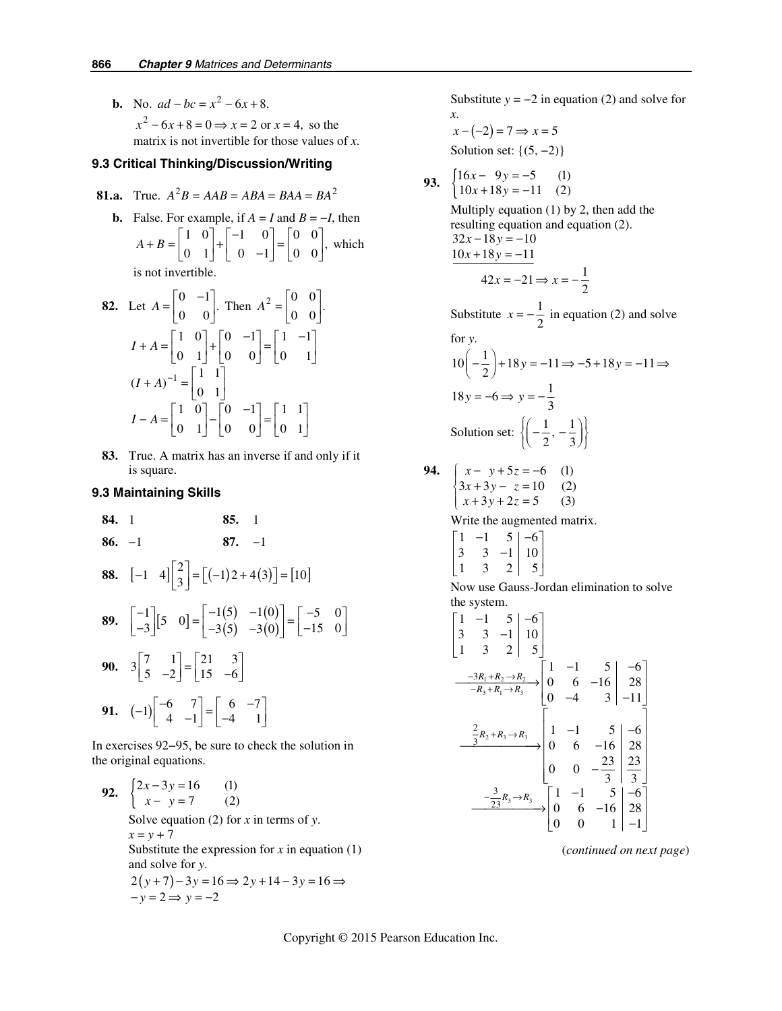**b.** No.  $ad - bc = x^2 - 6x + 8$ .  $x^2 - 6x + 8 = 0 \Rightarrow x = 2$  or  $x = 4$ , so the matrix is not invertible for those values of *x*.

#### **9.3 Critical Thinking/Discussion/Writing**

**81.a.** True. 
$$
A^2B = AAB = ABA = BAA = BA^2
$$

**b.** False. For example, if  $A = I$  and  $B = -I$ , then  $A + B = \begin{bmatrix} 1 & 0 \\ 0 & 1 \end{bmatrix} + \begin{bmatrix} -1 & 0 \\ 0 & -1 \end{bmatrix} = \begin{bmatrix} 0 & 0 \\ 0 & 0 \end{bmatrix}$ , which is not invertible.

**82.** Let 
$$
A = \begin{bmatrix} 0 & -1 \\ 0 & 0 \end{bmatrix}
$$
. Then  $A^2 = \begin{bmatrix} 0 & 0 \\ 0 & 0 \end{bmatrix}$ .  
\n $I + A = \begin{bmatrix} 1 & 0 \\ 0 & 1 \end{bmatrix} + \begin{bmatrix} 0 & -1 \\ 0 & 0 \end{bmatrix} = \begin{bmatrix} 1 & -1 \\ 0 & 1 \end{bmatrix}$   
\n $(I + A)^{-1} = \begin{bmatrix} 1 & 1 \\ 0 & 1 \end{bmatrix}$   
\n $I - A = \begin{bmatrix} 1 & 0 \\ 0 & 1 \end{bmatrix} - \begin{bmatrix} 0 & -1 \\ 0 & 0 \end{bmatrix} = \begin{bmatrix} 1 & 1 \\ 0 & 1 \end{bmatrix}$ 

**83.** True. A matrix has an inverse if and only if it is square.

### **9.3 Maintaining Skills**

 **84.** 1 **85.** 1  **86.** −1 **87.** −1

**88.** 
$$
[-1 \t4] \begin{bmatrix} 2 \\ 3 \end{bmatrix} = [(-1)2 + 4(3)] = [10]
$$
  
\n**89.**  $\begin{bmatrix} -1 \\ -3 \end{bmatrix} [5 \t0] = \begin{bmatrix} -1(5) & -1(0) \\ -3(5) & -3(0) \end{bmatrix} = \begin{bmatrix} -5 & 0 \\ -15 & 0 \end{bmatrix}$   
\n**90.**  $3 \begin{bmatrix} 7 & 1 \\ 5 & -2 \end{bmatrix} = \begin{bmatrix} 21 & 3 \\ 15 & -6 \end{bmatrix}$   
\n**91.**  $(-1) \begin{bmatrix} -6 & 7 \\ 4 & -1 \end{bmatrix} = \begin{bmatrix} 6 & -7 \\ -4 & 1 \end{bmatrix}$ 

In exercises 92−95, be sure to check the solution in the original equations.

92. 
$$
\begin{cases} 2x - 3y = 16 & (1) \\ x - y = 7 & (2) \end{cases}
$$
  
Solve equation (2) for *x* in terms of *y*.  
 $x = y + 7$   
Substitute the expression for *x* in equation (1)  
and solve for *y*.  

$$
2(y+7)-3y = 16 \Rightarrow 2y+14-3y = 16 \Rightarrow -y = 2 \Rightarrow y = -2
$$

Substitute  $y = -2$  in equation (2) and solve for *x*.

$$
x - (-2) = 7 \Rightarrow x = 5
$$

Solution set:  $\{(5, -2)\}\$ 

93. 
$$
\begin{cases} 16x - 9y = -5 & (1) \\ 10x + 18y = -11 & (2) \end{cases}
$$

Multiply equation (1) by 2, then add the resulting equation and equation (2).  $32x - 18y = -10$  $10x + 18y = -11$  $42x = -21 \Rightarrow x = -\frac{1}{2}$ 

Substitute  $x = -\frac{1}{2}$  in equation (2) and solve for *y*.

$$
10\left(-\frac{1}{2}\right) + 18y = -11 \Rightarrow -5 + 18y = -11 \Rightarrow
$$
  

$$
18y = -6 \Rightarrow y = -\frac{1}{3}
$$
  
Solution set: 
$$
\left\{ \left( -\frac{1}{2}, -\frac{1}{3} \right) \right\}
$$

**94.** 
$$
\begin{cases} x - y + 5z = -6 & (1) \\ 3x + 3y - z = 10 & (2) \\ x + 3y + 2z = 5 & (3) \end{cases}
$$

Write the augmented matrix.

$$
\begin{bmatrix} 1 & -1 & 5 & -6 \ 3 & 3 & -1 & 10 \ 1 & 3 & 2 & 5 \end{bmatrix}
$$

Now use Gauss-Jordan elimination to solve the system.

$$
\begin{bmatrix} 1 & -1 & 5 & -6 \ 3 & 3 & -1 & 10 \ 1 & 3 & 2 & 5 \ \end{bmatrix}
$$
  
\n
$$
\xrightarrow{-3R_1 + R_2 \to R_2} \begin{bmatrix} 1 & -1 & 5 & -6 \ 0 & 6 & -16 & 28 \ 0 & -4 & 3 & -11 \ \end{bmatrix}
$$
  
\n
$$
\xrightarrow{\frac{2}{3}R_2 + R_3 \to R_3} \begin{bmatrix} 1 & -1 & 5 & -6 \ 0 & -4 & 3 & -11 \ 0 & 6 & -16 & 28 \ 0 & 0 & -\frac{23}{3} & \frac{23}{3} \ \end{bmatrix}
$$
  
\n
$$
\xrightarrow{-\frac{3}{23}R_3 \to R_3} \begin{bmatrix} 1 & -1 & 5 & -6 \ 0 & 0 & -\frac{23}{3} & \frac{23}{3} \ 0 & 0 & -16 & 28 \ 0 & 0 & 1 & -1 \ \end{bmatrix}
$$

(*continued on next page*)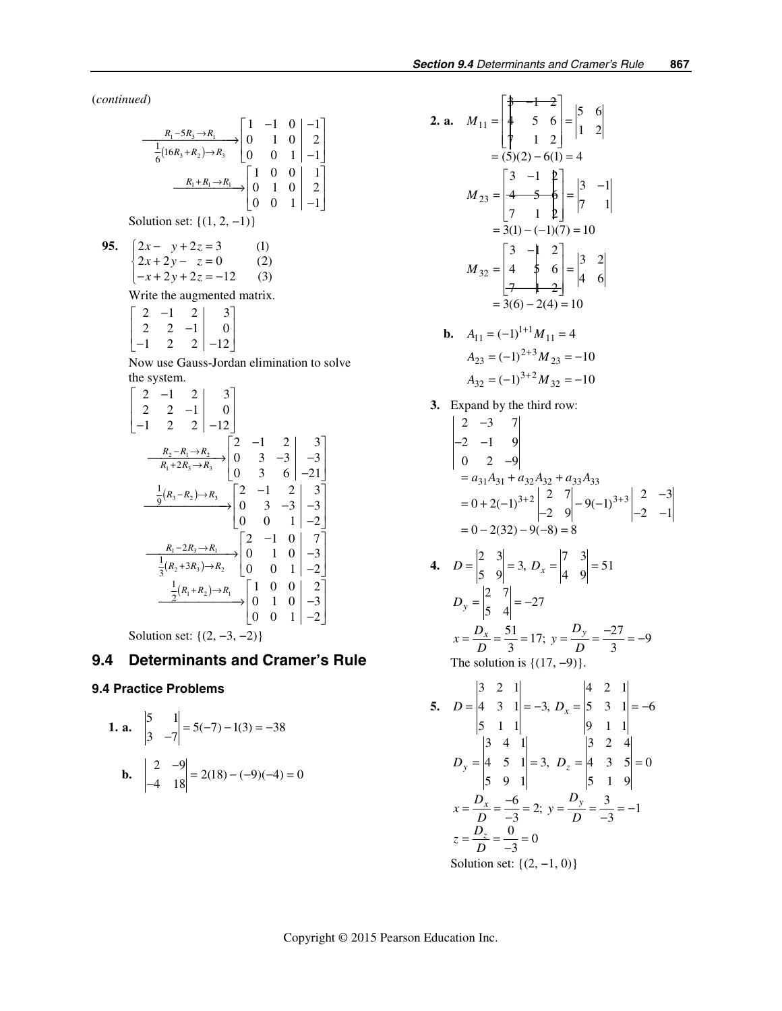(*continued*)

$$
\frac{R_1 - 5R_3 \to R_1}{\frac{1}{6}(16R_3 + R_2) \to R_3} \begin{bmatrix} 1 & -1 & 0 & -1 \\ 0 & 1 & 0 & 2 \\ 0 & 0 & 1 & -1 \end{bmatrix}
$$

$$
\xrightarrow{\begin{subarray}{l} R_1 + R_1 \to R_1 \\ R_2 \to R_3 \end{subarray}} \begin{bmatrix} 1 & 0 & 0 & 1 \\ 0 & 1 & 0 & 2 \\ 0 & 0 & 1 & -1 \end{bmatrix}
$$

Solution set:  $\{(1, 2, -1)\}$ 

**95.** 
$$
\begin{cases} 2x - y + 2z = 3 & (1) \\ 2x + 2y - z = 0 & (2) \\ -x + 2y + 2z = -12 & (3) \end{cases}
$$

Write the augmented matrix.

$$
\begin{bmatrix} 2 & -1 & 2 & 3 \ 2 & 2 & -1 & 0 \ -1 & 2 & 2 & -12 \end{bmatrix}
$$

Now use Gauss-Jordan elimination to solve the system.

$$
\begin{bmatrix} 2 & -1 & 2 & 3 \ 2 & 2 & -1 & 0 \ -1 & 2 & 2 & -12 \ \end{bmatrix}
$$
  
\n
$$
\xrightarrow{R_2 - R_1 \rightarrow R_2} \begin{bmatrix} 2 & -1 & 2 & 3 \ 0 & 3 & -3 & -3 \ 0 & 3 & 6 & -21 \ \end{bmatrix}
$$
  
\n
$$
\xrightarrow{\frac{1}{9}(R_3 - R_2) \rightarrow R_3} \begin{bmatrix} 2 & -1 & 2 & 3 \ 0 & 3 & -3 & -3 \ 0 & 0 & 1 & -2 \ \end{bmatrix}
$$
  
\n
$$
\xrightarrow{\frac{1}{3}(R_2 + 3R_3) \rightarrow R_2} \begin{bmatrix} 2 & -1 & 0 & 7 \ 0 & 0 & 1 & 0 & -3 \ 0 & 0 & 1 & -2 \ \end{bmatrix}
$$
  
\n
$$
\xrightarrow{\frac{1}{3}(R_2 + 3R_3) \rightarrow R_2} \begin{bmatrix} 2 & -1 & 0 & 7 \ 0 & 1 & 0 & -3 \ 0 & 0 & 1 & -2 \ \end{bmatrix}
$$

Solution set:  $\{(2, -3, -2)\}$ 

# **9.4 Determinants and Cramer's Rule**

# **9.4 Practice Problems**

**1. a.** 
$$
\begin{vmatrix} 5 & 1 \ 3 & -7 \end{vmatrix} = 5(-7) - 1(3) = -38
$$
  
**b.**  $\begin{vmatrix} 2 & -9 \ -4 & 18 \end{vmatrix} = 2(18) - (-9)(-4) = 0$ 

2. a. 
$$
M_{11} = \begin{bmatrix} \frac{4}{7} & -1 & -2 \\ 4 & 5 & 6 \\ 7 & 1 & 2 \end{bmatrix} = \begin{vmatrix} 5 & 6 \\ 1 & 2 \end{vmatrix}
$$
  
\n $= (5)(2) - 6(1) = 4$   
\n $M_{23} = \begin{bmatrix} 3 & -1 & 2 \\ 4 & 5 & 6 \\ 7 & 1 & 2 \end{bmatrix} = \begin{vmatrix} 3 & -1 \\ 7 & 1 \end{vmatrix}$   
\n $= 3(1) - (-1)(7) = 10$   
\n $M_{32} = \begin{bmatrix} 3 & -1 & 2 \\ 4 & 5 & 6 \\ -7 & 1 & -2 \end{bmatrix} = \begin{vmatrix} 3 & 2 \\ 4 & 6 \end{vmatrix}$   
\n $= 3(6) - 2(4) = 10$   
\nb.  $A_{11} = (-1)^{1+1}M_{11} = 4$   
\n $A_{23} = (-1)^{2+3}M_{23} = -10$   
\n $A_{32} = (-1)^{3+2}M_{32} = -10$ 

 **3.** Expand by the third row:

$$
\begin{vmatrix} 2 & -3 & 7 \ -2 & -1 & 9 \ 0 & 2 & -9 \ \end{vmatrix}
$$
  
=  $a_{31}A_{31} + a_{32}A_{32} + a_{33}A_{33}$   
=  $0 + 2(-1)^{3+2} \begin{vmatrix} 2 & 7 \ -2 & 9 \ \end{vmatrix} - 9(-1)^{3+3} \begin{vmatrix} 2 & -3 \ -2 & -1 \ \end{vmatrix}$   
=  $0 - 2(32) - 9(-8) = 8$ 

**4.** 
$$
D = \begin{vmatrix} 2 & 3 \ 5 & 9 \end{vmatrix} = 3, D_x = \begin{vmatrix} 7 & 3 \ 4 & 9 \end{vmatrix} = 51
$$
  
\n $D_y = \begin{vmatrix} 2 & 7 \ 5 & 4 \end{vmatrix} = -27$   
\n $x = \frac{D_x}{D} = \frac{51}{3} = 17; y = \frac{D_y}{D} = \frac{-27}{3} = -9$ 

The solution is  $\{(17, -9)\}.$ 

5. 
$$
D = \begin{vmatrix} 3 & 2 & 1 \ 4 & 3 & 1 \ 5 & 1 & 1 \end{vmatrix} = -3
$$
,  $D_x = \begin{vmatrix} 4 & 2 & 1 \ 5 & 3 & 1 \ 9 & 1 & 1 \end{vmatrix} = -6$   
\n $D_y = \begin{vmatrix} 3 & 4 & 1 \ 4 & 5 & 1 \ 5 & 9 & 1 \end{vmatrix} = 3$ ,  $D_z = \begin{vmatrix} 3 & 2 & 4 \ 4 & 3 & 5 \ 5 & 1 & 9 \end{vmatrix} = 0$   
\n $x = \frac{D_x}{D} = \frac{-6}{-3} = 2$ ;  $y = \frac{D_y}{D} = \frac{3}{-3} = -1$   
\n $z = \frac{D_z}{D} = \frac{0}{-3} = 0$   
\nSolution set: {(2, -1, 0)}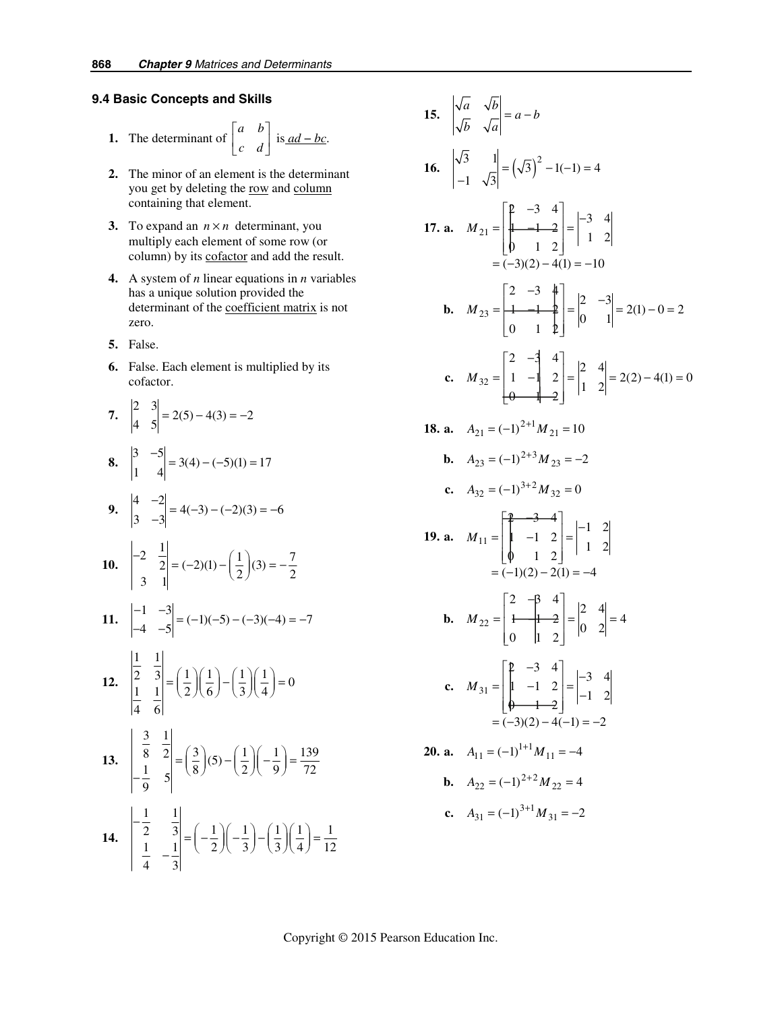### **9.4 Basic Concepts and Skills**

1. The determinant of 
$$
\begin{bmatrix} a & b \\ c & d \end{bmatrix}
$$
 is ad - bc.

- **2.** The minor of an element is the determinant you get by deleting the row and column containing that element.
- **3.** To expand an  $n \times n$  determinant, you multiply each element of some row (or column) by its cofactor and add the result.
- **4.** A system of *n* linear equations in *n* variables has a unique solution provided the determinant of the coefficient matrix is not zero.
- **5.** False.
- **6.** False. Each element is multiplied by its cofactor.

7. 
$$
\begin{vmatrix} 2 & 3 \\ 4 & 5 \end{vmatrix} = 2(5) - 4(3) = -2
$$
  
\n8.  $\begin{vmatrix} 3 & -5 \\ 1 & 4 \end{vmatrix} = 3(4) - (-5)(1) = 17$   
\n9.  $\begin{vmatrix} 4 & -2 \\ 3 & -3 \end{vmatrix} = 4(-3) - (-2)(3) = -6$   
\n10.  $\begin{vmatrix} -2 & \frac{1}{2} \\ 3 & 1 \end{vmatrix} = (-2)(1) - (\frac{1}{2})(3) = -\frac{7}{2}$   
\n11.  $\begin{vmatrix} -1 & -3 \\ -4 & -5 \end{vmatrix} = (-1)(-5) - (-3)(-4) = -7$   
\n12.  $\begin{vmatrix} \frac{1}{2} & \frac{1}{3} \\ \frac{1}{4} & \frac{1}{6} \end{vmatrix} = (\frac{1}{2})(\frac{1}{6}) - (\frac{1}{3})(\frac{1}{4}) = 0$   
\n13.  $\begin{vmatrix} \frac{3}{8} & \frac{1}{2} \\ -\frac{1}{9} & 5 \end{vmatrix} = (\frac{3}{8})(5) - (\frac{1}{2})(-\frac{1}{9}) = \frac{139}{72}$   
\n14.  $\begin{vmatrix} -\frac{1}{2} & \frac{1}{3} \\ \frac{1}{4} & -\frac{1}{3} \end{vmatrix} = (-\frac{1}{2})(-\frac{1}{3}) - (\frac{1}{3})(\frac{1}{4}) = \frac{1}{12}$ 

15. 
$$
\begin{vmatrix} \sqrt{a} & \sqrt{b} \\ \sqrt{b} & \sqrt{a} \end{vmatrix} = a - b
$$
  
\n16.  $\begin{vmatrix} \sqrt{3} & 1 \\ -1 & \sqrt{3} \end{vmatrix} = (\sqrt{3})^2 - 1(-1) = 4$   
\n17. a.  $M_{21} = \begin{bmatrix} p & -3 & 4 \\ h & 1 & 2 \\ 0 & 1 & 2 \end{bmatrix} = \begin{vmatrix} -3 & 4 \\ 1 & 2 \end{vmatrix}$   
\n $= (-3)(2) - 4(1) = -10$   
\nb.  $M_{23} = \begin{bmatrix} 2 & -3 & 4 \\ 1 & 1 & 2 \\ 0 & 1 & 2 \end{bmatrix} = \begin{vmatrix} 2 & -3 \\ 0 & 1 \end{vmatrix} = 2(1) - 0 = 2$   
\nc.  $M_{32} = \begin{bmatrix} 2 & -\frac{4}{3} & 4 \\ 1 & -1 & 2 \\ 0 & 1 & 2 \end{bmatrix} = \begin{vmatrix} 2 & 4 \\ 1 & 2 \end{vmatrix} = 2(2) - 4(1) = 0$   
\n18. a.  $A_{21} = (-1)^{2+1} M_{21} = 10$   
\nb.  $A_{23} = (-1)^{3+2} M_{32} = -2$   
\nc.  $A_{32} = (-1)^{3+2} M_{32} = 0$   
\n19. a.  $M_{11} = \begin{bmatrix} p & -3 & 4 \\ 1 & -1 & 2 \\ 0 & 1 & 2 \end{bmatrix} = \begin{vmatrix} -1 & 2 \\ 1 & 2 \end{vmatrix}$   
\n $= (-1)(2) - 2(1) = -4$   
\nb.  $M_{22} = \begin{bmatrix} 2 & -\frac{1}{3} & 4 \\ 1 & -1 & 2 \\ 0 & 1 & 2 \end{bmatrix} = \begin{vmatrix} -3 & 4 \\ -1 & 2 \\ 0 & 2 \end{vmatrix} = 4$   
\nc.  $M_{31} = \begin{bmatrix} p & -3 & 4 \\ 1 & -1 & 2 \\ 0 & 1 & 2 \end{bmatrix} = \begin{vmatrix} -3 & 4 \\ -1 & 2 \\ -1 & 2 \end{vmatrix}$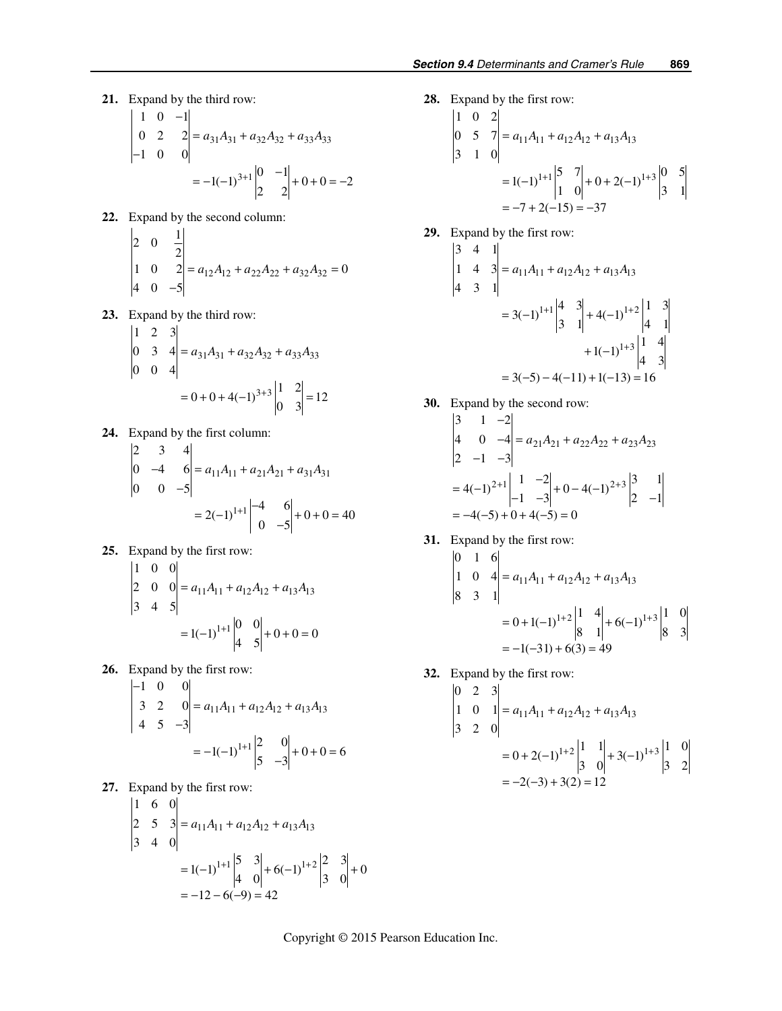**21.** Expand by the third row:

$$
\begin{vmatrix} 1 & 0 & -1 \ 0 & 2 & 2 \ -1 & 0 & 0 \ \end{vmatrix} = a_{31}A_{31} + a_{32}A_{32} + a_{33}A_{33}
$$
  
= -1(-1)<sup>3+1</sup> $\begin{vmatrix} 0 & -1 \ 2 & 2 \ \end{vmatrix} + 0 + 0 = -2$ 

 **22.** Expand by the second column:  $1^2 - 1$ 

$$
\begin{vmatrix} 2 & 0 & \frac{1}{2} \\ 1 & 0 & 2 \\ 4 & 0 & -5 \end{vmatrix} = a_{12}A_{12} + a_{22}A_{22} + a_{32}A_{32} = 0
$$

 **23.** Expand by the third row:

$$
\begin{vmatrix} 1 & 2 & 3 \ 0 & 3 & 4 \ 0 & 0 & 4 \ \end{vmatrix} = a_{31}A_{31} + a_{32}A_{32} + a_{33}A_{33}
$$

$$
= 0 + 0 + 4(-1)^{3+3} \begin{vmatrix} 1 & 2 \ 0 & 3 \end{vmatrix} = 12
$$

**24.** Expand by the first column:

$$
\begin{vmatrix} 2 & 3 & 4 \ 0 & -4 & 6 \ 0 & 0 & -5 \ \end{vmatrix} = a_{11}A_{11} + a_{21}A_{21} + a_{31}A_{31}
$$

$$
= 2(-1)^{1+1} \begin{vmatrix} -4 & 6 \ 0 & -5 \end{vmatrix} + 0 + 0 = 40
$$

**25.** Expand by the first row:

$$
\begin{vmatrix} 1 & 0 & 0 \ 2 & 0 & 0 \ 3 & 4 & 5 \ \end{vmatrix} = a_{11}A_{11} + a_{12}A_{12} + a_{13}A_{13}
$$

$$
= 1(-1)^{1+1} \begin{vmatrix} 0 & 0 \ 4 & 5 \end{vmatrix} + 0 + 0 = 0
$$

**26.** Expand by the first row:

$$
\begin{vmatrix} -1 & 0 & 0 \ 3 & 2 & 0 \ 4 & 5 & -3 \ \end{vmatrix} = a_{11}A_{11} + a_{12}A_{12} + a_{13}A_{13}
$$

$$
= -1(-1)^{1+1} \begin{vmatrix} 2 & 0 \ 5 & -3 \end{vmatrix} + 0 + 0 = 6
$$

 **27.** Expand by the first row:

$$
\begin{vmatrix} 1 & 6 & 0 \ 2 & 5 & 3 \ 3 & 4 & 0 \ \end{vmatrix} = a_{11}A_{11} + a_{12}A_{12} + a_{13}A_{13}
$$
  
= 1(-1)<sup>1+1</sup>  $\begin{vmatrix} 5 & 3 \ 4 & 0 \end{vmatrix} + 6(-1)^{1+2} \begin{vmatrix} 2 & 3 \ 3 & 0 \end{vmatrix} + 0$   
= -12 - 6(-9) = 42

 **28.** Expand by the first row:

$$
\begin{vmatrix} 1 & 0 & 2 \ 0 & 5 & 7 \ 3 & 1 & 0 \ \end{vmatrix} = a_{11}A_{11} + a_{12}A_{12} + a_{13}A_{13}
$$
  
= 1(-1)<sup>1+1</sup>  $\begin{vmatrix} 5 & 7 \ 1 & 0 \ \end{vmatrix} + 0 + 2(-1)^{1+3} \begin{vmatrix} 0 & 5 \ 3 & 1 \ \end{vmatrix}$   
= -7 + 2(-15) = -37

**29.** Expand by the first row:

$$
\begin{vmatrix} 3 & 4 & 1 \ 1 & 4 & 3 \ 4 & 3 & 1 \ \end{vmatrix} = a_{11}A_{11} + a_{12}A_{12} + a_{13}A_{13}
$$
  
= 3(-1)<sup>1+1</sup> $\begin{vmatrix} 4 & 3 \ 3 & 1 \end{vmatrix} + 4(-1)^{1+2} \begin{vmatrix} 1 & 3 \ 4 & 1 \end{vmatrix} + 1(-1)^{1+3} \begin{vmatrix} 1 & 4 \ 4 & 3 \end{vmatrix}$   
= 3(-5) - 4(-11) + 1(-13) = 16

**30.** Expand by the second row:

$$
\begin{vmatrix} 3 & 1 & -2 \ 4 & 0 & -4 \ 2 & -1 & -3 \ \end{vmatrix} = a_{21}A_{21} + a_{22}A_{22} + a_{23}A_{23}
$$
  
= 4(-1)<sup>2+1</sup>  $\begin{vmatrix} 1 & -2 \ -1 & -3 \ \end{vmatrix} + 0 - 4(-1)^{2+3} \begin{vmatrix} 3 & 1 \ 2 & -1 \ \end{vmatrix}$   
= -4(-5) + 0 + 4(-5) = 0

**31.** Expand by the first row:

$$
\begin{vmatrix} 0 & 1 & 6 \ 1 & 0 & 4 \ 8 & 3 & 1 \ \end{vmatrix} = a_{11}A_{11} + a_{12}A_{12} + a_{13}A_{13}
$$
  
= 0 + 1(-1)<sup>1+2</sup>  $\begin{vmatrix} 1 & 4 \ 8 & 1 \end{vmatrix} + 6(-1)^{1+3} \begin{vmatrix} 1 & 0 \ 8 & 3 \end{vmatrix}$   
= -1(-31) + 6(3) = 49

 **32.** Expand by the first row:

$$
\begin{vmatrix} 0 & 2 & 3 \ 1 & 0 & 1 \ 3 & 2 & 0 \ \end{vmatrix} = a_{11}A_{11} + a_{12}A_{12} + a_{13}A_{13}
$$
  
= 0 + 2(-1)<sup>1+2</sup>  $\begin{vmatrix} 1 & 1 \ 3 & 0 \end{vmatrix}$  + 3(-1)<sup>1+3</sup>  $\begin{vmatrix} 1 & 0 \ 3 & 2 \end{vmatrix}$   
= -2(-3) + 3(2) = 12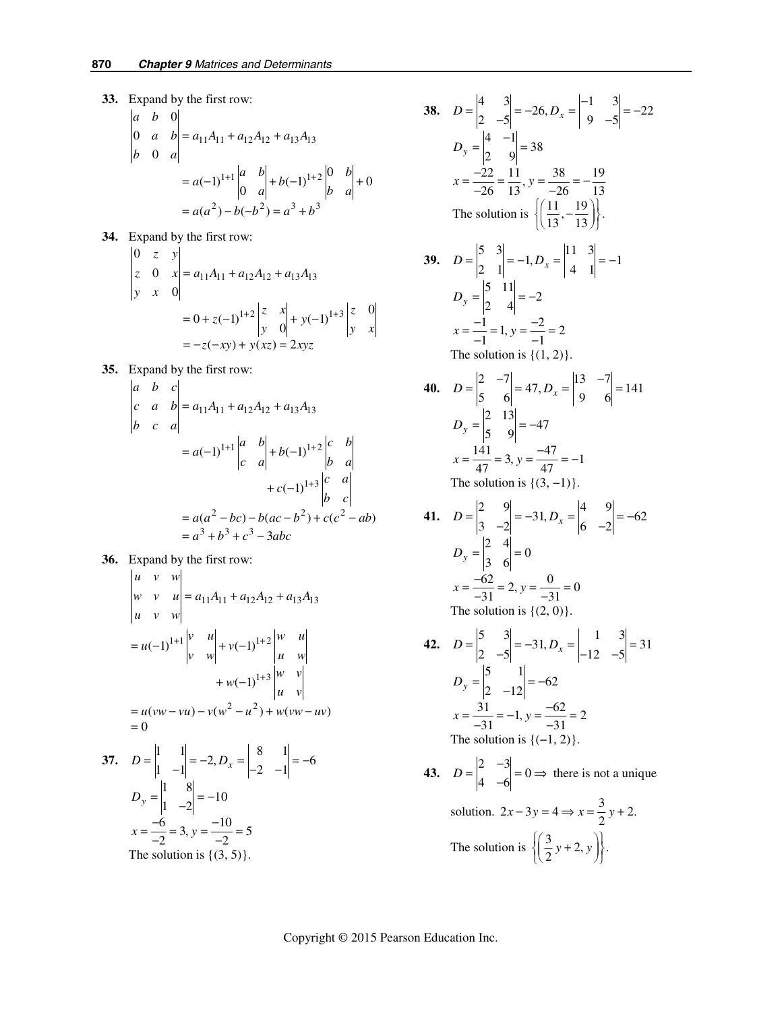**33.** Expand by the first row:  $11^{A}$ 11 +  $u$ 12 $A$ 12 +  $u$ 13 $A$ 13  $1+1$   $|u - v|$  +  $h(-1)^{1+2}$  $^{2}$  b( $h^{2}$ ) =  $a^{3}$  +  $h^{3}$ 0 0 0  $(-1)^{1+1}\begin{vmatrix} a & b \\ 0 & a \end{vmatrix} + b(-1)^{1+2}\begin{vmatrix} 0 & b \\ b & a \end{vmatrix} + 0$  $(a^2) - b(-b^2)$ *a b*  $a \quad b = a_{11}A_{11} + a_{12}A_{12} + a_{13}A$ *b a*  $a(-1)^{1+1}\begin{vmatrix} a & b \\ 0 & a \end{vmatrix} + b(-1)^{1+2}\begin{vmatrix} 0 & b \\ b & a \end{vmatrix}$  $a(a^2) - b(-b^2) = a^3 + b$  $+1 \begin{vmatrix} a & b \\ c & b \end{vmatrix} + b(1) +$  $= a_{11}A_{11} + a_{12}A_{12} +$  $= a(-1)^{1+1}\begin{bmatrix} a \\ c \end{bmatrix} + b(-1)^{1+2}\begin{bmatrix} a \\ c \end{bmatrix} +$  $= a(a<sup>2</sup>) - b(-b<sup>2</sup>) = a<sup>3</sup> +$ 

**34.** Expand by the first row:

$$
\begin{vmatrix} 0 & z & y \ z & 0 & x \ y & x & 0 \ \end{vmatrix} = a_{11}A_{11} + a_{12}A_{12} + a_{13}A_{13}
$$
  
= 0 + z(-1)<sup>1+2</sup>  $\begin{vmatrix} z & x \ y & 0 \ \end{vmatrix} + y(-1)^{1+3} \begin{vmatrix} z & 0 \ y & x \ \end{vmatrix}$   
= -z(-xy) + y(xz) = 2xyz

**35.** Expand by the first row:

$$
\begin{vmatrix} a & b & c \ c & a & b \ b & c & a \ \end{vmatrix} = a_{11}A_{11} + a_{12}A_{12} + a_{13}A_{13}
$$
  
\n
$$
= a(-1)^{1+1} \begin{vmatrix} a & b \ c & a \ \end{vmatrix} + b(-1)^{1+2} \begin{vmatrix} c & b \ b & a \ \end{vmatrix}
$$
  
\n
$$
+ c(-1)^{1+3} \begin{vmatrix} c & a \ b & c \ \end{vmatrix}
$$
  
\n
$$
= a(a^2 - bc) - b(ac - b^2) + c(c^2 - ab)
$$
  
\n
$$
= a^3 + b^3 + c^3 - 3abc
$$

**36.** Expand by the first row:

$$
\begin{vmatrix} u & v & w \ w & v & u \ u & v & w \end{vmatrix} = a_{11}A_{11} + a_{12}A_{12} + a_{13}A_{13}
$$
  
\n
$$
= u(-1)^{1+1} \begin{vmatrix} v & u \ v & w \end{vmatrix} + v(-1)^{1+2} \begin{vmatrix} w & u \ u & w \end{vmatrix} + w(-1)^{1+3} \begin{vmatrix} w & v \ w & v \end{vmatrix}
$$
  
\n
$$
= u(vw - vu) - v(w^2 - u^2) + w(vw - uv)
$$
  
\n
$$
= 0
$$

37. 
$$
D = \begin{vmatrix} 1 & 1 \ 1 & -1 \end{vmatrix} = -2, D_x = \begin{vmatrix} 0 & 1 \ -2 & -1 \end{vmatrix} = -6
$$
  
\n $D_y = \begin{vmatrix} 1 & 8 \ 1 & -2 \end{vmatrix} = -10$   
\n $x = \frac{-6}{-2} = 3, y = \frac{-10}{-2} = 5$   
\nThe solution is {(3, 5)}.

38. 
$$
D = \begin{vmatrix} 4 & 3 \ 2 & -5 \end{vmatrix} = -26, D_x = \begin{vmatrix} -1 & 3 \ 9 & -5 \end{vmatrix} = -22
$$
  
\n $D_y = \begin{vmatrix} 4 & -1 \ 2 & 9 \end{vmatrix} = 38$   
\n $x = \frac{-22}{-26} = \frac{11}{13}, y = \frac{38}{-26} = -\frac{19}{13}$   
\nThe solution is  $\{(\frac{11}{13}, -\frac{19}{13})\}$ .  
\n39.  $D = \begin{vmatrix} 5 & 3 \ 2 & 1 \end{vmatrix} = -1, D_x = \begin{vmatrix} 11 & 3 \ 4 & 1 \end{vmatrix} = -1$   
\n $D_y = \begin{vmatrix} 5 & 11 \ 2 & 4 \end{vmatrix} = -2$   
\n $x = \frac{-1}{-1} = 1, y = \frac{-2}{-1} = 2$   
\nThe solution is {(1, 2)}.  
\n40.  $D = \begin{vmatrix} 2 & -7 \ 5 & 6 \end{vmatrix} = 47, D_x = \begin{vmatrix} 13 & -7 \ 9 & 6 \end{vmatrix} = 141$   
\n $D_y = \begin{vmatrix} 2 & 13 \ 5 & 9 \end{vmatrix} = -47$   
\n $x = \frac{141}{47} = 3, y = \frac{-47}{47} = -1$   
\nThe solution is {(3, -1)}.  
\n41.  $D = \begin{vmatrix} 2 & 9 \ 3 & -2 \end{vmatrix} = -31, D_x = \begin{vmatrix} 4 & 9 \ 6 & -2 \end{vmatrix} = -62$   
\n $D_y = \begin{vmatrix} 2 & 4 \ 3 & 6 \end{vmatrix} = 0$   
\n $x = \frac{-62}{-31} = 2, y = \frac{0}{-31} = 0$   
\nThe solution is {(2, 0)}.  
\n42.  $D = \begin{vmatrix} 5 & 3 \ 2 & -5 \end{vmatrix} = -31, D_x = \begin{vmatrix} 1 & 3 \ -12 & -5 \end{vmatrix} = 31$   
\n $D_y = \begin{vmatrix} 5 & 3 \ 2 & -12 \$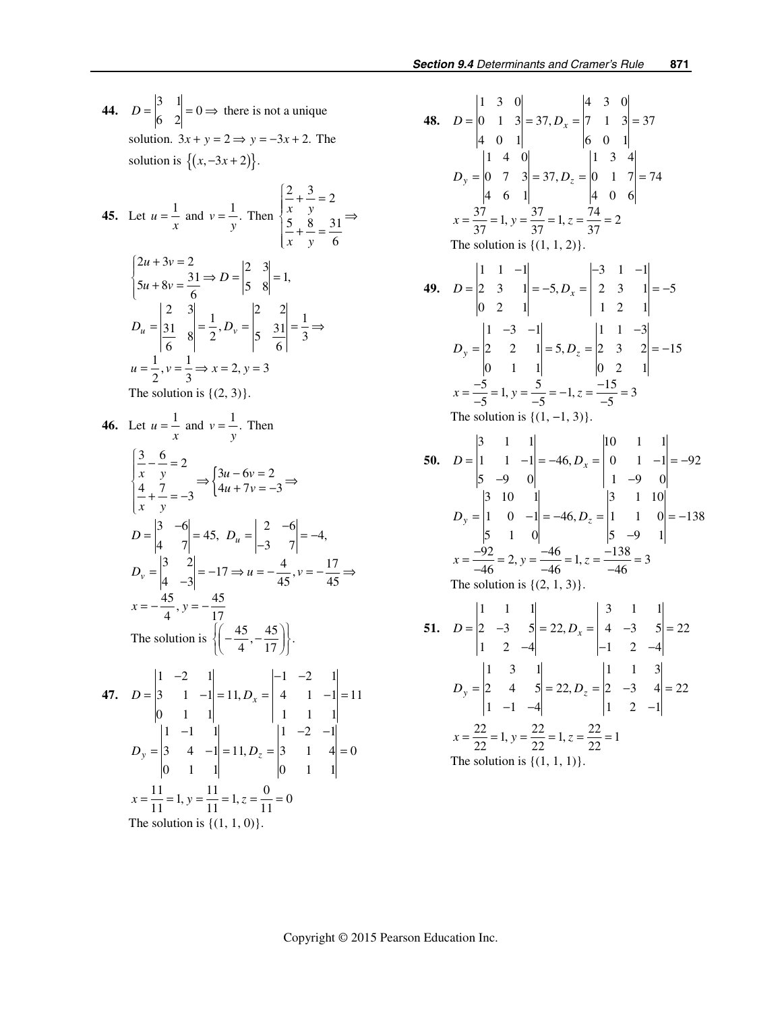**44.**  $D = \begin{vmatrix} 3 & 1 \\ 6 & 2 \end{vmatrix} = 0 \Rightarrow$  there is not a unique solution.  $3x + y = 2 \implies y = -3x + 2$ . The solution is  $\{(x, -3x + 2)\}.$ 

45. Let 
$$
u = \frac{1}{x}
$$
 and  $v = \frac{1}{y}$ . Then 
$$
\begin{cases} \frac{2}{x} + \frac{3}{y} = 2\\ \frac{5}{x} + \frac{8}{y} = \frac{31}{6} \end{cases} \Rightarrow
$$

$$
\begin{cases} 2u + 3v = 2\\ 5u + 8v = \frac{31}{6} \end{cases} \Rightarrow D = \begin{vmatrix} 2 & 3\\ 5 & 8 \end{vmatrix} = 1,
$$

$$
D_u = \begin{vmatrix} 2 & 3\\ 31 & 8\\ 6 & 2 \end{vmatrix} = \frac{1}{2}, D_v = \begin{vmatrix} 2 & 2\\ 5 & \frac{31}{6} \end{vmatrix} = \frac{1}{3} \Rightarrow
$$

$$
u = \frac{1}{2}, v = \frac{1}{3} \Rightarrow x = 2, y = 3
$$
The solution is {(2, 3)}.

46. Let 
$$
u = \frac{1}{x}
$$
 and  $v = \frac{1}{y}$ . Then  
\n
$$
\begin{cases}\n\frac{3}{x} - \frac{6}{y} = 2 \\
\frac{4}{x} + \frac{7}{y} = -3\n\end{cases} \Rightarrow \begin{cases}\n3u - 6v = 2 \\
4u + 7v = -3\n\end{cases} \Rightarrow D = \begin{vmatrix}\n3 & -6 \\
4 & 7\n\end{vmatrix} = 45, D_u = \begin{vmatrix}\n2 & -6 \\
-3 & 7\n\end{vmatrix} = -4,
$$
\n
$$
D_v = \begin{vmatrix}\n3 & 2 \\
4 & -3\n\end{vmatrix} = -17 \Rightarrow u = -\frac{4}{45}, v = -\frac{17}{45} \Rightarrow x = -\frac{45}{4}, y = -\frac{45}{17}
$$
\nThe solution is  $\left\{\left(-\frac{45}{4}, -\frac{45}{17}\right)\right\}.$   
\n47.  $D = \begin{vmatrix}\n1 & -2 & 1 \\
3 & 1 & -1 \\
0 & 1 & 1\n\end{vmatrix} = 11, D_x = \begin{vmatrix}\n-1 & -2 & 1 \\
4 & 1 & -1 \\
1 & 1 & 1\n\end{vmatrix} = 11$   
\n
$$
D_y = \begin{vmatrix}\n1 & -1 & 1 \\
3 & 4 & -1 \\
0 & 1 & 1\n\end{vmatrix} = 11, D_z = \begin{vmatrix}\n1 & -2 & -1 \\
3 & 1 & 4 \\
0 & 1 & 1\n\end{vmatrix} = 0
$$

 $x = \frac{11}{11} = 1$ ,  $y = \frac{11}{11} = 1$ ,  $z = \frac{0}{11} = 0$ 

The solution is  $\{(1, 1, 0)\}.$ 

**48.**  130 430 0 1 3 = 37,  $D_x = |7 \t1 \t3| = 37$ 401 601 140 134 0 7  $3 = 37, D_z = |0 \t1 \t7| = 74$ 461 406  $x = \frac{37}{37} = 1$ ,  $y = \frac{37}{37} = 1$ ,  $z = \frac{74}{37} = 2$  $D = \begin{vmatrix} 0 & 1 & 3 \end{vmatrix} = 37, D_x = \begin{vmatrix} 7 & 1 & 3 \end{vmatrix} =$  $D_y = \begin{vmatrix} 0 & 7 & 3 \end{vmatrix} = 37, D_z = \begin{vmatrix} 0 & 1 & 7 \end{vmatrix} =$ The solution is  $\{(1, 1, 2)\}.$ **49.**   $1 \quad 1 \quad -1$   $-3 \quad 1 \quad -1$ 2 3 1 = -5,  $D_x = \begin{vmatrix} 2 & 3 & 1 \end{vmatrix} = -5$  $0 \quad 2 \quad 1$  1 2 1  $D = \begin{vmatrix} 2 & 3 & 1 \end{vmatrix} = -5, D_x$  $-1$   $-3$  1  $= |2 \quad 3 \quad 1| = -5, D_x = |2 \quad 3 \quad 1| = 1 \quad -3 \quad -1$   $1 \quad 1 \quad -3$ 2 2 1 = 5,  $D_7 = |2 \t3 \t2| = -15$ 0 1 1  $\vert$  0 2 1  $x = \frac{-5}{-5} = 1, y = \frac{5}{-5} = -1, z = \frac{-15}{-5} = 3$  $D_y = |2 \t 2 \t 1| = 5, D_z$  $-3$   $-1$   $\begin{vmatrix} 1 & 1 & -1 \\ 1 & 1 & -1 \end{vmatrix}$  $= |2 \t2 \t1| = 5, D_z = |2 \t3 \t2| = -$ **The solution is**  ${(1, −1, 3)}$ **50.**  3 1 1 10 1 1 1 1 -1 = -46,  $D_x = |0 \t1 -1| = -92$  $5 -9 0$  1  $-9 0$ 3 10 1 3 1 10 1 0  $-1 = -46, D_z = |1 \t1 \t0 = -138$  $5 \t1 \t0 \t5 \t-9 \t1$  $x = \frac{-92}{-46} = 2, y = \frac{-46}{-46} = 1, z = \frac{-138}{-46} = 3$  $D = \begin{vmatrix} 1 & 1 & -1 \end{vmatrix} = -46, D_x = \begin{vmatrix} 0 & 1 & -1 \end{vmatrix} = D_y = |1 \t 0 \t -1| = -46, D_z = |1 \t 1 \t 0| = -$ −9 0 | 1 − − The solution is  $\{(2, 1, 3)\}.$ **51.**   $1 \quad 1 \quad 1$   $3 \quad 1 \quad 1$ 2  $-3$   $5 = 22$ ,  $D_x = |4 -3 5| = 22$ 1 2  $-4$   $-1$  2  $-4$  $D = \begin{vmatrix} 2 & -3 & 5 \end{vmatrix} = 22, D_x = \begin{vmatrix} 4 & -3 & 5 \end{vmatrix} =$  $-4$   $-1$  2  $1 \quad 3 \quad 1$   $1 \quad 1 \quad 3$ 2 4 5  $= 22, D_z = |2 -3 4| = 22$  $1 -1 -4$   $1 2 -1$  $= |2 \t4 \t5| = 22, D_z = |2 \t-3 \t4| =$  $-1$   $-4$   $1$   $2$   $D_y = |2 \t 4 \t 5| = 22, D_z$  $x = \frac{22}{22} = 1, y = \frac{22}{22} = 1, z = \frac{22}{22} = 1$ The solution is  $\{(1, 1, 1)\}.$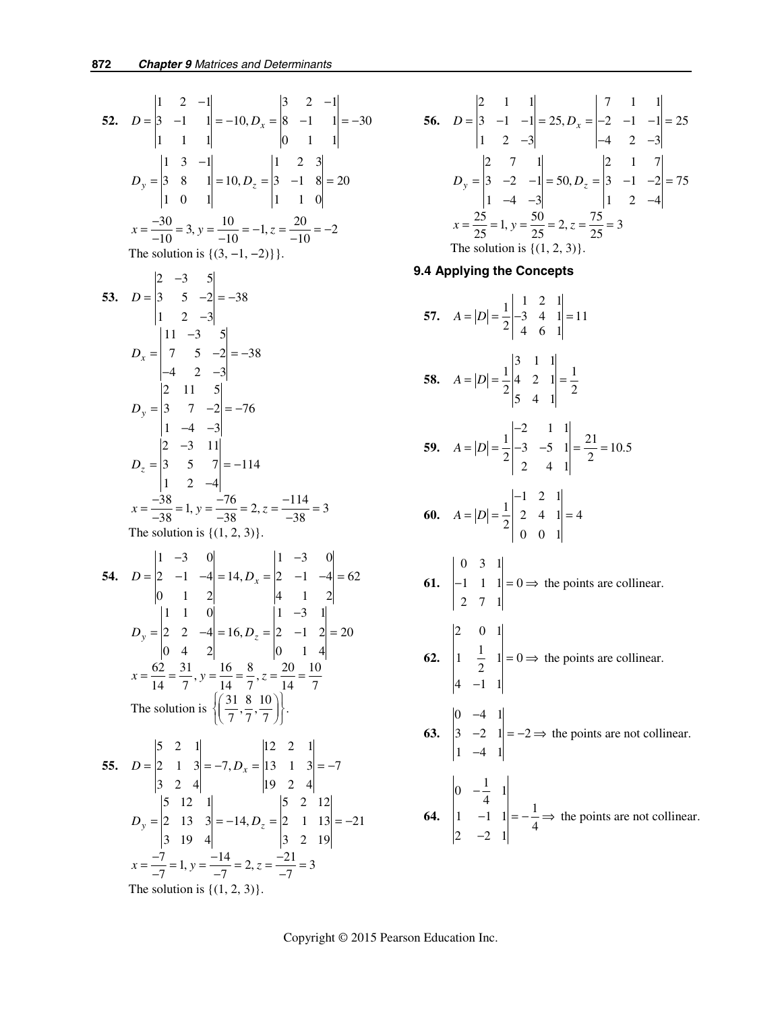**52.**  1 2  $-1$  | 3 2  $-1$ 3 -1  $1 = -10, D_x = |8 -1 1| = -30$ 1 1 1 0 1 1  $D = \begin{vmatrix} 3 & -1 & 1 \end{vmatrix} = -10, D_x$  $-1$  | 3 2 –  $= |3 -1 1| = -10, D_x = |8 -1 1| = -$ 1 3  $-1$  1 2 3 3 8 1 = 10,  $D_z = |3 -1 8| = 20$ 10 1 1 10  $D_y = \begin{vmatrix} 3 & 8 & 1 \end{vmatrix} = 10, D_z$ −  $= |3 \quad 8 \quad 1| = 10, D_{7} = |3 \quad -1 \quad 8| =$  $x = \frac{-30}{-10} = 3$ ,  $y = \frac{10}{-10} = -1$ ,  $z = \frac{20}{-10} = -2$ The solution is  $\{(3, -1, -2)\}$ **53.** 2  $-3$  5  $3 \quad 5 \quad -2 = -38$  $1 \t 2 \t -3$  $11 -3$  5  $7 \quad 5 \quad -2 = -38$ 4 2  $-3$ 2 11 5  $3 \quad 7 \quad -2 = -76$  $1 -4 -3$ 2  $-3$  11 3 5  $7 = -114$  $1 \t2 \t-4$  $x = \frac{-38}{-38} = 1$ ,  $y = \frac{-76}{-38} = 2$ ,  $z = \frac{-114}{-38} = 3$ *x y z D D D D* −  $= |3 \t 5 \t -2| = -$ − −  $= | 7 5 -2 | = -4$  2 –  $= |3 \t 7 \t -2| = -$ − − −  $= |3 \t 5 \t 7| = -$ − The solution is  $\{(1, 2, 3)\}.$ **54.**   $1 -3 = 0$   $1 -3 = 0$ 2  $-1$   $-4$  = 14,  $D_x =$   $|2$   $-1$   $-4$  = 62 0 1 2  $|4 \t1 \t2$  $1 \quad 1 \quad 0 \qquad \qquad 1 \quad -3 \quad 1$ 2 2  $-4 = 16$ ,  $D_z = |2 -1 2| = 20$  $0 \quad 4 \quad 2$  0 1 4  $x = \frac{62}{14} = \frac{31}{7}, y = \frac{16}{14} = \frac{8}{7}, z = \frac{20}{14} = \frac{10}{7}$ The solution is  $\left\{ \left( \frac{31}{7}, \frac{8}{7}, \frac{10}{7} \right) \right\}.$ *x*  $y = |2 \t 2 \t -4| = 10, D_z$  $D = |2 -1 -4| = 14, D$  $D_v = |2 \t2 -4| = 16, D$ − −  $= |2 -1 -4| = 14$ ,  $D_x = |2 -1 -4| =$ −  $= |2 \quad 2 \quad -4| = 16, D_{7} = |2 \quad -1 \quad 2| =$ **55.**   $5 \quad 2 \quad 1$  12 2 1 2 1 3 =  $-7, D_x = |13 \t1 \t3| = -7$ 3 2 4 19 2 4 5 12 1 5 2 12 2 13  $3 = -14$ ,  $D_z = |2 \t1 \t13 = -21$ 3 19 4 3 2 19  $x = \frac{-7}{-7} = 1$ ,  $y = \frac{-14}{-7} = 2$ ,  $z = \frac{-21}{-7} = 3$  $D = \begin{vmatrix} 2 & 1 & 3 \end{vmatrix} = -7, D_x = \begin{vmatrix} 13 & 1 & 3 \end{vmatrix} = D_y = \begin{vmatrix} 2 & 13 & 3 \end{vmatrix} = -14, D_z = \begin{vmatrix} 2 & 1 & 13 \end{vmatrix} = -1$ The solution is  $\{(1, 2, 3)\}.$ 

56. 
$$
D = \begin{vmatrix} 2 & 1 & 1 \\ 3 & -1 & -1 \\ 1 & 2 & -3 \end{vmatrix} = 25, D_x = \begin{vmatrix} 7 & 1 & 1 \\ -2 & -1 & -1 \\ -4 & 2 & -3 \end{vmatrix} = 25
$$
  
\n
$$
D_y = \begin{vmatrix} 2 & 7 & 1 \\ 3 & -2 & -1 \\ 1 & -4 & -3 \end{vmatrix} = 50, D_z = \begin{vmatrix} 2 & 1 & 7 \\ 3 & -1 & -2 \\ 1 & 2 & -4 \end{vmatrix} = 75
$$
  
\n
$$
x = \frac{25}{25} = 1, y = \frac{50}{25} = 2, z = \frac{75}{25} = 3
$$
  
\nThe solution is {(1, 2, 3)}.

#### **9.4 Applying the Concepts**

57. 
$$
A = |D| = \frac{1}{2} \begin{vmatrix} 1 & 2 & 1 \ -3 & 4 & 1 \ 4 & 6 & 1 \end{vmatrix} = 11
$$
  
\n58.  $A = |D| = \frac{1}{2} \begin{vmatrix} 3 & 1 & 1 \ 4 & 2 & 1 \ 5 & 4 & 1 \end{vmatrix} = \frac{1}{2}$   
\n59.  $A = |D| = \frac{1}{2} \begin{vmatrix} -2 & 1 & 1 \ -3 & -5 & 1 \ 2 & 4 & 1 \end{vmatrix} = \frac{21}{2} = 10.5$   
\n60.  $A = |D| = \frac{1}{2} \begin{vmatrix} -1 & 2 & 1 \ 2 & 4 & 1 \ 0 & 0 & 1 \end{vmatrix} = 4$   
\n61.  $\begin{vmatrix} 0 & 3 & 1 \ -1 & 1 & 1 \ 2 & 7 & 1 \end{vmatrix} = 0 \Rightarrow$  the points are collinear.  
\n62.  $\begin{vmatrix} 2 & 0 & 1 \ 1 & \frac{1}{2} & 1 \ 4 & -1 & 1 \end{vmatrix} = 0 \Rightarrow$  the points are collinear.  
\n63.  $\begin{vmatrix} 0 & -4 & 1 \ 3 & -2 & 1 \ 1 & -4 & 1 \end{vmatrix} = -2 \Rightarrow$  the points are not collinear.  
\n64.  $\begin{vmatrix} 0 & -\frac{1}{4} & 1 \ 1 & -1 & 1 \ 2 & -2 & 1 \end{vmatrix} = -\frac{1}{4} \Rightarrow$  the points are not collinear.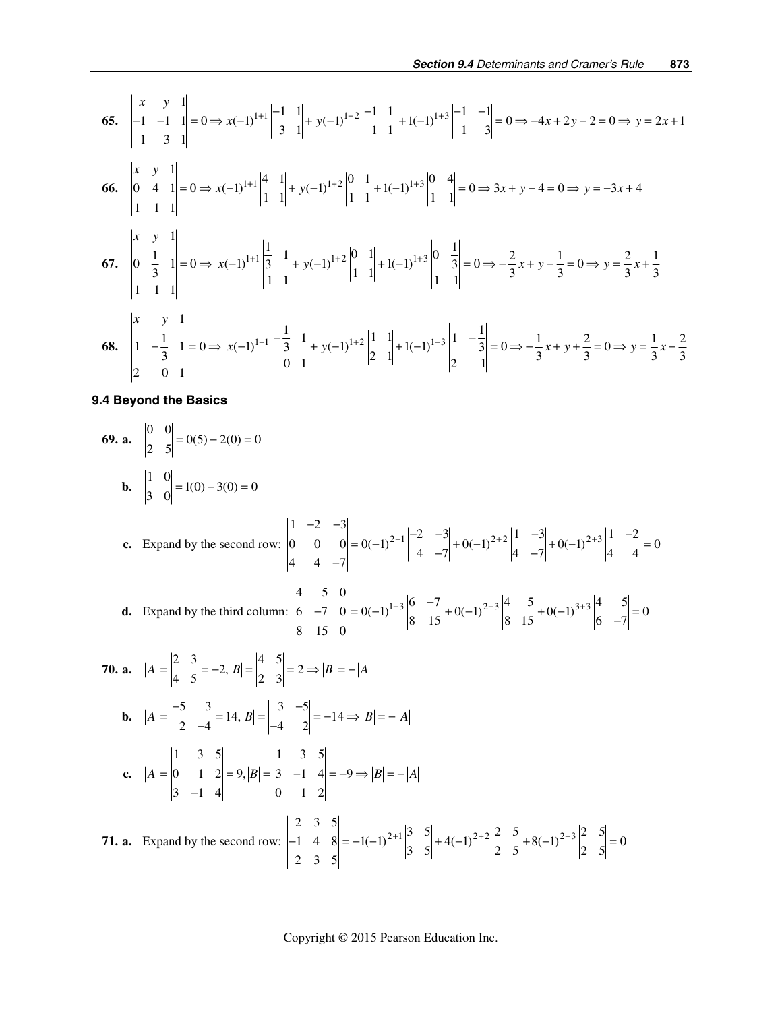$$
65. \begin{vmatrix} x & y & 1 \\ -1 & -1 & 1 \\ 1 & 3 & 1 \end{vmatrix} = 0 \Rightarrow x(-1)^{1+1} \begin{vmatrix} -1 & 1 \\ 3 & 1 \end{vmatrix} + y(-1)^{1+2} \begin{vmatrix} -1 & 1 \\ 1 & 1 \end{vmatrix} + 1(-1)^{1+3} \begin{vmatrix} -1 & -1 \\ 1 & 3 \end{vmatrix} = 0 \Rightarrow -4x + 2y - 2 = 0 \Rightarrow y = 2x + 1
$$
\n
$$
66. \begin{vmatrix} x & y & 1 \\ 0 & 4 & 1 \\ 1 & 1 & 1 \end{vmatrix} = 0 \Rightarrow x(-1)^{1+1} \begin{vmatrix} 4 & 1 \\ 1 & 1 \end{vmatrix} + y(-1)^{1+2} \begin{vmatrix} 0 & 1 \\ 1 & 1 \end{vmatrix} + 1(-1)^{1+3} \begin{vmatrix} 0 & 4 \\ 1 & 1 \end{vmatrix} = 0 \Rightarrow 3x + y - 4 = 0 \Rightarrow y = -3x + 4
$$
\n
$$
67. \begin{vmatrix} x & y & 1 \\ 0 & \frac{1}{3} & 1 \\ 1 & 1 & 1 \end{vmatrix} = 0 \Rightarrow x(-1)^{1+1} \begin{vmatrix} \frac{1}{3} & 1 \\ 1 & 1 \end{vmatrix} + y(-1)^{1+2} \begin{vmatrix} 0 & 1 \\ 1 & 1 \end{vmatrix} + 1(-1)^{1+3} \begin{vmatrix} 0 & \frac{1}{3} \\ 1 & 1 \end{vmatrix} = 0 \Rightarrow -\frac{2}{3}x + y - \frac{1}{3} = 0 \Rightarrow y = \frac{2}{3}x + \frac{1}{3}
$$
\n
$$
68. \begin{vmatrix} x & y & 1 \\ 1 & -\frac{1}{3} & 1 \\ 2 & 0 & 1 \end{vmatrix} = 0 \Rightarrow x(-1)^{1+1} \begin{vmatrix} \frac{1}{3} & 1 \\ 0 & 1 \end{vmatrix} + y(-1)^{1+2}
$$

**9.4 Beyond the Basics** 

69. a. 
$$
\begin{vmatrix} 0 & 0 \ 2 & 5 \end{vmatrix} = 0(5) - 2(0) = 0
$$
  
\nb.  $\begin{vmatrix} 1 & 0 \ 3 & 0 \end{vmatrix} = 1(0) - 3(0) = 0$   
\nc. Expand by the second row:  $\begin{vmatrix} 1 & -2 & -3 \ 0 & 0 & 0 \ 4 & 4 & -7 \end{vmatrix} = 0(-1)^{2+1} \begin{vmatrix} -2 & -3 \ 4 & -7 \end{vmatrix} + 0(-1)^{2+2} \begin{vmatrix} 1 & -3 \ 4 & -7 \end{vmatrix} + 0(-1)^{2+3} \begin{vmatrix} 1 & -2 \ 4 & -7 \end{vmatrix} = 0$   
\nd. Expand by the third column:  $\begin{vmatrix} 4 & 5 & 0 \ 6 & -7 & 0 \ 8 & 15 & 0 \end{vmatrix} = 0(-1)^{1+3} \begin{vmatrix} 6 & -7 \ 8 & 15 \end{vmatrix} + 0(-1)^{2+3} \begin{vmatrix} 4 & 5 \ 8 & 15 \end{vmatrix} + 0(-1)^{3+3} \begin{vmatrix} 4 & 5 \ 6 & -7 \end{vmatrix} = 0$   
\n70. a.  $|A| = \begin{vmatrix} 2 & 3 \ 4 & 5 \end{vmatrix} = -2, |B| = \begin{vmatrix} 4 & 5 \ 2 & 3 \end{vmatrix} = 2 \Rightarrow |B| = -|A|$   
\nb.  $|A| = \begin{vmatrix} -5 & 3 \ 2 & -4 \end{vmatrix} = 14, |B| = \begin{vmatrix} 3 & -5 \ 4 & 2 \end{vmatrix} = -14 \Rightarrow |B| = -|A|$   
\nc.  $|A| = \begin{vmatrix} 1 & 3 & 5 \ 0 & 1 & 2 \ 3 & -1 & 4 \end{vmatrix} = 9, |B| = \begin{vmatrix} 1 & 3 & 5 \ 0 & 1 & 2 \end{vmatrix} = -1(-1)^{2+1} \begin{vmatrix} 3 & 5 \ 3 & 5 \end{vmatrix} + 4(-1)^{2+2} \begin{vmatrix} 2 & 5 \ 2 & 5 \end{vmatrix} + 8(-1)^{2+3} \begin{vmatrix} 2 & 5 \ 2 & 5 \end{vm$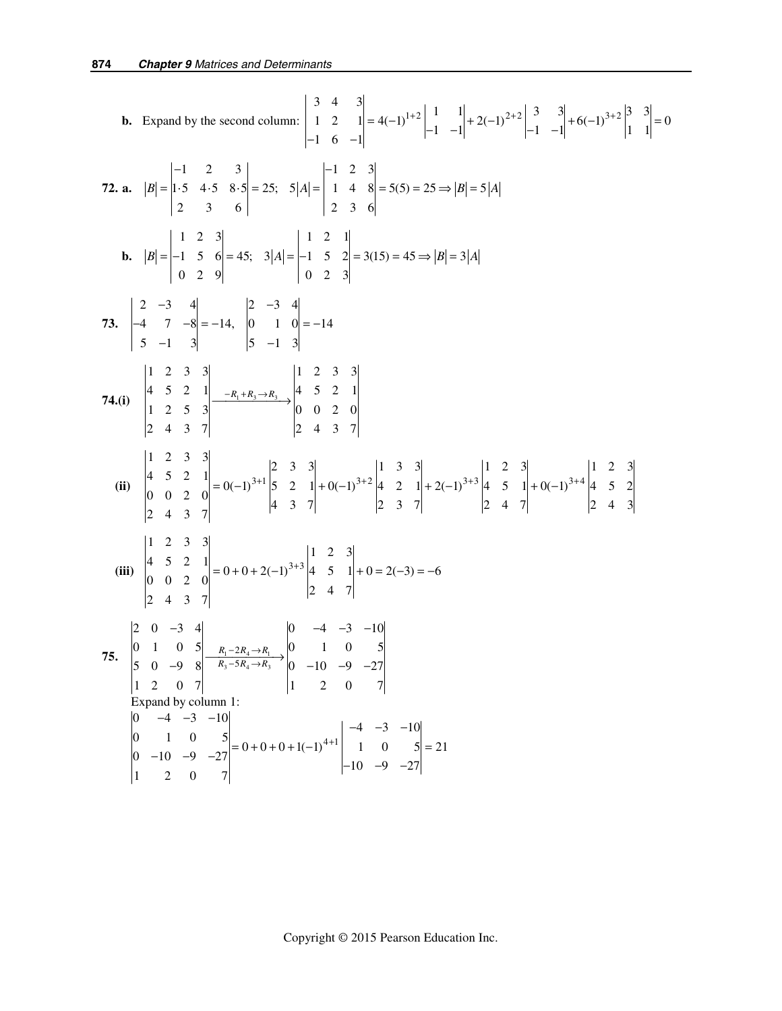**b.** Expand by the second column: 
$$
\begin{vmatrix} 3 & 4 & 3 \ 1 & 2 & 1 \ -6 & -1 \end{vmatrix} = 4(-1)^{1+2} \begin{vmatrix} 1 & 1 \ -1 & -1 \end{vmatrix} + 2(-1)^{2+2} \begin{vmatrix} 3 & 3 \ -1 & -1 \end{vmatrix} + 6(-1)^{3+2} \begin{vmatrix} 3 & 3 \ 1 & 1 \end{vmatrix} = 0
$$
  
\n**72. a.**  $|B| = \begin{vmatrix} -1 & 2 & 3 \ 1 & 3 & 4 \ 5 & 4.5 & 8.5 \end{vmatrix} = 25$ ,  $5|A| = \begin{vmatrix} -1 & 2 & 3 \ 1 & 2 & 3 \ 2 & 3 & 6 \end{vmatrix} = 5(5) = 25 \Rightarrow |B| = 5|A|$   
\n**b.**  $|B| = \begin{vmatrix} -1 & 2 & 3 \ 1 & 2 & 3 \ 0 & 2 & 9 \end{vmatrix} = 45$ ;  $3|A| = \begin{vmatrix} 1 & 2 & 3 \ 0 & 1 & 2 \ 0 & 2 & 3 \end{vmatrix} = 3(15) = 45 \Rightarrow |B| = 3|A|$   
\n**73.** 
$$
\begin{vmatrix} 2 & -3 & 4 \ 4 & 7 & -8 \ 4 & 7 & -8 \end{vmatrix} = -14, \begin{vmatrix} 2 & -3 & 4 \ 0 & 1 & 0 \ 5 & -1 & 3 \end{vmatrix} = -14
$$
  
\n**74.(i)** 
$$
\begin{vmatrix} 1 & 2 & 3 & 3 \ 4 & 5 & 2 & 1 \ 2 & 4 & 3 & 7 \end{vmatrix} = 0(-1)^{3+1} \begin{vmatrix} 1 & 2 & 3 & 3 \ 5 & 2 & 1 \ 2 & 4 & 3 & 7 \end{vmatrix} + 0(-1)^{3+2} \begin{vmatrix} 1 & 3 & 3 \ 2 & 1 & 2 \ 2 & 3 & 7 \end{vmatrix} + 2(-1)^{3+3} \begin{vmatrix} 1 & 2 & 3 \ 4 & 5 & 1 \ 2 & 4 & 7 \end{vmatrix} + 0(-1)^{3+4} \begin{vm
$$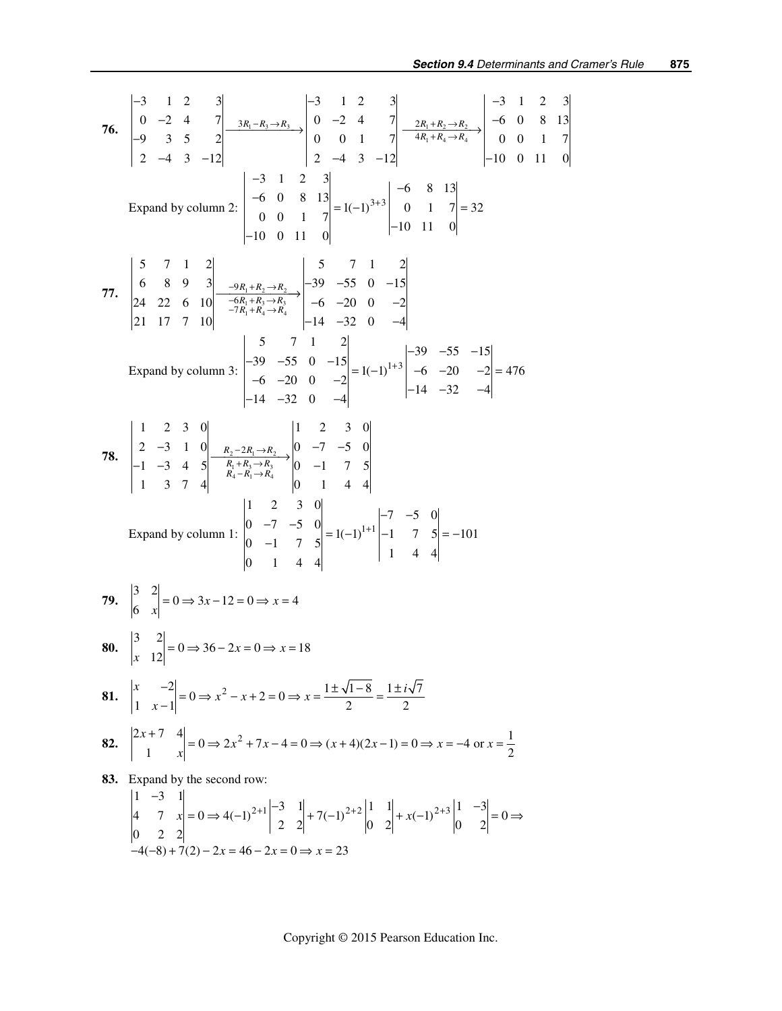76. 
$$
\begin{vmatrix}\n3 & 1 & 2 & 3 \\
0 & -2 & 4 & 7 \\
-9 & 3 & 5 & 2\n\end{vmatrix}\n\begin{vmatrix}\n3x_1 - R_3 \rightarrow R_3 \\
2 & -4 & 3 & -12\n\end{vmatrix}\n\begin{vmatrix}\n-3 & 1 & 2 & 3 \\
0 & -2 & 4 & 7 \\
0 & 0 & 1 & 7\n\end{vmatrix}\n\begin{vmatrix}\n-2x_1 + R_2 \rightarrow R_3 \\
4R_1 + R_4 \rightarrow R_4\n\end{vmatrix}\n\begin{vmatrix}\n-3 & 1 & 2 & 3 \\
-6 & 0 & 8 & 13 \\
0 & 0 & 1 & 7\n\end{vmatrix}
$$
\n= 14. 33  
\nExpand by column 2: 
$$
\begin{vmatrix}\n-3 & 1 & 2 & 3 \\
-6 & 1 & 2 & 3 \\
0 & 0 & 1 & 7\n\end{vmatrix}\n= 1(-1)^{3+3}\n\begin{vmatrix}\n-6 & 8 & 13 \\
-6 & 8 & 13 \\
0 & 1 & 7\n\end{vmatrix}\n= 32
$$
\n  
\n77. 
$$
\begin{vmatrix}\n5 & 7 & 1 & 2 \\
6 & 8 & 9 & 3 \\
24 & 22 & 6 & 10 \\
21 & 17 & 7 & 10\n\end{vmatrix}\n\begin{vmatrix}\n5 & 7 & 1 & 2 \\
-6 & -10 & 0 & 11 \\
-10 & 0 & 11 & 0\n\end{vmatrix}\n= 6 - 20
$$
\n
$$
\begin{vmatrix}\n5 & 7 & 1 & 2 \\
-6 & -20 & 0 & -2 \\
-14 & -32 & 0 & -4\n\end{vmatrix}\n= 14 - 32
$$
\n
$$
\begin{vmatrix}\n1 & 2 & 3 & 0 \\
-5 & -15 & 1 & 2 \\
-14 & -32 & 0 & -4\n\end{vmatrix}\n= 14 - 32
$$
\n
$$
\begin{vmatrix}\n1 & 2 & 3 & 0 \\
-5 & 1 & 2 \\
-14 & -32 & 0 & -4\n\end{vmatrix}\n= 14 - 32
$$
\n
$$
\begin{vmatrix}\n1 & 2 & 3 & 0 \\
-5 & 1 & 2 & 3 \\
-14 & -32 & -4\n\end{vmatrix
$$

$$
\begin{vmatrix} 4 & 7 & x \ 0 & 2 & 2 \end{vmatrix} = 0 \Rightarrow 4(-1)^{2+1} \begin{vmatrix} 2 & 2 \end{vmatrix} + 7(-1)^{2+2} \begin{vmatrix} 0 & 2 \end{vmatrix} + x(-1)^{2+3} \begin{vmatrix} 0 & 2 \end{vmatrix} = 0
$$
  
-4(-8) + 7(2) - 2x = 46 - 2x = 0 \Rightarrow x = 23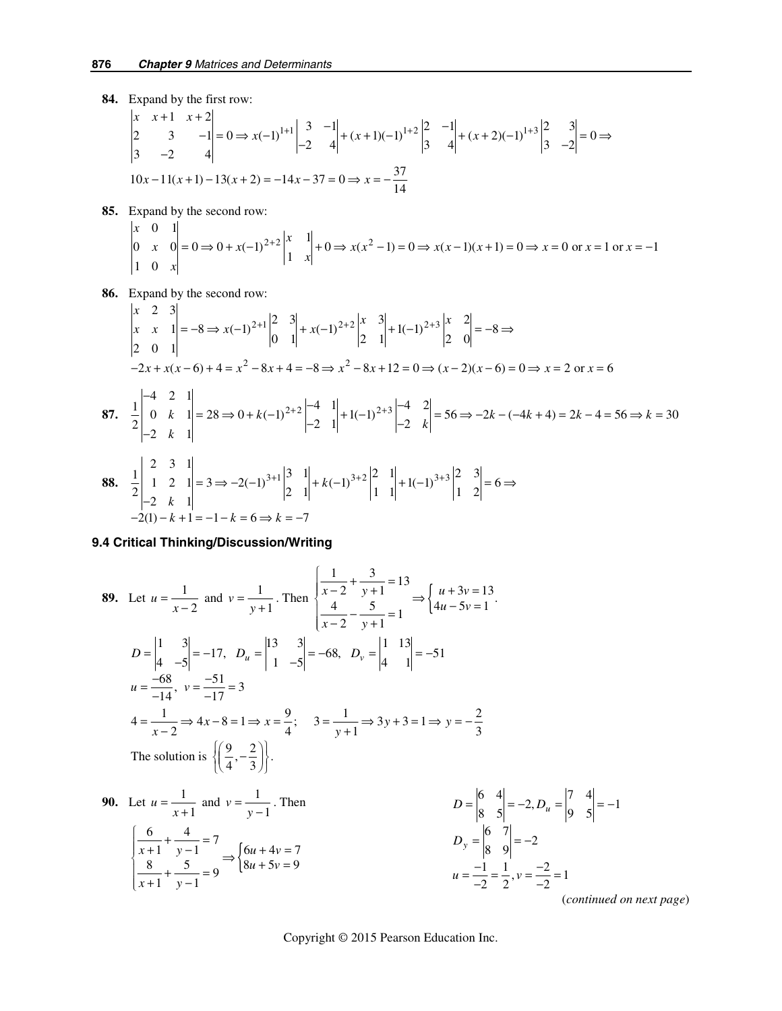- **84.** Expand by the first row:  $1+1$   $3$   $-1$   $(x+1)(x+1)^{1+2}$   $-1$   $(x+2)(x+3)^{1+3}$  $\begin{vmatrix} x & x+1 & x+2 \\ 2 & 3 & -1 \\ 3 & -2 & 4 \end{vmatrix} = 0 \Rightarrow x(-1)^{1+1} \begin{vmatrix} 3 & -1 \\ -2 & 4 \end{vmatrix} + (x+1)(-1)^{1+2} \begin{vmatrix} 2 & -1 \\ 3 & 4 \end{vmatrix} + (x+2)(-1)^{1+3} \begin{vmatrix} 2 & 3 \\ 3 & -2 \end{vmatrix} = 0$  $10x-11(x+1)-13(x+2) = -14x-37 = 0 \Rightarrow x = -\frac{37}{14}$  $x \times x+1 \times x$  $x(-1)^{1+1}\begin{vmatrix} 3 & -1 \\ 2 & 1 \end{vmatrix} + (x+1)(-1)^{1+2}\begin{vmatrix} 2 & -1 \\ 2 & 1 \end{vmatrix} + (x+2)(-1)^{1+2}$ + 1  $x+2$ <br>  $3$   $-1$  = 0  $\Rightarrow$   $x(-1)^{1+1}$   $\begin{vmatrix} 3 & -1 \\ -2 & 4 \end{vmatrix}$  +  $(x+1)(-1)^{1+2}$   $\begin{vmatrix} 2 & -1 \\ 3 & 4 \end{vmatrix}$  +  $(x+2)(-1)^{1+3}$   $\begin{vmatrix} 2 & 3 \\ 3 & -2 \end{vmatrix}$  = 0  $\Rightarrow$
- **85.** Expand by the second row:

$$
\begin{vmatrix} x & 0 & 1 \ 0 & x & 0 \ 1 & 0 & x \end{vmatrix} = 0 \Rightarrow 0 + x(-1)^{2+2} \begin{vmatrix} x & 1 \ 1 & x \end{vmatrix} + 0 \Rightarrow x(x^2 - 1) = 0 \Rightarrow x(x - 1)(x + 1) = 0 \Rightarrow x = 0 \text{ or } x = 1 \text{ or } x = -1
$$

 **86.** Expand by the second row:

$$
\begin{vmatrix} x & 2 & 3 \ x & x & 1 \ 2 & 0 & 1 \ \end{vmatrix} = -8 \Rightarrow x(-1)^{2+1} \begin{vmatrix} 2 & 3 \ 0 & 1 \end{vmatrix} + x(-1)^{2+2} \begin{vmatrix} x & 3 \ 2 & 1 \end{vmatrix} + 1(-1)^{2+3} \begin{vmatrix} x & 2 \ 2 & 0 \end{vmatrix} = -8 \Rightarrow
$$
  
\n
$$
-2x + x(x - 6) + 4 = x^2 - 8x + 4 = -8 \Rightarrow x^2 - 8x + 12 = 0 \Rightarrow (x - 2)(x - 6) = 0 \Rightarrow x = 2 \text{ or } x = 6
$$
  
\n87. 
$$
\frac{1}{2} \begin{vmatrix} -4 & 2 & 1 \ 0 & k & 1 \ -2 & k & 1 \ \end{vmatrix} = 28 \Rightarrow 0 + k(-1)^{2+2} \begin{vmatrix} -4 & 1 \ -2 & 1 \ \end{vmatrix} + 1(-1)^{2+3} \begin{vmatrix} -4 & 2 \ -2 & k \ \end{vmatrix} = 56 \Rightarrow -2k - (-4k + 4) = 2k - 4 = 56 \Rightarrow k = 30
$$
  
\n88. 
$$
\frac{1}{2} \begin{vmatrix} 2 & 3 & 1 \ 1 & 2 & 1 \ -2 & k & 1 \ \end{vmatrix} = 3 \Rightarrow -2(-1)^{3+1} \begin{vmatrix} 3 & 1 \ 2 & 1 \ \end{vmatrix} + k(-1)^{3+2} \begin{vmatrix} 2 & 1 \ 1 & 1 \ \end{vmatrix} + 1(-1)^{3+3} \begin{vmatrix} 2 & 3 \ 1 & 2 \ \end{vmatrix} = 6 \Rightarrow
$$
  
\n
$$
-2(1) - k + 1 = -1 - k = 6 \Rightarrow k = -7
$$

#### **9.4 Critical Thinking/Discussion/Writing**

89. Let 
$$
u = \frac{1}{x-2}
$$
 and  $v = \frac{1}{y+1}$ . Then  $\begin{cases} \frac{1}{x-2} + \frac{3}{y+1} = 13 \\ \frac{4}{x-2} - \frac{5}{y+1} = 1 \end{cases} \Rightarrow \begin{cases} u + 3v = 13 \\ 4u - 5v = 1 \end{cases}$   
\n $D = \begin{vmatrix} 1 & 3 \\ 4 & -5 \end{vmatrix} = -17$ ,  $D_u = \begin{vmatrix} 13 & 3 \\ 1 & -5 \end{vmatrix} = -68$ ,  $D_v = \begin{vmatrix} 1 & 13 \\ 4 & 1 \end{vmatrix} = -51$   
\n $u = \frac{-68}{-14}$ ,  $v = \frac{-51}{-17} = 3$   
\n $4 = \frac{1}{x-2} \Rightarrow 4x - 8 = 1 \Rightarrow x = \frac{9}{4}$ ;  $3 = \frac{1}{y+1} \Rightarrow 3y + 3 = 1 \Rightarrow y = -\frac{2}{3}$   
\nThe solution is  $\left(\frac{9}{4}, -\frac{2}{3}\right)$ .  
\n90. Let  $u = \frac{1}{x+1}$  and  $v = \frac{1}{y-1}$ . Then  $D = \begin{vmatrix} 6 & 4 \\ 8 & 5 \end{vmatrix} = -2$ ,  $D_u = \begin{vmatrix} 7 & 4 \\ 9 & 5 \end{vmatrix} = -1$   
\n $\begin{cases} \frac{6}{x+1} + \frac{4}{y-1} = 7 \\ \frac{8}{x+1} + \frac{5}{y-1} = 9 \end{cases} = \begin{cases} 6u + 4v = 7 \\ 8u + 5v = 9 \end{cases}$   
\n $u = \frac{-1}{-2} = \frac{1}{2}$ ,  $v = \frac{-2}{-2} = 1$ 

(*continued on next page*)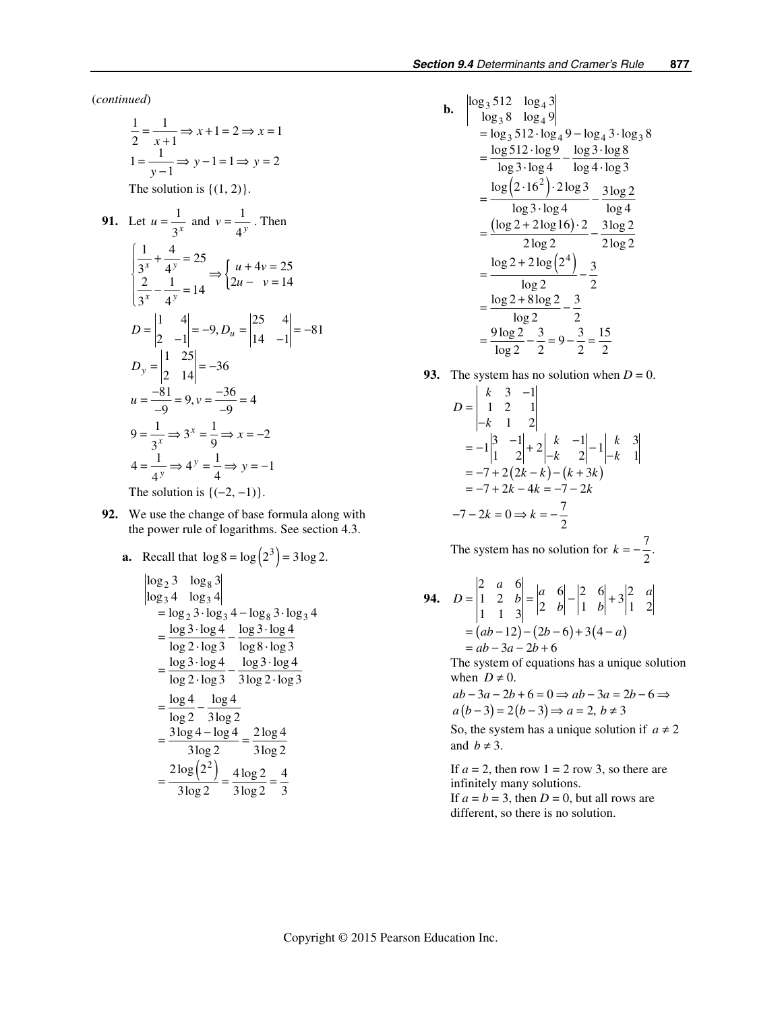(*continued*)

$$
\frac{1}{2} = \frac{1}{x+1} \Rightarrow x+1 = 2 \Rightarrow x = 1
$$
  

$$
1 = \frac{1}{y-1} \Rightarrow y-1 = 1 \Rightarrow y = 2
$$

The solution is  $\{(1, 2)\}.$ 

91. Let 
$$
u = \frac{1}{3^x}
$$
 and  $v = \frac{1}{4^y}$ . Then  
\n
$$
\begin{cases}\n\frac{1}{3^x} + \frac{4}{4^y} = 25 \\
\frac{2}{3^x} - \frac{1}{4^y} = 14\n\end{cases} \Rightarrow \begin{cases}\nu + 4v = 25 \\
2u - v = 14\n\end{cases}
$$
\n
$$
D = \begin{vmatrix}\n1 & 4 \\
2 & -1\n\end{vmatrix} = -9, D_u = \begin{vmatrix}\n25 & 4 \\
14 & -1\n\end{vmatrix} = -81
$$
\n
$$
D_y = \begin{vmatrix}\n1 & 25 \\
2 & 14\n\end{vmatrix} = -36
$$
\n
$$
u = \frac{-81}{-9} = 9, v = \frac{-36}{-9} = 4
$$
\n
$$
9 = \frac{1}{3^x} \Rightarrow 3^x = \frac{1}{9} \Rightarrow x = -2
$$
\n
$$
4 = \frac{1}{4^y} \Rightarrow 4^y = \frac{1}{4} \Rightarrow y = -1
$$

The solution is  ${(-2, -1)}.$ 

- **92.** We use the change of base formula along with the power rule of logarithms. See section 4.3.
	- **a.** Recall that  $\log 8 = \log (2^3) = 3 \log 2$ .

$$
\begin{array}{ll}\n\log_2 3 & \log_8 3 \\
\log_3 4 & \log_3 4 \\
&= \log_2 3 \cdot \log_3 4 - \log_8 3 \cdot \log_3 4 \\
&= \frac{\log 3 \cdot \log 4}{\log 2 \cdot \log 3} - \frac{\log 3 \cdot \log 4}{\log 8 \cdot \log 3} \\
&= \frac{\log 3 \cdot \log 4}{\log 2 \cdot \log 3} - \frac{\log 3 \cdot \log 4}{3 \log 2 \cdot \log 3} \\
&= \frac{3 \log 4 - \log 4}{3 \log 2} \\
&= \frac{2 \log (2^2)}{3 \log 2} = \frac{4 \log 2}{3 \log 2} = \frac{4}{3}\n\end{array}
$$

**b.** 
$$
\begin{vmatrix} \log_3 512 & \log_4 3 \\ \log_3 8 & \log_4 9 \end{vmatrix}
$$
  
= 
$$
\log_3 512 \cdot \log_4 9 - \log_4 3 \cdot \log_3 8
$$
  
= 
$$
\frac{\log 512 \cdot \log 9}{\log 3 \cdot \log 4} - \frac{\log 3 \cdot \log 8}{\log 4 \cdot \log 3}
$$
  
= 
$$
\frac{\log (2 \cdot 16^2) \cdot 2 \log 3}{\log 4} - \frac{3 \log 2}{\log 4}
$$
  
= 
$$
\frac{(\log 2 + 2 \log 16) \cdot 2}{2 \log 2} - \frac{3 \log 2}{2 \log 2}
$$
  
= 
$$
\frac{\log 2 + 2 \log (2^4)}{\log 2} - \frac{3}{2}
$$
  
= 
$$
\frac{\log 2 + 8 \log 2}{\log 2} - \frac{3}{2}
$$
  
= 
$$
\frac{9 \log 2}{\log 2} - \frac{3}{2} = 9 - \frac{3}{2} = \frac{15}{2}
$$

**93.** The system has no solution when  $D = 0$ .

$$
D = \begin{vmatrix} k & 3 & -1 \\ 1 & 2 & 1 \\ -k & 1 & 2 \end{vmatrix}
$$
  
= -1 $\begin{vmatrix} 3 & -1 \\ 1 & 2 \end{vmatrix}$  + 2 $\begin{vmatrix} k & -1 \\ -k & 2 \end{vmatrix}$  - 1 $\begin{vmatrix} k & 3 \\ -k & 1 \end{vmatrix}$   
= -7 + 2(2k - k) - (k + 3k)  
= -7 + 2k - 4k = -7 - 2k  
-7 - 2k = 0  $\Rightarrow$  k =  $-\frac{7}{2}$ 

The system has no solution for  $k = -\frac{7}{2}$ .

**94.** 
$$
D = \begin{vmatrix} 2 & a & 6 \\ 1 & 2 & b \\ 1 & 1 & 3 \end{vmatrix} = \begin{vmatrix} a & 6 \\ 2 & b \end{vmatrix} - \begin{vmatrix} 2 & 6 \\ 1 & b \end{vmatrix} + 3 \begin{vmatrix} 2 & a \\ 1 & 2 \end{vmatrix}
$$

$$
= (ab - 12) - (2b - 6) + 3(4 - a)
$$

$$
= ab - 3a - 2b + 6
$$

The system of equations has a unique solution when  $D \neq 0$ .

$$
ab-3a-2b+6=0 \Rightarrow ab-3a=2b-6 \Rightarrow
$$
  

$$
a(b-3)=2(b-3) \Rightarrow a=2, b \neq 3
$$

So, the system has a unique solution if  $a \neq 2$ and  $b \neq 3$ .

If  $a = 2$ , then row  $1 = 2$  row 3, so there are infinitely many solutions. If  $a = b = 3$ , then  $D = 0$ , but all rows are different, so there is no solution.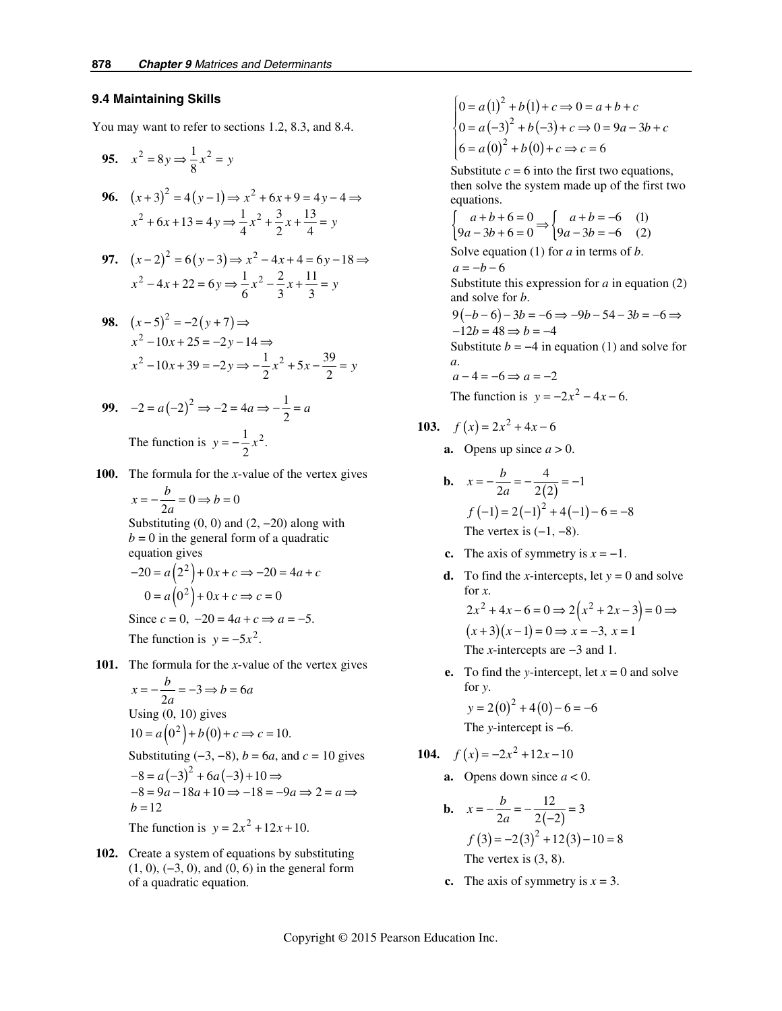#### **9.4 Maintaining Skills**

You may want to refer to sections 1.2, 8.3, and 8.4.

95. 
$$
x^2 = 8y \Rightarrow \frac{1}{8}x^2 = y
$$
  
\n96.  $(x+3)^2 = 4(y-1) \Rightarrow x^2 + 6x + 9 = 4y - 4 \Rightarrow$   
\n $x^2 + 6x + 13 = 4y \Rightarrow \frac{1}{4}x^2 + \frac{3}{2}x + \frac{13}{4} = y$   
\n97.  $(x-2)^2 = 6(y-3) \Rightarrow x^2 - 4x + 4 = 6y - 18 \Rightarrow$   
\n $x^2 - 4x + 22 = 6y \Rightarrow \frac{1}{6}x^2 - \frac{2}{3}x + \frac{11}{3} = y$   
\n98.  $(x-5)^2 = -2(y+7) \Rightarrow$   
\n $x^2 - 10x + 25 = -2y - 14 \Rightarrow$   
\n $x^2 - 10x + 39 = -2y \Rightarrow -\frac{1}{2}x^2 + 5x - \frac{39}{2} = y$   
\n99.  $-2 = a(-2)^2 \Rightarrow -2 = 4a \Rightarrow -\frac{1}{2} = a$ 

9. 
$$
-2 = a(-2)^2 \Rightarrow -2 = 4a \Rightarrow -\frac{1}{2} = a
$$
  
The function is  $y = -\frac{1}{2}x^2$ .

 **100.** The formula for the *x*-value of the vertex gives

$$
x = -\frac{b}{2a} = 0 \Rightarrow b = 0
$$

Substituting  $(0, 0)$  and  $(2, -20)$  along with  $b = 0$  in the general form of a quadratic equation gives

$$
-20 = a(22) + 0x + c \Rightarrow -20 = 4a + c
$$
  
0 = a(0<sup>2</sup>) + 0x + c \Rightarrow c = 0  
Since c = 0, -20 = 4a + c \Rightarrow a = -5.  
The function is y = -5x<sup>2</sup>.

 **101.** The formula for the *x*-value of the vertex gives

$$
x = -\frac{b}{2a} = -3 \Rightarrow b = 6a
$$
  
Using (0, 10) gives  

$$
10 = a(0^2) + b(0) + c \Rightarrow c = 10.
$$

Substituting  $(-3, -8)$ , *b* = 6*a*, and *c* = 10 gives

$$
-8 = a(-3)2 + 6a(-3) + 10 \Rightarrow
$$
  
\n
$$
-8 = 9a - 18a + 10 \Rightarrow -18 = -9a \Rightarrow 2 = a \Rightarrow
$$
  
\n
$$
b = 12
$$

The function is  $y = 2x^2 + 12x + 10$ .

 **102.** Create a system of equations by substituting (1, 0), (−3, 0), and (0, 6) in the general form of a quadratic equation.

$$
\begin{cases}\n0 = a(1)^2 + b(1) + c \Rightarrow 0 = a + b + c \\
0 = a(-3)^2 + b(-3) + c \Rightarrow 0 = 9a - 3b + c \\
6 = a(0)^2 + b(0) + c \Rightarrow c = 6\n\end{cases}
$$

Substitute  $c = 6$  into the first two equations, then solve the system made up of the first two equations.

$$
\begin{cases}\n a+b+6=0 \\
 9a-3b+6=0\n\end{cases} \Rightarrow \begin{cases}\n a+b=-6 \\
 9a-3b=-6\n\end{cases} (1)
$$

Solve equation (1) for *a* in terms of *b*.  $a = -b - 6$ 

Substitute this expression for *a* in equation (2) and solve for *b*.

$$
9(-b-6)-3b = -6 \Rightarrow -9b - 54 - 3b = -6 \Rightarrow -12b = 48 \Rightarrow b = -4
$$

Substitute  $b = -4$  in equation (1) and solve for *a*.

$$
a-4=-6 \Rightarrow a=-2
$$

The function is  $y = -2x^2 - 4x - 6$ .

103. 
$$
f(x) = 2x^2 + 4x - 6
$$

**a.** Opens up since  $a > 0$ .

**b.** 
$$
x = -\frac{b}{2a} = -\frac{4}{2(2)} = -1
$$
  
\n $f(-1) = 2(-1)^2 + 4(-1) - 6 = -8$   
\nThe vertex is (-1, -8).

- **c.** The axis of symmetry is  $x = -1$ .
- **d.** To find the *x*-intercepts, let  $y = 0$  and solve for *x*.  $2x^2 + 4x - 6 = 0 \implies 2(x^2 + 2x - 3) = 0 \implies$  $(x+3)(x-1) = 0 \implies x = -3, x = 1$ The *x*-intercepts are −3 and 1.
- **e.** To find the *y*-intercept, let  $x = 0$  and solve for *y*.

 $y = 2(0)^2 + 4(0) - 6 = -6$ The *y*-intercept is −6.

**104.**  $f(x) = -2x^2 + 12x - 10$ 

- **a.** Opens down since  $a < 0$ .
- **b.**  $x = -\frac{b}{2a} = -\frac{12}{2(-2)} = 3$  $f(3) = -2(3)^2 + 12(3) - 10 = 8$  $x = -\frac{b}{2a} = -\frac{12}{2(-2)} =$ The vertex is (3, 8).
	- **c.** The axis of symmetry is  $x = 3$ .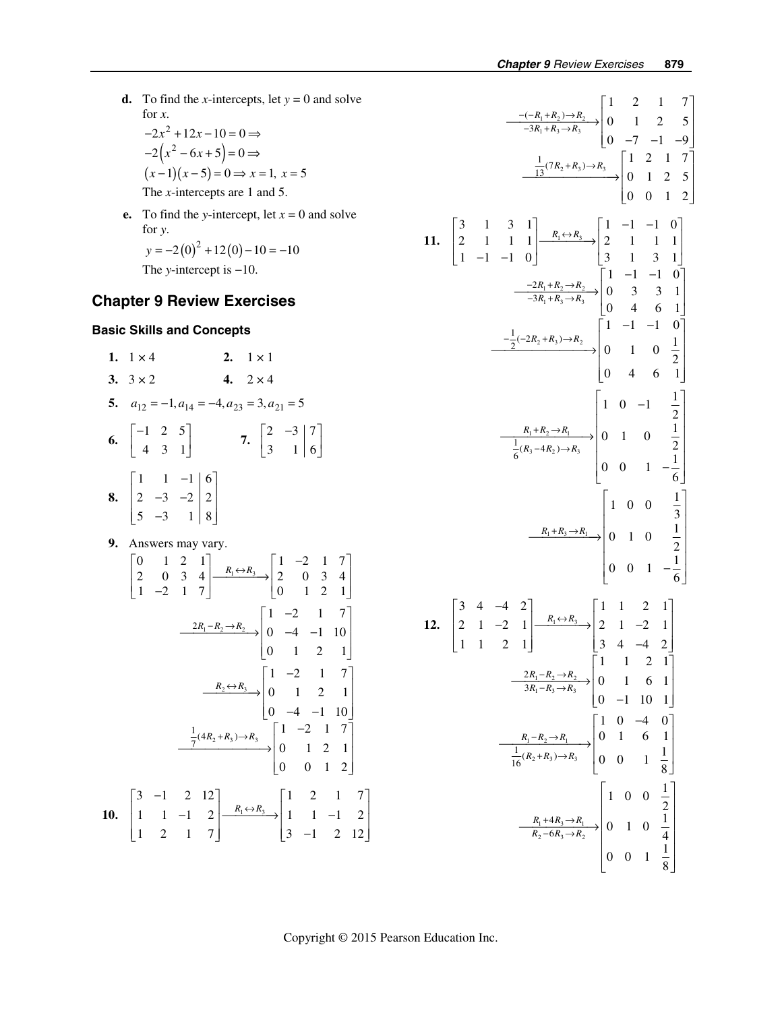**d.** To find the *x*-intercepts, let  $y = 0$  and solve for *x*.  $-2(x^2-6x+5)=0$   $\Rightarrow$  $(x-1)(x-5) = 0 \implies x = 1, x = 5$  $-2x^2 + 12x - 10 = 0 \implies$ 

The *x*-intercepts are 1 and 5.

**e.** To find the *y*-intercept, let  $x = 0$  and solve for *y*.  $y = -2(0)^2 + 12(0) - 10 = -10$ 

The *y*-intercept is −10.

## **Chapter 9 Review Exercises**

## **Basic Skills and Concepts**

**1.**  $1 \times 4$  **2.**  $1 \times 1$ **3.**  $3 \times 2$  **4.**  $2 \times 4$ **5.**  $a_{12} = -1, a_{14} = -4, a_{23} = 3, a_{21} = 5$ **6.**  $\begin{bmatrix} -1 & 2 & 5 \\ 1 & 2 & 1 \end{bmatrix}$ 431  $\begin{bmatrix} -1 & 2 & 5 \end{bmatrix}$  $\begin{bmatrix} -1 & 2 & 5 \\ 4 & 3 & 1 \end{bmatrix}$  7.  $\begin{bmatrix} 2 & -3 \\ 3 & 1 \end{bmatrix}$  7 3 16  $\begin{bmatrix} 2 & -3 & 7 \end{bmatrix}$  $\begin{bmatrix} 3 & 1 \end{bmatrix}$  6  **8.**   $1 \quad 1 \quad -1 \mid 6$ 2  $-3$   $-2$  | 2 5  $-3$  18  $\begin{vmatrix} 1 & 1 & -1 \end{vmatrix}$  6  $\begin{vmatrix} 2 & -3 & -2 \end{vmatrix}$  2  $\begin{bmatrix} 5 & -3 & 1 & | & 8 \end{bmatrix}$  **9.** Answers may vary.

$$
\begin{bmatrix}\n0 & 1 & 2 & 1 \\
2 & 0 & 3 & 4 \\
1 & -2 & 1 & 7\n\end{bmatrix}\n\xrightarrow{R_1 \leftrightarrow R_3}\n\begin{bmatrix}\n1 & -2 & 1 & 7 \\
2 & 0 & 3 & 4 \\
0 & 1 & 2 & 1\n\end{bmatrix}
$$
\n
$$
\xrightarrow{2R_1 - R_2 \to R_2}\n\begin{bmatrix}\n1 & -2 & 1 & 7 \\
0 & -4 & -1 & 10 \\
0 & 1 & 2 & 1\n\end{bmatrix}
$$
\n
$$
\xrightarrow{R_2 \leftrightarrow R_3}\n\begin{bmatrix}\n1 & -2 & 1 & 7 \\
0 & 1 & 2 & 1 \\
0 & -4 & -1 & 10\n\end{bmatrix}
$$
\n
$$
\xrightarrow{\frac{1}{7}(4R_2 + R_3) \to R_3}\n\begin{bmatrix}\n1 & -2 & 1 & 7 \\
0 & 1 & 2 & 1 \\
0 & 0 & 1 & 2\n\end{bmatrix}
$$
\n**10.**\n
$$
\begin{bmatrix}\n3 & -1 & 2 & 12 \\
1 & 1 & -1 & 2 \\
1 & 2 & 1 & 7\n\end{bmatrix}\n\xrightarrow{R_1 \leftrightarrow R_3}\n\begin{bmatrix}\n1 & 2 & 1 & 7 \\
1 & 1 & -1 & 2 \\
3 & -1 & 2 & 12\n\end{bmatrix}
$$

$$
\frac{-(-R_1 + R_2) \rightarrow R_2}{-3R_1 + R_3 \rightarrow R_3} \begin{bmatrix} 1 & 2 & 1 & 7 \ 0 & 1 & 2 & 5 \ 0 & -7 & -1 & -9 \ \end{bmatrix}
$$
  
\n11. 
$$
\begin{bmatrix} 3 & 1 & 3 & 1 \ 2 & 1 & 1 & 1 \ 1 & -1 & -1 & 0 \ \end{bmatrix} \begin{bmatrix} R_1 \leftrightarrow R_3 \to R_4 \ \end{bmatrix} \begin{bmatrix} 1 & -1 & -1 & 0 \ 2 & 1 & 1 & 1 \ 0 & 0 & 1 & 2 \ \end{bmatrix}
$$
  
\n12. 
$$
\begin{bmatrix} 3 & 4 & 3 & 1 \ 2 & 1 & 1 & 1 \ -1 & -1 & 0 \ \end{bmatrix} \begin{bmatrix} R_1 \leftrightarrow R_2 \to R_3 \ \end{bmatrix} \begin{bmatrix} 1 & -1 & -1 & 0 \ 2 & 1 & 1 & 1 \ 3 & 1 & 3 & 1 \ \end{bmatrix}
$$
  
\n
$$
\begin{bmatrix} -\frac{2}{2}(2R_1 + R_3) \rightarrow R_2 \ \end{bmatrix} \begin{bmatrix} 1 & -1 & -1 & 0 \ 0 & 3 & 3 & 1 \ 0 & 4 & 6 & 1 \ \end{bmatrix}
$$
  
\n
$$
\begin{bmatrix} 1 & 0 & -1 & \frac{1}{2} \\ 0 & 4 & 6 & 1 \ \end{bmatrix}
$$
  
\n
$$
\begin{bmatrix} R_1 + R_2 \rightarrow R_1 \\ \frac{1}{6}(R_3 - 4R_2) \rightarrow R_3 \ \end{bmatrix} \begin{bmatrix} 1 & 0 & -1 & \frac{1}{2} \\ 0 & 1 & 0 & \frac{1}{2} \\ 0 & 0 & 1 & -\frac{1}{6} \ \end{bmatrix}
$$
  
\n12. 
$$
\begin{bmatrix} 3 & 4 & -4 & 2 \\ 2 & 1 & -2 & 1 \\ 1 & 2 & 1 \ \end{bmatrix} \begin{bmatrix} R_1 \leftrightarrow R_3 \\ \frac{1}{2}(R_3 + R_3) \rightarrow R_3 \ \end{bmatrix} \begin{bmatrix} 1 & 1 & 2 & 1 \\ 2 & 1 & -2 & 1 \\ 0 & 1 & 0 & \frac{1}{2}
$$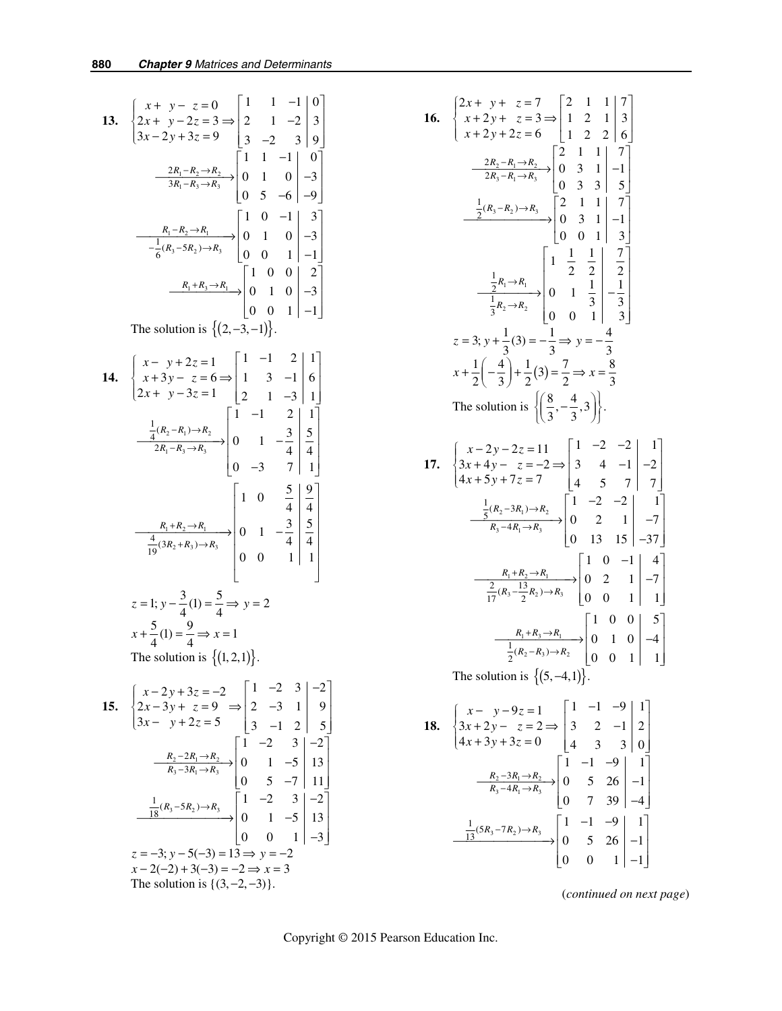13. 
$$
\begin{cases} x + y - z = 0 \ 2x + y - 2z = 3 \Rightarrow \begin{bmatrix} 1 & 1 & -1 & 0 \ 2 & 1 & -2 & 3 \ 3x - 2y + 3z = 9 & 3 & -2 & 3 \end{bmatrix} \end{cases}
$$
  
\n
$$
\frac{2R_1 - R_2 \rightarrow R_2}{3R_1 - R_3 \rightarrow R_3} \begin{bmatrix} 1 & 1 & -1 & 0 \ 0 & 1 & 0 & -3 \ 0 & 5 & -6 & -9 \end{bmatrix}
$$
  
\n
$$
\frac{R_1 - R_2 \rightarrow R_1}{-\frac{1}{6}(R_3 - 5R_2) \rightarrow R_3} \begin{bmatrix} 1 & 0 & -1 & 3 \ 0 & 1 & 0 & -3 \ 0 & 0 & 1 & -1 \end{bmatrix}
$$
  
\n
$$
\frac{R_1 + R_3 \rightarrow R_1}{-\frac{1}{6}(R_3 - 5R_2) \rightarrow R_3} \begin{bmatrix} 1 & 0 & 0 & 2 \ 0 & 1 & 0 & -3 \ 0 & 0 & 1 & -1 \end{bmatrix}
$$
  
\nThe solution is  $\{(2, -3, -1)\}$ .  
\n14. 
$$
\begin{cases} x - y + 2z = 1 \ x + 3y - z = 6 \Rightarrow \begin{bmatrix} 1 & -1 & 2 & 1 \ 1 & 3 & -1 & 6 \ 2x + y - 3z = 1 & 2 & 1 & -3 \end{bmatrix} \end{cases}
$$
  
\n
$$
\frac{\frac{1}{4}(R_2 - R_1) \rightarrow R_2}{2R_1 - R_3 \rightarrow R_3} \begin{bmatrix} 1 & -1 & 2 & 1 \ 0 & 1 & -\frac{3}{4} & \frac{5}{4} \\ 0 & -3 & 7 & 1 \end{bmatrix}
$$
  
\n
$$
\frac{1}{19}(3R_2 + R_3) \rightarrow R_3
$$
  
\n
$$
\frac{4}{19}(3R_2 + R_3) \rightarrow R_3
$$
  
\n
$$
\frac{1}{19}(3R_2 + R_3) \rightarrow R_3
$$
  
\n
$$
\frac{1}{19}(3R_2 + R_3) \rightarrow R_3
$$
  
\n
$$
\frac{1}{19}(3R_2 + R
$$

15. 
$$
\begin{cases} x - 2y + 3z = -2 \ 2x - 3y + z = 9 \ \Rightarrow \begin{vmatrix} 1 & -2 & 3 \\ 2 & -3 & 1 \\ 3 & -1 & 2 \end{vmatrix} = 9 \end{cases}
$$
  
\n
$$
\frac{R_2 - 2R_1 \rightarrow R_2}{R_3 - 3R_1 \rightarrow R_3} \begin{bmatrix} 1 & -2 & 3 \\ 0 & 1 & -5 \\ 0 & 5 & -7 \end{bmatrix} = \begin{bmatrix} 1 & -2 & 3 \\ 13 & 1 & 2 \\ 11 & 1 & 2 \end{bmatrix}
$$
  
\n
$$
\frac{1}{18}(R_3 - 5R_2) \rightarrow R_3 \begin{bmatrix} 1 & -2 & 3 \\ 0 & 5 & -7 \\ 0 & 1 & -5 \\ 0 & 0 & 1 \end{bmatrix} = \begin{bmatrix} 1 & -2 & 3 \\ 13 & 2 & 2 \\ 0 & 0 & 1 \\ 0 & 0 & 1 \end{bmatrix}
$$
  
\n $z = -3; y - 5(-3) = 13 \Rightarrow y = -2$   
\n $x - 2(-2) + 3(-3) = -2 \Rightarrow x = 3$   
\nThe solution is {(3, -2, -3)}.

16. 
$$
\begin{cases} 2x + y + z = 7 \ x + 2y + z = 3 \Rightarrow \begin{vmatrix} 2 & 1 & 1 \ 1 & 2 & 1 \ x + 2y + 2z = 6 \end{vmatrix} = \begin{vmatrix} 2 & 1 & 1 \ 1 & 2 & 1 \ 2 & 2 & 6 \end{vmatrix}
$$
  
\n
$$
\frac{-2R_2 - R_1 \rightarrow R_2}{2R_3 - R_1 \rightarrow R_3} = \begin{bmatrix} 2 & 1 & 1 \ 0 & 3 & 1 \ 0 & 3 & 3 \end{bmatrix} = \begin{bmatrix} 2(3-1) & 1 \ -1 \ 0 & 0 & 1 \end{bmatrix} = \begin{bmatrix} 2(3-1) & 1 \ 0 & 3 & 1 \ 0 & 0 & 1 \end{bmatrix} = \begin{bmatrix} 2(3-1) & 1 \ 0 & 3 & 1 \ 0 & 0 & 1 \end{bmatrix} = \begin{bmatrix} 2 & 1 \ 0 & 3 & 1 \ 0 & 0 & 1 \end{bmatrix} = \begin{bmatrix} 1 & 1 \ 0 & 3 \ 0 & 0 & 1 \end{bmatrix} = \begin{bmatrix} 1 & 1 \ 3 & 2 \ 0 & 0 & 1 \end{bmatrix} = \begin{bmatrix} 1 & 1 \ 3 & 2 \ 3 & 3 \ 3 & 3 \end{bmatrix}
$$
  
\n
$$
z = 3; y + \frac{1}{3}(3) = -\frac{1}{3} \Rightarrow y = -\frac{4}{3}
$$
  
\n
$$
x + \frac{1}{2}(-\frac{4}{3}) + \frac{1}{2}(3) = \frac{7}{2} \Rightarrow x = \frac{8}{3}
$$
  
\nThe solution is 
$$
\left\{ \left( \frac{8}{3}, -\frac{4}{3}, 3 \right) \right\}.
$$
  
\n17. 
$$
\begin{cases} x - 2y - 2z = 11 & -2 & -2 \ 4x + 5y + 7z = 7 & 4 & 5 \end{cases}
$$
  
\n
$$
\frac{1}{5}(R_2 - 3R_1) \rightarrow R_2
$$
  
\n
$$
\frac{1}{5}(R_2 - 3R_1) \rightarrow R_2
$$
  
\n
$$
\frac{1}{17}(R_3 - \frac{13}{2}R_2) \
$$

(*continued on next page*)

 $0 \t 5 \t 26 \t -1$  $0 \t 0 \t 1 \vert -1$ 

 $\begin{bmatrix} 0 & 0 & 1 & -1 \end{bmatrix}$ 

 $\frac{13^{(3R_3 - R_2) \rightarrow R_3}}{10}$  0 5 26 -1

Copyright © 2015 Pearson Education Inc.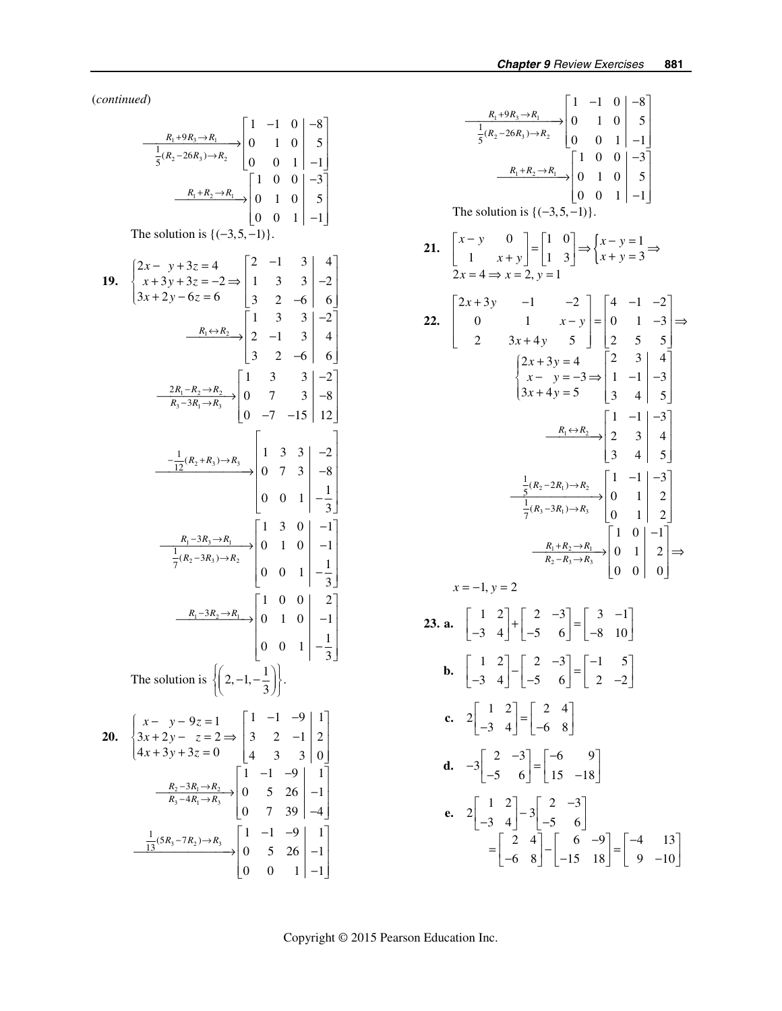(*continued*)

$$
\frac{R_1+9R_3\rightarrow R_1}{\frac{1}{5}(R_2-26R_3)\rightarrow R_2} \begin{bmatrix} 1 & -1 & 0 & |-8 \ 0 & 1 & 0 & | & 5 \ 0 & 0 & 1 & | & -1 \end{bmatrix}
$$
\n
$$
\frac{R_1+R_2\rightarrow R_1}{\frac{1}{5}(0 & 0 & 1 & | & -1 \ 0 & 0 & | & -3 \ 0 & 0 & 1 & | & -1 \end{bmatrix}
$$
\nThe solution is {(-.3,5,-1)}.  
\n19. 
$$
\begin{cases} 2x-y+3z=4 \\ x+3y+3z=-2 \Rightarrow \begin{bmatrix} 2 & -1 & 3 & | & 4 \ 3 & 2 & -6 & | & 6 \end{bmatrix}
$$
\n
$$
\frac{R_1\leftrightarrow R_2}{\frac{1}{3} & 2 & -6 & | & 6 \end{bmatrix}
$$
\n
$$
\frac{R_1\leftrightarrow R_2}{\frac{1}{3} & 2 & -6 & | & 6 \end{cases}
$$
\n
$$
\frac{2R_1-R_2\rightarrow R_2}{R_3-3R_1\rightarrow R_3} \begin{bmatrix} 1 & 3 & 3 & | & -2 \ 2 & -1 & 3 & | & 4 \ 3 & 2 & -6 & | & 6 \end{bmatrix}
$$
\n
$$
\frac{-\frac{1}{12}(R_2+R_3)\rightarrow R_3}{R_3-3R_1\rightarrow R_3} \begin{bmatrix} 1 & 3 & 3 & | & -2 \ 0 & 7 & 3 & | & -8 \ 0 & -7 & -15 & | & 12 \end{bmatrix}
$$
\n
$$
\frac{R_1-3R_2\rightarrow R_1}{\frac{1}{7}(R_2-3R_3)\rightarrow R_2} \begin{bmatrix} 1 & 3 & 0 & | & -1 \ 0 & 1 & 0 & | & -1 \ 0 & 0 & 1 & | & -\frac{1}{3} \end{bmatrix}
$$
\n
$$
\frac{R_1-3R_2\rightarrow R_1}{\frac{1}{7}(R_2-3R_3)\rightarrow R_2} \begin{bmatrix} 1 & 0 & 0 & | & 2 \ 0 & 1 & 0 & | & -1 \ 0 & 0 & 1 & | & -\frac{1}{3} \end{bmatrix}
$$
\nThe solution is 
$$
\left\{ \begin
$$

$$
\frac{R_1+9R_3\rightarrow R_1}{\frac{1}{5}(R_2-26R_3)\rightarrow R_2} \begin{bmatrix} 1 & -1 & 0 & | & -8 \ 0 & 1 & 0 & | & 5 \ 0 & 0 & 1 & | & -1 \end{bmatrix}
$$
\n
$$
\frac{R_1+R_2\rightarrow R_1}{\frac{1}{5}(0 & 0 & 1 & | & -1 \ 0 & 0 & 0 & | & -3 \ 0 & 0 & 1 & | & -1 \end{bmatrix}
$$
\nThe solution is {(-3,5,-1)}.  
\n21. 
$$
\begin{bmatrix} x-y & 0 \ 1 & x+y \end{bmatrix} = \begin{bmatrix} 1 & 0 \ 1 & 3 \end{bmatrix} \Rightarrow \begin{cases} x-y=1 \ x+y=3 \end{cases} \Rightarrow
$$
\n
$$
\begin{bmatrix} 2x+3y & -1 & -2 \ 2 & 3x+4y & 5 \end{bmatrix} = \begin{bmatrix} 4 & -1 & -2 \ 0 & 1 & -3 \end{bmatrix} \Rightarrow
$$
\n
$$
\begin{cases} 2x+3y=4 \ x-y=-3 \end{cases} = \begin{bmatrix} 2 & 3 & | & 4 \ 1 & -1 & | & -3 \ 3x+4y=5 & | & 2 & 5 \end{bmatrix}
$$
\n
$$
\begin{cases} 2x+3y=4 \ x-y=-3 \end{cases} = \begin{bmatrix} 2 & 3 & | & 4 \ 1 & -1 & | & -3 \ 3 & 4 & | & 5 \end{bmatrix}
$$
\n
$$
\frac{R_1\leftrightarrow R_2}{\frac{1}{7}(R_3-3R_1)\rightarrow R_3} = \begin{bmatrix} 1 & -1 & | & -3 \ 2 & 3 & | & 4 \ 3 & 4 & | & 5 \end{bmatrix}
$$
\n
$$
\frac{\frac{1}{5}(R_2-2R_1)\rightarrow R_2}{\frac{1}{7}(R_3-3R_1)\rightarrow R_3} = \begin{bmatrix} 1 & 0 & | & 1 \ 0 & 1 & | & 2 \ 0 & 1 & | & 2 \end{bmatrix}
$$
\n
$$
\therefore x=-1, y=2
$$
\n23. a. 
$$
\begin{bmatrix} 1 & 2 \ -3 & 4 \end{bmatrix} + \begin{bmatrix} 2 & -3 \ -5 & 6 \end{
$$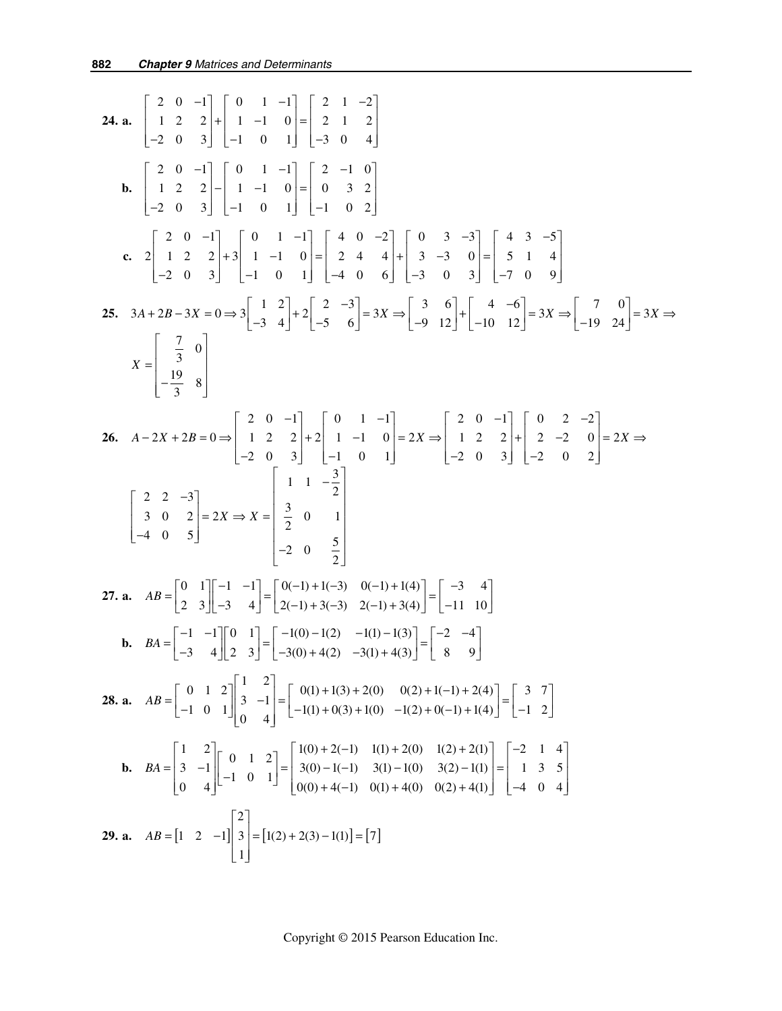24. a. 
$$
\begin{bmatrix} 2 & 0 & -1 \ 1 & 2 & 2 \ -2 & 0 & 3 \end{bmatrix} + \begin{bmatrix} 0 & 1 & -1 \ -1 & 0 & 1 \end{bmatrix} = \begin{bmatrix} 2 & 1 & -2 \ -3 & 0 & 4 \end{bmatrix}
$$
  
\nb.  $\begin{bmatrix} 2 & 0 & -1 \ 1 & 2 & 2 \ -2 & 0 & 3 \end{bmatrix} - \begin{bmatrix} 0 & 1 & -1 \ -1 & 0 & 1 \end{bmatrix} = \begin{bmatrix} 2 & -1 & 0 \ 0 & 3 & 2 \ -1 & 0 & 1 \end{bmatrix}$   
\nc.  $2 \begin{bmatrix} 2 & 0 & -1 \ 1 & 2 & 2 \ -2 & 0 & 3 \end{bmatrix} + 3 \begin{bmatrix} 0 & 1 & -1 \ -1 & 0 & 1 \end{bmatrix} = \begin{bmatrix} 4 & 0 & -2 \ 2 & 4 & 4 \ -4 & 0 & 6 \end{bmatrix} + \begin{bmatrix} 0 & 3 & -3 \ -3 & 0 & 3 \end{bmatrix} = \begin{bmatrix} 4 & 3 & -5 \ 5 & 1 & 4 \ -3 & 0 & 3 \end{bmatrix}$   
\n25.  $3A + 2B - 3X = 0 \Rightarrow 3 \begin{bmatrix} 1 & 2 \ -3 & 4 \end{bmatrix} + 2 \begin{bmatrix} 2 & -3 \ -5 & 6 \end{bmatrix} = 3X = \begin{bmatrix} 3 & 6 \ -9 & 12 \end{bmatrix} + \begin{bmatrix} 4 & -6 \ -10 & 12 \end{bmatrix} = 3X = \begin{bmatrix} 7 & 0 \ -19 & 24 \end{bmatrix} = 3X \Rightarrow$   
\n $X = \begin{bmatrix} \frac{7}{3} & 0 \ -\frac{19}{3} & 8 \end{bmatrix}$   
\n26.  $A - 2X + 2B = 0 \Rightarrow \begin{bmatrix} 2 & 0 & -1 \ 1 & 2 & 2 \ -2 & 0 & 3 \end{bmatrix} + 2 \begin{bmatrix} 0 & 1 & -1 \ -5 & 1 & 0 \ -2 & 0 & 3 \end{bmatrix} = 2X = \begin{bmatrix} 2 & 0 & -1 \ -1 & 2 & 2 \ -2 & 0 & 3 \end{b$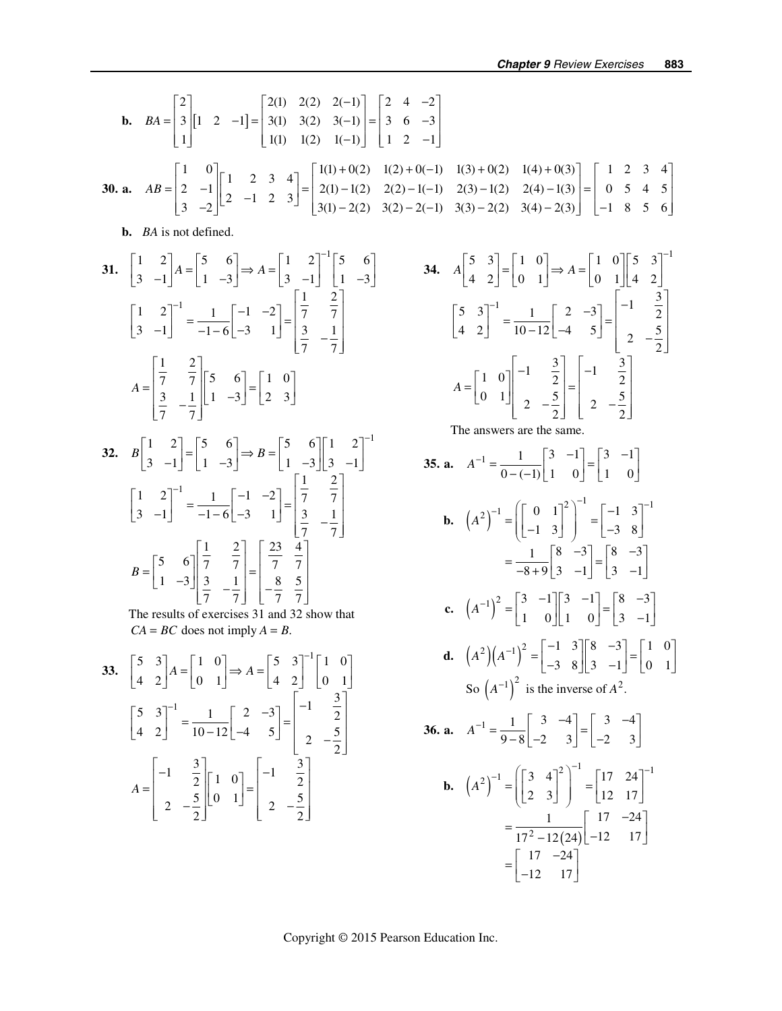**b.** 
$$
BA = \begin{bmatrix} 2 \ 3 \ 1 \end{bmatrix} [1 \ 2 \ -1] = \begin{bmatrix} 2(1) \ 2(2) \ 2(1) \ 1(1) \ 1(2) \ 1(1) \ -1 \end{bmatrix} = \begin{bmatrix} 2 & 4 & -2 \ 3 & 6 & -3 \ 1 & 2 & -1 \end{bmatrix}
$$
  
\n**30. a.**  $AB = \begin{bmatrix} 1 & 0 \ 2 & -1 \end{bmatrix} \begin{bmatrix} 1 & 2 & 3 & 4 \ 3 & -2 & -1 \end{bmatrix} = \begin{bmatrix} 1(1) + 0(2) & 1(2) + 0(-1) & 1(3) + 0(2) & 1(4) + 0(3) \ 3(3) - 2(2) - 1(-1) & 2(3) - 1(2) & 2(4) - 1(3) \end{bmatrix} = \begin{bmatrix} 1 & 2 & 3 & 4 \ 0 & 5 & 4 & 5 \ -1 & 8 & 5 & 6 \end{bmatrix}$   
\n**b.** *BA* is not defined.  
\n**31.**  $\begin{bmatrix} 1 & 2 \ 3 & -1 \end{bmatrix} A = \begin{bmatrix} 5 & 6 \ 1 & -3 \end{bmatrix} \Rightarrow A = \begin{bmatrix} 1 & 2 \ 3 & 1 \end{bmatrix}^{-1} \begin{bmatrix} 5 & 6 \ 3 & -1 \end{bmatrix}$   
\n**34.**  $A \begin{bmatrix} 5 & 3 \ 4 & 2 \end{bmatrix} = \begin{bmatrix} 1 & 0 \ 0 & 1 \end{bmatrix} \Rightarrow A = \begin{bmatrix} 1 & 0 \ 0 & 1 \end{bmatrix} \begin{bmatrix} 5 & 3 \ 4 & 2 \end{bmatrix}^{-1} = \frac{1}{10-12} \begin{bmatrix} 2 & -3 \ -4 & 5 \end{bmatrix} = \begin{bmatrix} -1 & \frac{3}{2} \ 2 & -\frac{5}{2} \end{bmatrix}$   
\n**35. a.**  $A^{-1} = \begin{bmatrix} 1 & 0 \ 0 & 1 \end{bmatrix} \begin{bmatrix} -1 & \frac{3}{2} \ 4 & 2 \end{bmatrix} = \begin{bmatrix} -1 & \$ 

**36. a.** 
$$
A^{-1} = \frac{1}{9-8} \begin{bmatrix} 3 & -4 \ -2 & 3 \end{bmatrix} = \begin{bmatrix} 3 & -4 \ -2 & 3 \end{bmatrix}
$$
  
\n**b.**  $(A^2)^{-1} = \left( \begin{bmatrix} 3 & 4 \ 2 & 3 \end{bmatrix}^2 \right)^{-1} = \begin{bmatrix} 17 & 24 \ 12 & 17 \end{bmatrix}^{-1}$   
\n $= \frac{1}{17^2 - 12(24)} \begin{bmatrix} 17 & -24 \ -12 & 17 \end{bmatrix}$   
\n $= \begin{bmatrix} 17 & -24 \ -12 & 17 \end{bmatrix}$ 

Copyright © 2015 Pearson Education Inc.

 $\begin{bmatrix} 4 & 2 & 10 & -12 & -4 & 5 \end{bmatrix}$   $\begin{bmatrix} 2 & -\frac{5}{2} & -\frac{5}{2} & -\frac{5}{2} & -\frac{5}{2} & -\frac{5}{2} & -\frac{5}{2} & -\frac{5}{2} & -\frac{5}{2} & -\frac{5}{2} & -\frac{5}{2} & -\frac{5}{2} & -\frac{5}{2} & -\frac{5}{2} & -\frac{5}{2} & -\frac{5}{2} & -\frac{5}{2} & -\frac{5}{2} & -\frac{5}{2} & -\frac{5}{2} & -\frac{5}{$ 

 $\begin{bmatrix} 1 & \frac{3}{2} & 1 & 0 \end{bmatrix}$   $\begin{bmatrix} 1 & 0 \end{bmatrix}$   $\begin{bmatrix} -1 & \frac{3}{2} & \frac{3}{2} \end{bmatrix}$ 

*A*

2  $-\frac{5}{2}$   $\begin{bmatrix} 0 & 1 \end{bmatrix}$   $\begin{bmatrix} 2 & -\frac{5}{2} \end{bmatrix}$ 

 $=\begin{bmatrix} -1 & \frac{3}{2} & 1 & 0 \\ 2 & -\frac{5}{2} & 0 & 1 \end{bmatrix} = \begin{bmatrix} -1 & \frac{3}{2} & 0 \\ 2 & -\frac{5}{2} & 0 & 1 \end{bmatrix}$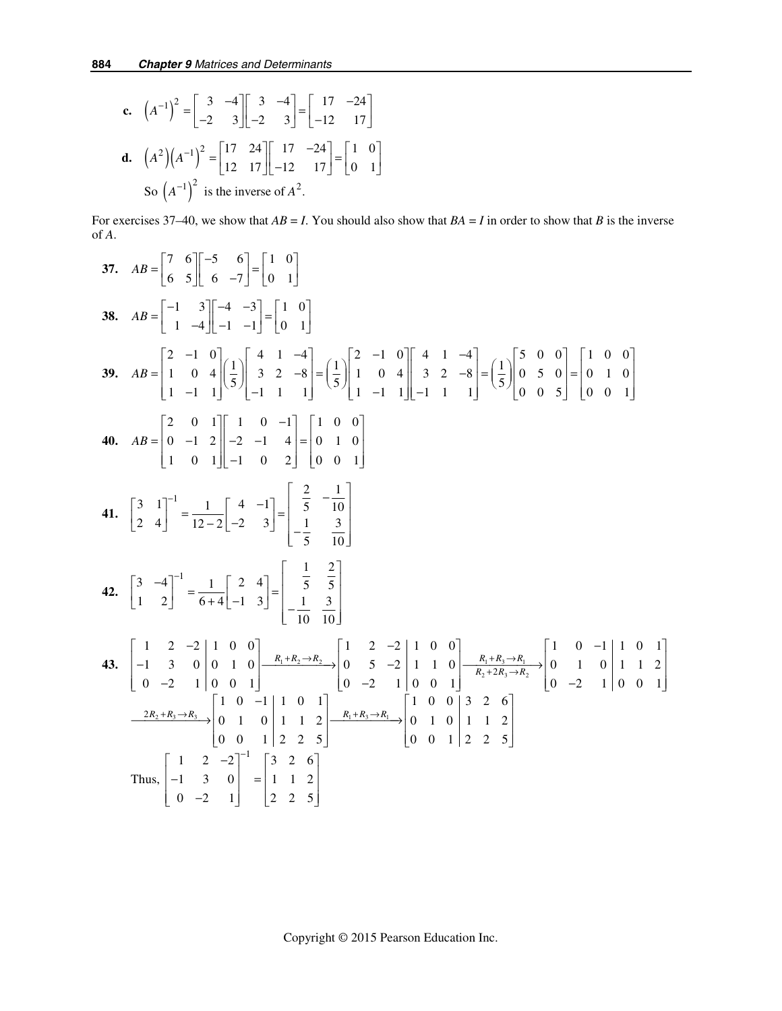**c.** 
$$
(A^{-1})^2 = \begin{bmatrix} 3 & -4 \\ -2 & 3 \end{bmatrix} \begin{bmatrix} 3 & -4 \\ -2 & 3 \end{bmatrix} = \begin{bmatrix} 17 & -24 \\ -12 & 17 \end{bmatrix}
$$
  
\n**d.**  $(A^2)(A^{-1})^2 = \begin{bmatrix} 17 & 24 \\ 12 & 17 \end{bmatrix} \begin{bmatrix} 17 & -24 \\ -12 & 17 \end{bmatrix} = \begin{bmatrix} 1 & 0 \\ 0 & 1 \end{bmatrix}$   
\nSo  $(A^{-1})^2$  is the inverse of  $A^2$ .

For exercises 37–40, we show that  $AB = I$ . You should also show that  $BA = I$  in order to show that *B* is the inverse of *A*.

37. 
$$
AB = \begin{bmatrix} 7 & 6 \ 6 & 5 \end{bmatrix} \begin{bmatrix} -5 & 6 \ 6 & -7 \end{bmatrix} = \begin{bmatrix} 1 & 0 \ 0 & 1 \end{bmatrix}
$$
  
\n38.  $AB = \begin{bmatrix} -1 & 3 \ 1 & -4 \end{bmatrix} \begin{bmatrix} -4 & -3 \ -1 & -1 \end{bmatrix} = \begin{bmatrix} 1 & 0 \ 0 & 1 \end{bmatrix}$   
\n39.  $AB = \begin{bmatrix} 2 & -1 & 0 \ 1 & 0 & 4 \ 1 & -1 & 1 \end{bmatrix} \begin{bmatrix} 4 & 1 & -4 \ 5 & -1 & 1 & 1 \ 5 \end{bmatrix} = \begin{bmatrix} 1 & 0 \ 5 & 1 & 1 & 4 \ 5 & 1 & 1 & 1 \end{bmatrix} = \begin{bmatrix} 1 & 0 \ 5 & 1 & 0 \ 1 & 1 & 1 \end{bmatrix} \begin{bmatrix} 4 & 1 & -4 \ 3 & 2 & -8 \ 1 & -1 & 1 \end{bmatrix} = \begin{bmatrix} 1 & 0 & 0 \ 5 & 0 & 5 \ 0 & 0 & 5 \end{bmatrix} = \begin{bmatrix} 1 & 0 & 0 \ 0 & 1 & 0 \ 0 & 0 & 1 \end{bmatrix}$   
\n40.  $AB = \begin{bmatrix} 2 & 0 & 1 \ 0 & -1 & 2 \ 1 & 0 & 1 \end{bmatrix} \begin{bmatrix} 1 & 0 & -1 \ -2 & -1 & 4 \ 1 & 0 & 2 \end{bmatrix} = \begin{bmatrix} 1 & 0 & 0 \ 0 & 1 & 0 \ 0 & 0 & 1 \end{bmatrix}$   
\n41.  $\begin{bmatrix} 3 & 1 \ 2 & 4 \end{bmatrix}^{-1} = \frac{1}{12-2} \begin{bmatrix} 4 & -1 \ -2 & 3 \end{bmatrix} = \begin{bmatrix} \frac{2}{5} & -\frac{1}{10} \\ -\frac{1}{5} & \frac{3}{10} \end{bmatrix}$   
\n42.  $\begin{bmatrix} 3 & -4 \ 1 & 2 \end{bmatrix}^{-1} = \frac{1}{6+4} \begin{bmatrix} 2 & 4 \ -1 & 3 \end{bmatrix} = \begin{bmatrix} \frac$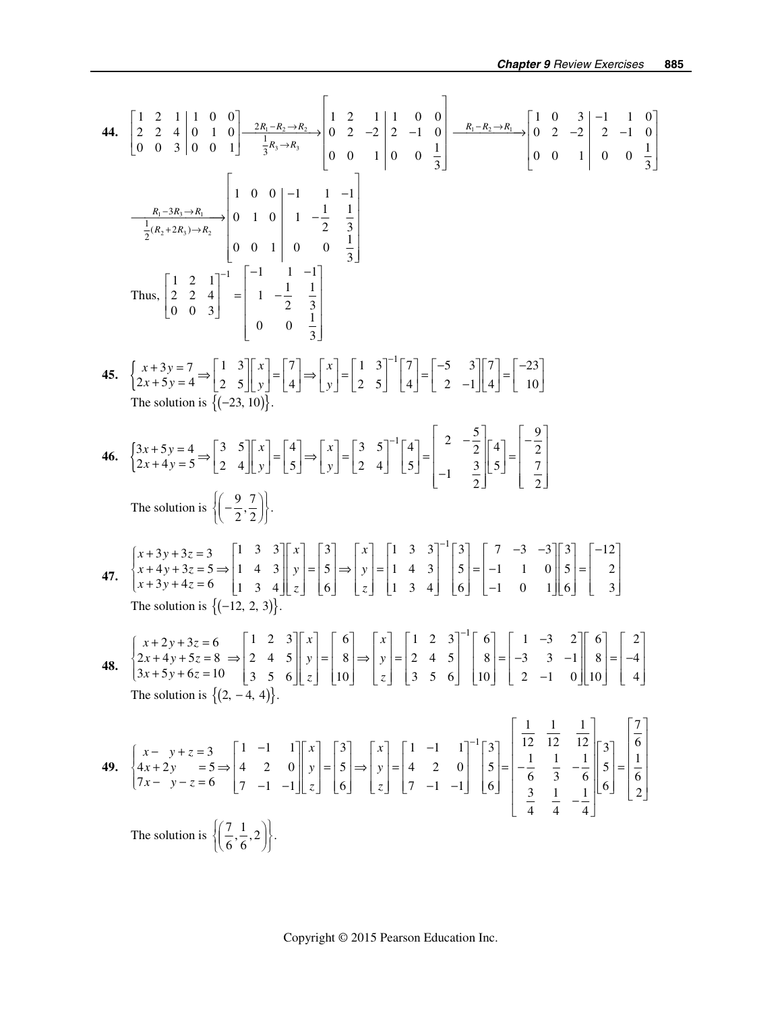44. 
$$
\begin{bmatrix} 1 & 2 & 1 & 1 & 0 & 0 \ 0 & 0 & 3 & 0 & 0 & 1 \end{bmatrix} \xrightarrow{2R_{1}-R_{2} \rightarrow R_{3}} \begin{bmatrix} 1 & 2 & -1 & 1 & 0 & 0 \ 0 & 2 & -2 & 2 & -1 & 0 \ 0 & 0 & 1 & 0 & 0 & 1 \end{bmatrix} \xrightarrow{R_{2}-R_{3}}
$$
  
\n $\begin{bmatrix} 1 & 0 & 0 & 1 & 0 & 1 \ 0 & 0 & 1 & 0 & 0 & 1 \end{bmatrix} \xrightarrow{R_{3} - 3R_{3}}$   
\n $\begin{bmatrix} 1 & 0 & 0 & 1 & 1 & -1 \ 0 & 0 & 0 & 1 & 0 & 0 & 1 \end{bmatrix} \xrightarrow{R_{1} - 3R_{2}}$   
\n $\begin{bmatrix} 1 & 0 & 0 & 1 & 1 & -1 \ 0 & 0 & 3 & 3 \end{bmatrix}$   
\nThus,  $\begin{bmatrix} 1 & 2 & 1 & 1 & 1 & -1 \ 0 & 0 & 3 & 3 \end{bmatrix} \xrightarrow{R_{1} - 1} \begin{bmatrix} 1 & 1 & -1 & 1 & -1 \ 0 & 1 & 0 & 0 & 1 & 0 \end{bmatrix}$   
\nThus,  $\begin{bmatrix} 1 & 2 & 1 & 1 & 1 & -1 \ 0 & 0 & 3 & 3 \end{bmatrix}$   
\n45.  $\begin{bmatrix} x+3y=7 & -1 & 3 & 3 \ 2x+5y=4 & -5 & 2 & 5 \end{bmatrix} \begin{bmatrix} x \\ y \end{bmatrix} = \begin{bmatrix} 7 \\ 4 \end{bmatrix} = \begin{bmatrix} 7 \\ y \end{bmatrix} = \begin{bmatrix} 1 & 3 & 3 \ 2 & 4 & 5 \end{bmatrix} \begin{bmatrix} x \\ y \end{bmatrix} = \begin{bmatrix} 1 & 3 & 3 \ 2 & 4 & 5 \end{bmatrix} \begin{bmatrix} 1 & 3 & -3 \ 3 & 2 & 2 \end{bmatrix}$   
\n $\begin{bmatrix} 1 & 2 & 1 & 1 & 1 \ 0 & 2 & 2 & 4 & 5 \end{bmatrix} \begin{bmatrix} 1 & 2 & 1 &$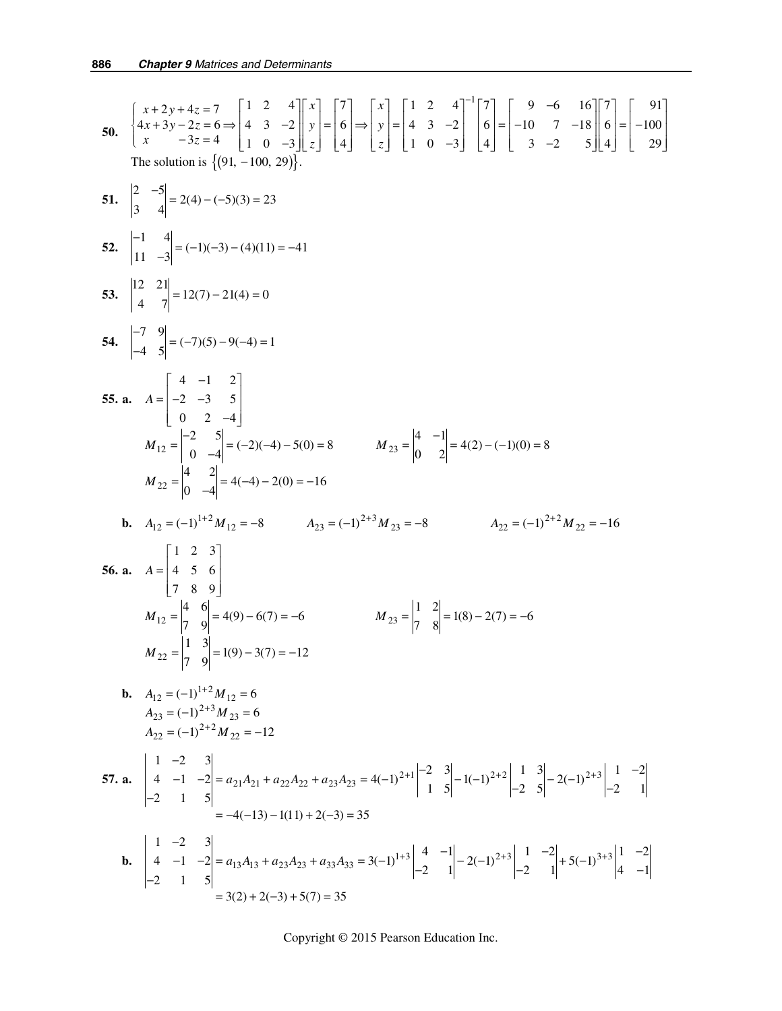50. 
$$
\begin{cases}\n4x + 2y + 4z = 7 \\
4x + 3y - 2z = 6 \implies |x| = \frac{1}{2} \implies |x| = \frac{1}{2} \implies |x| = \frac{1}{2} \implies |x| = \frac{1}{2} \implies |x| = \frac{1}{2} \implies |x| = \frac{1}{2} \implies |x| = \frac{1}{2} \implies |x| = \frac{1}{2} \implies |x| = \frac{1}{2} \implies |x| = \frac{1}{2} \implies |x| = \frac{1}{2} \implies |x| = \frac{1}{2} \implies |x| = \frac{1}{2} \implies |x| = \frac{1}{2} \implies |x| = \frac{1}{2} \implies |x| = \frac{1}{2} \implies |x| = \frac{1}{2} \implies |x| = \frac{1}{2} \implies |x| = \frac{1}{2} \implies |x| = \frac{1}{2} \implies |x| = \frac{1}{2} \implies |x| = \frac{1}{2} \implies |x| = \frac{1}{2} \implies |x| = \frac{1}{2} \implies |x| = \frac{1}{2} \implies |x| = \frac{1}{2} \implies |x| = \frac{1}{2} \implies |x| = \frac{1}{2} \implies |x| = \frac{1}{2} \implies |x| = \frac{1}{2} \implies |x| = \frac{1}{2} \implies |x| = \frac{1}{2} \implies |x| = \frac{1}{2} \implies |x| = \frac{1}{2} \implies |x| = \frac{1}{2} \implies |x| = \frac{1}{2} \implies |x| = \frac{1}{2} \implies |x| = \frac{1}{2} \implies |x| = \frac{1}{2} \implies |x| = \frac{1}{2} \implies |x| = \frac{1}{2} \implies |x| = \frac{1}{2} \implies |x| = \frac{1}{2} \implies |x| = \frac{1}{2} \implies |x| = \frac{1}{2} \implies |x| = \frac{1}{2} \implies |x| = \frac{1}{2} \implies |x| = \frac{1}{2} \implies |x| = \frac{1}{2} \implies |x| = \frac{1}{2} \implies |x| = \frac{1}{2} \implies |x| = \frac{
$$

Copyright © 2015 Pearson Education Inc.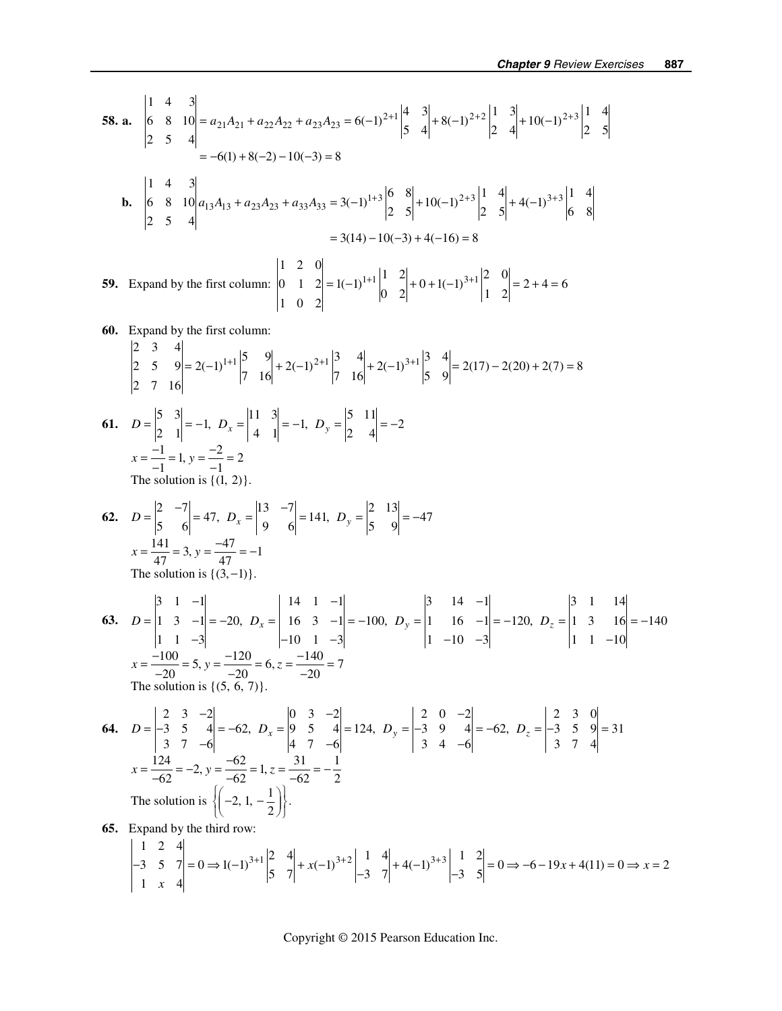58. a. 
$$
\begin{vmatrix} 1 & 4 & 3 \ 0 & 8 & 10 \ 2 & 5 & 4 \end{vmatrix} = a_{21}A_{21} + a_{22}A_{22} + a_{23}A_{23} = 6(-1)^{2+1} \begin{vmatrix} 4 & 3 \ 5 & 4 \end{vmatrix} + 8(-1)^{2+2} \begin{vmatrix} 1 & 3 \ 2 & 4 \end{vmatrix} + 10(-1)^{2+3} \begin{vmatrix} 1 & 4 \ 2 & 5 \end{vmatrix}
$$
  
\n= -6(1) + 8(-2) - 10(-3) = 8  
\nb.  $\begin{vmatrix} 1 & 4 & 3 \ 2 & 5 & 4 \end{vmatrix}$   
\n= -3(14) - 10(-3) + 4(-16) = 8  
\n59. Expand by the first column:  
\n $\begin{vmatrix} 1 & 2 & 0 \ 2 & 5 & 4 \end{vmatrix} = 1(-1)^{1+1} \begin{vmatrix} 1 & 2 \ 1 & 2 \end{vmatrix} = 1(-1)^{1+1} \begin{vmatrix} 1 & 2 \ 0 & 2 \end{vmatrix} + 0 + 1(-1)^{3+1} \begin{vmatrix} 2 & 0 \ 1 & 2 \end{vmatrix} = 2 + 4 = 6$   
\n60. Expand by the first column:  
\n $\begin{vmatrix} 2 & 3 & 4 \ 2 & 5 & 9 \ 2 & 7 & 16 \end{vmatrix} = 2(-1)^{1+1} \begin{vmatrix} 5 & 9 \ 7 & 16 \end{vmatrix} + 2(-1)^{2+1} \begin{vmatrix} 3 & 4 \ 7 & 16 \end{vmatrix} + 2(-1)^{3+1} \begin{vmatrix} 3 & 4 \ 5 & 9 \end{vmatrix} = 2(17) - 2(20) + 2(7) = 8$   
\n61.  $D = \begin{vmatrix} 5 & 3 \ 2 & 1 \end{vmatrix} = -1, D_x = \begin{vmatrix} 11 & 3 \ 4 & 1 \end{vmatrix} = -1, D_y = \begin{vmatrix} 5 & 11 \ 2 & 4 \end{vmatrix} = -2$   
\n $x = \frac{-1}{-1} = 1, y = \frac{-2}{-1} = 2$   
\nThe solution is {(1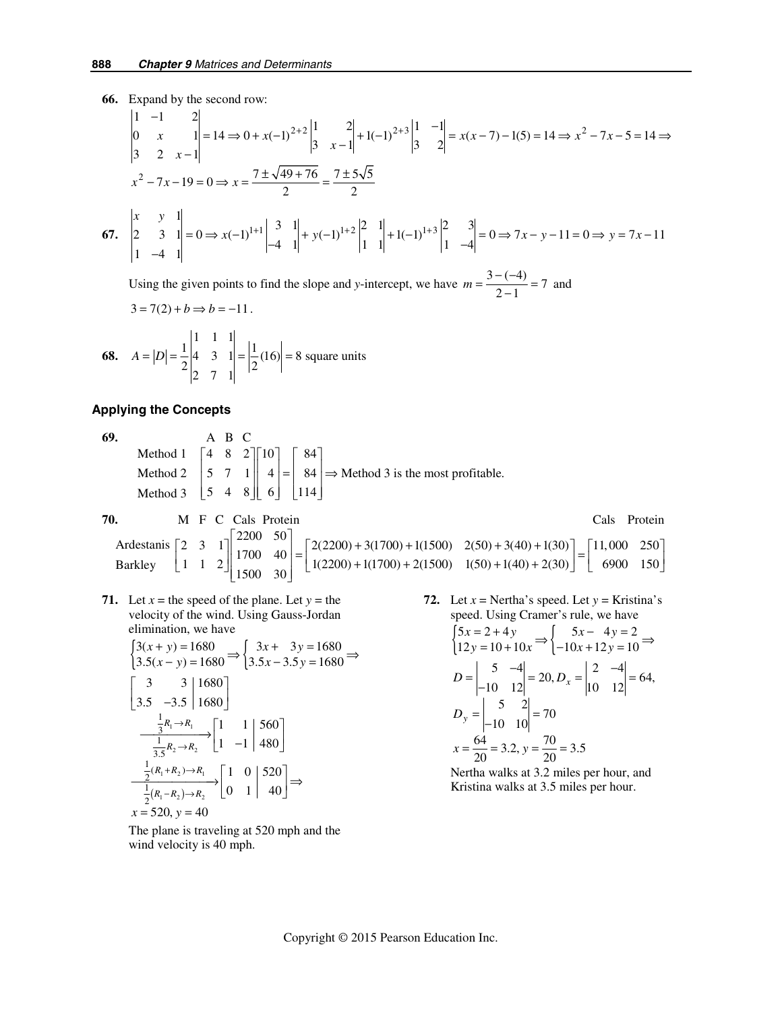**66.** Expand by the second row:

$$
\begin{vmatrix} 1 & -1 & 2 \ 0 & x & 1 \ 3 & 2 & x-1 \ \end{vmatrix} = 14 \Rightarrow 0 + x(-1)^{2+2} \begin{vmatrix} 1 & 2 \ 3 & x-1 \end{vmatrix} + 1(-1)^{2+3} \begin{vmatrix} 1 & -1 \ 3 & 2 \end{vmatrix} = x(x-7) - 1(5) = 14 \Rightarrow x^2 - 7x - 5 = 14 \Rightarrow x^2 - 7x - 5 = 14 \Rightarrow x^2 - 7x - 5 = 14 \Rightarrow x^2 - 7x - 5 = 14 \Rightarrow x^2 - 7x - 5 = 14 \Rightarrow x^2 - 7x - 5 = 14 \Rightarrow x^2 - 7x - 5 = 14 \Rightarrow x^2 - 7x - 5 = 14 \Rightarrow x^2 - 7x - 5 = 14 \Rightarrow x^2 - 7x - 5 = 14 \Rightarrow x^2 - 7x - 5 = 14 \Rightarrow x^2 - 7x - 5 = 14 \Rightarrow x^2 - 7x - 5 = 14 \Rightarrow x^2 - 7x - 5 = 14 \Rightarrow x^2 - 7x - 5 = 14 \Rightarrow x^2 - 7x - 5 = 14 \Rightarrow x^2 - 7x - 5 = 14 \Rightarrow x^2 - 7x - 5 = 14 \Rightarrow x^2 - 7x - 5 = 14 \Rightarrow x^2 - 7x - 5 = 14 \Rightarrow x^2 - 7x - 5 = 14 \Rightarrow x^2 - 7x - 5 = 14 \Rightarrow x^2 - 7x - 5 = 14 \Rightarrow x^2 - 7x - 5 = 14 \Rightarrow x^2 - 7x - 5 = 14 \Rightarrow x^2 - 7x - 5 = 14 \Rightarrow x^2 - 7x - 5 = 14 \Rightarrow x^2 - 7x - 5 = 14 \Rightarrow x^2 - 7x - 5 = 14 \Rightarrow x^2 - 7x - 5 = 14 \Rightarrow x^2 - 7x - 5 = 14 \Rightarrow x^2 - 7x - 5 = 14 \Rightarrow x^2 - 7x - 5 = 14 \Rightarrow x^2 - 7x - 5 = 14 \Rightarrow x^2 - 7x - 5 = 14 \Rightarrow x^2 - 7x - 5 = 14 \Rightarrow x^2 - 7x - 5 = 14 \Rightarrow x^2 - 7x - 5 = 14 \Rightarrow x^2 - 7x - 5 = 14 \Rightarrow x^2
$$

Using the given points to find the slope and *y*-intercept, we have  $m = \frac{3 - (-4)}{2 - 1} = 7$  and  $3 = 7(2) + b \implies b = -11$ 

$$
3 - 7(2) + 6 \rightarrow 6 - 11.
$$

**68.** 
$$
A = |D| = \frac{1}{2} \begin{vmatrix} 1 & 1 & 1 \\ 4 & 3 & 1 \\ 2 & 7 & 1 \end{vmatrix} = \frac{1}{2}(16) = 8
$$
 square units

## **Applying the Concepts**

 **69.** ABC 4 8 2 10 84 ⎡ ⎤⎡ ⎤ ⎡ ⎤ Method 2  $\begin{vmatrix} 5 & 7 & 1 \end{vmatrix}$   $\begin{vmatrix} 4 & 1 \end{vmatrix} = \begin{vmatrix} 84 & 3 \end{vmatrix}$  as the most profitable. Method 3  $\begin{bmatrix} 5 & 4 & 8 \end{bmatrix}$  [ 0]  $\begin{bmatrix} 114 \end{bmatrix}$ Method 1

**70. M** F C Cals Protein **Cals Protein** Cals Protein 2 3 1  $\begin{bmatrix} 2200 & 50 \\ 1700 & 40 \end{bmatrix}$  =  $\begin{bmatrix} 2(2200) + 3(1700) + 1(1500) & 2(50) + 3(40) + 1(30) \\ 1(2200) + 3(1700) + 2(1500) & 1(50) + 3(40) + 2(30) \end{bmatrix}$  =  $\begin{bmatrix} 11,000 & 250 \\ 1,600 & 150 \end{bmatrix}$ Ardestanis  $\begin{bmatrix} 2 & 3 & 1 \\ 1 & 1 & 2 \end{bmatrix} \begin{bmatrix} 2200 & 50 \\ 1700 & 40 \\ 1500 & 30 \end{bmatrix} = \begin{bmatrix} 2(2200) + 3(1700) + 1(1500) & 2(50) + 3(40) + 1(30) \\ 1(2200) + 1(1700) + 2(1500) & 1(50) + 1(40) + 2(30) \end{bmatrix} = \begin{bmatrix} 11,000 & 250 \\ 6900 & 150 \$ Barkley

**71.** Let  $x =$  the speed of the plane. Let  $y =$  the velocity of the wind. Using Gauss-Jordan elimination, we have

$$
\begin{aligned}\n\left\{\n\begin{aligned}\n3(x+y) &= 1680 \\
3.5(x-y) &= 1680\n\end{aligned}\n\right. &\Rightarrow\n\left\{\n\begin{aligned}\n3.5x - 3.5y &= 1680 \\
3.5x - 3.5y &= 1680\n\end{aligned}\n\right.\n\end{aligned}
$$
\n
$$
\begin{aligned}\n\left[\n\begin{aligned}\n3 &= 3 \\
3.5 &= -3.5\n\end{aligned}\n\right]\n\left.\n\begin{aligned}\n1 &= 1 \\
1 &= -1\n\end{aligned}\n\right]\n\left.\n\begin{aligned}\n560 \\
480\n\end{aligned}\n\right]\n\end{aligned}
$$
\n
$$
\begin{aligned}\n\frac{\frac{1}{3}R_1 \rightarrow R_1}{\frac{1}{3.5}R_2 \rightarrow R_2}\n\left.\n\begin{aligned}\n1 &= 1 \\
1 &= -1\n\end{aligned}\n\right]\n\left.\n\begin{aligned}\n480\n\end{aligned}\n\right]\n\end{aligned}
$$
\n
$$
\begin{aligned}\n\frac{\frac{1}{2}(R_1 + R_2) \rightarrow R_1}{\frac{1}{2}(R_1 - R_2) \rightarrow R_2}\n\left.\n\begin{aligned}\n0 &= 1\n\end{aligned}\n\right]\n\end{aligned}
$$

The plane is traveling at 520 mph and the wind velocity is 40 mph.

**72.** Let  $x =$  Nertha's speed. Let  $y =$  Kristina's speed. Using Cramer's rule, we have

$$
\begin{aligned}\n\begin{cases}\n5x = 2 + 4y \\
12y = 10 + 10x \end{cases} &\Rightarrow \begin{cases}\n5x - 4y = 2 \\
-10x + 12y = 10 \end{cases} \Rightarrow \\
D &= \begin{vmatrix}\n5 & -4 \\
-10 & 12\n\end{vmatrix} = 20, D_x = \begin{vmatrix}\n2 & -4 \\
10 & 12\n\end{vmatrix} = 64, \\
D_y &= \begin{vmatrix}\n5 & 2 \\
-10 & 10\n\end{vmatrix} = 70 \\
x &= \frac{64}{20} = 3.2, y = \frac{70}{20} = 3.5\n\end{aligned}
$$

Nertha walks at 3.2 miles per hour, and Kristina walks at 3.5 miles per hour.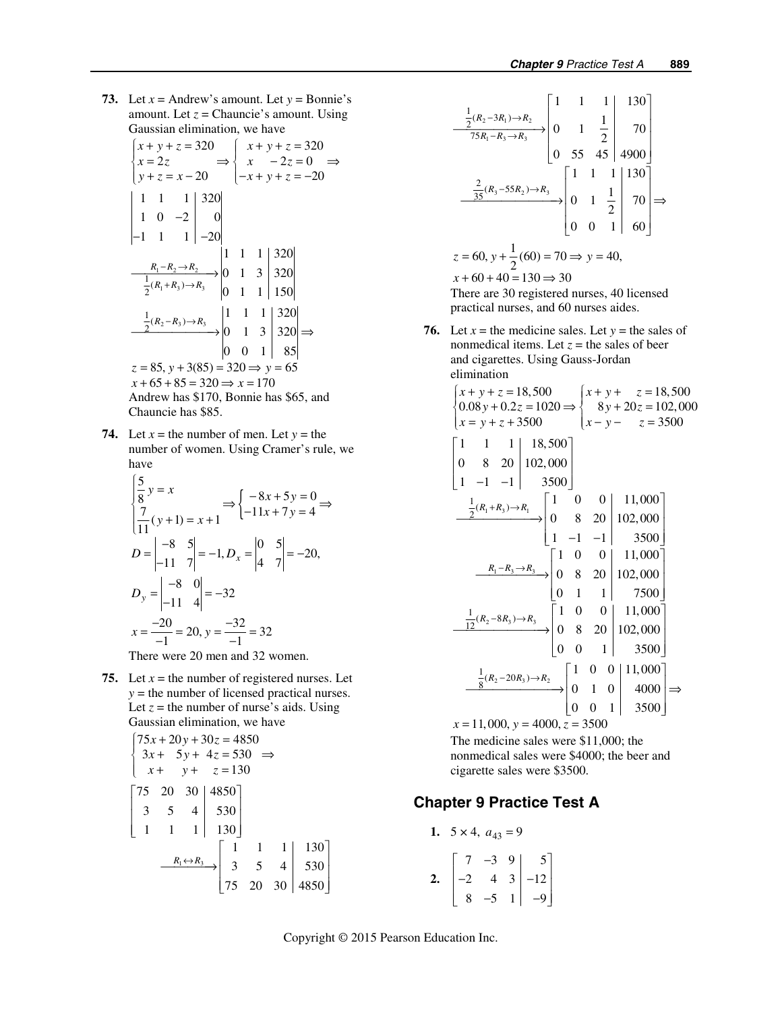**73.** Let  $x =$  Andrew's amount. Let  $y =$  Bonnie's amount. Let  $z =$  Chauncie's amount. Using Gaussian elimination, we have

$$
\begin{cases}\nx + y + z = 320 \\
x = 2z \n\end{cases}\n\Rightarrow\n\begin{cases}\nx + y + z = 320 \\
x - 2z = 0 \n\end{cases}\n\Rightarrow\n\begin{cases}\nx + y + z = 320 \\
x - 2z = 0 \n\end{cases}\n\Rightarrow\n\begin{cases}\n1 & -2 & -1 \\
1 & 0 & -2 \\
-1 & 1 & 1\n\end{cases}\n\end{cases}
$$
\n
$$
\begin{cases}\n1 & 1 & 1 \\
-20 & 1 & 3 \\
\frac{1}{2}(R_1 + R_3) \rightarrow R_3\n\end{cases}
$$
\n
$$
\begin{cases}\n1 & 1 & 1 \\
0 & 1 & 1\n\end{cases}\n\begin{cases}\n320 \\
320 \\
150\n\end{cases}
$$
\n
$$
\begin{cases}\n\frac{1}{2}(R_2 - R_3) \rightarrow R_3 \\
0 & 1 & 3\n\end{cases}
$$
\n
$$
\begin{cases}\n1 & 1 & 1 \\
0 & 1 & 3\n\end{cases}\n\begin{cases}\n320 \\
320\n\end{cases}\n\Rightarrow\n\begin{cases}\n0 & 0 & 1\n\end{cases}\n\begin{cases}\n85 \\
85\n\end{cases}
$$
\n $z = 85, y + 3(85) = 320 \Rightarrow y = 65$ \n $x + 65 + 85 = 320 \Rightarrow x = 170$ \n $\text{Andrew has $170, Bonnie has $65, and}$ \n $\text{Chauncie has $85.}$ 

**74.** Let  $x =$  the number of men. Let  $y =$  the number of women. Using Cramer's rule, we have

$$
\begin{vmatrix} 5 \\ 8 \\ 8 \end{vmatrix} y = x \qquad \Rightarrow \begin{cases} -8x + 5y = 0 \\ -11x + 7y = 4 \end{cases}
$$
  

$$
D = \begin{vmatrix} -8 & 5 \\ -11 & 7 \end{vmatrix} = -1, D_x = \begin{vmatrix} 0 & 5 \\ 4 & 7 \end{vmatrix} = -20,
$$
  

$$
D_y = \begin{vmatrix} -8 & 0 \\ -11 & 4 \end{vmatrix} = -32
$$
  

$$
x = \frac{-20}{-1} = 20, y = \frac{-32}{-1} = 32
$$

There were 20 men and 32 women.

**75.** Let  $x =$  the number of registered nurses. Let *y* = the number of licensed practical nurses. Let  $z =$  the number of nurse's aids. Using Gaussian elimination, we have

$$
\begin{cases}\n75x + 20y + 30z = 4850 \\
3x + 5y + 4z = 530 \implies \\
x + y + z = 130\n\end{cases}
$$
\n
$$
\begin{bmatrix}\n75 & 20 & 30 \\
3 & 5 & 4 \\
1 & 1 & 1\n\end{bmatrix}\n\begin{bmatrix}\n4850 \\
530 \\
1 & 1 & 1\n\end{bmatrix}
$$
\n
$$
\xrightarrow{R_1 \leftrightarrow R_3} \begin{bmatrix}\n1 & 1 & 1 \\
3 & 5 & 4 \\
75 & 20 & 30\n\end{bmatrix}\n\begin{bmatrix}\n130 \\
4850\n\end{bmatrix}
$$

$$
\frac{\frac{1}{2}(R_2 - 3R_1) \to R_2}{75R_1 - R_3 \to R_3} \begin{bmatrix} 1 & 1 & 1 & 1 & 130 \\ 0 & 1 & \frac{1}{2} & 70 \\ 0 & 55 & 45 & 4900 \end{bmatrix}
$$

$$
\xrightarrow{\frac{2}{35}(R_3 - 55R_2) \to R_3} \begin{bmatrix} 1 & 1 & 1 & 1 & 130 \\ 0 & 1 & \frac{1}{2} & 70 \\ 0 & 0 & 1 & 60 \end{bmatrix} \Rightarrow
$$

$$
z = 60, y + \frac{1}{2}(60) = 70 \Rightarrow y = 40,
$$

$$
x + 60 + 40 = 130 \Rightarrow 30
$$
There are 30 registered nurses, 40 licensed

practical nurses, and 60 nurses aides.

**76.** Let  $x =$  the medicine sales. Let  $y =$  the sales of nonmedical items. Let  $z =$  the sales of beer and cigarettes. Using Gauss-Jordan elimination

$$
\begin{cases}\nx + y + z = 18,500 \\
0.08y + 0.2z = 1020 \Rightarrow \begin{cases}\nx + y + z = 18,500 \\
8y + 20z = 102,000 \\
x - y - z = 3500\n\end{cases}\n\end{cases}
$$
\n
$$
\begin{bmatrix}\n1 & 1 & 1 \\
0 & 8 & 20 \\
1 & -1 & -1\n\end{bmatrix}\n\begin{bmatrix}\n18,500 \\
102,000 \\
3500\n\end{bmatrix}
$$
\n
$$
\begin{bmatrix}\n\frac{1}{2}(R_1 + R_3) \rightarrow R_1 \\
0 & 8 & 20 \\
1 & -1 & -1\n\end{bmatrix}\n\begin{bmatrix}\n1 & 0 & 0 \\
0 & 8 & 20 \\
102,000\n\end{bmatrix}\n\begin{bmatrix}\n11,000 \\
11,000\n\end{bmatrix}
$$
\n
$$
\begin{bmatrix}\nR_1 - R_3 \rightarrow R_3 \\
R_2 - 8R_3 \rightarrow R_3\n\end{bmatrix}\n\begin{bmatrix}\n1 & 0 & 0 \\
0 & 8 & 20 \\
0 & 1 & 1\n\end{bmatrix}\n\begin{bmatrix}\n10,00 \\
7500\n\end{bmatrix}
$$
\n
$$
\begin{bmatrix}\n\frac{1}{12}(R_2 - 8R_3) \rightarrow R_3 \\
0 & 8 & 20 \\
0 & 0 & 1\n\end{bmatrix}\n\begin{bmatrix}\n10,00 \\
1102,000 \\
0 & 1 & 3500\n\end{bmatrix}
$$
\n
$$
\begin{bmatrix}\n\frac{1}{8}(R_2 - 20R_3) \rightarrow R_2 \\
0 & 1 & 0 \\
0 & 0 & 1\n\end{bmatrix}\n\begin{bmatrix}\n1 & 0 & 0 \\
0 & 1 & 0 \\
0 & 0 & 1\n\end{bmatrix}\n\begin{bmatrix}\n11,000 \\
4000 \\
0 & 0 & 1\n\end{bmatrix}\n\Rightarrow x = 11,000, y = 4000, z = 3500
$$

 The medicine sales were \$11,000; the nonmedical sales were \$4000; the beer and cigarette sales were \$3500.

## **Chapter 9 Practice Test A**

1. 
$$
5 \times 4
$$
,  $a_{43} = 9$   
\n2. 
$$
\begin{bmatrix} 7 & -3 & 9 \\ -2 & 4 & 3 \\ 8 & -5 & 1 \end{bmatrix} \begin{bmatrix} 5 \\ -12 \\ -9 \end{bmatrix}
$$

Copyright © 2015 Pearson Education Inc.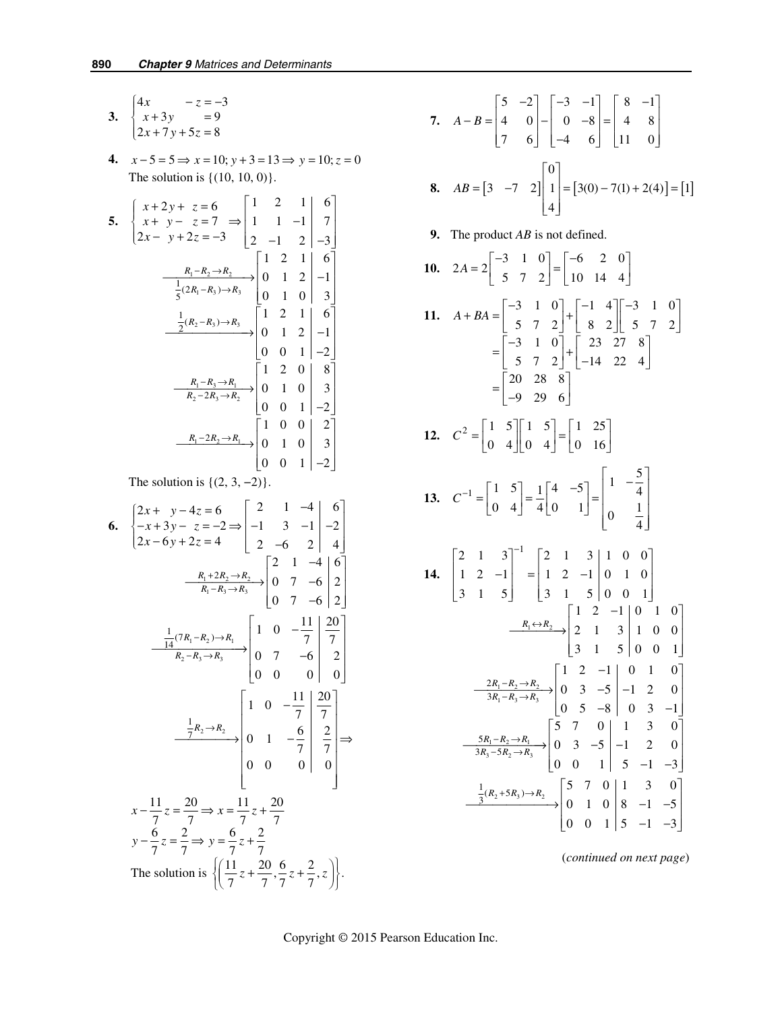3. 
$$
\begin{cases} 4x & -z = -3 \\ x + 3y & = 9 \\ 2x + 7y + 5z = 8 \end{cases}
$$

**4.**  $x - 5 = 5 \Rightarrow x = 10; y + 3 = 13 \Rightarrow y = 10; z = 0$ The solution is  $\{(10, 10, 0)\}.$ 

5. 
$$
\begin{cases} x + 2y + z = 6 \ 2x - y + 2z = -3 \ \end{cases} \Rightarrow \begin{bmatrix} 1 & 2 & 1 & 6 \ 1 & 1 & -1 & 7 \ 2 & -1 & 2 & -3 \ \end{bmatrix}
$$

$$
\xrightarrow[\frac{R_1 - R_2 \rightarrow R_2}{5^{(2R_1 - R_3) \rightarrow R_3}} \begin{bmatrix} 1 & 2 & 1 & 6 \ 0 & 1 & 2 & -1 \ 0 & 1 & 0 & 3 \ \end{bmatrix}
$$

$$
\xrightarrow[\frac{1}{2}(R_2 - R_3) \rightarrow R_3]{\frac{1}{2}(R_2 - R_3) \rightarrow R_3} \begin{bmatrix} 1 & 2 & 1 & 6 \ 0 & 1 & 0 & 3 \ 0 & 0 & 1 & -2 \ \end{bmatrix}
$$

$$
\xrightarrow[R_1 - R_3 \rightarrow R_1]{\frac{R_1 - R_3 \rightarrow R_1}{R_2 - 2R_3 \rightarrow R_2}} \begin{bmatrix} 1 & 2 & 0 & 8 \ 0 & 1 & 0 & 3 \ 0 & 0 & 1 & -2 \ \end{bmatrix}
$$

$$
\xrightarrow[R_1 - 2R_2 \rightarrow R_1]{\frac{R_1 - 2R_2 \rightarrow R_1}{R_2}} \begin{bmatrix} 1 & 0 & 0 & 2 \ 0 & 1 & 0 & 3 \ 0 & 0 & 1 & -2 \ \end{bmatrix}
$$

**The solution is**  $\{(2, 3, -2)\}.$ 

6. 
$$
\begin{cases} 2x + y - 4z = 6 \ -x + 3y - z = -2 \Rightarrow \begin{vmatrix} 2 & 1 & -4 \ -1 & 3 & -1 \ -2 & -6 & 2 \end{vmatrix} = 2 \end{cases}
$$
  
\n
$$
\frac{R_1 + 2R_2 \rightarrow R_2}{R_1 - R_3 \rightarrow R_3} \begin{bmatrix} 2 & 1 & -4 \ 0 & 7 & -6 \ 0 & 7 & -6 \end{bmatrix} = 2 \begin{bmatrix} 2 & 1 & -4 \ 0 & 7 & -6 \ 0 & 7 & -6 \end{bmatrix} = 2 \begin{bmatrix} 2 & 1 & -4 \ 0 & 7 & -6 \ 0 & 7 & -6 \end{bmatrix} = 2 \begin{bmatrix} 1 & 0 & -\frac{11}{7} & \frac{20}{7} \\ 0 & 0 & 0 & 0 \end{bmatrix}
$$
  
\n
$$
\frac{\frac{1}{14}(7R_1 - R_2) \rightarrow R_1}{R_2 - R_3 \rightarrow R_3} \begin{bmatrix} 1 & 0 & -\frac{11}{7} & \frac{20}{7} \\ 0 & 7 & -6 & 2 \\ 0 & 0 & 0 & 0 \end{bmatrix}
$$
  
\n
$$
x - \frac{11}{7}z = \frac{20}{7} \Rightarrow x = \frac{11}{7}z + \frac{20}{7}
$$
  
\n
$$
y - \frac{6}{7}z = \frac{2}{7} \Rightarrow y = \frac{6}{7}z + \frac{2}{7}
$$
  
\nThe solution is 
$$
\left\{ \left( \frac{11}{7}z + \frac{20}{7}, \frac{6}{7}z + \frac{2}{7}, z \right) \right\}.
$$

7. 
$$
A - B = \begin{bmatrix} 5 & -2 \\ 4 & 0 \\ 7 & 6 \end{bmatrix} - \begin{bmatrix} -3 & -1 \\ 0 & -8 \\ -4 & 6 \end{bmatrix} = \begin{bmatrix} 8 & -1 \\ 4 & 8 \\ 11 & 0 \end{bmatrix}
$$
  
8.  $AB = \begin{bmatrix} 3 & -7 & 2 \end{bmatrix} \begin{bmatrix} 0 \\ 1 \\ 4 \end{bmatrix} = \begin{bmatrix} 3(0) - 7(1) + 2(4) \end{bmatrix} = \begin{bmatrix} 1 \end{bmatrix}$ 

 **9.** The product *AB* is not defined.

10. 
$$
2A = 2\begin{bmatrix} -3 & 1 & 0 \ 5 & 7 & 2 \end{bmatrix} = \begin{bmatrix} -6 & 2 & 0 \ 10 & 14 & 4 \end{bmatrix}
$$
  
\n11.  $A + BA = \begin{bmatrix} -3 & 1 & 0 \ 5 & 7 & 2 \end{bmatrix} + \begin{bmatrix} -1 & 4 \ 8 & 2 \end{bmatrix} \begin{bmatrix} -3 & 1 & 0 \ 5 & 7 & 2 \end{bmatrix}$   
\n $= \begin{bmatrix} -3 & 1 & 0 \ 5 & 7 & 2 \end{bmatrix} + \begin{bmatrix} 23 & 27 & 8 \ 14 & 22 & 4 \end{bmatrix}$   
\n $= \begin{bmatrix} 20 & 28 & 8 \ -9 & 29 & 6 \end{bmatrix}$   
\n12.  $C^2 = \begin{bmatrix} 1 & 5 \ 0 & 4 \end{bmatrix} \begin{bmatrix} 1 & 5 \ 0 & 4 \end{bmatrix} = \begin{bmatrix} 1 & 25 \ 0 & 16 \end{bmatrix}$   
\n13.  $C^{-1} = \begin{bmatrix} 1 & 5 \ 0 & 4 \end{bmatrix} = \frac{1}{4} \begin{bmatrix} 4 & -5 \ 0 & 1 \end{bmatrix} = \begin{bmatrix} 1 & -\frac{5}{4} \ 0 & \frac{1}{4} \end{bmatrix}$   
\n14.  $\begin{bmatrix} 2 & 1 & 3 \ 1 & 2 & -1 \ 3 & 1 & 5 \end{bmatrix}^{-1} = \begin{bmatrix} 2 & 1 & 3 \ 1 & 2 & -1 \ 3 & 1 & 5 \end{bmatrix} \begin{bmatrix} 1 & 0 & 0 \ 0 & 1 & 0 \ 3 & 1 & 5 \end{bmatrix}$   
\n $\frac{R_1 \leftrightarrow R_2}{3R_1 - R_3 \rightarrow R_3}$   
\n $\frac{2R_1 - R_2 \rightarrow R_2}{3R_1 - R_3 \rightarrow R_3}$   
\n $\begin{bmatrix} 1 & 2 & -1 \ 0 & 3 & -5 \ 0 & 5 & -8 \end{bmatrix} = \begin{bmatrix} 1 & 0 & 1 & 0 \ 1 & 2 & 0 \ 0 & 5 & -8 \end{bmatrix}$   
\n $\frac{$ 

(*continued on next page*)

 $\begin{bmatrix} 0 & 0 & 1 & 5 & -1 & -3 \end{bmatrix}$ 

Copyright © 2015 Pearson Education Inc.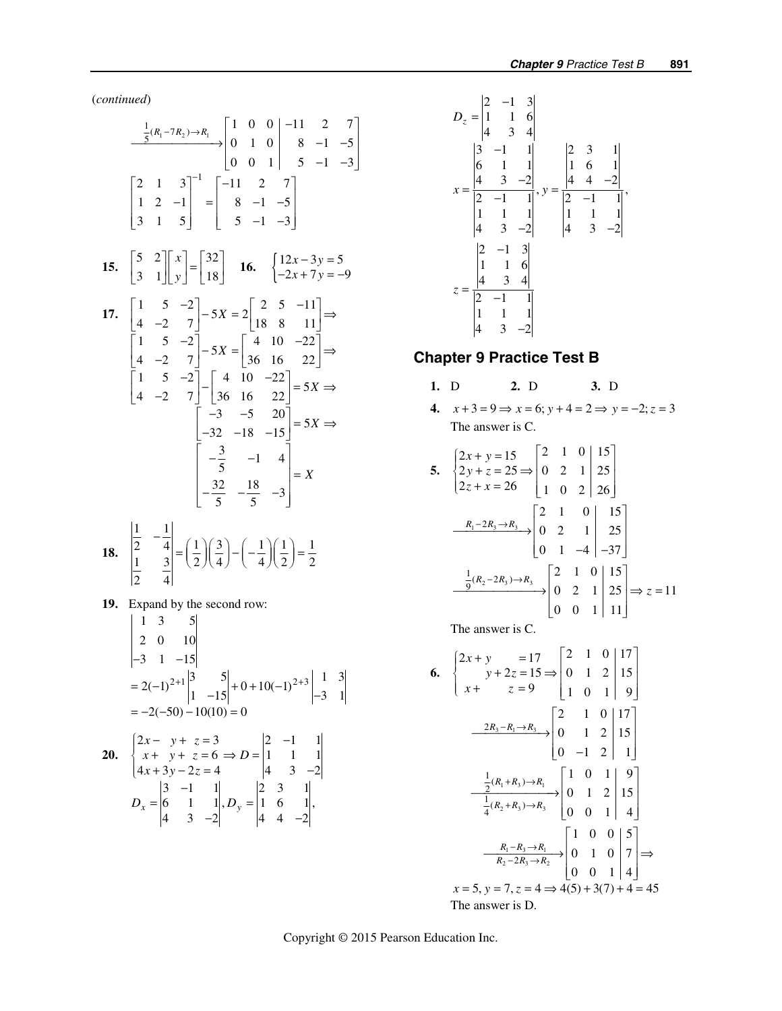(*continued*)

$$
\frac{\frac{1}{5}(R_1 - 7R_2) \rightarrow R_1}{2 \text{ of } 1} \begin{bmatrix} 1 & 0 & 0 & -11 & 2 & 7 \\ 0 & 1 & 0 & 8 & -1 & -5 \\ 0 & 0 & 1 & 5 & -1 & -3 \end{bmatrix}
$$
  
\n
$$
\begin{bmatrix} 2 & 1 & 3 \\ 1 & 2 & -1 \\ 3 & 1 & 5 \end{bmatrix}^{-1} = \begin{bmatrix} -11 & 2 & 7 \\ 8 & -1 & -5 \\ 5 & -1 & -3 \end{bmatrix}
$$
  
\n15. 
$$
\begin{bmatrix} 5 & 2 \\ 3 & 1 \end{bmatrix} \begin{bmatrix} x \\ y \end{bmatrix} = \begin{bmatrix} 32 \\ 18 \end{bmatrix}
$$
  
\n16. 
$$
\begin{bmatrix} 12x - 3y = 5 \\ -2x + 7y = -9 \\ -2x + 7y = -9 \end{bmatrix}
$$
  
\n17. 
$$
\begin{bmatrix} 1 & 5 & -2 \\ 4 & -2 & 7 \end{bmatrix} - 5X = 2 \begin{bmatrix} 2 & 5 & -11 \\ 18 & 8 & 11 \end{bmatrix} \Rightarrow
$$
  
\n
$$
\begin{bmatrix} 1 & 5 & -2 \\ 4 & -2 & 7 \end{bmatrix} - 5X = \begin{bmatrix} 4 & 10 & -22 \\ 36 & 16 & 22 \end{bmatrix} \Rightarrow
$$
  
\n
$$
\begin{bmatrix} -3 & -5 & 20 \\ -32 & -18 & -15 \end{bmatrix} = 5X \Rightarrow
$$
  
\n
$$
\begin{bmatrix} -3 & -1 & 4 \\ -3 & -1 & 4 \\ -3 & -5 & -3 \end{bmatrix} = X
$$
  
\n18. 
$$
\begin{bmatrix} \frac{1}{2} & -\frac{1}{4} \\ \frac{1}{1} & \frac{3}{2} \end{bmatrix} = \left(\frac{1}{2}\right)\left(\frac{3}{4}\right) - \left(-\frac{1}{4}\right)\left(\frac{1}{2}\right) = \frac{1}{2}
$$

$$
\begin{vmatrix} 1 & 3 \\ 2 & 4 \end{vmatrix} - \left(\frac{7}{2}\right)
$$

**19.** Expand by the second row:  $\begin{vmatrix} 1 & 2 & 5 \end{vmatrix}$ 

$$
\begin{vmatrix} 1 & 3 & 3 \ 2 & 0 & 10 \ -3 & 1 & -15 \ \end{vmatrix}
$$
  
= 2(-1)<sup>2+1</sup>  $\begin{vmatrix} 3 & 5 \ 1 & -15 \ \end{vmatrix}$  + 0 + 10(-1)<sup>2+3</sup>  $\begin{vmatrix} 1 & 3 \ -3 & 1 \ \end{vmatrix}$   
= -2(-50) -10(10) = 0

20. 
$$
\begin{cases} 2x - y + z = 3 \\ x + y + z = 6 \Rightarrow D = \begin{vmatrix} 2 & -1 & 1 \\ 1 & 1 & 1 \\ 4x + 3y - 2z = 4 \end{vmatrix} \\ 2x - y + z = 3 \Rightarrow D = \begin{vmatrix} 2 & -1 & 1 \\ 1 & 1 & 1 \\ 4 & 3 & -2 \end{vmatrix} \\ D_x = \begin{vmatrix} 3 & -1 & 1 \\ 6 & 1 & 1 \\ 4 & 3 & -2 \end{vmatrix}, D_y = \begin{vmatrix} 2 & 3 & 1 \\ 1 & 6 & 1 \\ 4 & 4 & -2 \end{vmatrix}
$$



## **Chapter 9 Practice Test B**

- **1.** D **2.** D **3.** D
- **4.**  $x+3=9$  ⇒  $x=6$ ;  $y+4=2$  ⇒  $y=-2$ ;  $z=3$ The answer is C.

5. 
$$
\begin{cases} 2x + y = 15 \ 2y + z = 25 \Rightarrow \begin{bmatrix} 2 & 1 & 0 \\ 0 & 2 & 1 \\ 2z + x = 26 \end{bmatrix} \begin{bmatrix} 15 \\ 25 \\ 1 & 0 & 2 \end{bmatrix}
$$

$$
\xrightarrow[R_1 - 2R_3 \rightarrow R_3 \rightarrow \begin{bmatrix} 2 & 1 & 0 \\ 0 & 2 & 1 \\ 0 & 1 & -4 \end{bmatrix} \begin{bmatrix} 15 \\ 25 \\ -37 \end{bmatrix}
$$

$$
\xrightarrow{\frac{1}{9}(R_2 - 2R_3) \rightarrow R_3} \begin{bmatrix} 2 & 1 & 0 \\ 0 & 2 & 1 \\ 0 & 0 & 1 \end{bmatrix} \begin{bmatrix} 15 \\ 25 \\ 25 \end{bmatrix} \Rightarrow z = 11
$$

The answer is C.

6. 
$$
\begin{cases} 2x + y = 17 \ x + 2z = 15 \Rightarrow \begin{bmatrix} 2 & 1 & 0 & |17 \ 0 & 1 & 2 & |15 \ 1 & 0 & 1 & |9 \end{bmatrix} \\ \frac{2R_3 - R_1 \rightarrow R_3}{\sqrt{2R_3 - R_1 \rightarrow R_3}} & \begin{bmatrix} 2 & 1 & 0 & |17 \ 0 & 1 & 2 & |15 \ 0 & -1 & 2 & |1 \end{bmatrix} \\ \frac{\frac{1}{2}(R_1 + R_3) \rightarrow R_1}{\frac{1}{4}(R_2 + R_3) \rightarrow R_3} & \begin{bmatrix} 1 & 0 & 1 & |9 \ 0 & 1 & 2 & |15 \ 0 & 0 & 1 & |4 \end{bmatrix} \\ \frac{R_1 - R_3 \rightarrow R_1}{R_2 - 2R_3 \rightarrow R_2} & \begin{bmatrix} 1 & 0 & 0 & |5 \ 0 & 1 & 0 & |7 \ 0 & 0 & 1 & |4 \end{bmatrix} \\ x = 5, y = 7, z = 4 \Rightarrow 4(5) + 3(7) + 4 = 45 \text{ The answer is D.} \end{cases}
$$

Copyright © 2015 Pearson Education Inc.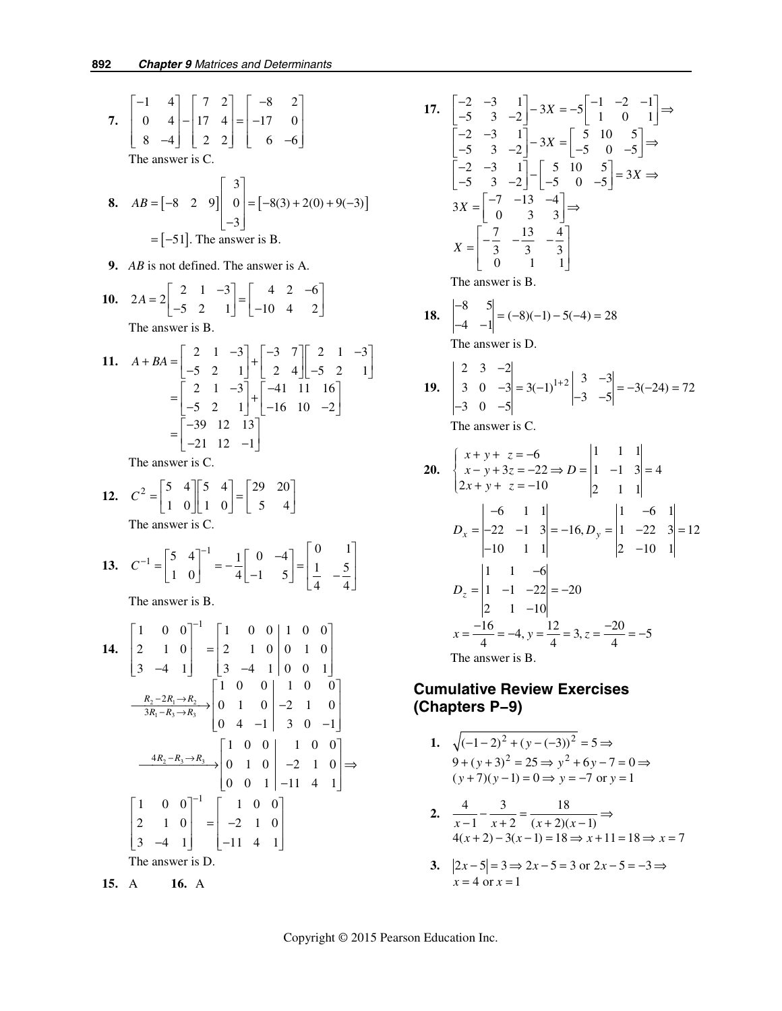7. 
$$
\begin{bmatrix} -1 & 4 \ 0 & 4 \ 8 & -4 \end{bmatrix} = \begin{bmatrix} 7 & 2 \ 17 & 4 \ 2 & 2 \end{bmatrix} = \begin{bmatrix} -8 & 2 \ -17 & 0 \ 6 & -6 \end{bmatrix}
$$
  
\n7. The answer is C.  
\n8.  $AB = \begin{bmatrix} -8 & 2 & 9 \end{bmatrix} \begin{bmatrix} 3 \ 0 \ -3 \end{bmatrix} = \begin{bmatrix} -8(3) + 2(0) + 9(-3) \end{bmatrix}$   
\n $= \begin{bmatrix} -51 \end{bmatrix}$ . The answer is B.  
\n9. *AB* is not defined. The answer is A.  
\n10.  $2A = 2 \begin{bmatrix} 2 & 1 & -3 \ -5 & 2 & 1 \end{bmatrix} = \begin{bmatrix} 4 & 2 & -6 \ -10 & 4 & 2 \end{bmatrix}$   
\nThe answer is B.  
\n11.  $A + BA = \begin{bmatrix} 2 & 1 & -3 \ -5 & 2 & 1 \end{bmatrix} + \begin{bmatrix} -3 & 7 \ 2 & 4 \end{bmatrix} \begin{bmatrix} 2 & 1 & -3 \ -5 & 2 & 1 \end{bmatrix} = \begin{bmatrix} -3 & 2 & 1 \ -5 & 2 & 1 \end{bmatrix} + \begin{bmatrix} -41 & 11 & 16 \ -16 & 10 & -2 \end{bmatrix} = \begin{bmatrix} -39 & 12 & 13 \ -5 & 2 & 1 \end{bmatrix}$   
\nThe answer is C.  
\n12.  $C^2 = \begin{bmatrix} 5 & 4 \ 1 & 0 \end{bmatrix} \begin{bmatrix} 5 & 4 \ 1 & 0 \end{bmatrix} = \begin{bmatrix} 29 & 20 \ 5 & 4 \end{bmatrix}$   
\nThe answer is C.  
\n13.  $C^{-1} = \begin{bmatrix} 5 & 4 \ 1 & 0 \end{bmatrix}^{-1} = -\frac{1}{4} \begin{bmatrix} 0 & -4 \ -1 & 5 \end{bmatrix} = \begin{bmatrix} 0 & 1 \ 1 & -5 \ 4 & -5 \end{bmatrix}$   
\nThe answer is B.  
\n14.  $\begin{bmatrix} 1 & 0 & 0 \ 2 & 1 & 0 \ 3 & -4 & 1$ 

 **15.** A **16.** A

The answer is D.

 $3 \quad -4 \quad 1 \mid -11 \quad 4 \quad 1$ 

 $\begin{bmatrix} 3 & -4 & 1 \end{bmatrix}$   $\begin{bmatrix} -11 & 4 & 1 \end{bmatrix}$ 

17. 
$$
\begin{bmatrix} -2 & -3 & 1 \\ -5 & 3 & -2 \end{bmatrix} - 3X = -5 \begin{bmatrix} -1 & -2 & -1 \\ 1 & 0 & 1 \end{bmatrix} \Rightarrow
$$
  
\n $\begin{bmatrix} -2 & -3 & 1 \\ -5 & 3 & -2 \end{bmatrix} - 3X = \begin{bmatrix} 5 & 10 & 5 \\ -5 & 0 & -5 \end{bmatrix} \Rightarrow$   
\n $\begin{bmatrix} -2 & -3 & 1 \\ -5 & 3 & -2 \end{bmatrix} - \begin{bmatrix} 5 & 10 & 5 \\ -5 & 0 & -5 \end{bmatrix} = 3X \Rightarrow$   
\n $3X = \begin{bmatrix} -7 & -13 & -4 \\ 0 & 3 & 3 \end{bmatrix} \Rightarrow$   
\n $X = \begin{bmatrix} -\frac{7}{3} & -\frac{13}{3} & -\frac{4}{3} \\ 0 & 1 & 1 \end{bmatrix}$   
\nThe answer is B.  
\n18.  $\begin{bmatrix} -8 & 5 \\ -4 & -1 \end{bmatrix} = (-8)(-1) - 5(-4) = 28$   
\nThe answer is D.  
\n19.  $\begin{vmatrix} 2 & 3 & -2 \\ 3 & 0 & -3 \\ -3 & 0 & -5 \end{vmatrix} = 3(-1)^{1+2} \begin{vmatrix} 3 & -3 \\ -3 & -5 \end{vmatrix} = -3(-24) = 72$ 

$$
\begin{vmatrix} 3 & 0 & -3 \\ -3 & 0 & -5 \end{vmatrix} = 3(-1) \qquad \begin{vmatrix} -3 & -5 \end{vmatrix} = -3(-24)
$$
  
The answer is C.

20. 
$$
\begin{cases} x+y+z=-6 \ x-y+3z=-22 \Rightarrow D = \begin{vmatrix} 1 & 1 & 1 \ 1 & -1 & 3 \ 2 & 1 & 1 \end{vmatrix} = 4 \\ 2x+y+z=-10 \end{cases}
$$
  
\n
$$
D_x = \begin{vmatrix} -6 & 1 & 1 \ -22 & -1 & 3 \ -10 & 1 & 1 \end{vmatrix} = -16, D_y = \begin{vmatrix} 1 & -6 & 1 \ 1 & -22 & 3 \ 2 & -10 & 1 \end{vmatrix} = 12
$$
  
\n
$$
D_z = \begin{vmatrix} 1 & 1 & -6 \ 1 & -1 & -22 \ 2 & 1 & -10 \ \end{vmatrix} = -20
$$
  
\n
$$
x = \frac{-16}{4} = -4, y = \frac{12}{4} = 3, z = \frac{-20}{4} = -5
$$
  
\nThe answer is B.

## **Cumulative Review Exercises (Chapters P−9)**

- 1.  $\sqrt{(-1-2)^2 + (y-(-3))^2}$  $2 - 25 \rightarrow x^2$  $(-1-2)^{2} + (y-(-3))^{2} = 5$  $9 + (y + 3)^2 = 25 \implies y^2 + 6y - 7 = 0$  $(y+7)(y-1) = 0 \implies y = -7$  or  $y = 1$ *y*  $y+3)^2 = 25 \Rightarrow y^2 + 6y$  $y+7$  $(y-1) = 0 \Rightarrow y = -7$  or y  $(-1-2)^{2} + (y-(-3))^{2} = 5 \implies$  $+(y+3)^2 = 25 \Rightarrow y^2 + 6y - 7 = 0 \Rightarrow$  $+7$ )(y-1) = 0  $\Rightarrow$  y = -7 or y =
- 2.  $rac{4}{x-1} \frac{3}{x+2} = \frac{18}{(x+2)(x-1)}$  $4(x+2)-3(x-1) = 18 \Rightarrow x+11 = 18 \Rightarrow x = 7$  $x-1$   $x+2$   $(x+2)(x)$  $(x+2)-3(x-1)=18 \Rightarrow x+11=18 \Rightarrow x$  $\frac{1}{-1} - \frac{5}{x+2} = \frac{16}{(x+2)(x-1)} \Rightarrow$  $+ 2) - 3(x-1) = 18 \Rightarrow x+11 = 18 \Rightarrow x=$
- **3.**  $|2x-5| = 3 \Rightarrow 2x-5 = 3$  or  $2x-5 = -3 \Rightarrow$  $x = 4$  or  $x = 1$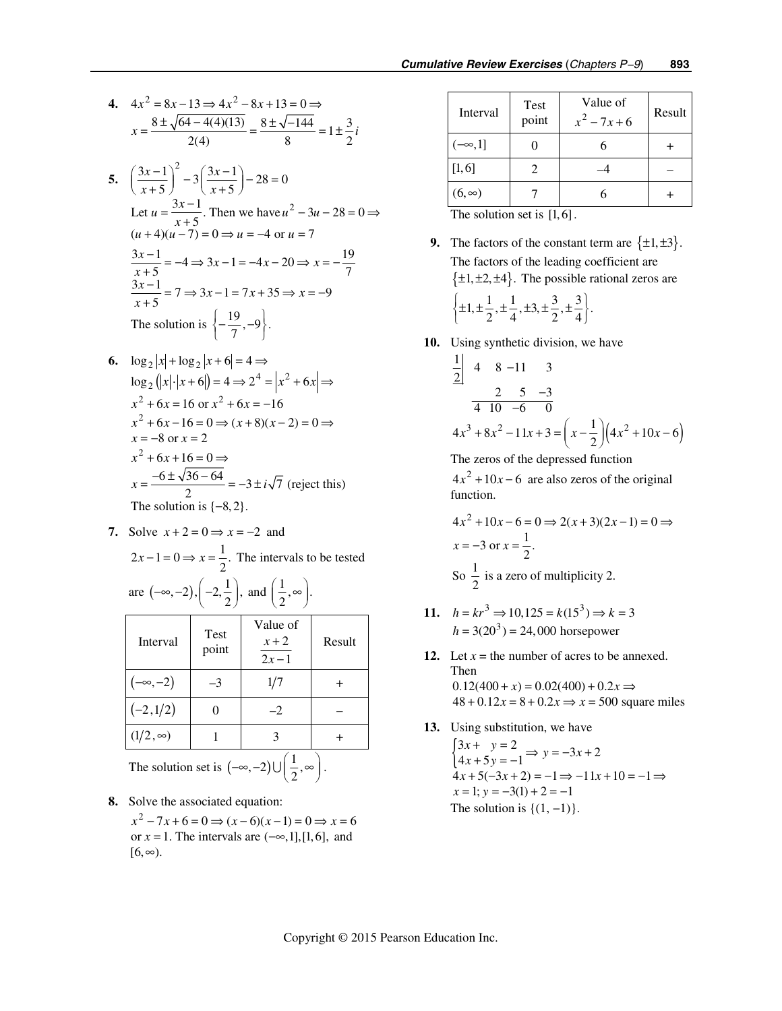4. 
$$
4x^2 = 8x - 13 \Rightarrow 4x^2 - 8x + 13 = 0 \Rightarrow
$$
  

$$
x = \frac{8 \pm \sqrt{64 - 4(4)(13)}}{2(4)} = \frac{8 \pm \sqrt{-144}}{8} = 1 \pm \frac{3}{2}i
$$

- **5.**   $\left(\frac{3x-1}{x+5}\right)^2 - 3\left(\frac{3x-1}{x+5}\right) - 28 = 0$ Let  $u = \frac{3x-1}{x+5}$ . Then we have  $u^2 - 3u - 28 = 0$  $(u+4)(u-7) = 0 \implies u = -4 \text{ or } u = 7$  $(x-1)^2$   $2(x-1)^2$  $\left(\frac{3x-1}{x+5}\right)^2 - 3\left(\frac{3x-1}{x+5}\right) - 28 =$  $u = \frac{3x-1}{x+5}$ . Then we have  $u^2 - 3u - 28 = 0 \Rightarrow$  $\frac{3x-1}{x+5} = -4 \implies 3x - 1 = -4x - 20 \implies x = -\frac{19}{7}$  $\frac{3x-1}{x+5} = 7 \Rightarrow 3x-1 = 7x+35 \Rightarrow x = -9$ The solution is  $\left\{-\frac{19}{7}, -9\right\}.$  $\frac{3x-1}{x+5} = -4 \implies 3x - 1 = -4x - 20 \implies x = \frac{3x-1}{x+5}$  = 7  $\Rightarrow$  3x - 1 = 7x + 35  $\Rightarrow$  x = -
- **6.**  $\log_2 |x| + \log_2 |x + 6| = 4 \implies$  $\log_2(|x| \cdot |x+6|) = 4 \Rightarrow 2^4 = |x^2+6x| \Rightarrow$  $x^{2} + 6x = 16$  or  $x^{2} + 6x = -16$  $x^2 + 6x - 16 = 0 \Rightarrow (x+8)(x-2) = 0 \Rightarrow$  $x = -8$  or  $x = 2$  $x^2 + 6x + 16 = 0 \implies$  $x = \frac{-6 \pm \sqrt{36 - 64}}{2} = -3 \pm i\sqrt{7}$  (reject this) The solution is  $\{-8, 2\}$ .
	- **7.** Solve  $x + 2 = 0 \Rightarrow x = -2$  and  $2x-1=0 \Rightarrow x=\frac{1}{2}$ . The intervals to be tested are  $(-\infty, -2), \left(-2, \frac{1}{2}\right), \text{ and } \left(\frac{1}{2}, \infty\right).$

| Interval        | Test<br>point | Value of<br>$x + 2$<br>$2x - 1$                                             | Result |
|-----------------|---------------|-----------------------------------------------------------------------------|--------|
| $(-\infty, -2)$ | $-3$          | 1/7                                                                         |        |
| $(-2,1/2)$      |               | $-2$                                                                        |        |
| $(1/2,\infty)$  |               |                                                                             |        |
|                 |               | The solution set is $(-\infty, -2) \cup \left(\frac{1}{2}, \infty\right)$ . |        |

- **8.** Solve the associated equation:
	- $x^2 7x + 6 = 0 \implies (x 6)(x 1) = 0 \implies x = 6$ or  $x = 1$ . The intervals are  $(-\infty, 1]$ , [1, 6], and  $[6, \infty)$ .

| Interval      | Test<br>point | Value of<br>$x^2 - 7x + 6$ | Result |
|---------------|---------------|----------------------------|--------|
| $(-\infty,1]$ |               |                            |        |
| [1, 6]        |               |                            |        |
| $(6, \infty)$ |               |                            |        |

The solution set is  $[1,6]$ .

- **9.** The factors of the constant term are  $\{\pm 1, \pm 3\}$ . The factors of the leading coefficient are  $\{\pm 1, \pm 2, \pm 4\}$ . The possible rational zeros are  $\left\{\pm 1, \pm \frac{1}{2}, \pm \frac{1}{4}, \pm 3, \pm \frac{3}{2}, \pm \frac{3}{4}\right\}.$
- **10.** Using synthetic division, we have

$$
\begin{array}{c|cc}\n\frac{1}{2} & 4 & 8 & -11 & 3\\
& & 2 & 5 & -3\\
\hline\n& 4 & 10 & -6 & 0\n\end{array}
$$
\n
$$
4x^3 + 8x^2 - 11x + 3 = \left(x - \frac{1}{2}\right)\left(4x^2 + 10x - 6\right)
$$

The zeros of the depressed function

 $4x<sup>2</sup> + 10x - 6$  are also zeros of the original function.

$$
4x2 + 10x - 6 = 0 \Rightarrow 2(x+3)(2x-1) = 0 \Rightarrow
$$
  
x = -3 or x =  $\frac{1}{2}$ .  
So  $\frac{1}{2}$  is a zero of multiplicity 2.

- 11.  $h = kr^3 \Rightarrow 10,125 = k(15^3) \Rightarrow k = 3$  $h = 3(20^3) = 24,000$  horsepower
- 12. Let  $x =$  the number of acres to be annexed. Then  $0.12(400 + x) = 0.02(400) + 0.2x \implies$  $48 + 0.12x = 8 + 0.2x \implies x = 500$  square miles
- **13.** Using substitution, we have

 $\begin{cases} 3x + y = 2 \\ 4x + 5y = -1 \end{cases} \Rightarrow y = -3x + 2$  $4x + 5(-3x + 2) = -1 \implies -11x + 10 = -1 \implies$  $x = 1$ ;  $y = -3(1) + 2 = -1$ The solution is  $\{(1, -1)\}.$